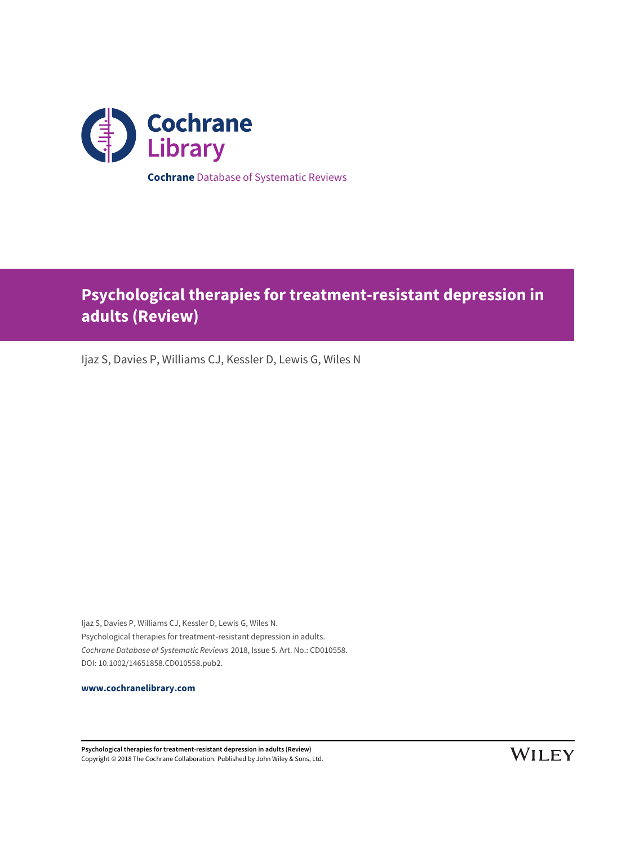

**Cochrane** Database of Systematic Reviews

# **Psychological therapies for treatment-resistant depression in adults (Review)**

Ijaz S, Davies P, Williams CJ, Kessler D, Lewis G, Wiles N

Ijaz S, Davies P, Williams CJ, Kessler D, Lewis G, Wiles N. Psychological therapies for treatment-resistant depression in adults. Cochrane Database of Systematic Reviews 2018, Issue 5. Art. No.: CD010558. DOI: 10.1002/14651858.CD010558.pub2.

**[www.cochranelibrary.com](http://www.cochranelibrary.com)**

**Psychological therapies for treatment-resistant depression in adults (Review)** Copyright © 2018 The Cochrane Collaboration. Published by John Wiley & Sons, Ltd.

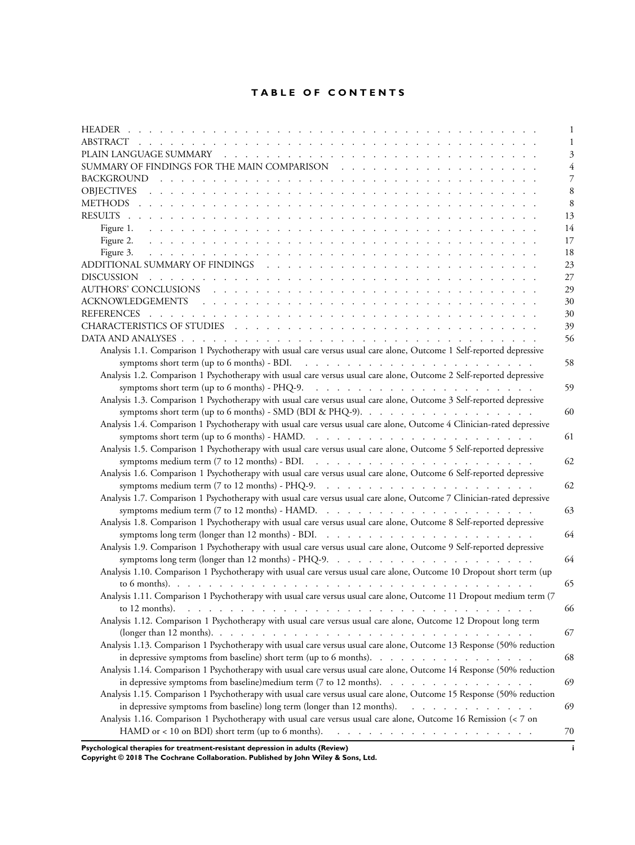# **TABLE OF CONTENTS**

|                                                                                                                        | 1  |
|------------------------------------------------------------------------------------------------------------------------|----|
|                                                                                                                        | 1  |
|                                                                                                                        | 3  |
|                                                                                                                        | 4  |
|                                                                                                                        | 7  |
|                                                                                                                        | 8  |
|                                                                                                                        | 8  |
|                                                                                                                        | 13 |
|                                                                                                                        | 14 |
|                                                                                                                        | 17 |
|                                                                                                                        | 18 |
|                                                                                                                        | 23 |
|                                                                                                                        | 27 |
|                                                                                                                        | 29 |
|                                                                                                                        | 30 |
|                                                                                                                        | 30 |
|                                                                                                                        | 39 |
|                                                                                                                        | 56 |
| Analysis 1.1. Comparison 1 Psychotherapy with usual care versus usual care alone, Outcome 1 Self-reported depressive   |    |
|                                                                                                                        | 58 |
| Analysis 1.2. Comparison 1 Psychotherapy with usual care versus usual care alone, Outcome 2 Self-reported depressive   |    |
|                                                                                                                        | 59 |
| Analysis 1.3. Comparison 1 Psychotherapy with usual care versus usual care alone, Outcome 3 Self-reported depressive   |    |
| symptoms short term (up to 6 months) - SMD (BDI & PHQ-9).                                                              | 60 |
| Analysis 1.4. Comparison 1 Psychotherapy with usual care versus usual care alone, Outcome 4 Clinician-rated depressive |    |
| symptoms short term (up to 6 months) - HAMD.                                                                           | 61 |
| Analysis 1.5. Comparison 1 Psychotherapy with usual care versus usual care alone, Outcome 5 Self-reported depressive   |    |
|                                                                                                                        | 62 |
| Analysis 1.6. Comparison 1 Psychotherapy with usual care versus usual care alone, Outcome 6 Self-reported depressive   |    |
| symptoms medium term (7 to 12 months) - PHQ-9. $\ldots$ $\ldots$ $\ldots$ $\ldots$ $\ldots$ $\ldots$ $\ldots$ $\ldots$ | 62 |
| Analysis 1.7. Comparison 1 Psychotherapy with usual care versus usual care alone, Outcome 7 Clinician-rated depressive |    |
|                                                                                                                        | 63 |
| Analysis 1.8. Comparison 1 Psychotherapy with usual care versus usual care alone, Outcome 8 Self-reported depressive   |    |
|                                                                                                                        | 64 |
| Analysis 1.9. Comparison 1 Psychotherapy with usual care versus usual care alone, Outcome 9 Self-reported depressive   |    |
|                                                                                                                        | 64 |
| Analysis 1.10. Comparison 1 Psychotherapy with usual care versus usual care alone, Outcome 10 Dropout short term (up   |    |
|                                                                                                                        | 65 |
| Analysis 1.11. Comparison 1 Psychotherapy with usual care versus usual care alone, Outcome 11 Dropout medium term (7   |    |
|                                                                                                                        | 66 |
| Analysis 1.12. Comparison 1 Psychotherapy with usual care versus usual care alone, Outcome 12 Dropout long term        |    |
|                                                                                                                        | 67 |
| Analysis 1.13. Comparison 1 Psychotherapy with usual care versus usual care alone, Outcome 13 Response (50% reduction  |    |
|                                                                                                                        | 68 |
| Analysis 1.14. Comparison 1 Psychotherapy with usual care versus usual care alone, Outcome 14 Response (50% reduction  |    |
| in depressive symptoms from baseline) medium term (7 to 12 months).                                                    | 69 |
| Analysis 1.15. Comparison 1 Psychotherapy with usual care versus usual care alone, Outcome 15 Response (50% reduction  |    |
| in depressive symptoms from baseline) long term (longer than 12 months).                                               | 69 |
| Analysis 1.16. Comparison 1 Psychotherapy with usual care versus usual care alone, Outcome 16 Remission (< 7 on        |    |
|                                                                                                                        | 70 |

**Psychological therapies for treatment-resistant depression in adults (Review) i**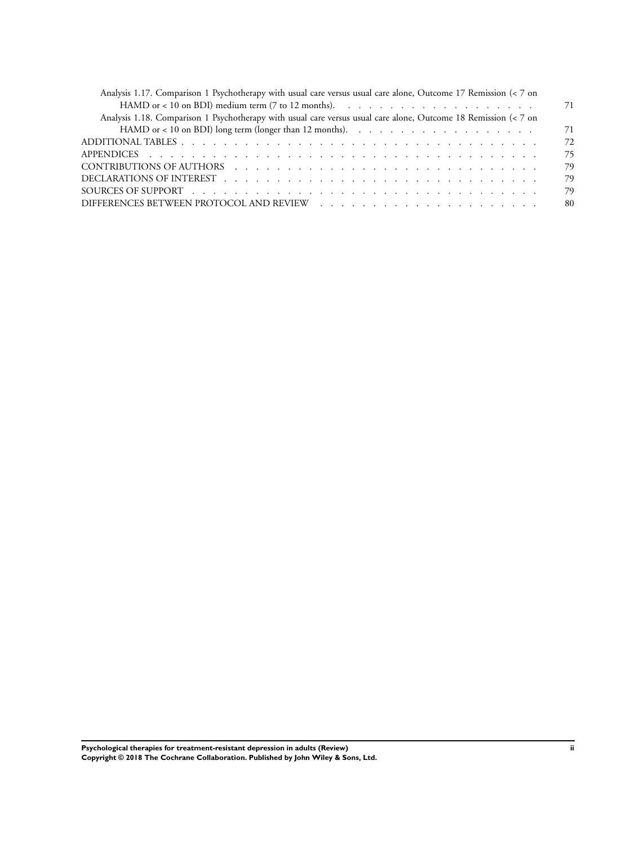| Analysis 1.17. Comparison 1 Psychotherapy with usual care versus usual care alone, Outcome 17 Remission (< 7 on |  |
|-----------------------------------------------------------------------------------------------------------------|--|
|                                                                                                                 |  |
| Analysis 1.18. Comparison 1 Psychotherapy with usual care versus usual care alone, Outcome 18 Remission (< 7 on |  |
|                                                                                                                 |  |
|                                                                                                                 |  |
|                                                                                                                 |  |
|                                                                                                                 |  |
|                                                                                                                 |  |
|                                                                                                                 |  |
|                                                                                                                 |  |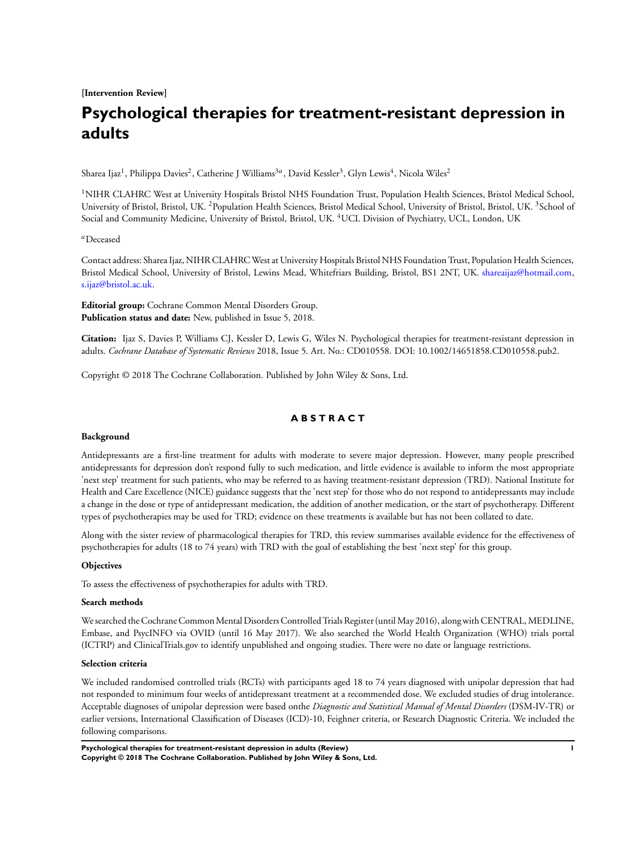**[Intervention Review]**

# **Psychological therapies for treatment-resistant depression in adults**

Sharea Ijaz<sup>1</sup>, Philippa Davies<sup>2</sup>, Catherine J Williams<sup>3a</sup>, David Kessler<sup>3</sup>, Glyn Lewis<sup>4</sup>, Nicola Wiles<sup>2</sup>

<sup>1</sup>NIHR CLAHRC West at University Hospitals Bristol NHS Foundation Trust, Population Health Sciences, Bristol Medical School, University of Bristol, Bristol, UK. <sup>2</sup>Population Health Sciences, Bristol Medical School, University of Bristol, Bristol, UK. <sup>3</sup>School of Social and Community Medicine, University of Bristol, Bristol, UK. <sup>4</sup>UCL Division of Psychiatry, UCL, London, UK

<sup>a</sup>Deceased

Contact address: Sharea Ijaz, NIHR CLAHRCWest at University Hospitals Bristol NHS Foundation Trust, Population Health Sciences, Bristol Medical School, University of Bristol, Lewins Mead, Whitefriars Building, Bristol, BS1 2NT, UK. [shareaijaz@hotmail.com,](mailto:shareaijaz@hotmail.com) [s.ijaz@bristol.ac.uk.](mailto:s.ijaz@bristol.ac.uk)

**Editorial group:** Cochrane Common Mental Disorders Group. **Publication status and date:** New, published in Issue 5, 2018.

**Citation:** Ijaz S, Davies P, Williams CJ, Kessler D, Lewis G, Wiles N. Psychological therapies for treatment-resistant depression in adults. *Cochrane Database of Systematic Reviews* 2018, Issue 5. Art. No.: CD010558. DOI: 10.1002/14651858.CD010558.pub2.

Copyright © 2018 The Cochrane Collaboration. Published by John Wiley & Sons, Ltd.

# **A B S T R A C T**

## **Background**

Antidepressants are a first-line treatment for adults with moderate to severe major depression. However, many people prescribed antidepressants for depression don't respond fully to such medication, and little evidence is available to inform the most appropriate 'next step' treatment for such patients, who may be referred to as having treatment-resistant depression (TRD). National Institute for Health and Care Excellence (NICE) guidance suggests that the 'next step' for those who do not respond to antidepressants may include a change in the dose or type of antidepressant medication, the addition of another medication, or the start of psychotherapy. Different types of psychotherapies may be used for TRD; evidence on these treatments is available but has not been collated to date.

Along with the sister review of pharmacological therapies for TRD, this review summarises available evidence for the effectiveness of psychotherapies for adults (18 to 74 years) with TRD with the goal of establishing the best 'next step' for this group.

## **Objectives**

To assess the effectiveness of psychotherapies for adults with TRD.

## **Search methods**

We searched the Cochrane Common Mental Disorders Controlled Trials Register (until May 2016), along with CENTRAL, MEDLINE, Embase, and PsycINFO via OVID (until 16 May 2017). We also searched the World Health Organization (WHO) trials portal (ICTRP) and ClinicalTrials.gov to identify unpublished and ongoing studies. There were no date or language restrictions.

## **Selection criteria**

We included randomised controlled trials (RCTs) with participants aged 18 to 74 years diagnosed with unipolar depression that had not responded to minimum four weeks of antidepressant treatment at a recommended dose. We excluded studies of drug intolerance. Acceptable diagnoses of unipolar depression were based onthe *Diagnostic and Statistical Manual of Mental Disorders* (DSM-IV-TR) or earlier versions, International Classification of Diseases (ICD)-10, Feighner criteria, or Research Diagnostic Criteria. We included the following comparisons.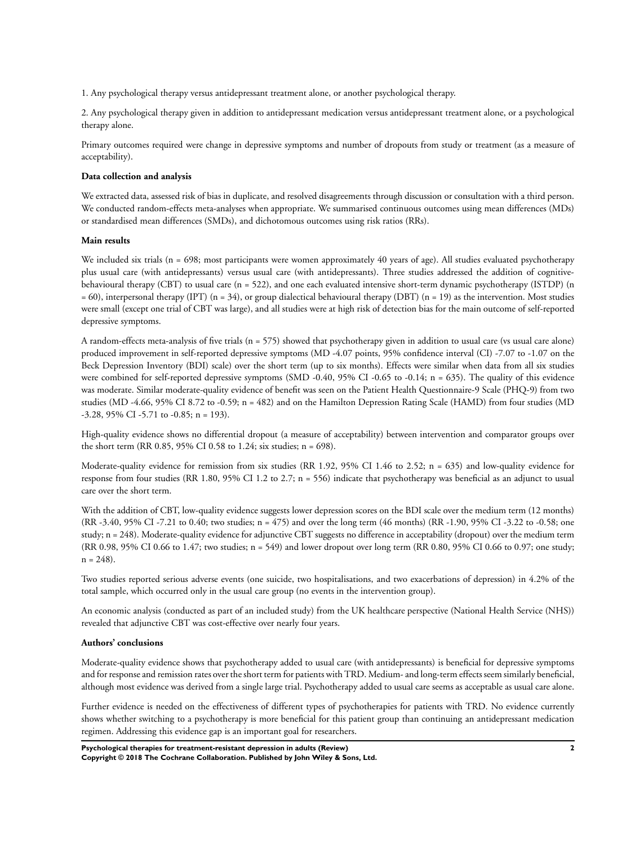1. Any psychological therapy versus antidepressant treatment alone, or another psychological therapy.

2. Any psychological therapy given in addition to antidepressant medication versus antidepressant treatment alone, or a psychological therapy alone.

Primary outcomes required were change in depressive symptoms and number of dropouts from study or treatment (as a measure of acceptability).

## **Data collection and analysis**

We extracted data, assessed risk of bias in duplicate, and resolved disagreements through discussion or consultation with a third person. We conducted random-effects meta-analyses when appropriate. We summarised continuous outcomes using mean differences (MDs) or standardised mean differences (SMDs), and dichotomous outcomes using risk ratios (RRs).

## **Main results**

We included six trials (n = 698; most participants were women approximately 40 years of age). All studies evaluated psychotherapy plus usual care (with antidepressants) versus usual care (with antidepressants). Three studies addressed the addition of cognitivebehavioural therapy (CBT) to usual care (n = 522), and one each evaluated intensive short-term dynamic psychotherapy (ISTDP) (n  $= 60$ ), interpersonal therapy (IPT) (n = 34), or group dialectical behavioural therapy (DBT) (n = 19) as the intervention. Most studies were small (except one trial of CBT was large), and all studies were at high risk of detection bias for the main outcome of self-reported depressive symptoms.

A random-effects meta-analysis of five trials (n = 575) showed that psychotherapy given in addition to usual care (vs usual care alone) produced improvement in self-reported depressive symptoms (MD -4.07 points, 95% confidence interval (CI) -7.07 to -1.07 on the Beck Depression Inventory (BDI) scale) over the short term (up to six months). Effects were similar when data from all six studies were combined for self-reported depressive symptoms (SMD -0.40, 95% CI -0.65 to -0.14; n = 635). The quality of this evidence was moderate. Similar moderate-quality evidence of benefit was seen on the Patient Health Questionnaire-9 Scale (PHQ-9) from two studies (MD -4.66, 95% CI 8.72 to -0.59; n = 482) and on the Hamilton Depression Rating Scale (HAMD) from four studies (MD  $-3.28$ , 95% CI  $-5.71$  to  $-0.85$ ; n = 193).

High-quality evidence shows no differential dropout (a measure of acceptability) between intervention and comparator groups over the short term (RR 0.85, 95% CI 0.58 to 1.24; six studies; n = 698).

Moderate-quality evidence for remission from six studies (RR 1.92, 95% CI 1.46 to 2.52; n = 635) and low-quality evidence for response from four studies (RR 1.80, 95% CI 1.2 to 2.7; n = 556) indicate that psychotherapy was beneficial as an adjunct to usual care over the short term.

With the addition of CBT, low-quality evidence suggests lower depression scores on the BDI scale over the medium term (12 months) (RR -3.40, 95% CI -7.21 to 0.40; two studies; n = 475) and over the long term (46 months) (RR -1.90, 95% CI -3.22 to -0.58; one study; n = 248). Moderate-quality evidence for adjunctive CBT suggests no difference in acceptability (dropout) over the medium term (RR 0.98, 95% CI 0.66 to 1.47; two studies; n = 549) and lower dropout over long term (RR 0.80, 95% CI 0.66 to 0.97; one study;  $n = 248$ .

Two studies reported serious adverse events (one suicide, two hospitalisations, and two exacerbations of depression) in 4.2% of the total sample, which occurred only in the usual care group (no events in the intervention group).

An economic analysis (conducted as part of an included study) from the UK healthcare perspective (National Health Service (NHS)) revealed that adjunctive CBT was cost-effective over nearly four years.

## **Authors' conclusions**

Moderate-quality evidence shows that psychotherapy added to usual care (with antidepressants) is beneficial for depressive symptoms and for response and remission rates over the short term for patients with TRD. Medium- and long-term effects seem similarly beneficial, although most evidence was derived from a single large trial. Psychotherapy added to usual care seems as acceptable as usual care alone.

Further evidence is needed on the effectiveness of different types of psychotherapies for patients with TRD. No evidence currently shows whether switching to a psychotherapy is more beneficial for this patient group than continuing an antidepressant medication regimen. Addressing this evidence gap is an important goal for researchers.

**Psychological therapies for treatment-resistant depression in adults (Review) 2 Copyright © 2018 The Cochrane Collaboration. Published by John Wiley & Sons, Ltd.**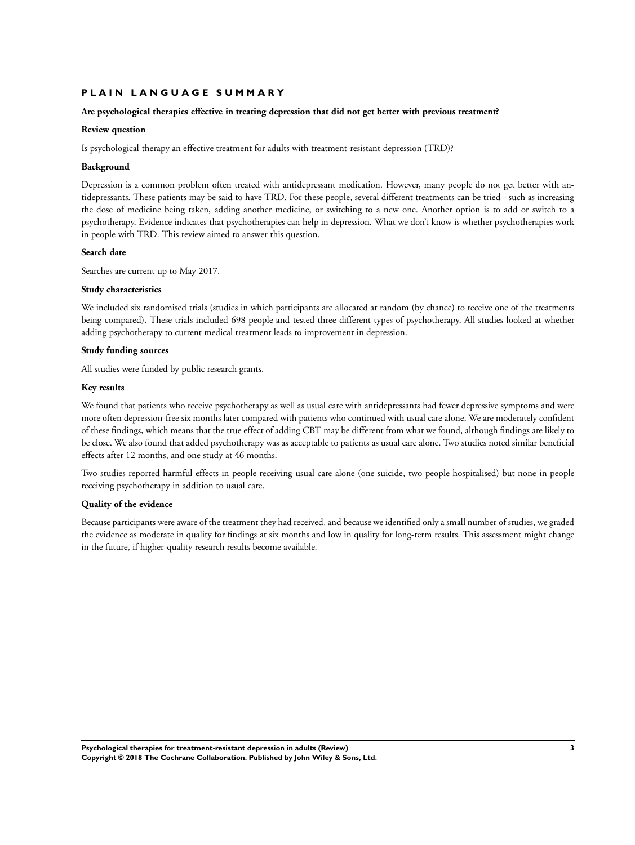# **P L A I N L A N G U A G E S U M M A R Y**

## **Are psychological therapies effective in treating depression that did not get better with previous treatment?**

## **Review question**

Is psychological therapy an effective treatment for adults with treatment-resistant depression (TRD)?

## **Background**

Depression is a common problem often treated with antidepressant medication. However, many people do not get better with antidepressants. These patients may be said to have TRD. For these people, several different treatments can be tried - such as increasing the dose of medicine being taken, adding another medicine, or switching to a new one. Another option is to add or switch to a psychotherapy. Evidence indicates that psychotherapies can help in depression. What we don't know is whether psychotherapies work in people with TRD. This review aimed to answer this question.

## **Search date**

Searches are current up to May 2017.

## **Study characteristics**

We included six randomised trials (studies in which participants are allocated at random (by chance) to receive one of the treatments being compared). These trials included 698 people and tested three different types of psychotherapy. All studies looked at whether adding psychotherapy to current medical treatment leads to improvement in depression.

# **Study funding sources**

All studies were funded by public research grants.

## **Key results**

We found that patients who receive psychotherapy as well as usual care with antidepressants had fewer depressive symptoms and were more often depression-free six months later compared with patients who continued with usual care alone. We are moderately confident of these findings, which means that the true effect of adding CBT may be different from what we found, although findings are likely to be close. We also found that added psychotherapy was as acceptable to patients as usual care alone. Two studies noted similar beneficial effects after 12 months, and one study at 46 months.

Two studies reported harmful effects in people receiving usual care alone (one suicide, two people hospitalised) but none in people receiving psychotherapy in addition to usual care.

## **Quality of the evidence**

Because participants were aware of the treatment they had received, and because we identified only a small number of studies, we graded the evidence as moderate in quality for findings at six months and low in quality for long-term results. This assessment might change in the future, if higher-quality research results become available*.*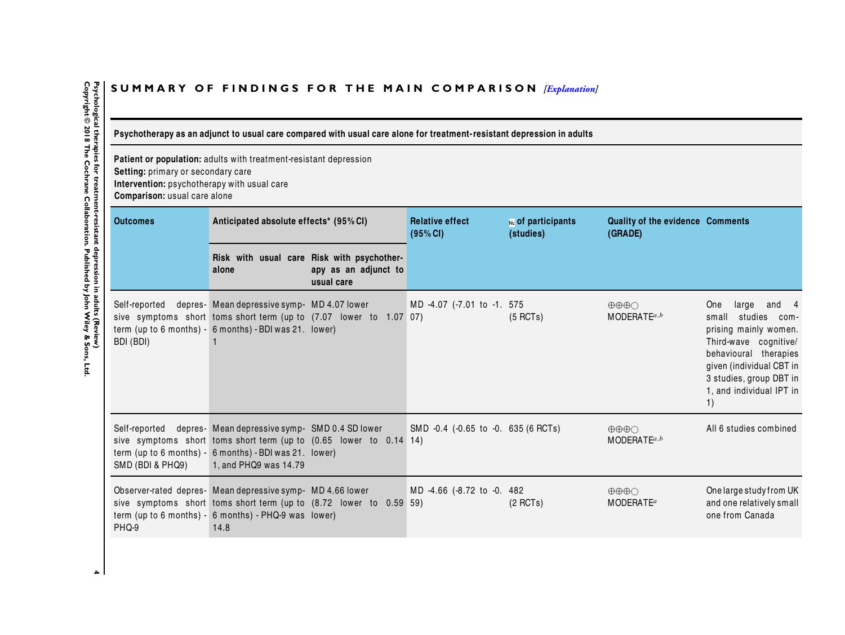# <span id="page-6-0"></span>SUMMARY OF FINDINGS FOR THE MAIN COMPARISON *[\[Explanation\]](http://www.thecochranelibrary.com/view/0/SummaryFindings.html)*

Psychotherapy as an adjunct to usual care compared with usual care alone for treatment-resistant depression in adults

**Patient or population:** adults with treatment-resistant depression **Setting:** primary or secondary care **Intervention:** psychotherapy with usual care **Comparison:** usual care alone

| <b>Outcomes</b>            | Anticipated absolute effects* (95% CI)                                                                                                                                                                              |                                                                                  | <b>Relative effect</b><br>(95% CI)  | № of participants<br>(studies) | Quality of the evidence Comments<br>(GRADE)       |                                                                                                                                                                                                                       |
|----------------------------|---------------------------------------------------------------------------------------------------------------------------------------------------------------------------------------------------------------------|----------------------------------------------------------------------------------|-------------------------------------|--------------------------------|---------------------------------------------------|-----------------------------------------------------------------------------------------------------------------------------------------------------------------------------------------------------------------------|
|                            | alone                                                                                                                                                                                                               | Risk with usual care Risk with psychother-<br>apy as an adjunct to<br>usual care |                                     |                                |                                                   |                                                                                                                                                                                                                       |
| Self-reported<br>BDI (BDI) | depres- Mean depressive symp- MD 4.07 lower<br>sive symptoms short toms short term (up to (7.07 lower to 1.07 07)<br>term (up to 6 months) - 6 months) - BDI was 21. lower)                                         |                                                                                  | MD -4.07 (-7.01 to -1. 575          | $(5$ RCTs)                     | $\oplus \oplus \oplus \bigcirc$<br>MODERATE $a,b$ | One<br>large<br>and 4<br>studies<br>small<br>com-<br>prising mainly women.<br>Third-wave cognitive/<br>behavioural therapies<br>given (individual CBT in<br>3 studies, group DBT in<br>1, and individual IPT in<br>1) |
| SMD (BDI & PHQ9)           | Self-reported depres-Mean depressive symp-SMD 0.4 SD lower<br>sive symptoms short toms short term (up to (0.65 lower to 0.14 14)<br>term (up to 6 months) - 6 months) - BDI was 21. lower)<br>1, and PHQ9 was 14.79 |                                                                                  | SMD -0.4 (-0.65 to -0. 635 (6 RCTs) |                                | $\oplus \oplus \oplus \bigcirc$<br>MODERATE $a,b$ | All 6 studies combined                                                                                                                                                                                                |
| PHQ-9                      | Observer-rated depres- Mean depressive symp- MD 4.66 lower<br>sive symptoms short toms short term (up to (8.72 lower to 0.59 59)<br>term (up to 6 months) - 6 months) - PHQ-9 was lower)<br>14.8                    |                                                                                  | MD -4.66 (-8.72 to -0. 482          | $(2$ RCTs)                     | $\oplus \oplus \oplus \cap$<br>$MODERATE^a$       | One large study from UK<br>and one relatively small<br>one from Canada                                                                                                                                                |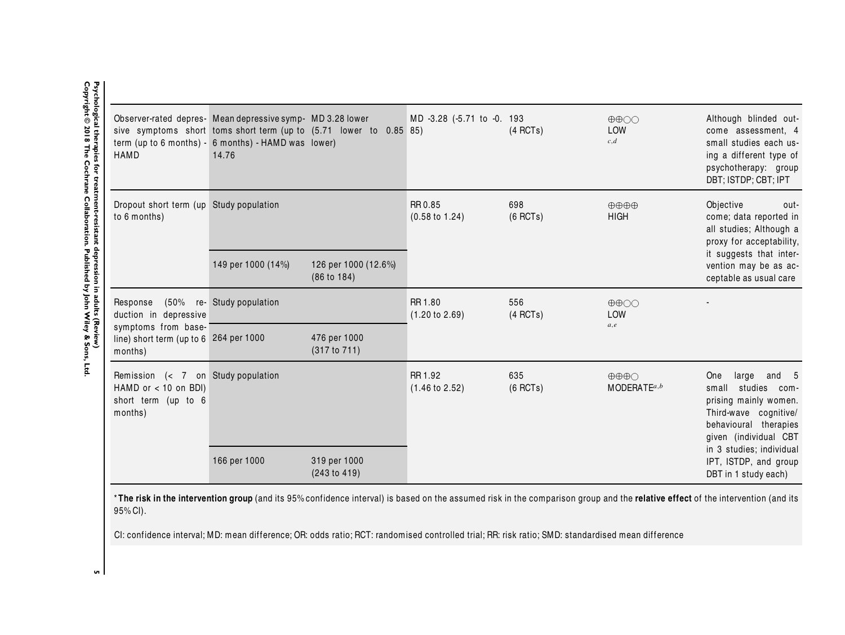| HAMD                                                                                                          | Observer-rated depres- Mean depressive symp- MD 3.28 lower<br>sive symptoms short toms short term (up to (5.71 lower to 0.85 85)<br>term (up to 6 months) - 6 months) - HAMD was lower)<br>14.76 |                                     | MD -3.28 (-5.71 to -0. 193           | $(4$ RCTs)        | $\oplus \oplus \bigcirc \bigcirc$<br>LOW<br>c,d | Although blinded out-<br>come assessment, 4<br>small studies each us-<br>ing a different type of<br>psychotherapy: group<br>DBT; ISTDP; CBT; IPT                                                                                   |
|---------------------------------------------------------------------------------------------------------------|--------------------------------------------------------------------------------------------------------------------------------------------------------------------------------------------------|-------------------------------------|--------------------------------------|-------------------|-------------------------------------------------|------------------------------------------------------------------------------------------------------------------------------------------------------------------------------------------------------------------------------------|
| Dropout short term (up Study population<br>to 6 months)                                                       | 149 per 1000 (14%)                                                                                                                                                                               | 126 per 1000 (12.6%)<br>(86 to 184) | RR 0.85<br>$(0.58 \text{ to } 1.24)$ | 698<br>$(6$ RCTs) | $\oplus \oplus \oplus \oplus$<br><b>HIGH</b>    | Objective<br>out-<br>come; data reported in<br>all studies; Although a<br>proxy for acceptability,<br>it suggests that inter-<br>vention may be as ac-<br>ceptable as usual care                                                   |
| Response<br>duction in depressive<br>symptoms from base-<br>line) short term (up to 6 264 per 1000<br>months) | (50% re- Study population                                                                                                                                                                        | 476 per 1000<br>(317 to 711)        | RR 1.80<br>(1.20 to 2.69)            | 556<br>(4 RCTs)   | $\oplus \oplus \bigcirc \bigcirc$<br>LOW<br>a,e |                                                                                                                                                                                                                                    |
| Remission $\left( < 7 \right)$ on Study population<br>HAMD or < 10 on BDI)<br>short term (up to 6<br>months)  | 166 per 1000                                                                                                                                                                                     | 319 per 1000<br>(243 to 419)        | RR 1.92<br>$(1.46 \text{ to } 2.52)$ | 635<br>$(6$ RCTs) | $\oplus \oplus \oplus \cap$<br>MODERATE $a,b$   | large<br>One<br>and 5<br>studies<br>small<br>com-<br>prising mainly women.<br>Third-wave cognitive/<br>behavioural therapies<br>given (individual CBT<br>in 3 studies; individual<br>IPT, ISTDP, and group<br>DBT in 1 study each) |

\***The risk in the intervention group** (and its 95% confidence interval) is based on the assumed risk in the comparison group and the **relative effect** of the intervention (and its<br>ครช. CN 95% CI).

CI: confidence interval; MD: mean difference; OR: odds ratio; RCT: randomised controlled trial; RR: risk ratio; SMD: standardised mean difference

 $\sqrt{2}$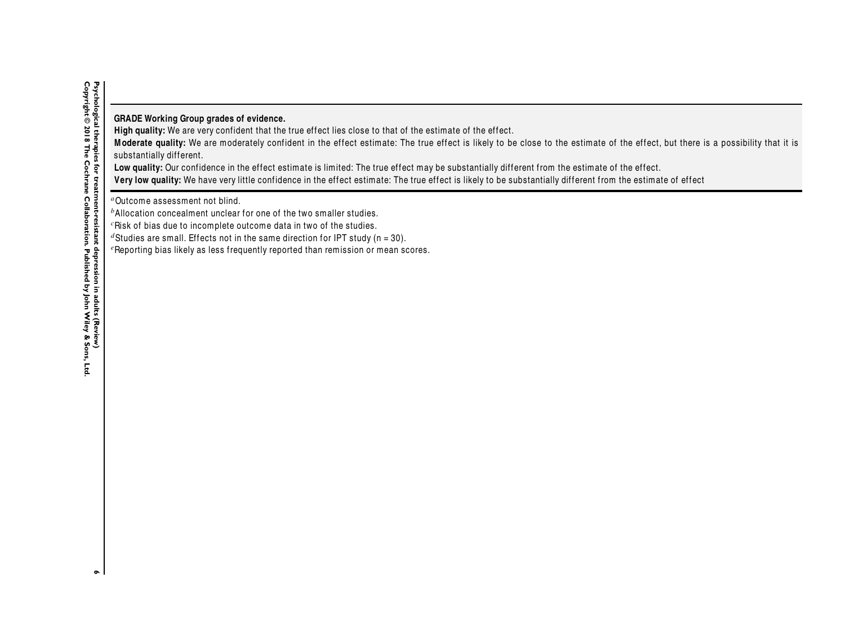# **GRADE Working Group grades of evidence.**

High quality: We are very confident that the true effect lies close to that of the estimate of the effect.

Moderate quality: We are moderately confident in the effect estimate: The true effect is likely to be close to the estimate of the effect, but there is a possibility that it is substantially different.

Low quality: Our confidence in the effect estimate is limited: The true effect may be substantially different from the estimate of the effect.

**Very low quality:** We have very little confidence in the effect estimate: The true effect is likely to be substantially different from the estimate of effect

<sup>a</sup>Outcome assessment not blind.

 $<sup>b</sup>$ Allocation concealment unclear for one of the two smaller studies.</sup>

<sup>c</sup>Risk of bias due to incomplete outcome data in two of the studies.

 $d$ Studies are small. Effects not in the same direction for IPT study (n = 30).

 $e$ Reporting bias likely as less frequently reported than remission or mean scores.

 $\bullet$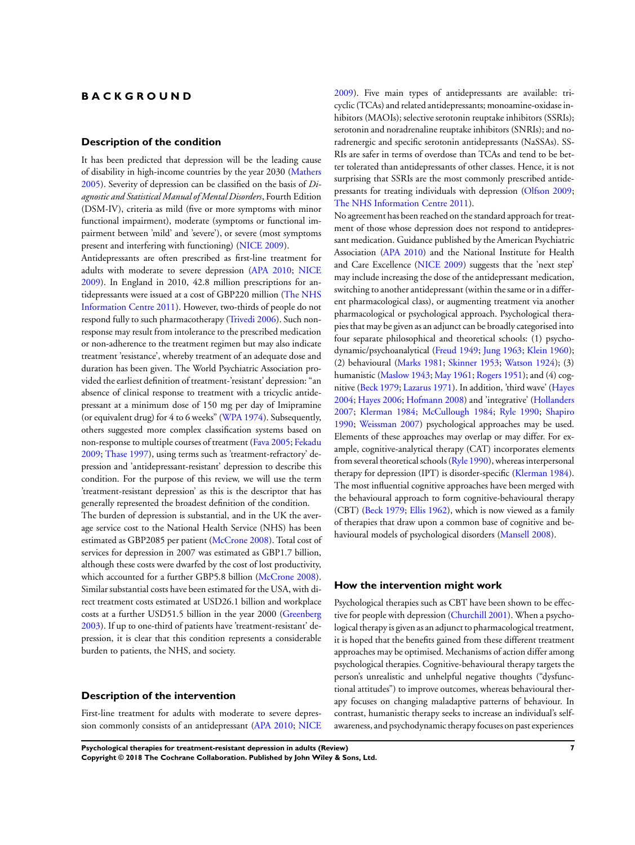# **B A C K G R O U N D**

## **Description of the condition**

It has been predicted that depression will be the leading cause of disability in high-income countries by the year 2030 ([Mathers](#page-32-0) [2005](#page-32-0)). Severity of depression can be classified on the basis of *Diagnostic and Statistical Manual of Mental Disorders*, Fourth Edition (DSM-IV), criteria as mild (five or more symptoms with minor functional impairment), moderate (symptoms or functional impairment between 'mild' and 'severe'), or severe (most symptoms present and interfering with functioning) [\(NICE 2009](#page-32-0)).

Antidepressants are often prescribed as first-line treatment for adults with moderate to severe depression ([APA 2010](#page-32-0); [NICE](#page-32-0) [2009](#page-32-0)). In England in 2010, 42.8 million prescriptions for antidepressants were issued at a cost of GBP220 million [\(The NHS](#page-32-0) [Information Centre 2011\)](#page-32-0). However, two-thirds of people do not respond fully to such pharmacotherapy ([Trivedi 2006\)](#page-32-0). Such nonresponse may result from intolerance to the prescribed medication or non-adherence to the treatment regimen but may also indicate treatment 'resistance', whereby treatment of an adequate dose and duration has been given. The World Psychiatric Association provided the earliest definition of treatment-'resistant' depression: "an absence of clinical response to treatment with a tricyclic antidepressant at a minimum dose of 150 mg per day of Imipramine (or equivalent drug) for 4 to 6 weeks" [\(WPA 1974\)](#page-32-0). Subsequently, others suggested more complex classification systems based on non-response to multiple courses of treatment ([Fava 2005](#page-32-0); [Fekadu](#page-32-0) [2009](#page-32-0); [Thase 1997](#page-32-0)), using terms such as 'treatment-refractory' depression and 'antidepressant-resistant' depression to describe this condition. For the purpose of this review, we will use the term 'treatment-resistant depression' as this is the descriptor that has generally represented the broadest definition of the condition.

The burden of depression is substantial, and in the UK the average service cost to the National Health Service (NHS) has been estimated as GBP2085 per patient ([McCrone 2008](#page-32-0)). Total cost of services for depression in 2007 was estimated as GBP1.7 billion, although these costs were dwarfed by the cost of lost productivity, which accounted for a further GBP5.8 billion [\(McCrone 2008](#page-32-0)). Similar substantial costs have been estimated for the USA, with direct treatment costs estimated at USD26.1 billion and workplace costs at a further USD51.5 billion in the year 2000 ([Greenberg](#page-32-0) [2003](#page-32-0)). If up to one-third of patients have 'treatment-resistant' depression, it is clear that this condition represents a considerable burden to patients, the NHS, and society.

## **Description of the intervention**

First-line treatment for adults with moderate to severe depression commonly consists of an antidepressant [\(APA 2010;](#page-32-0) [NICE](#page-32-0)

[2009](#page-32-0)). Five main types of antidepressants are available: tricyclic (TCAs) and related antidepressants; monoamine-oxidase inhibitors (MAOIs); selective serotonin reuptake inhibitors (SSRIs); serotonin and noradrenaline reuptake inhibitors (SNRIs); and noradrenergic and specific serotonin antidepressants (NaSSAs). SS-RIs are safer in terms of overdose than TCAs and tend to be better tolerated than antidepressants of other classes. Hence, it is not surprising that SSRIs are the most commonly prescribed antidepressants for treating individuals with depression [\(Olfson 2009;](#page-32-0) [The NHS Information Centre 2011](#page-32-0)).

No agreement has been reached on the standard approach for treatment of those whose depression does not respond to antidepressant medication. Guidance published by the American Psychiatric Association [\(APA 2010](#page-32-0)) and the National Institute for Health and Care Excellence [\(NICE 2009](#page-32-0)) suggests that the 'next step' may include increasing the dose of the antidepressant medication, switching to another antidepressant (within the same or in a different pharmacological class), or augmenting treatment via another pharmacological or psychological approach. Psychological therapies that may be given as an adjunct can be broadly categorised into four separate philosophical and theoretical schools: (1) psychodynamic/psychoanalytical ([Freud 1949](#page-32-0); [Jung 1963](#page-32-0); [Klein 1960](#page-32-0)); (2) behavioural [\(Marks 1981](#page-32-0); [Skinner 1953;](#page-32-0) [Watson 1924\)](#page-32-0); (3) humanistic [\(Maslow 1943](#page-32-0); [May 1961;](#page-32-0) [Rogers 1951\)](#page-32-0); and (4) cognitive [\(Beck 1979;](#page-32-0) [Lazarus 1971\)](#page-32-0). In addition, 'third wave' ([Hayes](#page-32-0) [2004](#page-32-0); [Hayes 2006;](#page-32-0) [Hofmann 2008\)](#page-32-0) and 'integrative' ([Hollanders](#page-32-0) [2007](#page-32-0); [Klerman 1984;](#page-32-0) [McCullough 1984](#page-32-0); [Ryle 1990](#page-32-0); [Shapiro](#page-32-0) [1990](#page-32-0); [Weissman 2007](#page-32-0)) psychological approaches may be used. Elements of these approaches may overlap or may differ. For example, cognitive-analytical therapy (CAT) incorporates elements from several theoretical schools ([Ryle 1990\)](#page-32-0), whereas interpersonal therapy for depression (IPT) is disorder-specific ([Klerman 1984](#page-32-0)). The most influential cognitive approaches have been merged with the behavioural approach to form cognitive-behavioural therapy (CBT) ([Beck 1979](#page-32-0); [Ellis 1962](#page-32-0)), which is now viewed as a family of therapies that draw upon a common base of cognitive and behavioural models of psychological disorders ([Mansell 2008](#page-32-0)).

## **How the intervention might work**

Psychological therapies such as CBT have been shown to be effective for people with depression [\(Churchill 2001\)](#page-32-0). When a psychological therapy is given as an adjunct to pharmacological treatment, it is hoped that the benefits gained from these different treatment approaches may be optimised. Mechanisms of action differ among psychological therapies. Cognitive-behavioural therapy targets the person's unrealistic and unhelpful negative thoughts ("dysfunctional attitudes") to improve outcomes, whereas behavioural therapy focuses on changing maladaptive patterns of behaviour. In contrast, humanistic therapy seeks to increase an individual's selfawareness, and psychodynamic therapy focuses on past experiences

**Psychological therapies for treatment-resistant depression in adults (Review) 7 Copyright © 2018 The Cochrane Collaboration. Published by John Wiley & Sons, Ltd.**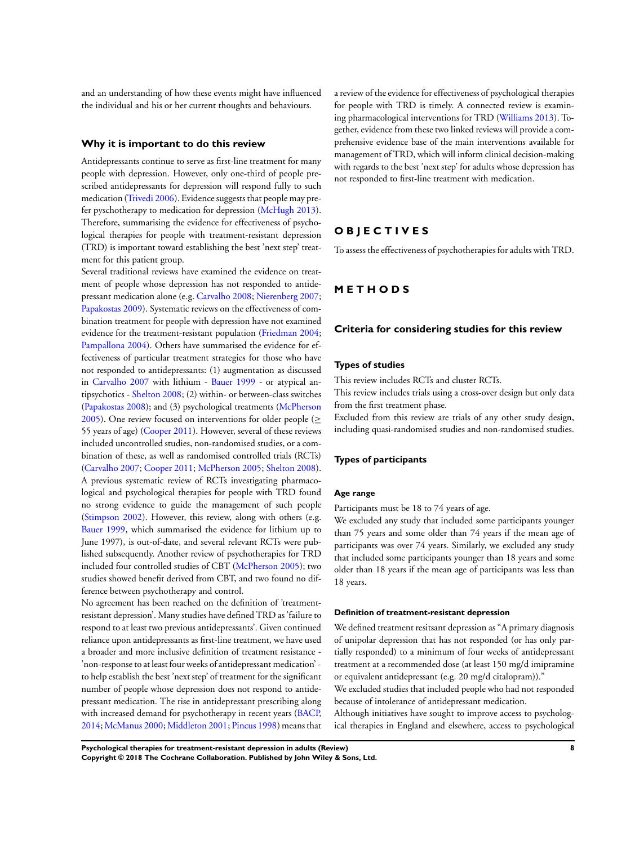and an understanding of how these events might have influenced the individual and his or her current thoughts and behaviours.

## **Why it is important to do this review**

Antidepressants continue to serve as first-line treatment for many people with depression. However, only one-third of people prescribed antidepressants for depression will respond fully to such medication [\(Trivedi 2006](#page-32-0)). Evidence suggests that people may pre-fer pyschotherapy to medication for depression [\(McHugh 2013](#page-32-0)). Therefore, summarising the evidence for effectiveness of psychological therapies for people with treatment-resistant depression (TRD) is important toward establishing the best 'next step' treatment for this patient group.

Several traditional reviews have examined the evidence on treatment of people whose depression has not responded to antidepressant medication alone (e.g. [Carvalho 2008;](#page-32-0) [Nierenberg 2007;](#page-32-0) [Papakostas 2009](#page-32-0)). Systematic reviews on the effectiveness of combination treatment for people with depression have not examined evidence for the treatment-resistant population [\(Friedman 2004;](#page-32-0) [Pampallona 2004](#page-32-0)). Others have summarised the evidence for effectiveness of particular treatment strategies for those who have not responded to antidepressants: (1) augmentation as discussed in [Carvalho 2007](#page-32-0) with lithium - [Bauer 1999](#page-32-0) - or atypical antipsychotics - [Shelton 2008](#page-32-0); (2) within- or between-class switches [\(Papakostas 2008\)](#page-32-0); and (3) psychological treatments [\(McPherson](#page-32-0) [2005](#page-32-0)). One review focused on interventions for older people ( $\geq$ 55 years of age) [\(Cooper 2011\)](#page-32-0). However, several of these reviews included uncontrolled studies, non-randomised studies, or a combination of these, as well as randomised controlled trials (RCTs) [\(Carvalho 2007;](#page-32-0) [Cooper 2011](#page-32-0); [McPherson 2005](#page-32-0); [Shelton 2008](#page-32-0)). A previous systematic review of RCTs investigating pharmacological and psychological therapies for people with TRD found no strong evidence to guide the management of such people [\(Stimpson 2002](#page-32-0)). However, this review, along with others (e.g. [Bauer 1999](#page-32-0), which summarised the evidence for lithium up to June 1997), is out-of-date, and several relevant RCTs were published subsequently. Another review of psychotherapies for TRD included four controlled studies of CBT ([McPherson 2005\)](#page-32-0); two studies showed benefit derived from CBT, and two found no difference between psychotherapy and control.

No agreement has been reached on the definition of 'treatmentresistant depression'. Many studies have defined TRD as 'failure to respond to at least two previous antidepressants'. Given continued reliance upon antidepressants as first-line treatment, we have used a broader and more inclusive definition of treatment resistance - 'non-response to at least four weeks of antidepressant medication' to help establish the best 'next step' of treatment for the significant number of people whose depression does not respond to antidepressant medication. The rise in antidepressant prescribing along with increased demand for psychotherapy in recent years [\(BACP,](#page-32-0) [2014](#page-32-0); [McManus 2000](#page-32-0); [Middleton 2001](#page-32-0); [Pincus 1998\)](#page-32-0) means that a review of the evidence for effectiveness of psychological therapies for people with TRD is timely. A connected review is examining pharmacological interventions for TRD ([Williams 2013](#page-32-0)). Together, evidence from these two linked reviews will provide a comprehensive evidence base of the main interventions available for management of TRD, which will inform clinical decision-making with regards to the best 'next step' for adults whose depression has not responded to first-line treatment with medication.

# **O B J E C T I V E S**

To assess the effectiveness of psychotherapies for adults with TRD.

## **M E T H O D S**

## **Criteria for considering studies for this review**

## **Types of studies**

This review includes RCTs and cluster RCTs.

This review includes trials using a cross-over design but only data from the first treatment phase.

Excluded from this review are trials of any other study design, including quasi-randomised studies and non-randomised studies.

## **Types of participants**

## **Age range**

Participants must be 18 to 74 years of age.

We excluded any study that included some participants younger than 75 years and some older than 74 years if the mean age of participants was over 74 years. Similarly, we excluded any study that included some participants younger than 18 years and some older than 18 years if the mean age of participants was less than 18 years.

#### **Definition of treatment-resistant depression**

We defined treatment resitsant depression as "A primary diagnosis of unipolar depression that has not responded (or has only partially responded) to a minimum of four weeks of antidepressant treatment at a recommended dose (at least 150 mg/d imipramine or equivalent antidepressant (e.g. 20 mg/d citalopram))."

We excluded studies that included people who had not responded because of intolerance of antidepressant medication.

Although initiatives have sought to improve access to psychological therapies in England and elsewhere, access to psychological

**Psychological therapies for treatment-resistant depression in adults (Review) 8 Copyright © 2018 The Cochrane Collaboration. Published by John Wiley & Sons, Ltd.**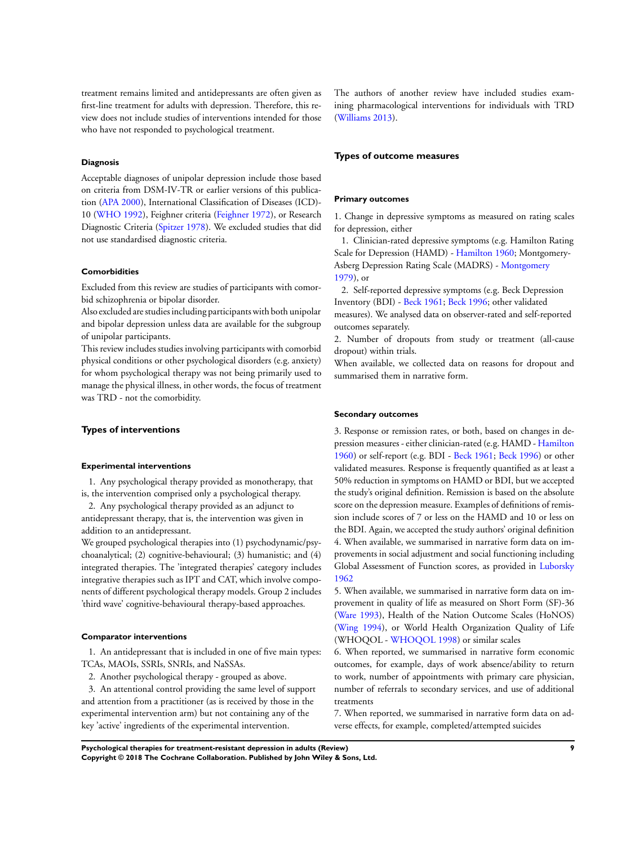treatment remains limited and antidepressants are often given as first-line treatment for adults with depression. Therefore, this review does not include studies of interventions intended for those who have not responded to psychological treatment.

#### **Diagnosis**

Acceptable diagnoses of unipolar depression include those based on criteria from DSM-IV-TR or earlier versions of this publication ([APA 2000\)](#page-32-0), International Classification of Diseases (ICD)- 10 [\(WHO 1992\)](#page-32-0), Feighner criteria [\(Feighner 1972\)](#page-32-0), or Research Diagnostic Criteria [\(Spitzer 1978\)](#page-32-0). We excluded studies that did not use standardised diagnostic criteria.

## **Comorbidities**

Excluded from this review are studies of participants with comorbid schizophrenia or bipolar disorder.

Also excluded are studies including participants with both unipolar and bipolar depression unless data are available for the subgroup of unipolar participants.

This review includes studies involving participants with comorbid physical conditions or other psychological disorders (e.g. anxiety) for whom psychological therapy was not being primarily used to manage the physical illness, in other words, the focus of treatment was TRD - not the comorbidity.

## **Types of interventions**

#### **Experimental interventions**

1. Any psychological therapy provided as monotherapy, that is, the intervention comprised only a psychological therapy.

2. Any psychological therapy provided as an adjunct to antidepressant therapy, that is, the intervention was given in addition to an antidepressant.

We grouped psychological therapies into (1) psychodynamic/psychoanalytical; (2) cognitive-behavioural; (3) humanistic; and (4) integrated therapies. The 'integrated therapies' category includes integrative therapies such as IPT and CAT, which involve components of different psychological therapy models. Group 2 includes 'third wave' cognitive-behavioural therapy-based approaches.

#### **Comparator interventions**

1. An antidepressant that is included in one of five main types: TCAs, MAOIs, SSRIs, SNRIs, and NaSSAs.

2. Another psychological therapy - grouped as above.

3. An attentional control providing the same level of support and attention from a practitioner (as is received by those in the experimental intervention arm) but not containing any of the key 'active' ingredients of the experimental intervention.

The authors of another review have included studies examining pharmacological interventions for individuals with TRD [\(Williams 2013\)](#page-32-0).

## **Types of outcome measures**

## **Primary outcomes**

1. Change in depressive symptoms as measured on rating scales for depression, either

1. Clinician-rated depressive symptoms (e.g. Hamilton Rating Scale for Depression (HAMD) - [Hamilton 1960;](#page-32-0) Montgomery-Asberg Depression Rating Scale (MADRS) - [Montgomery](#page-32-0) [1979](#page-32-0)), or

2. Self-reported depressive symptoms (e.g. Beck Depression Inventory (BDI) - [Beck 1961](#page-32-0); [Beck 1996;](#page-32-0) other validated

measures). We analysed data on observer-rated and self-reported outcomes separately.

2. Number of dropouts from study or treatment (all-cause dropout) within trials.

When available, we collected data on reasons for dropout and summarised them in narrative form.

## **Secondary outcomes**

3. Response or remission rates, or both, based on changes in depression measures - either clinician-rated (e.g. HAMD - [Hamilton](#page-32-0) [1960](#page-32-0)) or self-report (e.g. BDI - [Beck 1961](#page-32-0); [Beck 1996\)](#page-32-0) or other validated measures. Response is frequently quantified as at least a 50% reduction in symptoms on HAMD or BDI, but we accepted the study's original definition. Remission is based on the absolute score on the depression measure. Examples of definitions of remission include scores of 7 or less on the HAMD and 10 or less on the BDI. Again, we accepted the study authors' original definition 4. When available, we summarised in narrative form data on improvements in social adjustment and social functioning including Global Assessment of Function scores, as provided in [Luborsky](#page-32-0) [1962](#page-32-0)

5. When available, we summarised in narrative form data on improvement in quality of life as measured on Short Form (SF)-36 [\(Ware 1993](#page-32-0)), Health of the Nation Outcome Scales (HoNOS) [\(Wing 1994\)](#page-32-0), or World Health Organization Quality of Life (WHOQOL - [WHOQOL 1998\)](#page-32-0) or similar scales

6. When reported, we summarised in narrative form economic outcomes, for example, days of work absence/ability to return to work, number of appointments with primary care physician, number of referrals to secondary services, and use of additional treatments

7. When reported, we summarised in narrative form data on adverse effects, for example, completed/attempted suicides

**Psychological therapies for treatment-resistant depression in adults (Review) 9 Copyright © 2018 The Cochrane Collaboration. Published by John Wiley & Sons, Ltd.**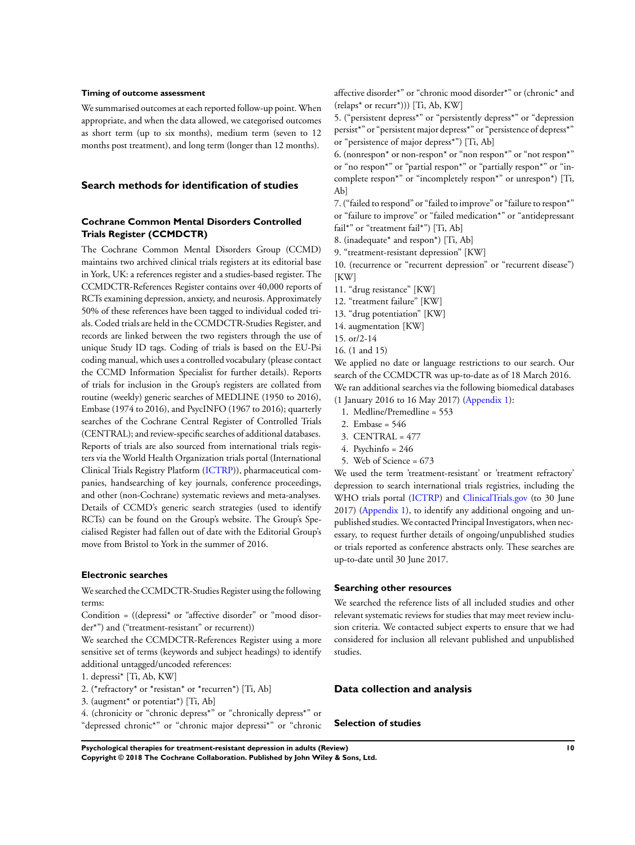#### **Timing of outcome assessment**

We summarised outcomes at each reported follow-up point. When appropriate, and when the data allowed, we categorised outcomes as short term (up to six months), medium term (seven to 12 months post treatment), and long term (longer than 12 months).

## **Search methods for identification of studies**

# **Cochrane Common Mental Disorders Controlled Trials Register (CCMDCTR)**

The Cochrane Common Mental Disorders Group (CCMD) maintains two archived clinical trials registers at its editorial base in York, UK: a references register and a studies-based register. The CCMDCTR-References Register contains over 40,000 reports of RCTs examining depression, anxiety, and neurosis. Approximately 50% of these references have been tagged to individual coded trials. Coded trials are held in the CCMDCTR-Studies Register, and records are linked between the two registers through the use of unique Study ID tags. Coding of trials is based on the EU-Psi coding manual, which uses a controlled vocabulary (please contact the CCMD Information Specialist for further details). Reports of trials for inclusion in the Group's registers are collated from routine (weekly) generic searches of MEDLINE (1950 to 2016), Embase (1974 to 2016), and PsycINFO (1967 to 2016); quarterly searches of the Cochrane Central Register of Controlled Trials (CENTRAL); and review-specific searches of additional databases. Reports of trials are also sourced from international trials registers via the World Health Organization trials portal (International Clinical Trials Registry Platform [\(ICTRP](http://apps.who.int/trialsearch/))), pharmaceutical companies, handsearching of key journals, conference proceedings, and other (non-Cochrane) systematic reviews and meta-analyses. Details of CCMD's generic search strategies (used to identify RCTs) can be found on the Group's website. The Group's Specialised Register had fallen out of date with the Editorial Group's move from Bristol to York in the summer of 2016.

## **Electronic searches**

We searched the CCMDCTR-Studies Register using the following terms:

Condition = ((depressi\* or "affective disorder" or "mood disorder\*") and ("treatment-resistant" or recurrent))

We searched the CCMDCTR-References Register using a more sensitive set of terms (keywords and subject headings) to identify additional untagged/uncoded references:

1. depressi\* [Ti, Ab, KW]

- 2. (\*refractory\* or \*resistan\* or \*recurren\*) [Ti, Ab]
- 3. (augment\* or potentiat\*) [Ti, Ab]

4. (chronicity or "chronic depress\*" or "chronically depress\*" or "depressed chronic\*" or "chronic major depressi\*" or "chronic affective disorder\*" or "chronic mood disorder\*" or (chronic\* and (relaps\* or recurr\*))) [Ti, Ab, KW]

5. ("persistent depress\*" or "persistently depress\*" or "depression persist\*" or "persistent major depress\*" or "persistence of depress\*" or "persistence of major depress\*") [Ti, Ab]

6. (nonrespon\* or non-respon\* or "non respon\*" or "not respon\*" or "no respon\*" or "partial respon\*" or "partially respon\*" or "incomplete respon\*" or "incompletely respon\*" or unrespon\*) [Ti, Ab]

7. ("failed to respond" or "failed to improve" or "failure to respon\*" or "failure to improve" or "failed medication\*" or "antidepressant fail\*" or "treatment fail\*") [Ti, Ab]

8. (inadequate\* and respon\*) [Ti, Ab]

9. "treatment-resistant depression" [KW]

10. (recurrence or "recurrent depression" or "recurrent disease") [KW]

- 11. "drug resistance" [KW]
- 12. "treatment failure" [KW]
- 13. "drug potentiation" [KW]
- 14. augmentation [KW]
- 15. or/2-14
- 16. (1 and 15)

We applied no date or language restrictions to our search. Our search of the CCMDCTR was up-to-date as of 18 March 2016. We ran additional searches via the following biomedical databases (1 January 2016 to 16 May 2017) [\(Appendix 1\)](#page-77-0):

- 1. Medline/Premedline = 553
- 2. Embase = 546
- 3. CENTRAL = 477
- 4. Psychinfo = 246
- 5. Web of Science = 673

We used the term 'treatment-resistant' or 'treatment refractory' depression to search international trials registries, including the WHO trials portal ([ICTRP\)](http://apps.who.int/trialsearch/) and [ClinicalTrials.gov](http://www.clinicaltrials.gov/) (to 30 June 2017) [\(Appendix 1](#page-77-0)), to identify any additional ongoing and unpublished studies.We contacted Principal Investigators, when necessary, to request further details of ongoing/unpublished studies or trials reported as conference abstracts only. These searches are up-to-date until 30 June 2017.

## **Searching other resources**

We searched the reference lists of all included studies and other relevant systematic reviews for studies that may meet review inclusion criteria. We contacted subject experts to ensure that we had considered for inclusion all relevant published and unpublished studies.

#### **Data collection and analysis**

**Selection of studies**

**Psychological therapies for treatment-resistant depression in adults (Review) 10**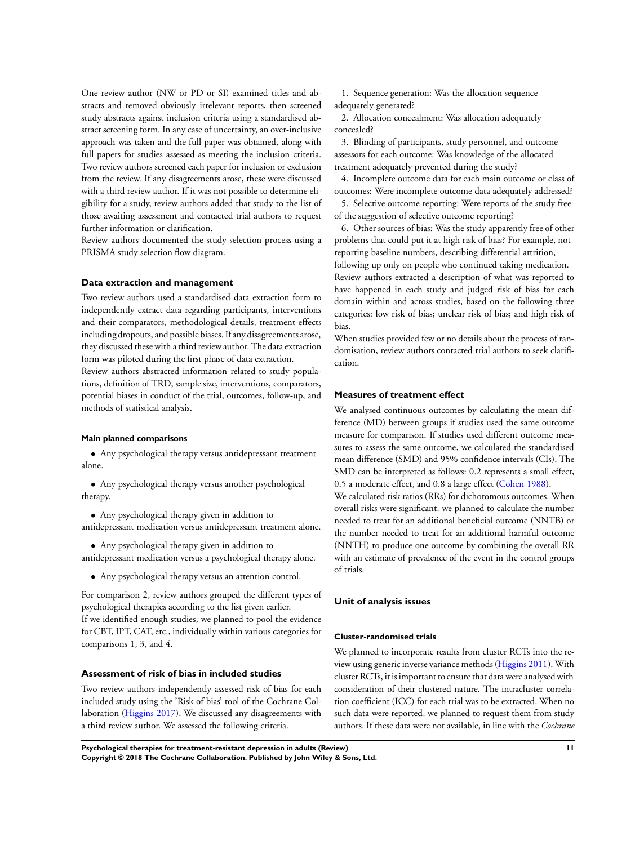One review author (NW or PD or SI) examined titles and abstracts and removed obviously irrelevant reports, then screened study abstracts against inclusion criteria using a standardised abstract screening form. In any case of uncertainty, an over-inclusive approach was taken and the full paper was obtained, along with full papers for studies assessed as meeting the inclusion criteria. Two review authors screened each paper for inclusion or exclusion from the review. If any disagreements arose, these were discussed with a third review author. If it was not possible to determine eligibility for a study, review authors added that study to the list of those awaiting assessment and contacted trial authors to request further information or clarification.

Review authors documented the study selection process using a PRISMA study selection flow diagram.

## **Data extraction and management**

Two review authors used a standardised data extraction form to independently extract data regarding participants, interventions and their comparators, methodological details, treatment effects including dropouts, and possible biases. If any disagreements arose, they discussed these with a third review author. The data extraction form was piloted during the first phase of data extraction.

Review authors abstracted information related to study populations, definition of TRD, sample size, interventions, comparators, potential biases in conduct of the trial, outcomes, follow-up, and methods of statistical analysis.

#### **Main planned comparisons**

• Any psychological therapy versus antidepressant treatment alone.

• Any psychological therapy versus another psychological therapy.

• Any psychological therapy given in addition to antidepressant medication versus antidepressant treatment alone.

- Any psychological therapy given in addition to antidepressant medication versus a psychological therapy alone.
	- Any psychological therapy versus an attention control.

For comparison 2, review authors grouped the different types of psychological therapies according to the list given earlier. If we identified enough studies, we planned to pool the evidence for CBT, IPT, CAT, etc., individually within various categories for comparisons 1, 3, and 4.

## **Assessment of risk of bias in included studies**

Two review authors independently assessed risk of bias for each included study using the 'Risk of bias' tool of the Cochrane Collaboration ([Higgins 2017\)](#page-32-0). We discussed any disagreements with a third review author. We assessed the following criteria.

1. Sequence generation: Was the allocation sequence adequately generated?

2. Allocation concealment: Was allocation adequately concealed?

3. Blinding of participants, study personnel, and outcome assessors for each outcome: Was knowledge of the allocated treatment adequately prevented during the study?

4. Incomplete outcome data for each main outcome or class of outcomes: Were incomplete outcome data adequately addressed? 5. Selective outcome reporting: Were reports of the study free

of the suggestion of selective outcome reporting?

6. Other sources of bias: Was the study apparently free of other problems that could put it at high risk of bias? For example, not reporting baseline numbers, describing differential attrition, following up only on people who continued taking medication. Review authors extracted a description of what was reported to have happened in each study and judged risk of bias for each domain within and across studies, based on the following three categories: low risk of bias; unclear risk of bias; and high risk of bias.

When studies provided few or no details about the process of randomisation, review authors contacted trial authors to seek clarification.

## **Measures of treatment effect**

We analysed continuous outcomes by calculating the mean difference (MD) between groups if studies used the same outcome measure for comparison. If studies used different outcome measures to assess the same outcome, we calculated the standardised mean difference (SMD) and 95% confidence intervals (CIs). The SMD can be interpreted as follows: 0.2 represents a small effect, 0.5 a moderate effect, and 0.8 a large effect ([Cohen 1988\)](#page-32-0).

We calculated risk ratios (RRs) for dichotomous outcomes. When overall risks were significant, we planned to calculate the number needed to treat for an additional beneficial outcome (NNTB) or the number needed to treat for an additional harmful outcome (NNTH) to produce one outcome by combining the overall RR with an estimate of prevalence of the event in the control groups of trials.

## **Unit of analysis issues**

#### **Cluster-randomised trials**

We planned to incorporate results from cluster RCTs into the review using generic inverse variance methods [\(Higgins 2011](#page-32-0)). With cluster RCTs, it is important to ensure that data were analysed with consideration of their clustered nature. The intracluster correlation coefficient (ICC) for each trial was to be extracted. When no such data were reported, we planned to request them from study authors. If these data were not available, in line with the *Cochrane*

**Psychological therapies for treatment-resistant depression in adults (Review) 11 Copyright © 2018 The Cochrane Collaboration. Published by John Wiley & Sons, Ltd.**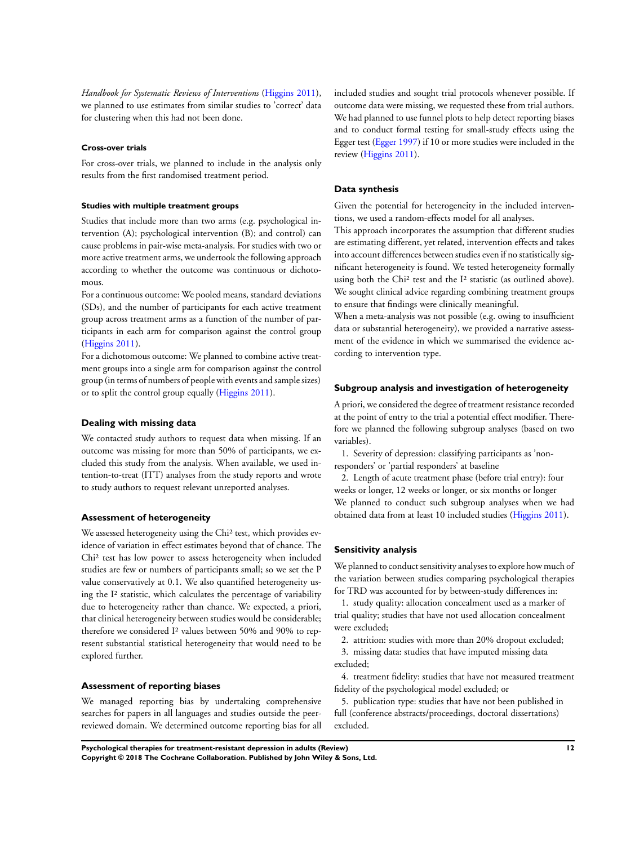*Handbook for Systematic Reviews of Interventions* [\(Higgins 2011](#page-32-0)), we planned to use estimates from similar studies to 'correct' data for clustering when this had not been done.

## **Cross-over trials**

For cross-over trials, we planned to include in the analysis only results from the first randomised treatment period.

## **Studies with multiple treatment groups**

Studies that include more than two arms (e.g. psychological intervention (A); psychological intervention (B); and control) can cause problems in pair-wise meta-analysis. For studies with two or more active treatment arms, we undertook the following approach according to whether the outcome was continuous or dichotomous.

For a continuous outcome: We pooled means, standard deviations (SDs), and the number of participants for each active treatment group across treatment arms as a function of the number of participants in each arm for comparison against the control group [\(Higgins 2011\)](#page-32-0).

For a dichotomous outcome: We planned to combine active treatment groups into a single arm for comparison against the control group (in terms of numbers of people with events and sample sizes) or to split the control group equally [\(Higgins 2011\)](#page-32-0).

## **Dealing with missing data**

We contacted study authors to request data when missing. If an outcome was missing for more than 50% of participants, we excluded this study from the analysis. When available, we used intention-to-treat (ITT) analyses from the study reports and wrote to study authors to request relevant unreported analyses.

## **Assessment of heterogeneity**

We assessed heterogeneity using the Chi<sup>2</sup> test, which provides evidence of variation in effect estimates beyond that of chance. The Chi² test has low power to assess heterogeneity when included studies are few or numbers of participants small; so we set the P value conservatively at 0.1. We also quantified heterogeneity using the I² statistic, which calculates the percentage of variability due to heterogeneity rather than chance. We expected, a priori, that clinical heterogeneity between studies would be considerable; therefore we considered I² values between 50% and 90% to represent substantial statistical heterogeneity that would need to be explored further.

## **Assessment of reporting biases**

We managed reporting bias by undertaking comprehensive searches for papers in all languages and studies outside the peerreviewed domain. We determined outcome reporting bias for all included studies and sought trial protocols whenever possible. If outcome data were missing, we requested these from trial authors. We had planned to use funnel plots to help detect reporting biases and to conduct formal testing for small-study effects using the Egger test ([Egger 1997](#page-32-0)) if 10 or more studies were included in the review ([Higgins 2011](#page-32-0)).

## **Data synthesis**

Given the potential for heterogeneity in the included interventions, we used a random-effects model for all analyses.

This approach incorporates the assumption that different studies are estimating different, yet related, intervention effects and takes into account differences between studies even if no statistically significant heterogeneity is found. We tested heterogeneity formally using both the Chi<sup>2</sup> test and the I<sup>2</sup> statistic (as outlined above). We sought clinical advice regarding combining treatment groups to ensure that findings were clinically meaningful.

When a meta-analysis was not possible (e.g. owing to insufficient data or substantial heterogeneity), we provided a narrative assessment of the evidence in which we summarised the evidence according to intervention type.

## **Subgroup analysis and investigation of heterogeneity**

A priori, we considered the degree of treatment resistance recorded at the point of entry to the trial a potential effect modifier. Therefore we planned the following subgroup analyses (based on two variables).

1. Severity of depression: classifying participants as 'nonresponders' or 'partial responders' at baseline

2. Length of acute treatment phase (before trial entry): four weeks or longer, 12 weeks or longer, or six months or longer We planned to conduct such subgroup analyses when we had obtained data from at least 10 included studies [\(Higgins 2011](#page-32-0)).

## **Sensitivity analysis**

We planned to conduct sensitivity analyses to explore how much of the variation between studies comparing psychological therapies for TRD was accounted for by between-study differences in:

1. study quality: allocation concealment used as a marker of trial quality; studies that have not used allocation concealment were excluded;

2. attrition: studies with more than 20% dropout excluded;

3. missing data: studies that have imputed missing data excluded;

4. treatment fidelity: studies that have not measured treatment fidelity of the psychological model excluded; or

5. publication type: studies that have not been published in full (conference abstracts/proceedings, doctoral dissertations) excluded.

**Psychological therapies for treatment-resistant depression in adults (Review) 12**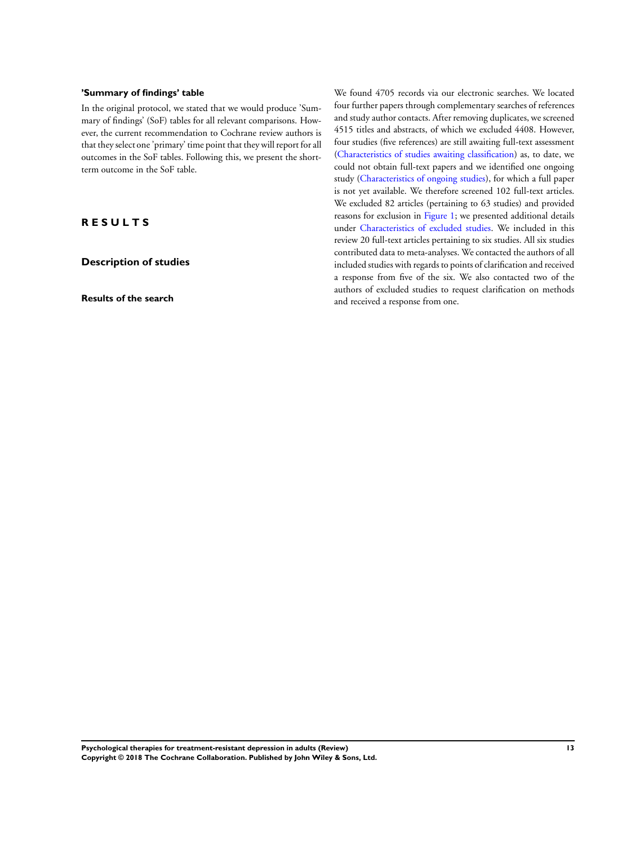## **'Summary of findings' table**

In the original protocol, we stated that we would produce 'Summary of findings' (SoF) tables for all relevant comparisons. However, the current recommendation to Cochrane review authors is that they select one 'primary' time point that they will report for all outcomes in the SoF tables. Following this, we present the shortterm outcome in the SoF table.

# **R E S U L T S**

**Description of studies**

## **Results of the search**

We found 4705 records via our electronic searches. We located four further papers through complementary searches of references and study author contacts. After removing duplicates, we screened 4515 titles and abstracts, of which we excluded 4408. However, four studies (five references) are still awaiting full-text assessment [\(Characteristics of studies awaiting classification\)](#page-55-0) as, to date, we could not obtain full-text papers and we identified one ongoing study [\(Characteristics of ongoing studies\)](#page-56-0), for which a full paper is not yet available. We therefore screened 102 full-text articles. We excluded 82 articles (pertaining to 63 studies) and provided reasons for exclusion in [Figure 1](#page-16-0); we presented additional details under [Characteristics of excluded studies](#page-52-0). We included in this review 20 full-text articles pertaining to six studies. All six studies contributed data to meta-analyses. We contacted the authors of all included studies with regards to points of clarification and received a response from five of the six. We also contacted two of the authors of excluded studies to request clarification on methods and received a response from one.

**Psychological therapies for treatment-resistant depression in adults (Review) 13 Copyright © 2018 The Cochrane Collaboration. Published by John Wiley & Sons, Ltd.**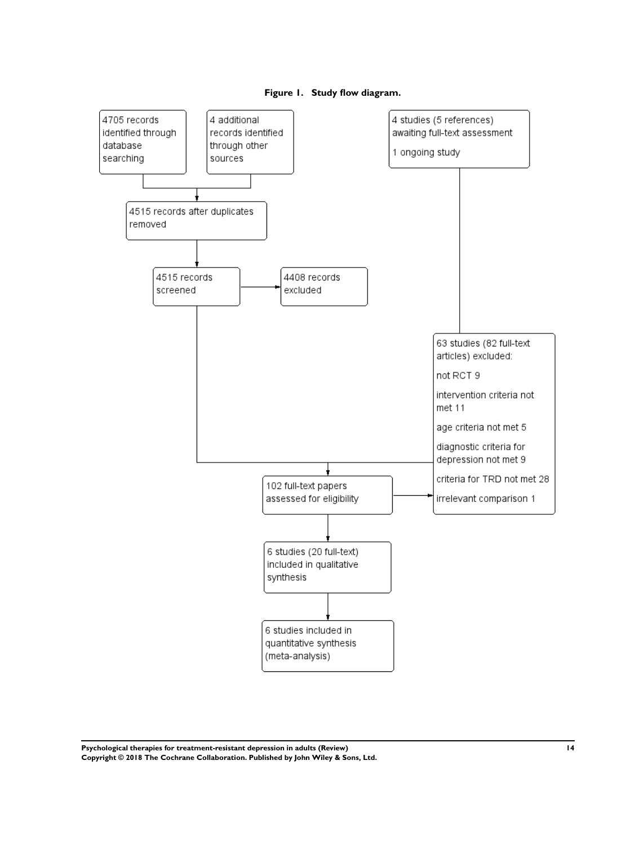<span id="page-16-0"></span>

# **Figure 1. Study flow diagram.**

**Psychological therapies for treatment-resistant depression in adults (Review) 14 Copyright © 2018 The Cochrane Collaboration. Published by John Wiley & Sons, Ltd.**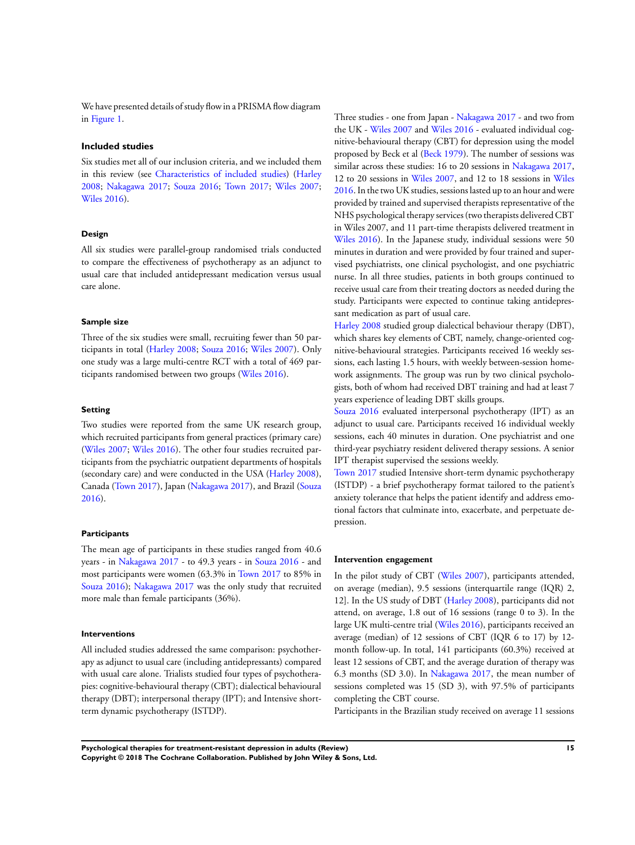We have presented details of study flow in a PRISMA flow diagram in [Figure 1](#page-16-0).

## **Included studies**

Six studies met all of our inclusion criteria, and we included them in this review (see [Characteristics of included studies](#page-42-0)) ([Harley](#page-32-0) [2008](#page-32-0); [Nakagawa 2017](#page-32-0); [Souza 2016;](#page-32-0) [Town 2017](#page-32-0); [Wiles 2007;](#page-32-0) [Wiles 2016](#page-32-0)).

## **Design**

All six studies were parallel-group randomised trials conducted to compare the effectiveness of psychotherapy as an adjunct to usual care that included antidepressant medication versus usual care alone.

## **Sample size**

Three of the six studies were small, recruiting fewer than 50 participants in total ([Harley 2008;](#page-32-0) [Souza 2016](#page-32-0); [Wiles 2007](#page-32-0)). Only one study was a large multi-centre RCT with a total of 469 participants randomised between two groups ([Wiles 2016\)](#page-32-0).

## **Setting**

Two studies were reported from the same UK research group, which recruited participants from general practices (primary care) [\(Wiles 2007](#page-32-0); [Wiles 2016](#page-32-0)). The other four studies recruited participants from the psychiatric outpatient departments of hospitals (secondary care) and were conducted in the USA [\(Harley 2008](#page-32-0)), Canada ([Town 2017](#page-32-0)), Japan ([Nakagawa 2017](#page-32-0)), and Brazil ([Souza](#page-32-0) [2016](#page-32-0)).

## **Participants**

The mean age of participants in these studies ranged from 40.6 years - in [Nakagawa 2017](#page-32-0) - to 49.3 years - in [Souza 2016](#page-32-0) - and most participants were women (63.3% in [Town 2017](#page-32-0) to 85% in [Souza 2016](#page-32-0)); [Nakagawa 2017](#page-32-0) was the only study that recruited more male than female participants (36%).

## **Interventions**

All included studies addressed the same comparison: psychotherapy as adjunct to usual care (including antidepressants) compared with usual care alone. Trialists studied four types of psychotherapies: cognitive-behavioural therapy (CBT); dialectical behavioural therapy (DBT); interpersonal therapy (IPT); and Intensive shortterm dynamic psychotherapy (ISTDP).

Three studies - one from Japan - [Nakagawa 2017](#page-32-0) - and two from the UK - [Wiles 2007](#page-32-0) and [Wiles 2016](#page-32-0) - evaluated individual cognitive-behavioural therapy (CBT) for depression using the model proposed by Beck et al ([Beck 1979](#page-32-0)). The number of sessions was similar across these studies: 16 to 20 sessions in [Nakagawa 2017,](#page-32-0) 12 to 20 sessions in [Wiles 2007,](#page-32-0) and 12 to 18 sessions in [Wiles](#page-32-0) [2016](#page-32-0). In the two UK studies, sessions lasted up to an hour and were provided by trained and supervised therapists representative of the NHS psychological therapy services (two therapists delivered CBT in Wiles 2007, and 11 part-time therapists delivered treatment in [Wiles 2016\)](#page-32-0). In the Japanese study, individual sessions were 50 minutes in duration and were provided by four trained and supervised psychiatrists, one clinical psychologist, and one psychiatric nurse. In all three studies, patients in both groups continued to receive usual care from their treating doctors as needed during the study. Participants were expected to continue taking antidepressant medication as part of usual care.

[Harley 2008](#page-32-0) studied group dialectical behaviour therapy (DBT), which shares key elements of CBT, namely, change-oriented cognitive-behavioural strategies. Participants received 16 weekly sessions, each lasting 1.5 hours, with weekly between-session homework assignments. The group was run by two clinical psychologists, both of whom had received DBT training and had at least 7 years experience of leading DBT skills groups.

[Souza 2016](#page-32-0) evaluated interpersonal psychotherapy (IPT) as an adjunct to usual care. Participants received 16 individual weekly sessions, each 40 minutes in duration. One psychiatrist and one third-year psychiatry resident delivered therapy sessions. A senior IPT therapist supervised the sessions weekly.

[Town 2017](#page-32-0) studied Intensive short-term dynamic psychotherapy (ISTDP) - a brief psychotherapy format tailored to the patient's anxiety tolerance that helps the patient identify and address emotional factors that culminate into, exacerbate, and perpetuate depression.

#### **Intervention engagement**

In the pilot study of CBT ([Wiles 2007\)](#page-32-0), participants attended, on average (median), 9.5 sessions (interquartile range (IQR) 2, 12]. In the US study of DBT ([Harley 2008](#page-32-0)), participants did not attend, on average, 1.8 out of 16 sessions (range 0 to 3). In the large UK multi-centre trial [\(Wiles 2016\)](#page-32-0), participants received an average (median) of 12 sessions of CBT (IQR 6 to 17) by 12 month follow-up. In total, 141 participants (60.3%) received at least 12 sessions of CBT, and the average duration of therapy was 6.3 months (SD 3.0). In [Nakagawa 2017](#page-32-0), the mean number of sessions completed was 15 (SD 3), with 97.5% of participants completing the CBT course.

Participants in the Brazilian study received on average 11 sessions

**Psychological therapies for treatment-resistant depression in adults (Review) 15 Copyright © 2018 The Cochrane Collaboration. Published by John Wiley & Sons, Ltd.**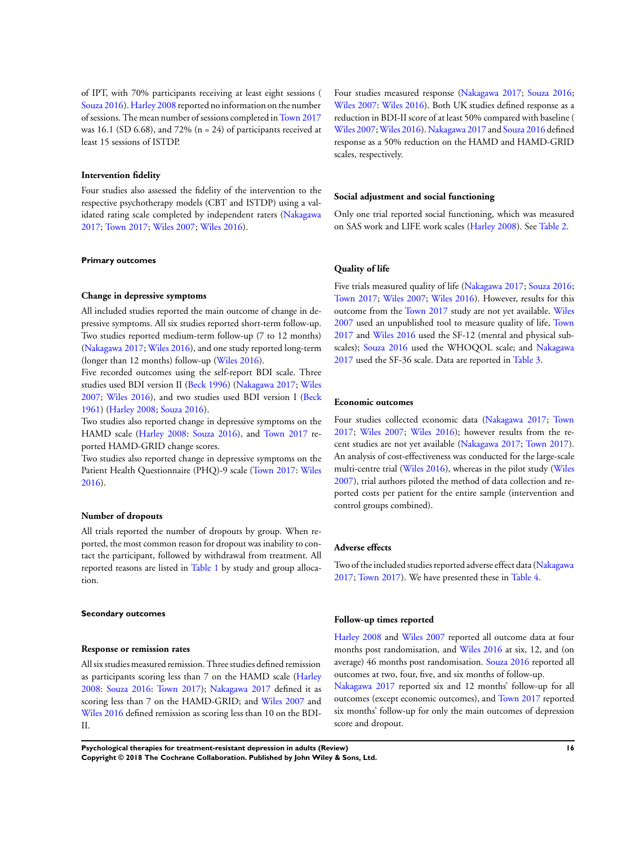of IPT, with 70% participants receiving at least eight sessions ( [Souza 2016\)](#page-32-0). [Harley 2008](#page-32-0) reported no information on the number of sessions. The mean number of sessions completed in [Town 2017](#page-32-0) was 16.1 (SD 6.68), and 72% (n = 24) of participants received at least 15 sessions of ISTDP.

## **Intervention fidelity**

Four studies also assessed the fidelity of the intervention to the respective psychotherapy models (CBT and ISTDP) using a validated rating scale completed by independent raters ([Nakagawa](#page-32-0) [2017](#page-32-0); [Town 2017;](#page-32-0) [Wiles 2007](#page-32-0); [Wiles 2016](#page-32-0)).

## **Primary outcomes**

## **Change in depressive symptoms**

All included studies reported the main outcome of change in depressive symptoms. All six studies reported short-term follow-up. Two studies reported medium-term follow-up (7 to 12 months) [\(Nakagawa 2017;](#page-32-0) [Wiles 2016](#page-32-0)), and one study reported long-term (longer than 12 months) follow-up ([Wiles 2016\)](#page-32-0).

Five recorded outcomes using the self-report BDI scale. Three studies used BDI version II [\(Beck 1996](#page-32-0)) [\(Nakagawa 2017](#page-32-0); [Wiles](#page-32-0) [2007](#page-32-0); [Wiles 2016\)](#page-32-0), and two studies used BDI version I [\(Beck](#page-32-0) [1961](#page-32-0)) [\(Harley 2008](#page-32-0); [Souza 2016](#page-32-0)).

Two studies also reported change in depressive symptoms on the HAMD scale ([Harley 2008:](#page-32-0) [Souza 2016](#page-32-0)), and [Town 2017](#page-32-0) reported HAMD-GRID change scores.

Two studies also reported change in depressive symptoms on the Patient Health Questionnaire (PHQ)-9 scale ([Town 2017](#page-32-0): [Wiles](#page-32-0) [2016](#page-32-0)).

## **Number of dropouts**

All trials reported the number of dropouts by group. When reported, the most common reason for dropout was inability to contact the participant, followed by withdrawal from treatment. All reported reasons are listed in [Table 1](#page-74-0) by study and group allocation.

#### **Secondary outcomes**

## **Response or remission rates**

All six studies measured remission. Three studies defined remission as participants scoring less than 7 on the HAMD scale ([Harley](#page-32-0) [2008](#page-32-0): [Souza 2016](#page-32-0): [Town 2017](#page-32-0)); [Nakagawa 2017](#page-32-0) defined it as scoring less than 7 on the HAMD-GRID; and [Wiles 2007](#page-32-0) and [Wiles 2016](#page-32-0) defined remission as scoring less than 10 on the BDI-II.

Four studies measured response ([Nakagawa 2017;](#page-32-0) [Souza 2016;](#page-32-0) [Wiles 2007](#page-32-0): [Wiles 2016\)](#page-32-0). Both UK studies defined response as a reduction in BDI-II score of at least 50% compared with baseline ( [Wiles 2007](#page-32-0);[Wiles 2016\)](#page-32-0).[Nakagawa 2017](#page-32-0) and [Souza 2016](#page-32-0) defined response as a 50% reduction on the HAMD and HAMD-GRID scales, respectively.

## **Social adjustment and social functioning**

Only one trial reported social functioning, which was measured on SAS work and LIFE work scales [\(Harley 2008](#page-32-0)). See [Table 2.](#page-74-0)

## **Quality of life**

Five trials measured quality of life [\(Nakagawa 2017;](#page-32-0) [Souza 2016;](#page-32-0) [Town 2017;](#page-32-0) [Wiles 2007](#page-32-0); [Wiles 2016\)](#page-32-0). However, results for this outcome from the [Town 2017](#page-32-0) study are not yet available. [Wiles](#page-32-0) [2007](#page-32-0) used an unpublished tool to measure quality of life, [Town](#page-32-0) [2017](#page-32-0) and [Wiles 2016](#page-32-0) used the SF-12 (mental and physical subscales); [Souza 2016](#page-32-0) used the WHOQOL scale; and [Nakagawa](#page-32-0) [2017](#page-32-0) used the SF-36 scale. Data are reported in [Table 3](#page-75-0).

## **Economic outcomes**

Four studies collected economic data ([Nakagawa 2017](#page-32-0); [Town](#page-32-0) [2017](#page-32-0); [Wiles 2007;](#page-32-0) [Wiles 2016](#page-32-0)); however results from the recent studies are not yet available ([Nakagawa 2017;](#page-32-0) [Town 2017](#page-32-0)). An analysis of cost-effectiveness was conducted for the large-scale multi-centre trial [\(Wiles 2016](#page-32-0)), whereas in the pilot study ([Wiles](#page-32-0) [2007](#page-32-0)), trial authors piloted the method of data collection and reported costs per patient for the entire sample (intervention and control groups combined).

## **Adverse effects**

Two of the included studies reported adverse effect data [\(Nakagawa](#page-32-0) [2017](#page-32-0); [Town 2017\)](#page-32-0). We have presented these in [Table 4.](#page-76-0)

## **Follow-up times reported**

[Harley 2008](#page-32-0) and [Wiles 2007](#page-32-0) reported all outcome data at four months post randomisation, and [Wiles 2016](#page-32-0) at six, 12, and (on average) 46 months post randomisation. [Souza 2016](#page-32-0) reported all outcomes at two, four, five, and six months of follow-up.

[Nakagawa 2017](#page-32-0) reported six and 12 months' follow-up for all outcomes (except economic outcomes), and [Town 2017](#page-32-0) reported six months' follow-up for only the main outcomes of depression score and dropout.

**Psychological therapies for treatment-resistant depression in adults (Review) 16 Copyright © 2018 The Cochrane Collaboration. Published by John Wiley & Sons, Ltd.**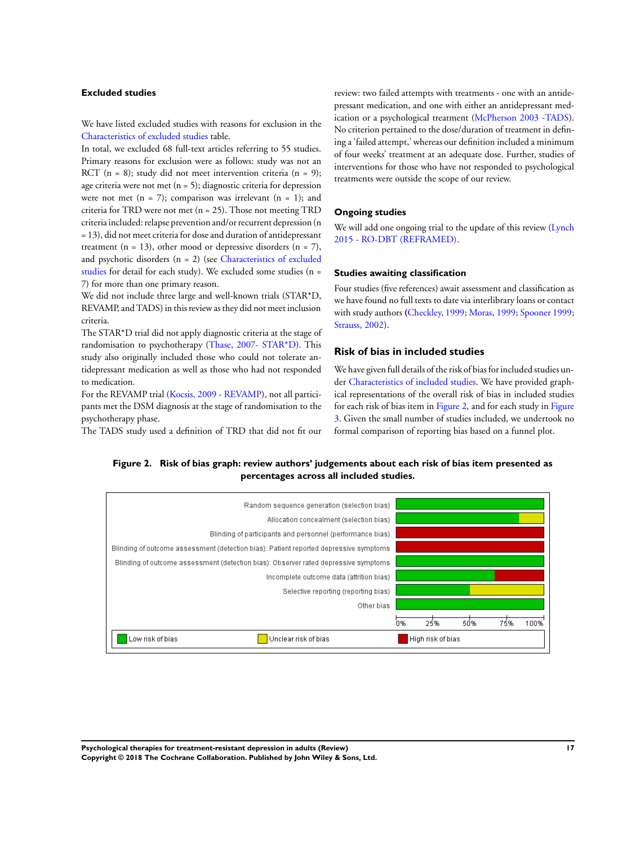## **Excluded studies**

We have listed excluded studies with reasons for exclusion in the [Characteristics of excluded studies](#page-52-0) table.

In total, we excluded 68 full-text articles referring to 55 studies. Primary reasons for exclusion were as follows: study was not an RCT (n = 8); study did not meet intervention criteria (n = 9); age criteria were not met  $(n = 5)$ ; diagnostic criteria for depression were not met  $(n = 7)$ ; comparison was irrelevant  $(n = 1)$ ; and criteria for TRD were not met (n = 25). Those not meeting TRD criteria included: relapse prevention and/or recurrent depression (n = 13), did not meet criteria for dose and duration of antidepressant treatment ( $n = 13$ ), other mood or depressive disorders ( $n = 7$ ), and psychotic disorders (n = 2) (see [Characteristics of excluded](#page-52-0) [studies](#page-52-0) for detail for each study). We excluded some studies (n = 7) for more than one primary reason.

We did not include three large and well-known trials (STAR\*D, REVAMP, and TADS) in this review as they did not meet inclusion criteria.

The STAR\*D trial did not apply diagnostic criteria at the stage of randomisation to psychotherapy ([Thase, 2007- STAR\\*D](#page-32-0)). This study also originally included those who could not tolerate antidepressant medication as well as those who had not responded to medication.

For the REVAMP trial ([Kocsis, 2009 - REVAMP](#page-32-0)), not all participants met the DSM diagnosis at the stage of randomisation to the psychotherapy phase.

The TADS study used a definition of TRD that did not fit our

review: two failed attempts with treatments - one with an antidepressant medication, and one with either an antidepressant med-ication or a psychological treatment ([McPherson 2003 -TADS](#page-32-0)). No criterion pertained to the dose/duration of treatment in defining a 'failed attempt,' whereas our definition included a minimum of four weeks' treatment at an adequate dose. Further, studies of interventions for those who have not responded to psychological treatments were outside the scope of our review.

## **Ongoing studies**

We will add one ongoing trial to the update of this review ([Lynch](#page-32-0) [2015 - RO-DBT \(REFRAMED\)](#page-32-0).

#### **Studies awaiting classification**

Four studies (five references) await assessment and classification as we have found no full texts to date via interlibrary loans or contact with study authors **(**[Checkley, 1999](#page-32-0); [Moras, 1999](#page-32-0); [Spooner 1999;](#page-32-0) [Strauss, 2002\)](#page-32-0).

## **Risk of bias in included studies**

We have given full details of the risk of bias for included studies under [Characteristics of included studies.](http://archie.cochrane.org/sections/documents/view?version=z1305221047216809849057038923266%26format=REVMAN#CHARACTERISTICS_OF_INCLUDED_STUDIES) We have provided graphical representations of the overall risk of bias in included studies for each risk of bias item in Figure 2, and for each study in [Figure](#page-20-0) [3.](#page-20-0) Given the small number of studies included, we undertook no formal comparison of reporting bias based on a funnel plot.

**Figure 2. Risk of bias graph: review authors' judgements about each risk of bias item presented as percentages across all included studies.**



**Psychological therapies for treatment-resistant depression in adults (Review) 17 Copyright © 2018 The Cochrane Collaboration. Published by John Wiley & Sons, Ltd.**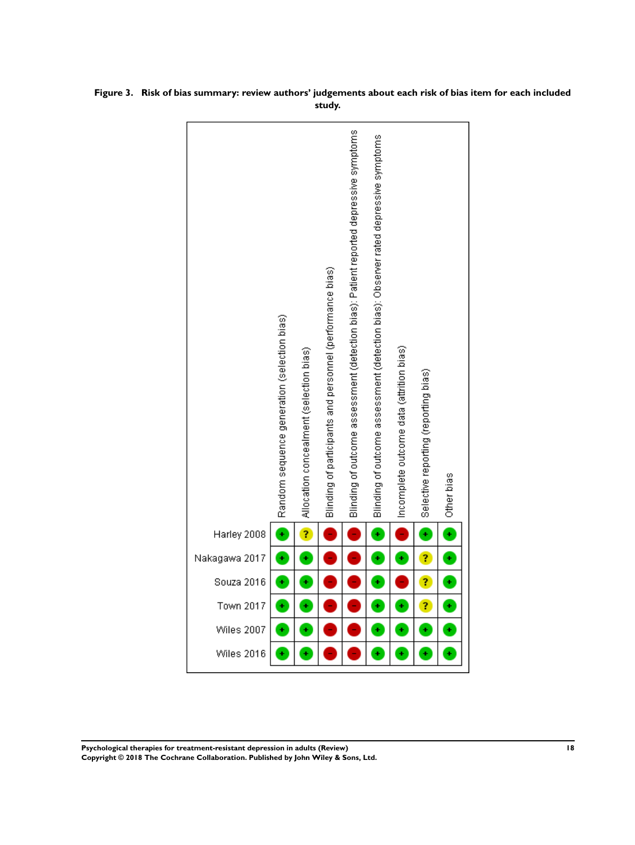|                  | Random sequence generation (selection bias) | Allocation concealment (selection bias) | Blinding of participants and personnel (performance bias) | Blinding of outcome assessment (detection bias): Patient reported depressive symptoms | Blinding of outcome assessment (detection bias); Observer rated depressive symptoms | (Incomplete outcome data (attrition bias) | Selective reporting (reporting bias) | Other bias |
|------------------|---------------------------------------------|-----------------------------------------|-----------------------------------------------------------|---------------------------------------------------------------------------------------|-------------------------------------------------------------------------------------|-------------------------------------------|--------------------------------------|------------|
| Harley 2008      | ŧ                                           | ?                                       | ŗ                                                         | Ē                                                                                     | t                                                                                   |                                           | ł                                    | 8          |
| Nakagawa 2017    | ÷                                           | Ŧ                                       |                                                           | F                                                                                     | Ŧ                                                                                   | Ŧ                                         | 7                                    | ŧ          |
| Souza 2016       | ¥                                           | Ŧ                                       |                                                           |                                                                                       | Ŧ                                                                                   |                                           | 7                                    | Ŧ          |
| <b>Town 2017</b> | ¥                                           | Ŧ                                       |                                                           | ÷                                                                                     | Ŧ                                                                                   | ÷                                         | Ĩ,                                   | 9          |
| Wiles 2007       | ŧ                                           | Ŧ                                       |                                                           |                                                                                       | Ŧ                                                                                   | ł                                         | ÷                                    | Ŧ          |
| Wiles 2016       | ÷                                           | Ŧ                                       |                                                           | ÷                                                                                     | Ŧ                                                                                   | ¥                                         | Ŧ                                    | Ŧ          |

<span id="page-20-0"></span>

**Psychological therapies for treatment-resistant depression in adults (Review) 18 Copyright © 2018 The Cochrane Collaboration. Published by John Wiley & Sons, Ltd.**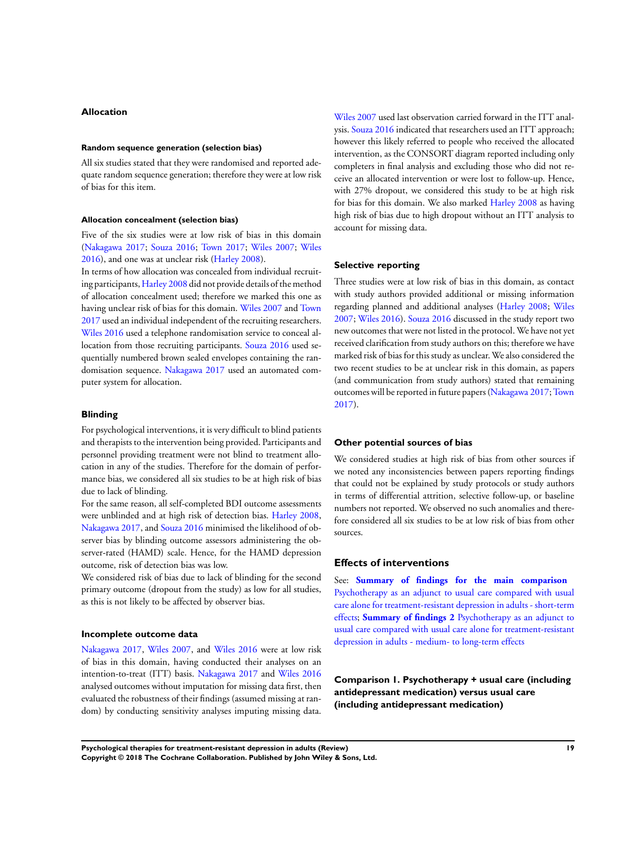## **Allocation**

#### **Random sequence generation (selection bias)**

All six studies stated that they were randomised and reported adequate random sequence generation; therefore they were at low risk of bias for this item.

## **Allocation concealment (selection bias)**

Five of the six studies were at low risk of bias in this domain [\(Nakagawa 2017;](#page-32-0) [Souza 2016](#page-32-0); [Town 2017;](#page-32-0) [Wiles 2007](#page-32-0); [Wiles](#page-32-0) [2016](#page-32-0)), and one was at unclear risk [\(Harley 2008](#page-32-0)).

In terms of how allocation was concealed from individual recruiting participants, [Harley 2008](#page-32-0) did not provide details of the method of allocation concealment used; therefore we marked this one as having unclear risk of bias for this domain. [Wiles 2007](#page-32-0) and [Town](#page-32-0) [2017](#page-32-0) used an individual independent of the recruiting researchers. [Wiles 2016](#page-32-0) used a telephone randomisation service to conceal allocation from those recruiting participants. [Souza 2016](#page-32-0) used sequentially numbered brown sealed envelopes containing the randomisation sequence. [Nakagawa 2017](#page-32-0) used an automated computer system for allocation.

## **Blinding**

For psychological interventions, it is very difficult to blind patients and therapists to the intervention being provided. Participants and personnel providing treatment were not blind to treatment allocation in any of the studies. Therefore for the domain of performance bias, we considered all six studies to be at high risk of bias due to lack of blinding.

For the same reason, all self-completed BDI outcome assessments were unblinded and at high risk of detection bias. [Harley 2008,](#page-32-0) [Nakagawa 2017,](#page-32-0) and [Souza 2016](#page-32-0) minimised the likelihood of observer bias by blinding outcome assessors administering the observer-rated (HAMD) scale. Hence, for the HAMD depression outcome, risk of detection bias was low.

We considered risk of bias due to lack of blinding for the second primary outcome (dropout from the study) as low for all studies, as this is not likely to be affected by observer bias.

## **Incomplete outcome data**

[Nakagawa 2017,](#page-32-0) [Wiles 2007](#page-32-0), and [Wiles 2016](#page-32-0) were at low risk of bias in this domain, having conducted their analyses on an intention-to-treat (ITT) basis. [Nakagawa 2017](#page-32-0) and [Wiles 2016](#page-32-0) analysed outcomes without imputation for missing data first, then evaluated the robustness of their findings (assumed missing at random) by conducting sensitivity analyses imputing missing data.

[Wiles 2007](#page-32-0) used last observation carried forward in the ITT analysis. [Souza 2016](#page-32-0) indicated that researchers used an ITT approach; however this likely referred to people who received the allocated intervention, as the CONSORT diagram reported including only completers in final analysis and excluding those who did not receive an allocated intervention or were lost to follow-up. Hence, with 27% dropout, we considered this study to be at high risk for bias for this domain. We also marked [Harley 2008](#page-32-0) as having high risk of bias due to high dropout without an ITT analysis to account for missing data.

## **Selective reporting**

Three studies were at low risk of bias in this domain, as contact with study authors provided additional or missing information regarding planned and additional analyses [\(Harley 2008](#page-32-0); [Wiles](#page-32-0) [2007](#page-32-0); [Wiles 2016](#page-32-0)). [Souza 2016](#page-32-0) discussed in the study report two new outcomes that were not listed in the protocol. We have not yet received clarification from study authors on this; therefore we have marked risk of bias for this study as unclear. We also considered the two recent studies to be at unclear risk in this domain, as papers (and communication from study authors) stated that remaining outcomes will be reported in future papers (Nakagawa 2017; Town [2017](#page-32-0)).

## **Other potential sources of bias**

We considered studies at high risk of bias from other sources if we noted any inconsistencies between papers reporting findings that could not be explained by study protocols or study authors in terms of differential attrition, selective follow-up, or baseline numbers not reported. We observed no such anomalies and therefore considered all six studies to be at low risk of bias from other sources.

## **Effects of interventions**

See: **[Summary of findings for the main comparison](#page-6-0)** [Psychotherapy as an adjunct to usual care compared with usual](#page-6-0) [care alone for treatment-resistant depression in adults - short-term](#page-6-0) [effects;](#page-6-0) **[Summary of findings 2](#page-26-0)** [Psychotherapy as an adjunct to](#page-26-0) [usual care compared with usual care alone for treatment-resistant](#page-26-0) [depression in adults - medium- to long-term effects](#page-26-0)

**Comparison 1. Psychotherapy + usual care (including antidepressant medication) versus usual care (including antidepressant medication)**

**Psychological therapies for treatment-resistant depression in adults (Review) 19 Copyright © 2018 The Cochrane Collaboration. Published by John Wiley & Sons, Ltd.**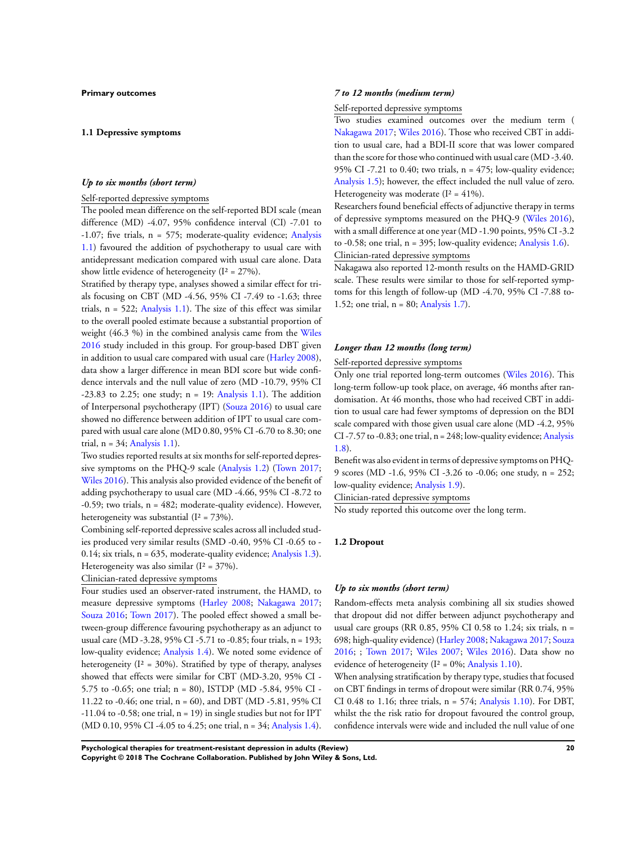## **1.1 Depressive symptoms**

## *Up to six months (short term)*

## Self-reported depressive symptoms

The pooled mean difference on the self-reported BDI scale (mean difference (MD) -4.07, 95% confidence interval (CI) -7.01 to -1.07; five trials, n = 575; moderate-quality evidence; [Analysis](#page-60-0) [1.1](#page-60-0)) favoured the addition of psychotherapy to usual care with antidepressant medication compared with usual care alone. Data show little evidence of heterogeneity ( $I^2 = 27\%$ ).

Stratified by therapy type, analyses showed a similar effect for trials focusing on CBT (MD -4.56, 95% CI -7.49 to -1.63; three trials, n = 522; [Analysis 1.1\)](#page-60-0). The size of this effect was similar to the overall pooled estimate because a substantial proportion of weight (46.3 %) in the combined analysis came from the [Wiles](#page-32-0) [2016](#page-32-0) study included in this group. For group-based DBT given in addition to usual care compared with usual care ([Harley 2008](#page-32-0)), data show a larger difference in mean BDI score but wide confidence intervals and the null value of zero (MD -10.79, 95% CI  $-23.83$  to 2.25; one study; n = 19: [Analysis 1.1](#page-60-0)). The addition of Interpersonal psychotherapy (IPT) ([Souza 2016](#page-32-0)) to usual care showed no difference between addition of IPT to usual care compared with usual care alone (MD 0.80, 95% CI -6.70 to 8.30; one trial,  $n = 34$ ; [Analysis 1.1\)](#page-60-0).

Two studies reported results at six months for self-reported depressive symptoms on the PHQ-9 scale [\(Analysis 1.2\)](#page-61-0) [\(Town 2017;](#page-32-0) [Wiles 2016\)](#page-32-0). This analysis also provided evidence of the benefit of adding psychotherapy to usual care (MD -4.66, 95% CI -8.72 to -0.59; two trials, n = 482; moderate-quality evidence). However, heterogeneity was substantial  $(I^2 = 73\%)$ .

Combining self-reported depressive scales across all included studies produced very similar results (SMD -0.40, 95% CI -0.65 to - 0.14; six trials, n = 635, moderate-quality evidence; [Analysis 1.3](#page-62-0)). Heterogeneity was also similar  $(I^2 = 37\%)$ .

## Clinician-rated depressive symptoms

Four studies used an observer-rated instrument, the HAMD, to measure depressive symptoms ([Harley 2008](#page-32-0); [Nakagawa 2017;](#page-32-0) [Souza 2016](#page-32-0); [Town 2017](#page-32-0)). The pooled effect showed a small between-group difference favouring psychotherapy as an adjunct to usual care (MD -3.28, 95% CI -5.71 to -0.85; four trials, n = 193; low-quality evidence; [Analysis 1.4\)](#page-63-0). We noted some evidence of heterogeneity ( $I^2 = 30\%$ ). Stratified by type of therapy, analyses showed that effects were similar for CBT (MD-3.20, 95% CI - 5.75 to -0.65; one trial; n = 80), ISTDP (MD -5.84, 95% CI - 11.22 to -0.46; one trial, n = 60), and DBT (MD -5.81, 95% CI  $-11.04$  to  $-0.58$ ; one trial, n = 19) in single studies but not for IPT (MD 0.10, 95% CI -4.05 to 4.25; one trial, n = 34; [Analysis 1.4](#page-63-0)).

## *7 to 12 months (medium term)*

#### Self-reported depressive symptoms

Two studies examined outcomes over the medium term ( [Nakagawa 2017](#page-32-0); [Wiles 2016](#page-32-0)). Those who received CBT in addition to usual care, had a BDI-II score that was lower compared than the score for those who continued with usual care (MD -3.40. 95% CI -7.21 to 0.40; two trials,  $n = 475$ ; low-quality evidence; [Analysis 1.5](#page-64-0)); however, the effect included the null value of zero. Heterogeneity was moderate ( $I^2 = 41\%$ ).

Researchers found beneficial effects of adjunctive therapy in terms of depressive symptoms measured on the PHQ-9 ([Wiles 2016](#page-32-0)), with a small difference at one year (MD -1.90 points, 95% CI -3.2 to -0.58; one trial, n = 395; low-quality evidence; [Analysis 1.6](#page-64-0)). Clinician-rated depressive symptoms

Nakagawa also reported 12-month results on the HAMD-GRID scale. These results were similar to those for self-reported symptoms for this length of follow-up (MD -4.70, 95% CI -7.88 to-1.52; one trial, n = 80; [Analysis 1.7\)](#page-65-0).

#### *Longer than 12 months (long term)*

Self-reported depressive symptoms

Only one trial reported long-term outcomes [\(Wiles 2016\)](#page-32-0). This long-term follow-up took place, on average, 46 months after randomisation. At 46 months, those who had received CBT in addition to usual care had fewer symptoms of depression on the BDI scale compared with those given usual care alone (MD -4.2, 95% CI -7.57 to -0.83; one trial,  $n = 248$ ; low-quality evidence; [Analysis](#page-66-0) [1.8](#page-66-0)).

Benefit was also evident in terms of depressive symptoms on PHQ-9 scores (MD -1.6, 95% CI -3.26 to -0.06; one study, n = 252; low-quality evidence; [Analysis 1.9\)](#page-66-0).

Clinician-rated depressive symptoms

No study reported this outcome over the long term.

## **1.2 Dropout**

## *Up to six months (short term)*

Random-effects meta analysis combining all six studies showed that dropout did not differ between adjunct psychotherapy and usual care groups (RR 0.85, 95% CI 0.58 to 1.24; six trials,  $n =$ 698; high-quality evidence) ([Harley 2008;](#page-32-0) [Nakagawa 2017](#page-32-0); [Souza](#page-32-0) [2016](#page-32-0); ; [Town 2017](#page-32-0); [Wiles 2007](#page-32-0); [Wiles 2016](#page-32-0)). Data show no evidence of heterogeneity ( $I^2 = 0\%$ ; [Analysis 1.10](#page-66-0)).

When analysing stratification by therapy type, studies that focused on CBT findings in terms of dropout were similar (RR 0.74, 95% CI 0.48 to 1.16; three trials,  $n = 574$ ; [Analysis 1.10](#page-66-0)). For DBT, whilst the the risk ratio for dropout favoured the control group, confidence intervals were wide and included the null value of one

**Psychological therapies for treatment-resistant depression in adults (Review) 20 Copyright © 2018 The Cochrane Collaboration. Published by John Wiley & Sons, Ltd.**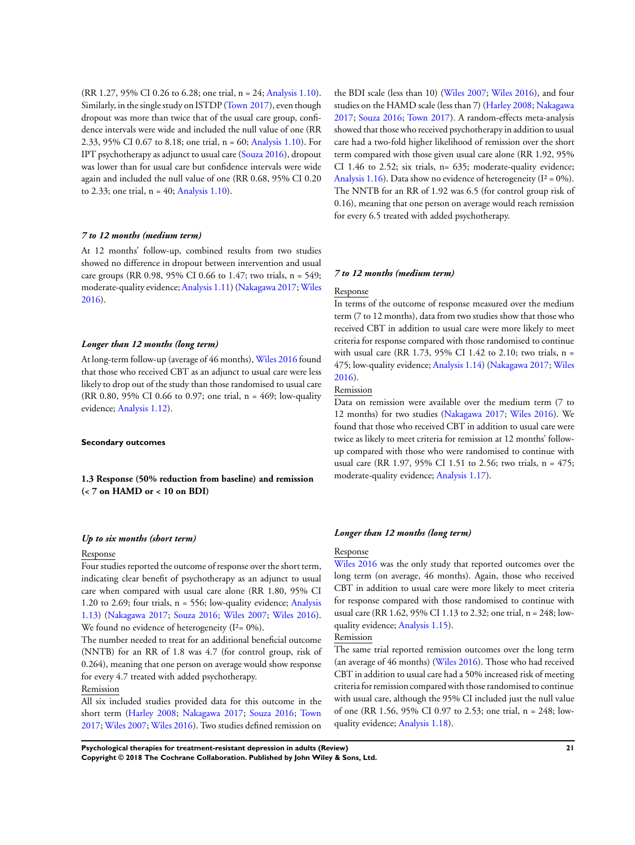(RR 1.27, 95% CI 0.26 to 6.28; one trial, n = 24; [Analysis 1.10](#page-66-0)). Similarly, in the single study on ISTDP [\(Town 2017](#page-32-0)), even though dropout was more than twice that of the usual care group, confidence intervals were wide and included the null value of one (RR 2.33, 95% CI 0.67 to 8.18; one trial, n = 60; [Analysis 1.10\)](#page-66-0). For IPT psychotherapy as adjunct to usual care [\(Souza 2016](#page-32-0)), dropout was lower than for usual care but confidence intervals were wide again and included the null value of one (RR 0.68, 95% CI 0.20 to 2.33; one trial,  $n = 40$ ; [Analysis 1.10\)](#page-66-0).

## *7 to 12 months (medium term)*

At 12 months' follow-up, combined results from two studies showed no difference in dropout between intervention and usual care groups (RR 0.98, 95% CI 0.66 to 1.47; two trials, n = 549; moderate-quality evidence; [Analysis 1.11\)](#page-67-0) [\(Nakagawa 2017](#page-32-0); [Wiles](#page-32-0) [2016](#page-32-0)).

## *Longer than 12 months (long term)*

At long-term follow-up (average of 46 months), [Wiles 2016](#page-32-0) found that those who received CBT as an adjunct to usual care were less likely to drop out of the study than those randomised to usual care (RR 0.80, 95% CI 0.66 to 0.97; one trial, n = 469; low-quality evidence; [Analysis 1.12\)](#page-69-0).

#### **Secondary outcomes**

**1.3 Response (50% reduction from baseline) and remission (< 7 on HAMD or < 10 on BDI)**

## *Up to six months (short term)*

#### Response

Four studies reported the outcome of response over the short term, indicating clear benefit of psychotherapy as an adjunct to usual care when compared with usual care alone (RR 1.80, 95% CI 1.20 to 2.69; four trials, n = 556; low-quality evidence; [Analysis](#page-70-0) [1.13\)](#page-70-0) ([Nakagawa 2017](#page-32-0); [Souza 2016](#page-32-0); [Wiles 2007](#page-32-0); [Wiles 2016](#page-32-0)). We found no evidence of heterogeneity  $(I^2 = 0\%)$ .

The number needed to treat for an additional beneficial outcome (NNTB) for an RR of 1.8 was 4.7 (for control group, risk of 0.264), meaning that one person on average would show response for every 4.7 treated with added psychotherapy.

## Remission

All six included studies provided data for this outcome in the short term [\(Harley 2008](#page-32-0); [Nakagawa 2017](#page-32-0); [Souza 2016;](#page-32-0) [Town](#page-32-0) [2017](#page-32-0); [Wiles 2007;](#page-32-0) [Wiles 2016\)](#page-32-0). Two studies defined remission on the BDI scale (less than 10) ([Wiles 2007;](#page-32-0) [Wiles 2016\)](#page-32-0), and four studies on the HAMD scale (less than 7) [\(Harley 2008;](#page-32-0) [Nakagawa](#page-32-0) [2017](#page-32-0); [Souza 2016;](#page-32-0) [Town 2017\)](#page-32-0). A random-effects meta-analysis showed that those who received psychotherapy in addition to usual care had a two-fold higher likelihood of remission over the short term compared with those given usual care alone (RR 1.92, 95% CI 1.46 to 2.52; six trials, n= 635; moderate-quality evidence; [Analysis 1.16\)](#page-72-0). Data show no evidence of heterogeneity  $(I^2 = 0\%)$ . The NNTB for an RR of 1.92 was 6.5 (for control group risk of 0.16), meaning that one person on average would reach remission for every 6.5 treated with added psychotherapy.

#### *7 to 12 months (medium term)*

## Response

In terms of the outcome of response measured over the medium term (7 to 12 months), data from two studies show that those who received CBT in addition to usual care were more likely to meet criteria for response compared with those randomised to continue with usual care (RR 1.73, 95% CI 1.42 to 2.10; two trials, n = 475; low-quality evidence; [Analysis 1.14\)](#page-71-0) [\(Nakagawa 2017;](#page-32-0) [Wiles](#page-32-0) [2016](#page-32-0)).

#### Remission

Data on remission were available over the medium term (7 to 12 months) for two studies [\(Nakagawa 2017;](#page-32-0) [Wiles 2016\)](#page-32-0). We found that those who received CBT in addition to usual care were twice as likely to meet criteria for remission at 12 months' followup compared with those who were randomised to continue with usual care (RR 1.97, 95% CI 1.51 to 2.56; two trials, n = 475; moderate-quality evidence; [Analysis 1.17](#page-73-0)).

#### *Longer than 12 months (long term)*

## Response

[Wiles 2016](#page-32-0) was the only study that reported outcomes over the long term (on average, 46 months). Again, those who received CBT in addition to usual care were more likely to meet criteria for response compared with those randomised to continue with usual care (RR 1.62, 95% CI 1.13 to 2.32; one trial, n = 248; lowquality evidence; [Analysis 1.15](#page-71-0)).

# Remission

The same trial reported remission outcomes over the long term (an average of 46 months) [\(Wiles 2016\)](#page-32-0). Those who had received CBT in addition to usual care had a 50% increased risk of meeting criteria for remission compared with those randomised to continue with usual care, although the 95% CI included just the null value of one (RR 1.56, 95% CI 0.97 to 2.53; one trial, n = 248; lowquality evidence; [Analysis 1.18](#page-73-0)).

**Psychological therapies for treatment-resistant depression in adults (Review) 21 Copyright © 2018 The Cochrane Collaboration. Published by John Wiley & Sons, Ltd.**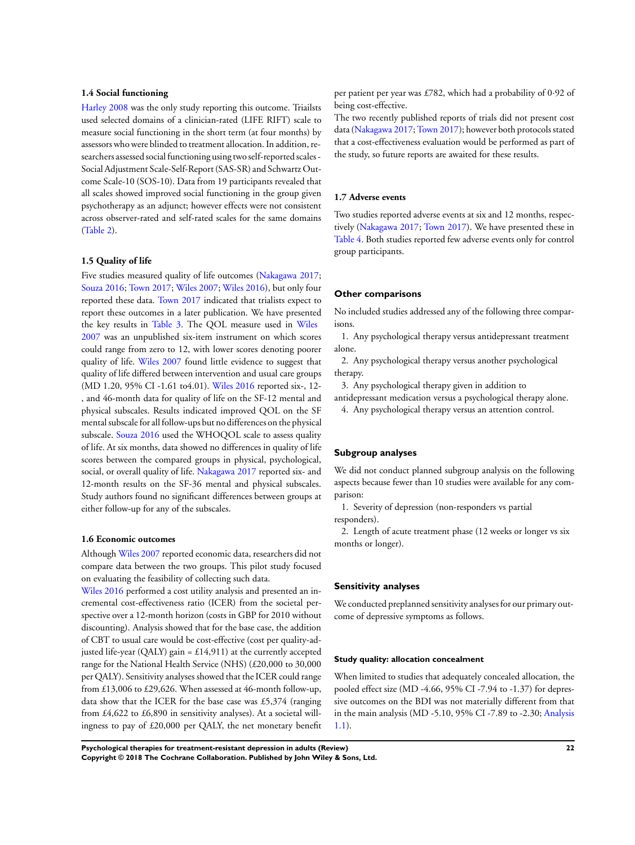## **1.4 Social functioning**

[Harley 2008](#page-32-0) was the only study reporting this outcome. Triailsts used selected domains of a clinician-rated (LIFE RIFT) scale to measure social functioning in the short term (at four months) by assessors who were blinded to treatment allocation. In addition, researchers assessed social functioning using two self-reported scales - Social Adjustment Scale-Self-Report (SAS-SR) and Schwartz Outcome Scale-10 (SOS-10). Data from 19 participants revealed that all scales showed improved social functioning in the group given psychotherapy as an adjunct; however effects were not consistent across observer-rated and self-rated scales for the same domains [\(Table 2\)](#page-74-0).

## **1.5 Quality of life**

Five studies measured quality of life outcomes ([Nakagawa 2017;](#page-32-0) [Souza 2016;](#page-32-0) [Town 2017;](#page-32-0) [Wiles 2007](#page-32-0); [Wiles 2016](#page-32-0)), but only four reported these data. [Town 2017](#page-32-0) indicated that trialists expect to report these outcomes in a later publication. We have presented the key results in [Table 3.](#page-75-0) The QOL measure used in [Wiles](#page-32-0) [2007](#page-32-0) was an unpublished six-item instrument on which scores could range from zero to 12, with lower scores denoting poorer quality of life. [Wiles 2007](#page-32-0) found little evidence to suggest that quality of life differed between intervention and usual care groups (MD 1.20, 95% CI -1.61 to4.01). [Wiles 2016](#page-32-0) reported six-, 12- , and 46-month data for quality of life on the SF-12 mental and physical subscales. Results indicated improved QOL on the SF mental subscale for all follow-ups but no differences on the physical subscale. [Souza 2016](#page-32-0) used the WHOQOL scale to assess quality of life. At six months, data showed no differences in quality of life scores between the compared groups in physical, psychological, social, or overall quality of life. [Nakagawa 2017](#page-32-0) reported six- and 12-month results on the SF-36 mental and physical subscales. Study authors found no significant differences between groups at either follow-up for any of the subscales.

## **1.6 Economic outcomes**

Although [Wiles 2007](#page-32-0) reported economic data, researchers did not compare data between the two groups. This pilot study focused on evaluating the feasibility of collecting such data.

[Wiles 2016](#page-32-0) performed a cost utility analysis and presented an incremental cost-effectiveness ratio (ICER) from the societal perspective over a 12-month horizon (costs in GBP for 2010 without discounting). Analysis showed that for the base case, the addition of CBT to usual care would be cost-effective (cost per quality-adjusted life-year (QALY) gain =  $£14,911$ ) at the currently accepted range for the National Health Service (NHS) (£20,000 to 30,000 per QALY). Sensitivity analyses showed that the ICER could range from £13,006 to £29,626. When assessed at 46-month follow-up, data show that the ICER for the base case was £5,374 (ranging from £4,622 to £6,890 in sensitivity analyses). At a societal willingness to pay of £20,000 per QALY, the net monetary benefit per patient per year was £782, which had a probability of 0·92 of being cost-effective.

The two recently published reports of trials did not present cost data [\(Nakagawa 2017](#page-32-0);[Town 2017](#page-32-0)); however both protocols stated that a cost-effectiveness evaluation would be performed as part of the study, so future reports are awaited for these results.

## **1.7 Adverse events**

Two studies reported adverse events at six and 12 months, respectively ([Nakagawa 2017;](#page-32-0) [Town 2017](#page-32-0)). We have presented these in [Table 4.](#page-76-0) Both studies reported few adverse events only for control group participants.

#### **Other comparisons**

No included studies addressed any of the following three comparisons.

1. Any psychological therapy versus antidepressant treatment alone.

2. Any psychological therapy versus another psychological therapy.

3. Any psychological therapy given in addition to

antidepressant medication versus a psychological therapy alone. 4. Any psychological therapy versus an attention control.

## **Subgroup analyses**

We did not conduct planned subgroup analysis on the following aspects because fewer than 10 studies were available for any comparison:

1. Severity of depression (non-responders vs partial responders).

2. Length of acute treatment phase (12 weeks or longer vs six months or longer).

# **Sensitivity analyses**

We conducted preplanned sensitivity analyses for our primary outcome of depressive symptoms as follows.

## **Study quality: allocation concealment**

When limited to studies that adequately concealed allocation, the pooled effect size (MD -4.66, 95% CI -7.94 to -1.37) for depressive outcomes on the BDI was not materially different from that in the main analysis (MD -5.10, 95% CI -7.89 to -2.30; [Analysis](#page-60-0) [1.1](#page-60-0)).

**Psychological therapies for treatment-resistant depression in adults (Review) 22 Copyright © 2018 The Cochrane Collaboration. Published by John Wiley & Sons, Ltd.**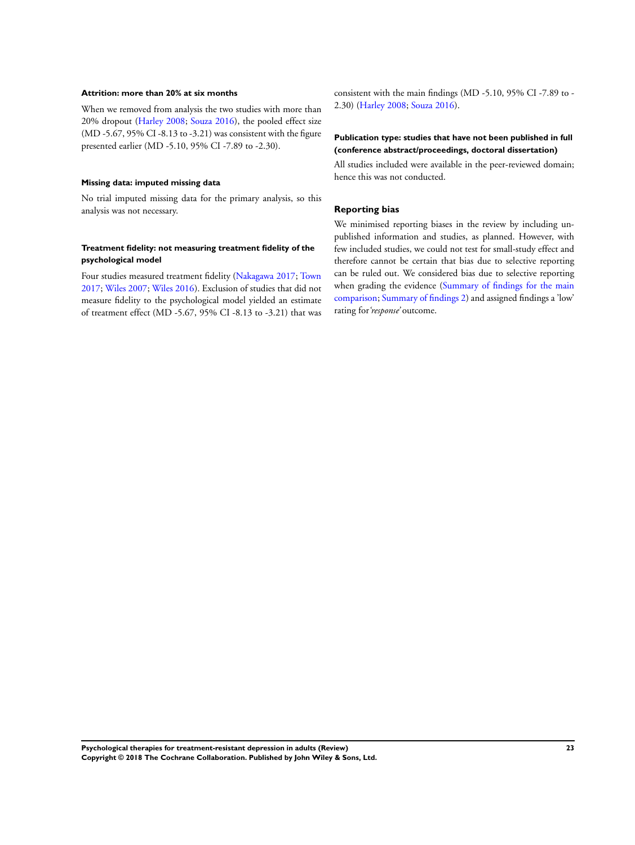## **Attrition: more than 20% at six months**

When we removed from analysis the two studies with more than 20% dropout [\(Harley 2008;](#page-32-0) [Souza 2016\)](#page-32-0), the pooled effect size (MD -5.67, 95% CI -8.13 to -3.21) was consistent with the figure presented earlier (MD -5.10, 95% CI -7.89 to -2.30).

## **Missing data: imputed missing data**

No trial imputed missing data for the primary analysis, so this analysis was not necessary.

# **Treatment fidelity: not measuring treatment fidelity of the psychological model**

Four studies measured treatment fidelity [\(Nakagawa 2017;](#page-32-0) [Town](#page-32-0) [2017](#page-32-0); [Wiles 2007](#page-32-0); [Wiles 2016](#page-32-0)). Exclusion of studies that did not measure fidelity to the psychological model yielded an estimate of treatment effect (MD -5.67, 95% CI -8.13 to -3.21) that was consistent with the main findings (MD -5.10, 95% CI -7.89 to - 2.30) ([Harley 2008;](#page-32-0) [Souza 2016\)](#page-32-0).

## **Publication type: studies that have not been published in full (conference abstract/proceedings, doctoral dissertation)**

All studies included were available in the peer-reviewed domain; hence this was not conducted.

# **Reporting bias**

We minimised reporting biases in the review by including unpublished information and studies, as planned. However, with few included studies, we could not test for small-study effect and therefore cannot be certain that bias due to selective reporting can be ruled out. We considered bias due to selective reporting when grading the evidence ([Summary of findings for the main](#page-6-0) [comparison;](#page-6-0) [Summary of findings 2](#page-26-0)) and assigned findings a 'low' rating for*'response'* outcome.

**Psychological therapies for treatment-resistant depression in adults (Review) 23 Copyright © 2018 The Cochrane Collaboration. Published by John Wiley & Sons, Ltd.**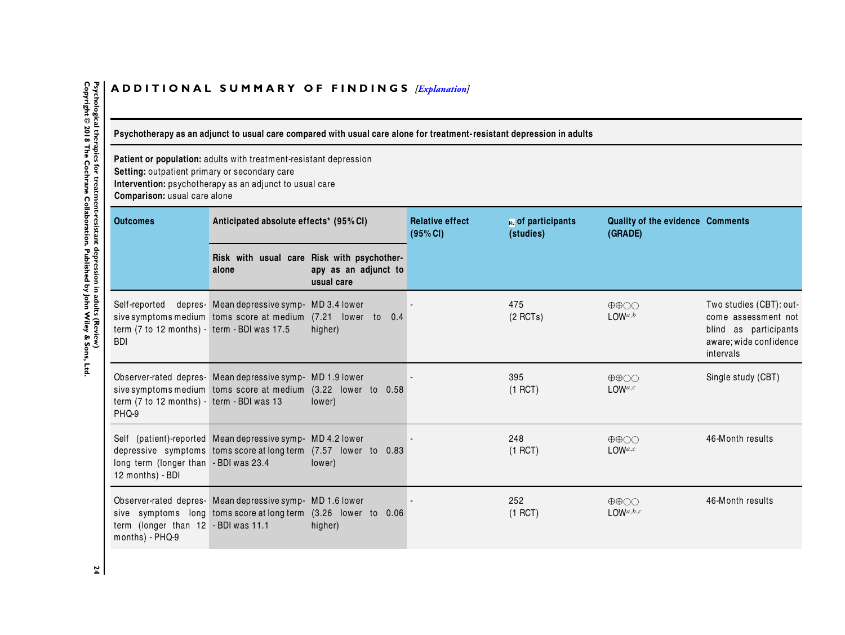# <span id="page-26-0"></span>ADDITIONAL SUMMARY OF FINDINGS *[\[Explanation\]](http://www.thecochranelibrary.com/view/0/SummaryFindings.html)*

Psychotherapy as an adjunct to usual care compared with usual care alone for treatment-resistant depression in adults

**Patient or population:** adults with treatment-resistant depression

**Setting:** outpatient primary or secondary care

**Intervention:** psychotherapy as an adjunct to usual care

**Comparison:** usual care alone

| <b>Outcomes</b>                                                                              | Anticipated absolute effects* (95% CI)                                                                                        |                                                                                  | <b>Relative effect</b><br>(95% CI) | $N2$ of participants<br>(studies) | Quality of the evidence Comments<br>(GRADE)      |                                                                                                                |
|----------------------------------------------------------------------------------------------|-------------------------------------------------------------------------------------------------------------------------------|----------------------------------------------------------------------------------|------------------------------------|-----------------------------------|--------------------------------------------------|----------------------------------------------------------------------------------------------------------------|
|                                                                                              | alone                                                                                                                         | Risk with usual care Risk with psychother-<br>apy as an adjunct to<br>usual care |                                    |                                   |                                                  |                                                                                                                |
| term $(7 \text{ to } 12 \text{ months}) - \text{term} - \text{BDI}$ was $17.5$<br><b>BDI</b> | Self-reported depres- Mean depressive symp- MD 3.4 lower<br>sive symptoms medium toms score at medium (7.21 lower to 0.4      | higher)                                                                          |                                    | 475<br>$(2$ RCTs)                 | $\oplus \oplus \odot \odot$<br>$LOW^{a,b}$       | Two studies (CBT): out-<br>come assessment not<br>blind as participants<br>aware; wide confidence<br>intervals |
| term (7 to 12 months) - term - BDI was 13<br>PHQ-9                                           | Observer-rated depres- Mean depressive symp- MD 1.9 lower<br>sive symptoms medium toms score at medium (3.22 lower to 0.58    | lower)                                                                           |                                    | 395<br>$(1$ RCT)                  | $\oplus \oplus \bigcirc \bigcirc$<br>$LOW^{a,c}$ | Single study (CBT)                                                                                             |
| long term (longer than - BDI was 23.4<br>12 months) - BDI                                    | Self (patient)-reported Mean depressive symp- MD 4.2 lower<br>depressive symptoms toms score at long term (7.57 lower to 0.83 | lower)                                                                           |                                    | 248<br>$(1$ RCT)                  | $\oplus \oplus \odot \odot$<br>$LOW^{a,c}$       | 46-Month results                                                                                               |
| term (longer than 12 - BDI was 11.1<br>months) - PHQ-9                                       | Observer-rated depres- Mean depressive symp- MD 1.6 lower<br>sive symptoms long toms score at long term (3.26 lower to 0.06   | higher)                                                                          |                                    | 252<br>$(1$ RCT)                  | $\oplus \oplus \odot \odot$<br>$LOW^{a,b,c}$     | 46-Month results                                                                                               |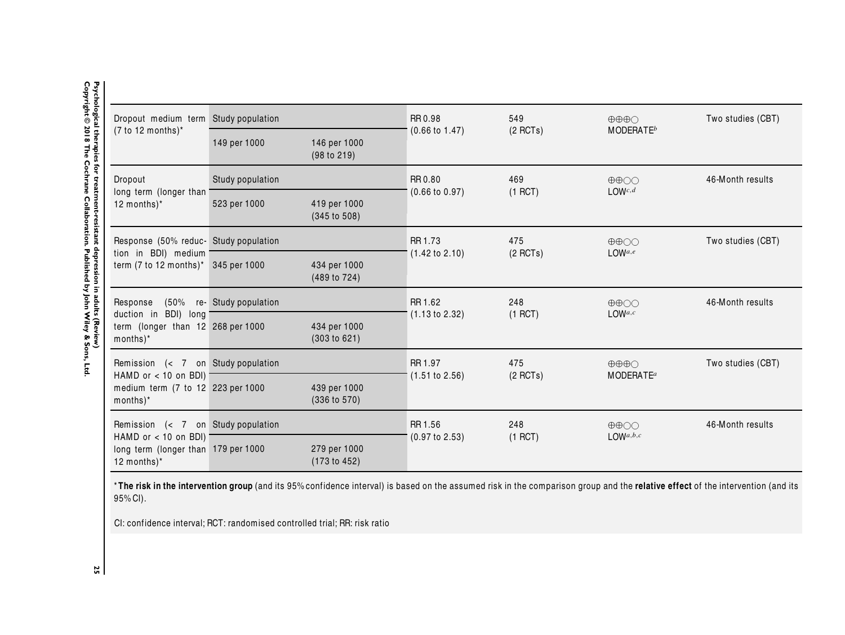| Dropout medium term Study population<br>$(7 to 12 months)^*$                                                                            |                      |                              | RR 0.98<br>$(0.66 \text{ to } 1.47)$ | 549        | $\oplus \oplus \oplus \cap$<br>MODERATE <sup>b</sup> | Two studies (CBT) |
|-----------------------------------------------------------------------------------------------------------------------------------------|----------------------|------------------------------|--------------------------------------|------------|------------------------------------------------------|-------------------|
|                                                                                                                                         | 149 per 1000         | 146 per 1000<br>(98 to 219)  |                                      | $(2$ RCTs) |                                                      |                   |
| Dropout                                                                                                                                 | Study population     |                              | RR 0.80                              | 469        | $\oplus \oplus \bigcirc \bigcirc$                    | 46-Month results  |
| long term (longer than<br>12 months $)^*$                                                                                               | 523 per 1000         | 419 per 1000<br>(345 to 508) | $(0.66 \text{ to } 0.97)$            | $(1$ RCT)  | $LOW^{c,d}$                                          |                   |
| Response (50% reduc- Study population<br>tion in BDI) medium<br>term (7 to 12 months)* 345 per 1000                                     |                      |                              | RR 1.73                              | 475        | $\oplus \oplus \bigcirc \bigcirc$                    | Two studies (CBT) |
|                                                                                                                                         |                      | 434 per 1000<br>(489 to 724) | $(1.42 \text{ to } 2.10)$            | $(2$ RCTs) | $LOW^{a,e}$                                          |                   |
| (50%<br>Response                                                                                                                        | re- Study population |                              | RR 1.62                              | 248        | $\oplus \oplus \bigcirc \bigcirc$                    | 46-Month results  |
| duction in BDI) long<br>term (longer than 12 268 per 1000<br>$months$ <sup>*</sup>                                                      |                      | 434 per 1000<br>(303 to 621) | $(1.13 \text{ to } 2.32)$            | $(1$ RCT)  | $LOW^{a,c}$                                          |                   |
| Remission (< 7 on Study population                                                                                                      |                      |                              | RR 1.97                              | 475        | $\oplus \oplus \oplus \bigcirc$                      | Two studies (CBT) |
| HAMD or $<$ 10 on BDI) $^-$<br>medium term (7 to 12 223 per 1000<br>$months)^*$                                                         |                      | 439 per 1000<br>(336 to 570) | (1.51 to 2.56)                       | $(2$ RCTs) | MODERATE <sup><math>a</math></sup>                   |                   |
| Remission $\left( < 7 \text{ on }$ Study population<br>HAMD or $<$ 10 on BDI)<br>long term (longer than 179 per 1000<br>12 months $)^*$ |                      |                              | RR 1.56                              | 248        | $\oplus \oplus \bigcirc \bigcirc$                    | 46-Month results  |
|                                                                                                                                         |                      | 279 per 1000<br>(173 to 452) | $(0.97 \text{ to } 2.53)$            | $(1$ RCT)  | $LOW^{a,b,c}$                                        |                   |

\***The risk in the intervention group** (and its 95% confidence interval) is based on the assumed risk in the comparison group and the **relative effect** of the intervention (and its<br>ครช. CN 95% CI).

CI: confidence interval; RCT: randomised controlled trial; RR: risk ratio

Psychological therapies for treatment-resistant depression in adults (Review)<br>Copyright © 2018 The Cochrane Collaboration. Published by John Wiley & Sons, Ltd. **Copyright © 2018 The Cochrane Collaboration. Published by John Wiley & Sons, Ltd.25 Psychological therapies for treatment-resistant depression in adults (Review)**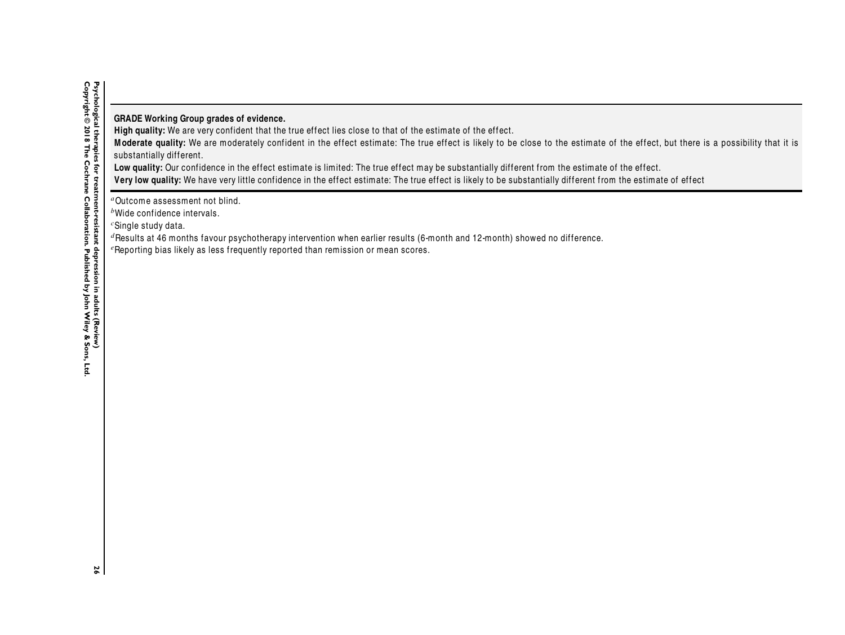# **GRADE Working Group grades of evidence.**

High quality: We are very confident that the true effect lies close to that of the estimate of the effect.

Moderate quality: We are moderately confident in the effect estimate: The true effect is likely to be close to the estimate of the effect, but there is a possibility that it is substantially different.

Low quality: Our confidence in the effect estimate is limited: The true effect may be substantially different from the estimate of the effect.

**Very low quality:** We have very little confidence in the effect estimate: The true effect is likely to be substantially different from the estimate of effect

<sup>a</sup>Outcome assessment not blind.

 $<sup>b</sup>$ Wide confidence intervals.</sup>

 $c$ Single study data.

 $d$ Results at 46 months favour psychotherapy intervention when earlier results (6-month and 12-month) showed no difference.

 $e$ Reporting bias likely as less frequently reported than remission or mean scores.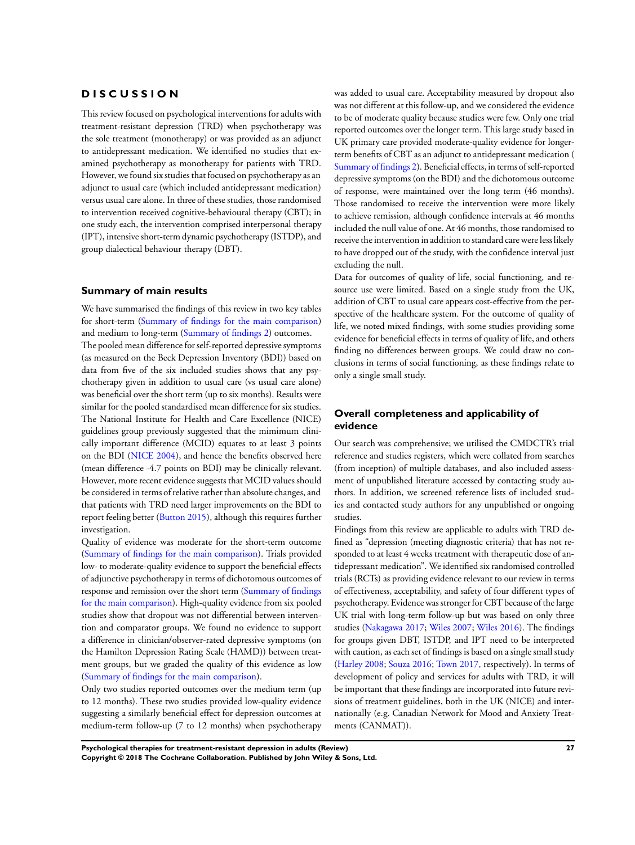# **D I S C U S S I O N**

This review focused on psychological interventions for adults with treatment-resistant depression (TRD) when psychotherapy was the sole treatment (monotherapy) or was provided as an adjunct to antidepressant medication. We identified no studies that examined psychotherapy as monotherapy for patients with TRD. However, we found six studies that focused on psychotherapy as an adjunct to usual care (which included antidepressant medication) versus usual care alone. In three of these studies, those randomised to intervention received cognitive-behavioural therapy (CBT); in one study each, the intervention comprised interpersonal therapy (IPT), intensive short-term dynamic psychotherapy (ISTDP), and group dialectical behaviour therapy (DBT).

## **Summary of main results**

We have summarised the findings of this review in two key tables for short-term [\(Summary of findings for the main comparison](#page-6-0)) and medium to long-term ([Summary of findings 2\)](#page-26-0) outcomes. The pooled mean difference for self-reported depressive symptoms (as measured on the Beck Depression Inventory (BDI)) based on data from five of the six included studies shows that any psychotherapy given in addition to usual care (vs usual care alone) was beneficial over the short term (up to six months). Results were similar for the pooled standardised mean difference for six studies. The National Institute for Health and Care Excellence (NICE) guidelines group previously suggested that the mimimum clinically important difference (MCID) equates to at least 3 points on the BDI [\(NICE 2004\)](#page-32-0), and hence the benefits observed here (mean difference -4.7 points on BDI) may be clinically relevant. However, more recent evidence suggests that MCID values should be considered in terms of relative rather than absolute changes, and that patients with TRD need larger improvements on the BDI to report feeling better [\(Button 2015\)](#page-32-0), although this requires further investigation.

Quality of evidence was moderate for the short-term outcome [\(Summary of findings for the main comparison\)](#page-6-0). Trials provided low- to moderate-quality evidence to support the beneficial effects of adjunctive psychotherapy in terms of dichotomous outcomes of response and remission over the short term [\(Summary of findings](#page-6-0) [for the main comparison\)](#page-6-0). High-quality evidence from six pooled studies show that dropout was not differential between intervention and comparator groups. We found no evidence to support a difference in clinician/observer-rated depressive symptoms (on the Hamilton Depression Rating Scale (HAMD)) between treatment groups, but we graded the quality of this evidence as low [\(Summary of findings for the main comparison](#page-6-0)).

Only two studies reported outcomes over the medium term (up to 12 months). These two studies provided low-quality evidence suggesting a similarly beneficial effect for depression outcomes at medium-term follow-up (7 to 12 months) when psychotherapy was added to usual care. Acceptability measured by dropout also was not different at this follow-up, and we considered the evidence to be of moderate quality because studies were few. Only one trial reported outcomes over the longer term. This large study based in UK primary care provided moderate-quality evidence for longerterm benefits of CBT as an adjunct to antidepressant medication ( [Summary of findings 2](#page-26-0)). Beneficial effects, in terms of self-reported depressive symptoms (on the BDI) and the dichotomous outcome of response, were maintained over the long term (46 months). Those randomised to receive the intervention were more likely to achieve remission, although confidence intervals at 46 months included the null value of one. At 46 months, those randomised to receive the intervention in addition to standard care were less likely to have dropped out of the study, with the confidence interval just excluding the null.

Data for outcomes of quality of life, social functioning, and resource use were limited. Based on a single study from the UK, addition of CBT to usual care appears cost-effective from the perspective of the healthcare system. For the outcome of quality of life, we noted mixed findings, with some studies providing some evidence for beneficial effects in terms of quality of life, and others finding no differences between groups. We could draw no conclusions in terms of social functioning, as these findings relate to only a single small study.

# **Overall completeness and applicability of evidence**

Our search was comprehensive; we utilised the CMDCTR's trial reference and studies registers, which were collated from searches (from inception) of multiple databases, and also included assessment of unpublished literature accessed by contacting study authors. In addition, we screened reference lists of included studies and contacted study authors for any unpublished or ongoing studies.

Findings from this review are applicable to adults with TRD defined as "depression (meeting diagnostic criteria) that has not responded to at least 4 weeks treatment with therapeutic dose of antidepressant medication". We identified six randomised controlled trials (RCTs) as providing evidence relevant to our review in terms of effectiveness, acceptability, and safety of four different types of psychotherapy. Evidence was stronger for CBT because of the large UK trial with long-term follow-up but was based on only three studies ([Nakagawa 2017;](#page-32-0) [Wiles 2007](#page-32-0); [Wiles 2016](#page-32-0)). The findings for groups given DBT, ISTDP, and IPT need to be interpreted with caution, as each set of findings is based on a single small study [\(Harley 2008;](#page-32-0) [Souza 2016;](#page-32-0) [Town 2017,](#page-32-0) respectively). In terms of development of policy and services for adults with TRD, it will be important that these findings are incorporated into future revisions of treatment guidelines, both in the UK (NICE) and internationally (e.g. Canadian Network for Mood and Anxiety Treatments (CANMAT)).

**Psychological therapies for treatment-resistant depression in adults (Review) 27 Copyright © 2018 The Cochrane Collaboration. Published by John Wiley & Sons, Ltd.**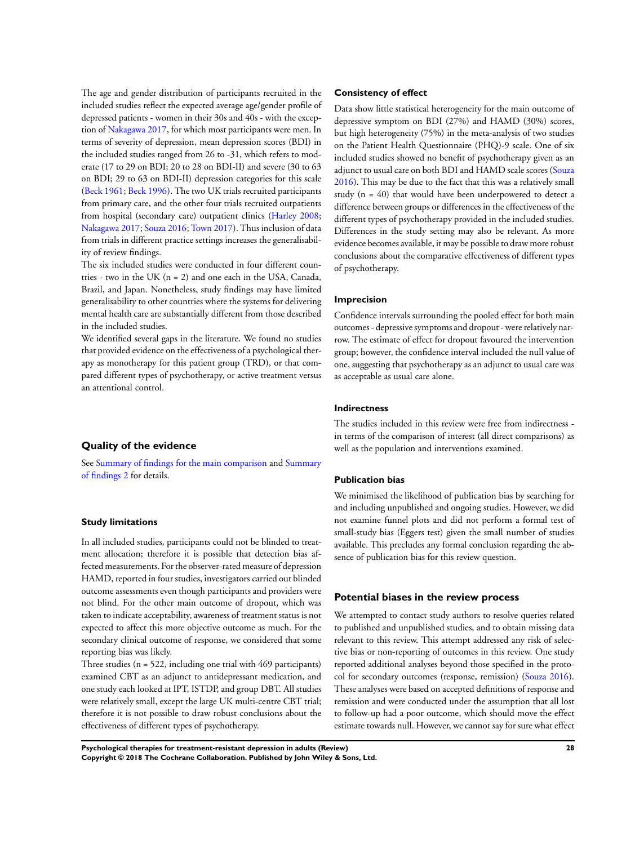The age and gender distribution of participants recruited in the included studies reflect the expected average age/gender profile of depressed patients - women in their 30s and 40s - with the exception of [Nakagawa 2017](#page-32-0), for which most participants were men. In terms of severity of depression, mean depression scores (BDI) in the included studies ranged from 26 to -31, which refers to moderate (17 to 29 on BDI; 20 to 28 on BDI-II) and severe (30 to 63 on BDI; 29 to 63 on BDI-II) depression categories for this scale [\(Beck 1961;](#page-32-0) [Beck 1996\)](#page-32-0). The two UK trials recruited participants from primary care, and the other four trials recruited outpatients from hospital (secondary care) outpatient clinics [\(Harley 2008;](#page-32-0) [Nakagawa 2017](#page-32-0); [Souza 2016](#page-32-0); [Town 2017](#page-32-0)). Thus inclusion of data from trials in different practice settings increases the generalisability of review findings.

The six included studies were conducted in four different countries - two in the UK  $(n = 2)$  and one each in the USA, Canada, Brazil, and Japan. Nonetheless, study findings may have limited generalisability to other countries where the systems for delivering mental health care are substantially different from those described in the included studies.

We identified several gaps in the literature. We found no studies that provided evidence on the effectiveness of a psychological therapy as monotherapy for this patient group (TRD), or that compared different types of psychotherapy, or active treatment versus an attentional control.

# **Quality of the evidence**

See [Summary of findings for the main comparison](#page-6-0) and [Summary](#page-26-0) [of findings 2](#page-26-0) for details.

## **Study limitations**

In all included studies, participants could not be blinded to treatment allocation; therefore it is possible that detection bias affected measurements. For the observer-rated measure of depression HAMD, reported in four studies, investigators carried out blinded outcome assessments even though participants and providers were not blind. For the other main outcome of dropout, which was taken to indicate acceptability, awareness of treatment status is not expected to affect this more objective outcome as much. For the secondary clinical outcome of response, we considered that some reporting bias was likely.

Three studies (n = 522, including one trial with 469 participants) examined CBT as an adjunct to antidepressant medication, and one study each looked at IPT, ISTDP, and group DBT. All studies were relatively small, except the large UK multi-centre CBT trial; therefore it is not possible to draw robust conclusions about the effectiveness of different types of psychotherapy.

#### **Consistency of effect**

Data show little statistical heterogeneity for the main outcome of depressive symptom on BDI (27%) and HAMD (30%) scores, but high heterogeneity (75%) in the meta-analysis of two studies on the Patient Health Questionnaire (PHQ)-9 scale. One of six included studies showed no benefit of psychotherapy given as an adjunct to usual care on both BDI and HAMD scale scores ([Souza](#page-32-0) [2016](#page-32-0)). This may be due to the fact that this was a relatively small study (n = 40) that would have been underpowered to detect a difference between groups or differences in the effectiveness of the different types of psychotherapy provided in the included studies. Differences in the study setting may also be relevant. As more evidence becomes available, it may be possible to draw more robust conclusions about the comparative effectiveness of different types of psychotherapy.

## **Imprecision**

Confidence intervals surrounding the pooled effect for both main outcomes - depressive symptoms and dropout - were relatively narrow. The estimate of effect for dropout favoured the intervention group; however, the confidence interval included the null value of one, suggesting that psychotherapy as an adjunct to usual care was as acceptable as usual care alone.

## **Indirectness**

The studies included in this review were free from indirectness in terms of the comparison of interest (all direct comparisons) as well as the population and interventions examined.

## **Publication bias**

We minimised the likelihood of publication bias by searching for and including unpublished and ongoing studies. However, we did not examine funnel plots and did not perform a formal test of small-study bias (Eggers test) given the small number of studies available. This precludes any formal conclusion regarding the absence of publication bias for this review question.

## **Potential biases in the review process**

We attempted to contact study authors to resolve queries related to published and unpublished studies, and to obtain missing data relevant to this review. This attempt addressed any risk of selective bias or non-reporting of outcomes in this review. One study reported additional analyses beyond those specified in the protocol for secondary outcomes (response, remission) ([Souza 2016](#page-32-0)). These analyses were based on accepted definitions of response and remission and were conducted under the assumption that all lost to follow-up had a poor outcome, which should move the effect estimate towards null. However, we cannot say for sure what effect

**Psychological therapies for treatment-resistant depression in adults (Review) 28 Copyright © 2018 The Cochrane Collaboration. Published by John Wiley & Sons, Ltd.**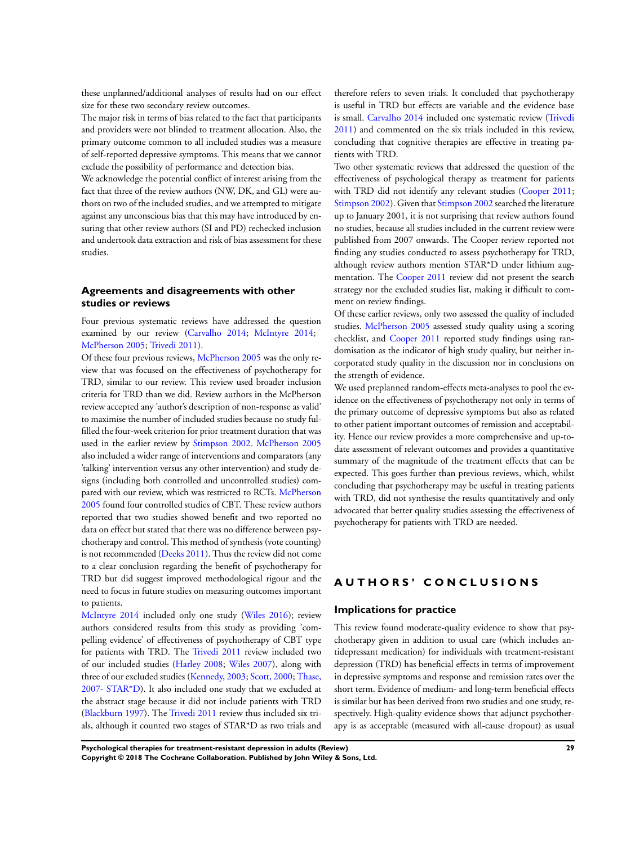these unplanned/additional analyses of results had on our effect size for these two secondary review outcomes.

The major risk in terms of bias related to the fact that participants and providers were not blinded to treatment allocation. Also, the primary outcome common to all included studies was a measure of self-reported depressive symptoms. This means that we cannot exclude the possibility of performance and detection bias.

We acknowledge the potential conflict of interest arising from the fact that three of the review authors (NW, DK, and GL) were authors on two of the included studies, and we attempted to mitigate against any unconscious bias that this may have introduced by ensuring that other review authors (SI and PD) rechecked inclusion and undertook data extraction and risk of bias assessment for these studies.

# **Agreements and disagreements with other studies or reviews**

Four previous systematic reviews have addressed the question examined by our review ([Carvalho 2014;](#page-32-0) [McIntyre 2014;](#page-32-0) [McPherson 2005](#page-32-0); [Trivedi 2011](#page-32-0)).

Of these four previous reviews, [McPherson 2005](#page-32-0) was the only review that was focused on the effectiveness of psychotherapy for TRD, similar to our review. This review used broader inclusion criteria for TRD than we did. Review authors in the McPherson review accepted any 'author's description of non-response as valid' to maximise the number of included studies because no study fulfilled the four-week criterion for prior treatment duration that was used in the earlier review by [Stimpson 2002.](#page-32-0) [McPherson 2005](#page-32-0) also included a wider range of interventions and comparators (any 'talking' intervention versus any other intervention) and study designs (including both controlled and uncontrolled studies) com-pared with our review, which was restricted to RCTs. [McPherson](#page-32-0) [2005](#page-32-0) found four controlled studies of CBT. These review authors reported that two studies showed benefit and two reported no data on effect but stated that there was no difference between psychotherapy and control. This method of synthesis (vote counting) is not recommended [\(Deeks 2011](#page-32-0)). Thus the review did not come to a clear conclusion regarding the benefit of psychotherapy for TRD but did suggest improved methodological rigour and the need to focus in future studies on measuring outcomes important to patients.

[McIntyre 2014](#page-32-0) included only one study ([Wiles 2016](#page-32-0)); review authors considered results from this study as providing 'compelling evidence' of effectiveness of psychotherapy of CBT type for patients with TRD. The [Trivedi 2011](#page-32-0) review included two of our included studies [\(Harley 2008](#page-32-0); [Wiles 2007](#page-32-0)), along with three of our excluded studies [\(Kennedy, 2003;](#page-32-0) [Scott, 2000](#page-32-0); [Thase,](#page-32-0) [2007- STAR\\*D](#page-32-0)). It also included one study that we excluded at the abstract stage because it did not include patients with TRD [\(Blackburn 1997](#page-32-0)). The [Trivedi 2011](#page-32-0) review thus included six trials, although it counted two stages of STAR\*D as two trials and therefore refers to seven trials. It concluded that psychotherapy is useful in TRD but effects are variable and the evidence base is small. [Carvalho 2014](#page-32-0) included one systematic review ([Trivedi](#page-32-0) [2011](#page-32-0)) and commented on the six trials included in this review, concluding that cognitive therapies are effective in treating patients with TRD.

Two other systematic reviews that addressed the question of the effectiveness of psychological therapy as treatment for patients with TRD did not identify any relevant studies ([Cooper 2011;](#page-32-0) [Stimpson 2002\)](#page-32-0). Given that [Stimpson 2002](#page-32-0) searched the literature up to January 2001, it is not surprising that review authors found no studies, because all studies included in the current review were published from 2007 onwards. The Cooper review reported not finding any studies conducted to assess psychotherapy for TRD, although review authors mention STAR\*D under lithium augmentation. The [Cooper 2011](#page-32-0) review did not present the search strategy nor the excluded studies list, making it difficult to comment on review findings.

Of these earlier reviews, only two assessed the quality of included studies. [McPherson 2005](#page-32-0) assessed study quality using a scoring checklist, and [Cooper 2011](#page-32-0) reported study findings using randomisation as the indicator of high study quality, but neither incorporated study quality in the discussion nor in conclusions on the strength of evidence.

We used preplanned random-effects meta-analyses to pool the evidence on the effectiveness of psychotherapy not only in terms of the primary outcome of depressive symptoms but also as related to other patient important outcomes of remission and acceptability. Hence our review provides a more comprehensive and up-todate assessment of relevant outcomes and provides a quantitative summary of the magnitude of the treatment effects that can be expected. This goes further than previous reviews, which, whilst concluding that psychotherapy may be useful in treating patients with TRD, did not synthesise the results quantitatively and only advocated that better quality studies assessing the effectiveness of psychotherapy for patients with TRD are needed.

# **A U T H O R S ' C O N C L U S I O N S**

## **Implications for practice**

This review found moderate-quality evidence to show that psychotherapy given in addition to usual care (which includes antidepressant medication) for individuals with treatment-resistant depression (TRD) has beneficial effects in terms of improvement in depressive symptoms and response and remission rates over the short term. Evidence of medium- and long-term beneficial effects is similar but has been derived from two studies and one study, respectively. High-quality evidence shows that adjunct psychotherapy is as acceptable (measured with all-cause dropout) as usual

**Psychological therapies for treatment-resistant depression in adults (Review) 29 Copyright © 2018 The Cochrane Collaboration. Published by John Wiley & Sons, Ltd.**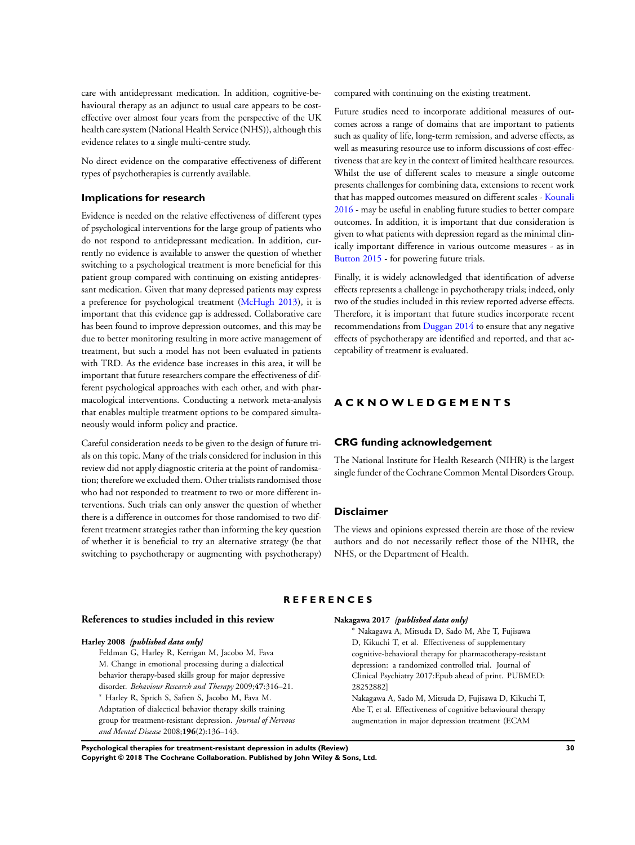<span id="page-32-0"></span>care with antidepressant medication. In addition, cognitive-behavioural therapy as an adjunct to usual care appears to be costeffective over almost four years from the perspective of the UK health care system (National Health Service (NHS)), although this evidence relates to a single multi-centre study.

No direct evidence on the comparative effectiveness of different types of psychotherapies is currently available.

# **Implications for research**

Evidence is needed on the relative effectiveness of different types of psychological interventions for the large group of patients who do not respond to antidepressant medication. In addition, currently no evidence is available to answer the question of whether switching to a psychological treatment is more beneficial for this patient group compared with continuing on existing antidepressant medication. Given that many depressed patients may express a preference for psychological treatment (McHugh 2013), it is important that this evidence gap is addressed. Collaborative care has been found to improve depression outcomes, and this may be due to better monitoring resulting in more active management of treatment, but such a model has not been evaluated in patients with TRD. As the evidence base increases in this area, it will be important that future researchers compare the effectiveness of different psychological approaches with each other, and with pharmacological interventions. Conducting a network meta-analysis that enables multiple treatment options to be compared simultaneously would inform policy and practice.

Careful consideration needs to be given to the design of future trials on this topic. Many of the trials considered for inclusion in this review did not apply diagnostic criteria at the point of randomisation; therefore we excluded them. Other trialists randomised those who had not responded to treatment to two or more different interventions. Such trials can only answer the question of whether there is a difference in outcomes for those randomised to two different treatment strategies rather than informing the key question of whether it is beneficial to try an alternative strategy (be that switching to psychotherapy or augmenting with psychotherapy)

compared with continuing on the existing treatment.

Future studies need to incorporate additional measures of outcomes across a range of domains that are important to patients such as quality of life, long-term remission, and adverse effects, as well as measuring resource use to inform discussions of cost-effectiveness that are key in the context of limited healthcare resources. Whilst the use of different scales to measure a single outcome presents challenges for combining data, extensions to recent work that has mapped outcomes measured on different scales - Kounali 2016 - may be useful in enabling future studies to better compare outcomes. In addition, it is important that due consideration is given to what patients with depression regard as the minimal clinically important difference in various outcome measures - as in Button 2015 - for powering future trials.

Finally, it is widely acknowledged that identification of adverse effects represents a challenge in psychotherapy trials; indeed, only two of the studies included in this review reported adverse effects. Therefore, it is important that future studies incorporate recent recommendations from Duggan 2014 to ensure that any negative effects of psychotherapy are identified and reported, and that acceptability of treatment is evaluated.

## **A C K N O W L E D G E M E N T S**

## **CRG funding acknowledgement**

The National Institute for Health Research (NIHR) is the largest single funder of the Cochrane Common Mental Disorders Group.

## **Disclaimer**

The views and opinions expressed therein are those of the review authors and do not necessarily reflect those of the NIHR, the NHS, or the Department of Health.

## **R E F E R E N C E S**

## **References to studies included in this review**

#### **Harley 2008** *{published data only}*

Feldman G, Harley R, Kerrigan M, Jacobo M, Fava M. Change in emotional processing during a dialectical behavior therapy-based skills group for major depressive disorder. *Behaviour Research and Therapy* 2009;**47**:316–21. <sup>∗</sup> Harley R, Sprich S, Safren S, Jacobo M, Fava M. Adaptation of dialectical behavior therapy skills training group for treatment-resistant depression. *Journal of Nervous and Mental Disease* 2008;**196**(2):136–143.

#### **Nakagawa 2017** *{published data only}*

<sup>∗</sup> Nakagawa A, Mitsuda D, Sado M, Abe T, Fujisawa D, Kikuchi T, et al. Effectiveness of supplementary cognitive-behavioral therapy for pharmacotherapy-resistant depression: a randomized controlled trial. Journal of Clinical Psychiatry 2017:Epub ahead of print. PUBMED: 28252882]

Nakagawa A, Sado M, Mitsuda D, Fujisawa D, Kikuchi T, Abe T, et al. Effectiveness of cognitive behavioural therapy augmentation in major depression treatment (ECAM

**Psychological therapies for treatment-resistant depression in adults (Review) 30 Copyright © 2018 The Cochrane Collaboration. Published by John Wiley & Sons, Ltd.**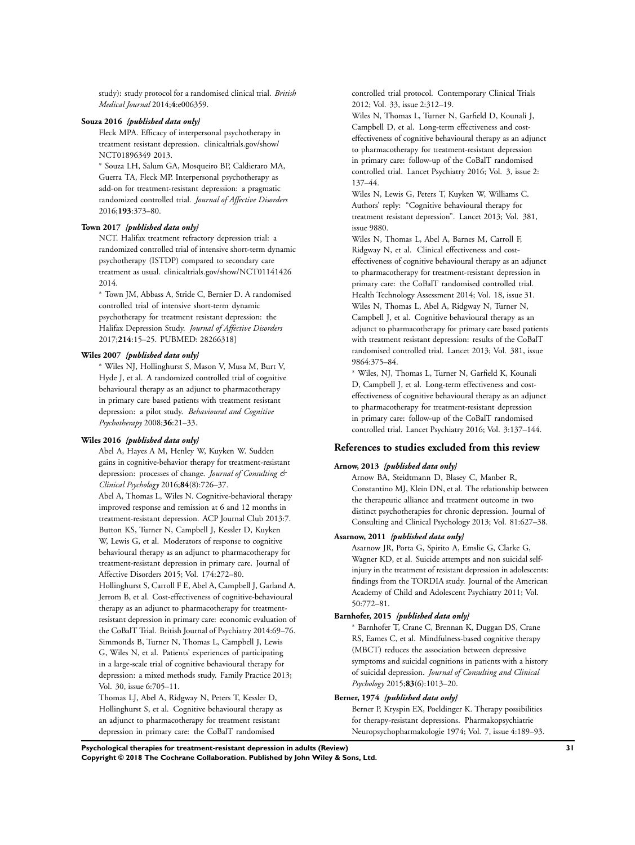study): study protocol for a randomised clinical trial. *British Medical Journal* 2014;**4**:e006359.

## **Souza 2016** *{published data only}*

Fleck MPA. Efficacy of interpersonal psychotherapy in treatment resistant depression. clinicaltrials.gov/show/ NCT01896349 2013.

<sup>∗</sup> Souza LH, Salum GA, Mosqueiro BP, Caldieraro MA, Guerra TA, Fleck MP. Interpersonal psychotherapy as add-on for treatment-resistant depression: a pragmatic randomized controlled trial. *Journal of Affective Disorders* 2016;**193**:373–80.

## **Town 2017** *{published data only}*

NCT. Halifax treatment refractory depression trial: a randomized controlled trial of intensive short-term dynamic psychotherapy (ISTDP) compared to secondary care treatment as usual. clinicaltrials.gov/show/NCT01141426 2014.

<sup>∗</sup> Town JM, Abbass A, Stride C, Bernier D. A randomised controlled trial of intensive short-term dynamic psychotherapy for treatment resistant depression: the Halifax Depression Study. *Journal of Affective Disorders* 2017;**214**:15–25. PUBMED: 28266318]

## **Wiles 2007** *{published data only}*

<sup>∗</sup> Wiles NJ, Hollinghurst S, Mason V, Musa M, Burt V, Hyde J, et al. A randomized controlled trial of cognitive behavioural therapy as an adjunct to pharmacotherapy in primary care based patients with treatment resistant depression: a pilot study. *Behavioural and Cognitive Psychotherapy* 2008;**36**:21–33.

#### **Wiles 2016** *{published data only}*

Abel A, Hayes A M, Henley W, Kuyken W. Sudden gains in cognitive-behavior therapy for treatment-resistant depression: processes of change. *Journal of Consulting & Clinical Psychology* 2016;**84**(8):726–37.

Abel A, Thomas L, Wiles N. Cognitive-behavioral therapy improved response and remission at 6 and 12 months in treatment-resistant depression. ACP Journal Club 2013:7. Button KS, Turner N, Campbell J, Kessler D, Kuyken W, Lewis G, et al. Moderators of response to cognitive behavioural therapy as an adjunct to pharmacotherapy for treatment-resistant depression in primary care. Journal of Affective Disorders 2015; Vol. 174:272–80.

Hollinghurst S, Carroll F E, Abel A, Campbell J, Garland A, Jerrom B, et al. Cost-effectiveness of cognitive-behavioural therapy as an adjunct to pharmacotherapy for treatmentresistant depression in primary care: economic evaluation of the CoBalT Trial. British Journal of Psychiatry 2014:69–76. Simmonds B, Turner N, Thomas L, Campbell J, Lewis G, Wiles N, et al. Patients' experiences of participating in a large-scale trial of cognitive behavioural therapy for depression: a mixed methods study. Family Practice 2013; Vol. 30, issue 6:705–11.

Thomas LJ, Abel A, Ridgway N, Peters T, Kessler D, Hollinghurst S, et al. Cognitive behavioural therapy as an adjunct to pharmacotherapy for treatment resistant depression in primary care: the CoBalT randomised

controlled trial protocol. Contemporary Clinical Trials 2012; Vol. 33, issue 2:312–19.

Wiles N, Thomas L, Turner N, Garfield D, Kounali J, Campbell D, et al. Long-term effectiveness and costeffectiveness of cognitive behavioural therapy as an adjunct to pharmacotherapy for treatment-resistant depression in primary care: follow-up of the CoBalT randomised controlled trial. Lancet Psychiatry 2016; Vol. 3, issue 2: 137–44.

Wiles N, Lewis G, Peters T, Kuyken W, Williams C. Authors' reply: "Cognitive behavioural therapy for treatment resistant depression". Lancet 2013; Vol. 381, issue 9880.

Wiles N, Thomas L, Abel A, Barnes M, Carroll F, Ridgway N, et al. Clinical effectiveness and costeffectiveness of cognitive behavioural therapy as an adjunct to pharmacotherapy for treatment-resistant depression in primary care: the CoBalT randomised controlled trial. Health Technology Assessment 2014; Vol. 18, issue 31. Wiles N, Thomas L, Abel A, Ridgway N, Turner N, Campbell J, et al. Cognitive behavioural therapy as an adjunct to pharmacotherapy for primary care based patients with treatment resistant depression: results of the CoBalT randomised controlled trial. Lancet 2013; Vol. 381, issue 9864:375–84.

<sup>∗</sup> Wiles, NJ, Thomas L, Turner N, Garfield K, Kounali D, Campbell J, et al. Long-term effectiveness and costeffectiveness of cognitive behavioural therapy as an adjunct to pharmacotherapy for treatment-resistant depression in primary care: follow-up of the CoBalT randomised controlled trial. Lancet Psychiatry 2016; Vol. 3:137–144.

## **References to studies excluded from this review**

## **Arnow, 2013** *{published data only}*

Arnow BA, Steidtmann D, Blasey C, Manber R, Constantino MJ, Klein DN, et al. The relationship between the therapeutic alliance and treatment outcome in two distinct psychotherapies for chronic depression. Journal of Consulting and Clinical Psychology 2013; Vol. 81:627–38.

#### **Asarnow, 2011** *{published data only}*

Asarnow JR, Porta G, Spirito A, Emslie G, Clarke G, Wagner KD, et al. Suicide attempts and non suicidal selfinjury in the treatment of resistant depression in adolescents: findings from the TORDIA study. Journal of the American Academy of Child and Adolescent Psychiatry 2011; Vol. 50:772–81.

### **Barnhofer, 2015** *{published data only}*

<sup>∗</sup> Barnhofer T, Crane C, Brennan K, Duggan DS, Crane RS, Eames C, et al. Mindfulness-based cognitive therapy (MBCT) reduces the association between depressive symptoms and suicidal cognitions in patients with a history of suicidal depression. *Journal of Consulting and Clinical Psychology* 2015;**83**(6):1013–20.

# **Berner, 1974** *{published data only}*

Berner P, Kryspin EX, Poeldinger K. Therapy possibilities for therapy-resistant depressions. Pharmakopsychiatrie Neuropsychopharmakologie 1974; Vol. 7, issue 4:189–93.

**Psychological therapies for treatment-resistant depression in adults (Review) 31**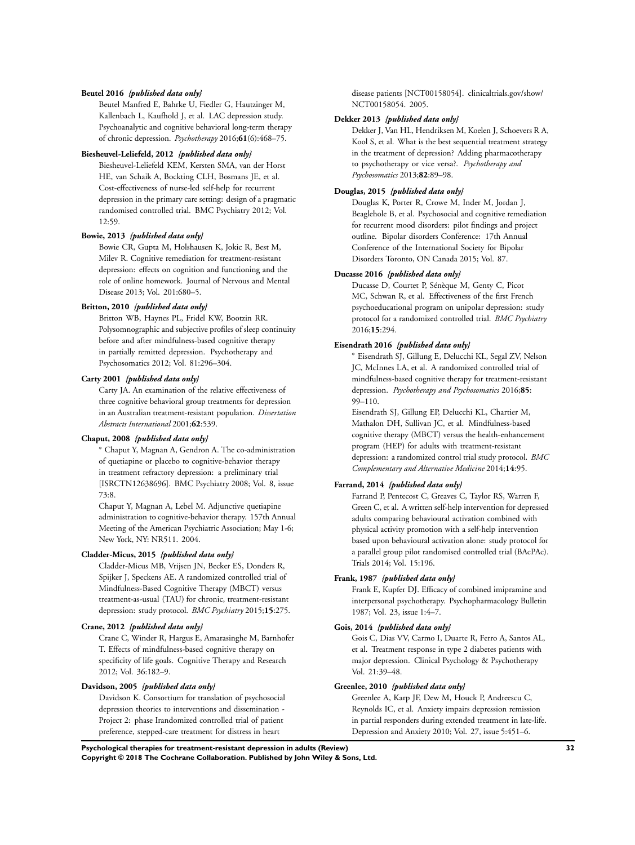## **Beutel 2016** *{published data only}*

Beutel Manfred E, Bahrke U, Fiedler G, Hautzinger M, Kallenbach L, Kaufhold J, et al. LAC depression study. Psychoanalytic and cognitive behavioral long-term therapy of chronic depression. *Psychotherapy* 2016;**61**(6):468–75.

## **Biesheuvel-Leliefeld, 2012** *{published data only}*

Biesheuvel-Leliefeld KEM, Kersten SMA, van der Horst HE, van Schaik A, Bockting CLH, Bosmans JE, et al. Cost-effectiveness of nurse-led self-help for recurrent depression in the primary care setting: design of a pragmatic randomised controlled trial. BMC Psychiatry 2012; Vol. 12:59.

#### **Bowie, 2013** *{published data only}*

Bowie CR, Gupta M, Holshausen K, Jokic R, Best M, Milev R. Cognitive remediation for treatment-resistant depression: effects on cognition and functioning and the role of online homework. Journal of Nervous and Mental Disease 2013; Vol. 201:680–5.

## **Britton, 2010** *{published data only}*

Britton WB, Haynes PL, Fridel KW, Bootzin RR. Polysomnographic and subjective profiles of sleep continuity before and after mindfulness-based cognitive therapy in partially remitted depression. Psychotherapy and Psychosomatics 2012; Vol. 81:296–304.

#### **Carty 2001** *{published data only}*

Carty JA. An examination of the relative effectiveness of three cognitive behavioral group treatments for depression in an Australian treatment-resistant population. *Dissertation Abstracts International* 2001;**62**:539.

## **Chaput, 2008** *{published data only}*

<sup>∗</sup> Chaput Y, Magnan A, Gendron A. The co-administration of quetiapine or placebo to cognitive-behavior therapy in treatment refractory depression: a preliminary trial [ISRCTN12638696]. BMC Psychiatry 2008; Vol. 8, issue 73:8.

Chaput Y, Magnan A, Lebel M. Adjunctive quetiapine administration to cognitive-behavior therapy. 157th Annual Meeting of the American Psychiatric Association; May 1-6; New York, NY: NR511. 2004.

## **Cladder-Micus, 2015** *{published data only}*

Cladder-Micus MB, Vrijsen JN, Becker ES, Donders R, Spijker J, Speckens AE. A randomized controlled trial of Mindfulness-Based Cognitive Therapy (MBCT) versus treatment-as-usual (TAU) for chronic, treatment-resistant depression: study protocol. *BMC Psychiatry* 2015;**15**:275.

## **Crane, 2012** *{published data only}*

Crane C, Winder R, Hargus E, Amarasinghe M, Barnhofer T. Effects of mindfulness-based cognitive therapy on specificity of life goals. Cognitive Therapy and Research 2012; Vol. 36:182–9.

## **Davidson, 2005** *{published data only}*

Davidson K. Consortium for translation of psychosocial depression theories to interventions and dissemination - Project 2: phase Irandomized controlled trial of patient preference, stepped-care treatment for distress in heart

disease patients [NCT00158054]. clinicaltrials.gov/show/ NCT00158054. 2005.

## **Dekker 2013** *{published data only}*

Dekker J, Van HL, Hendriksen M, Koelen J, Schoevers R A, Kool S, et al. What is the best sequential treatment strategy in the treatment of depression? Adding pharmacotherapy to psychotherapy or vice versa?. *Psychotherapy and Psychosomatics* 2013;**82**:89–98.

## **Douglas, 2015** *{published data only}*

Douglas K, Porter R, Crowe M, Inder M, Jordan J, Beaglehole B, et al. Psychosocial and cognitive remediation for recurrent mood disorders: pilot findings and project outline. Bipolar disorders Conference: 17th Annual Conference of the International Society for Bipolar Disorders Toronto, ON Canada 2015; Vol. 87.

## **Ducasse 2016** *{published data only}*

Ducasse D, Courtet P, Sénèque M, Genty C, Picot MC, Schwan R, et al. Effectiveness of the first French psychoeducational program on unipolar depression: study protocol for a randomized controlled trial. *BMC Psychiatry* 2016;**15**:294.

## **Eisendrath 2016** *{published data only}*

<sup>∗</sup> Eisendrath SJ, Gillung E, Delucchi KL, Segal ZV, Nelson JC, McInnes LA, et al. A randomized controlled trial of mindfulness-based cognitive therapy for treatment-resistant depression. *Psychotherapy and Psychosomatics* 2016;**85**: 99–110.

Eisendrath SJ, Gillung EP, Delucchi KL, Chartier M, Mathalon DH, Sullivan JC, et al. Mindfulness-based cognitive therapy (MBCT) versus the health-enhancement program (HEP) for adults with treatment-resistant depression: a randomized control trial study protocol. *BMC Complementary and Alternative Medicine* 2014;**14**:95.

## **Farrand, 2014** *{published data only}*

Farrand P, Pentecost C, Greaves C, Taylor RS, Warren F, Green C, et al. A written self-help intervention for depressed adults comparing behavioural activation combined with physical activity promotion with a self-help intervention based upon behavioural activation alone: study protocol for a parallel group pilot randomised controlled trial (BAcPAc). Trials 2014; Vol. 15:196.

## **Frank, 1987** *{published data only}*

Frank E, Kupfer DJ. Efficacy of combined imipramine and interpersonal psychotherapy. Psychopharmacology Bulletin 1987; Vol. 23, issue 1:4–7.

## **Gois, 2014** *{published data only}*

Gois C, Dias VV, Carmo I, Duarte R, Ferro A, Santos AL, et al. Treatment response in type 2 diabetes patients with major depression. Clinical Psychology & Psychotherapy Vol. 21:39–48.

## **Greenlee, 2010** *{published data only}*

Greenlee A, Karp JF, Dew M, Houck P, Andreescu C, Reynolds IC, et al. Anxiety impairs depression remission in partial responders during extended treatment in late-life. Depression and Anxiety 2010; Vol. 27, issue 5:451–6.

**Psychological therapies for treatment-resistant depression in adults (Review) 32**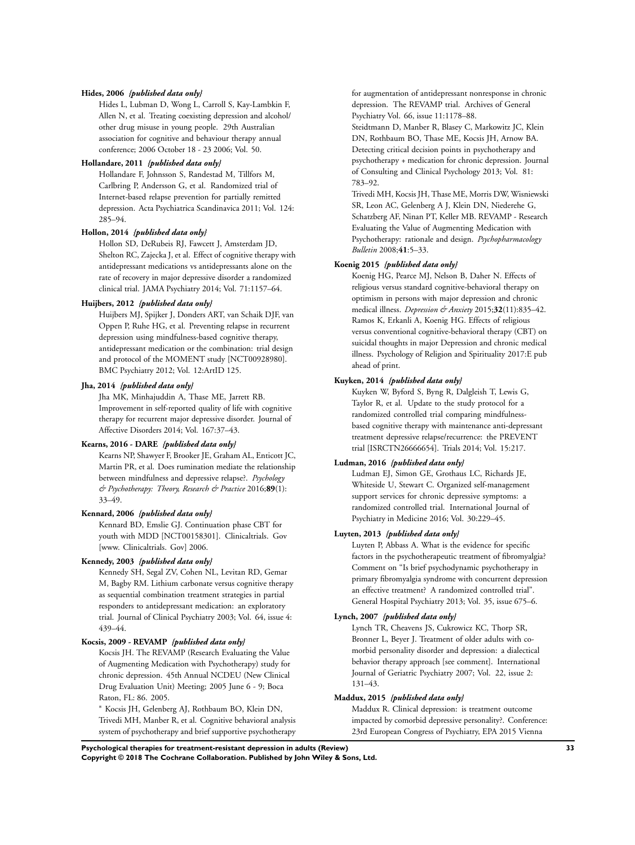## **Hides, 2006** *{published data only}*

Hides L, Lubman D, Wong L, Carroll S, Kay-Lambkin F, Allen N, et al. Treating coexisting depression and alcohol/ other drug misuse in young people. 29th Australian association for cognitive and behaviour therapy annual conference; 2006 October 18 - 23 2006; Vol. 50.

## **Hollandare, 2011** *{published data only}*

Hollandare F, Johnsson S, Randestad M, Tillfors M, Carlbring P, Andersson G, et al. Randomized trial of Internet-based relapse prevention for partially remitted depression. Acta Psychiatrica Scandinavica 2011; Vol. 124: 285–94.

#### **Hollon, 2014** *{published data only}*

Hollon SD, DeRubeis RJ, Fawcett J, Amsterdam JD, Shelton RC, Zajecka J, et al. Effect of cognitive therapy with antidepressant medications vs antidepressants alone on the rate of recovery in major depressive disorder a randomized clinical trial. JAMA Psychiatry 2014; Vol. 71:1157–64.

## **Huijbers, 2012** *{published data only}*

Huijbers MJ, Spijker J, Donders ART, van Schaik DJF, van Oppen P, Ruhe HG, et al. Preventing relapse in recurrent depression using mindfulness-based cognitive therapy, antidepressant medication or the combination: trial design and protocol of the MOMENT study [NCT00928980]. BMC Psychiatry 2012; Vol. 12:ArtID 125.

## **Jha, 2014** *{published data only}*

Jha MK, Minhajuddin A, Thase ME, Jarrett RB. Improvement in self-reported quality of life with cognitive therapy for recurrent major depressive disorder. Journal of Affective Disorders 2014; Vol. 167:37–43.

# **Kearns, 2016 - DARE** *{published data only}*

Kearns NP, Shawyer F, Brooker JE, Graham AL, Enticott JC, Martin PR, et al. Does rumination mediate the relationship between mindfulness and depressive relapse?. *Psychology & Psychotherapy: Theory, Research & Practice* 2016;**89**(1): 33–49.

## **Kennard, 2006** *{published data only}*

Kennard BD, Emslie GJ. Continuation phase CBT for youth with MDD [NCT00158301]. Clinicaltrials. Gov [www. Clinicaltrials. Gov] 2006.

## **Kennedy, 2003** *{published data only}*

Kennedy SH, Segal ZV, Cohen NL, Levitan RD, Gemar M, Bagby RM. Lithium carbonate versus cognitive therapy as sequential combination treatment strategies in partial responders to antidepressant medication: an exploratory trial. Journal of Clinical Psychiatry 2003; Vol. 64, issue 4: 439–44.

## **Kocsis, 2009 - REVAMP** *{published data only}*

Kocsis JH. The REVAMP (Research Evaluating the Value of Augmenting Medication with Psychotherapy) study for chronic depression. 45th Annual NCDEU (New Clinical Drug Evaluation Unit) Meeting; 2005 June 6 - 9; Boca Raton, FL: 86. 2005.

<sup>∗</sup> Kocsis JH, Gelenberg AJ, Rothbaum BO, Klein DN, Trivedi MH, Manber R, et al. Cognitive behavioral analysis system of psychotherapy and brief supportive psychotherapy for augmentation of antidepressant nonresponse in chronic depression. The REVAMP trial. Archives of General Psychiatry Vol. 66, issue 11:1178–88.

Steidtmann D, Manber R, Blasey C, Markowitz JC, Klein DN, Rothbaum BO, Thase ME, Kocsis JH, Arnow BA. Detecting critical decision points in psychotherapy and psychotherapy + medication for chronic depression. Journal of Consulting and Clinical Psychology 2013; Vol. 81: 783–92.

Trivedi MH, Kocsis JH, Thase ME, Morris DW, Wisniewski SR, Leon AC, Gelenberg A J, Klein DN, Niederehe G, Schatzberg AF, Ninan PT, Keller MB. REVAMP - Research Evaluating the Value of Augmenting Medication with Psychotherapy: rationale and design. *Psychopharmacology Bulletin* 2008;**41**:5–33.

## **Koenig 2015** *{published data only}*

Koenig HG, Pearce MJ, Nelson B, Daher N. Effects of religious versus standard cognitive-behavioral therapy on optimism in persons with major depression and chronic medical illness. *Depression & Anxiety* 2015;**32**(11):835–42. Ramos K, Erkanli A, Koenig HG. Effects of religious versus conventional cognitive-behavioral therapy (CBT) on suicidal thoughts in major Depression and chronic medical illness. Psychology of Religion and Spirituality 2017:E pub ahead of print.

## **Kuyken, 2014** *{published data only}*

Kuyken W, Byford S, Byng R, Dalgleish T, Lewis G, Taylor R, et al. Update to the study protocol for a randomized controlled trial comparing mindfulnessbased cognitive therapy with maintenance anti-depressant treatment depressive relapse/recurrence: the PREVENT trial [ISRCTN26666654]. Trials 2014; Vol. 15:217.

# **Ludman, 2016** *{published data only}*

Ludman EJ, Simon GE, Grothaus LC, Richards JE, Whiteside U, Stewart C. Organized self-management support services for chronic depressive symptoms: a randomized controlled trial. International Journal of Psychiatry in Medicine 2016; Vol. 30:229–45.

## **Luyten, 2013** *{published data only}*

Luyten P, Abbass A. What is the evidence for specific factors in the psychotherapeutic treatment of fibromyalgia? Comment on "Is brief psychodynamic psychotherapy in primary fibromyalgia syndrome with concurrent depression an effective treatment? A randomized controlled trial". General Hospital Psychiatry 2013; Vol. 35, issue 675–6.

## **Lynch, 2007** *{published data only}*

Lynch TR, Cheavens JS, Cukrowicz KC, Thorp SR, Bronner L, Beyer J. Treatment of older adults with comorbid personality disorder and depression: a dialectical behavior therapy approach [see comment]. International Journal of Geriatric Psychiatry 2007; Vol. 22, issue 2: 131–43.

## **Maddux, 2015** *{published data only}*

Maddux R. Clinical depression: is treatment outcome impacted by comorbid depressive personality?. Conference: 23rd European Congress of Psychiatry, EPA 2015 Vienna

**Psychological therapies for treatment-resistant depression in adults (Review) 33**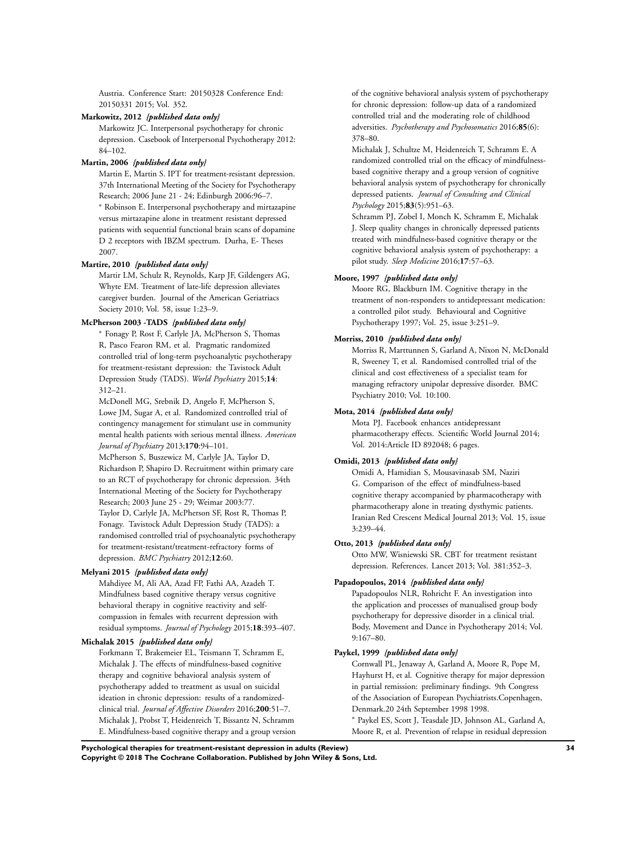Austria. Conference Start: 20150328 Conference End: 20150331 2015; Vol. 352.

#### **Markowitz, 2012** *{published data only}*

Markowitz JC. Interpersonal psychotherapy for chronic depression. Casebook of Interpersonal Psychotherapy 2012: 84–102.

### **Martin, 2006** *{published data only}*

Martin E, Martin S. IPT for treatment-resistant depression. 37th International Meeting of the Society for Psychotherapy Research; 2006 June 21 - 24; Edinburgh 2006:96–7.

<sup>∗</sup> Robinson E. Interpersonal psychotherapy and mirtazapine versus mirtazapine alone in treatment resistant depressed patients with sequential functional brain scans of dopamine D 2 receptors with IBZM spectrum. Durha, E- Theses 2007.

### **Martire, 2010** *{published data only}*

Martir LM, Schulz R, Reynolds, Karp JF, Gildengers AG, Whyte EM. Treatment of late-life depression alleviates caregiver burden. Journal of the American Geriatriacs Society 2010; Vol. 58, issue 1:23–9.

### **McPherson 2003 -TADS** *{published data only}*

<sup>∗</sup> Fonagy P, Rost F, Carlyle JA, McPherson S, Thomas R, Pasco Fearon RM, et al. Pragmatic randomized controlled trial of long-term psychoanalytic psychotherapy for treatment-resistant depression: the Tavistock Adult Depression Study (TADS). *World Psychiatry* 2015;**14**: 312–21.

McDonell MG, Srebnik D, Angelo F, McPherson S, Lowe JM, Sugar A, et al. Randomized controlled trial of contingency management for stimulant use in community mental health patients with serious mental illness. *American Journal of Psychiatry* 2013;**170**:94–101.

McPherson S, Buszewicz M, Carlyle JA, Taylor D, Richardson P, Shapiro D. Recruitment within primary care to an RCT of psychotherapy for chronic depression. 34th International Meeting of the Society for Psychotherapy Research; 2003 June 25 - 29; Weimar 2003:77. Taylor D, Carlyle JA, McPherson SF, Rost R, Thomas P, Fonagy. Tavistock Adult Depression Study (TADS): a randomised controlled trial of psychoanalytic psychotherapy for treatment-resistant/treatment-refractory forms of

depression. *BMC Psychiatry* 2012;**12**:60. **Melyani 2015** *{published data only}*

Mahdiyee M, Ali AA, Azad FP, Fathi AA, Azadeh T. Mindfulness based cognitive therapy versus cognitive behavioral therapy in cognitive reactivity and selfcompassion in females with recurrent depression with residual symptoms. *Journal of Psychology* 2015;**18**:393–407.

### **Michalak 2015** *{published data only}*

Forkmann T, Brakemeier EL, Teismann T, Schramm E, Michalak J. The effects of mindfulness-based cognitive therapy and cognitive behavioral analysis system of psychotherapy added to treatment as usual on suicidal ideation in chronic depression: results of a randomizedclinical trial. *Journal of Affective Disorders* 2016;**200**:51–7. Michalak J, Probst T, Heidenreich T, Bissantz N, Schramm E. Mindfulness-based cognitive therapy and a group version of the cognitive behavioral analysis system of psychotherapy for chronic depression: follow-up data of a randomized controlled trial and the moderating role of childhood adversities. *Psychotherapy and Psychosomatics* 2016;**85**(6): 378–80.

Michalak J, Schultze M, Heidenreich T, Schramm E. A randomized controlled trial on the efficacy of mindfulnessbased cognitive therapy and a group version of cognitive behavioral analysis system of psychotherapy for chronically depressed patients. *Journal of Consulting and Clinical Psychology* 2015;**83**(5):951–63.

Schramm PJ, Zobel I, Monch K, Schramm E, Michalak J. Sleep quality changes in chronically depressed patients treated with mindfulness-based cognitive therapy or the cognitive behavioral analysis system of psychotherapy: a pilot study. *Sleep Medicine* 2016;**17**:57–63.

#### **Moore, 1997** *{published data only}*

Moore RG, Blackburn IM. Cognitive therapy in the treatment of non-responders to antidepressant medication: a controlled pilot study. Behavioural and Cognitive Psychotherapy 1997; Vol. 25, issue 3:251–9.

### **Morriss, 2010** *{published data only}*

Morriss R, Marttunnen S, Garland A, Nixon N, McDonald R, Sweeney T, et al. Randomised controlled trial of the clinical and cost effectiveness of a specialist team for managing refractory unipolar depressive disorder. BMC Psychiatry 2010; Vol. 10:100.

### **Mota, 2014** *{published data only}*

Mota PJ. Facebook enhances antidepressant pharmacotherapy effects. Scientific World Journal 2014; Vol. 2014:Article ID 892048; 6 pages.

### **Omidi, 2013** *{published data only}*

Omidi A, Hamidian S, Mousavinasab SM, Naziri G. Comparison of the effect of mindfulness-based cognitive therapy accompanied by pharmacotherapy with pharmacotherapy alone in treating dysthymic patients. Iranian Red Crescent Medical Journal 2013; Vol. 15, issue 3:239–44.

### **Otto, 2013** *{published data only}*

Otto MW, Wisniewski SR. CBT for treatment resistant depression. References. Lancet 2013; Vol. 381:352–3.

### **Papadopoulos, 2014** *{published data only}*

Papadopoulos NLR, Rohricht F. An investigation into the application and processes of manualised group body psychotherapy for depressive disorder in a clinical trial. Body, Movement and Dance in Psychotherapy 2014; Vol. 9:167–80.

#### **Paykel, 1999** *{published data only}*

Cornwall PL, Jenaway A, Garland A, Moore R, Pope M, Hayhurst H, et al. Cognitive therapy for major depression in partial remission: preliminary findings. 9th Congress of the Association of European Psychiatrists.Copenhagen, Denmark.20 24th September 1998 1998.

<sup>∗</sup> Paykel ES, Scott J, Teasdale JD, Johnson AL, Garland A, Moore R, et al. Prevention of relapse in residual depression

**Psychological therapies for treatment-resistant depression in adults (Review) 34**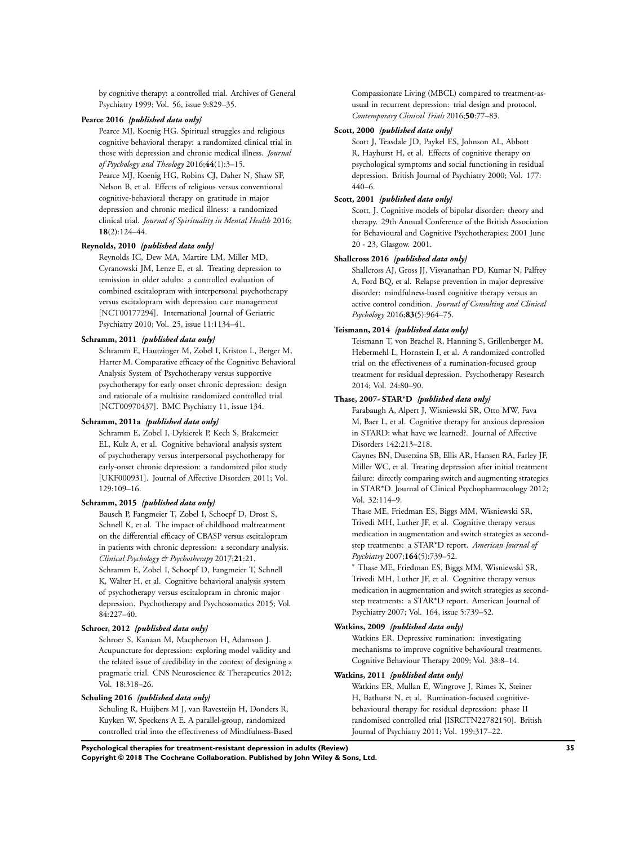by cognitive therapy: a controlled trial. Archives of General Psychiatry 1999; Vol. 56, issue 9:829–35.

### **Pearce 2016** *{published data only}*

Pearce MJ, Koenig HG. Spiritual struggles and religious cognitive behavioral therapy: a randomized clinical trial in those with depression and chronic medical illness. *Journal of Psychology and Theology* 2016;**44**(1):3–15. Pearce MJ, Koenig HG, Robins CJ, Daher N, Shaw SF, Nelson B, et al. Effects of religious versus conventional cognitive-behavioral therapy on gratitude in major depression and chronic medical illness: a randomized clinical trial. *Journal of Spirituality in Mental Health* 2016; **18**(2):124–44.

### **Reynolds, 2010** *{published data only}*

Reynolds IC, Dew MA, Martire LM, Miller MD, Cyranowski JM, Lenze E, et al. Treating depression to remission in older adults: a controlled evaluation of combined escitalopram with interpersonal psychotherapy versus escitalopram with depression care management [NCT00177294]. International Journal of Geriatric Psychiatry 2010; Vol. 25, issue 11:1134–41.

### **Schramm, 2011** *{published data only}*

Schramm E, Hautzinger M, Zobel I, Kriston L, Berger M, Harter M. Comparative efficacy of the Cognitive Behavioral Analysis System of Psychotherapy versus supportive psychotherapy for early onset chronic depression: design and rationale of a multisite randomized controlled trial [NCT00970437]. BMC Psychiatry 11, issue 134.

### **Schramm, 2011a** *{published data only}*

Schramm E, Zobel I, Dykierek P, Kech S, Brakemeier EL, Kulz A, et al. Cognitive behavioral analysis system of psychotherapy versus interpersonal psychotherapy for early-onset chronic depression: a randomized pilot study [UKF000931]. Journal of Affective Disorders 2011; Vol. 129:109–16.

### **Schramm, 2015** *{published data only}*

Bausch P, Fangmeier T, Zobel I, Schoepf D, Drost S, Schnell K, et al. The impact of childhood maltreatment on the differential efficacy of CBASP versus escitalopram in patients with chronic depression: a secondary analysis. *Clinical Psychology & Psychotherapy* 2017;**21**:21.

Schramm E, Zobel I, Schoepf D, Fangmeier T, Schnell K, Walter H, et al. Cognitive behavioral analysis system of psychotherapy versus escitalopram in chronic major depression. Psychotherapy and Psychosomatics 2015; Vol. 84:227–40.

### **Schroer, 2012** *{published data only}*

Schroer S, Kanaan M, Macpherson H, Adamson J. Acupuncture for depression: exploring model validity and the related issue of credibility in the context of designing a pragmatic trial. CNS Neuroscience & Therapeutics 2012; Vol. 18:318–26.

### **Schuling 2016** *{published data only}*

Schuling R, Huijbers M J, van Ravesteijn H, Donders R, Kuyken W, Speckens A E. A parallel-group, randomized controlled trial into the effectiveness of Mindfulness-Based Compassionate Living (MBCL) compared to treatment-asusual in recurrent depression: trial design and protocol. *Contemporary Clinical Trials* 2016;**50**:77–83.

### **Scott, 2000** *{published data only}*

Scott J, Teasdale JD, Paykel ES, Johnson AL, Abbott R, Hayhurst H, et al. Effects of cognitive therapy on psychological symptoms and social functioning in residual depression. British Journal of Psychiatry 2000; Vol. 177: 440–6.

### **Scott, 2001** *{published data only}*

Scott, J. Cognitive models of bipolar disorder: theory and therapy. 29th Annual Conference of the British Association for Behavioural and Cognitive Psychotherapies; 2001 June 20 - 23, Glasgow. 2001.

### **Shallcross 2016** *{published data only}*

Shallcross AJ, Gross JJ, Visvanathan PD, Kumar N, Palfrey A, Ford BQ, et al. Relapse prevention in major depressive disorder: mindfulness-based cognitive therapy versus an active control condition. *Journal of Consulting and Clinical Psychology* 2016;**83**(5):964–75.

### **Teismann, 2014** *{published data only}*

Teismann T, von Brachel R, Hanning S, Grillenberger M, Hebermehl L, Hornstein I, et al. A randomized controlled trial on the effectiveness of a rumination-focused group treatment for residual depression. Psychotherapy Research 2014; Vol. 24:80–90.

### **Thase, 2007- STAR\*D** *{published data only}*

Farabaugh A, Alpert J, Wisniewski SR, Otto MW, Fava M, Baer L, et al. Cognitive therapy for anxious depression in STARD: what have we learned?. Journal of Affective Disorders 142:213–218.

Gaynes BN, Dusetzina SB, Ellis AR, Hansen RA, Farley JF, Miller WC, et al. Treating depression after initial treatment failure: directly comparing switch and augmenting strategies in STAR\*D. Journal of Clinical Psychopharmacology 2012; Vol. 32:114–9.

Thase ME, Friedman ES, Biggs MM, Wisniewski SR, Trivedi MH, Luther JF, et al. Cognitive therapy versus medication in augmentation and switch strategies as secondstep treatments: a STAR\*D report. *American Journal of Psychiatry* 2007;**164**(5):739–52.

<sup>∗</sup> Thase ME, Friedman ES, Biggs MM, Wisniewski SR, Trivedi MH, Luther JF, et al. Cognitive therapy versus medication in augmentation and switch strategies as secondstep treatments: a STAR\*D report. American Journal of Psychiatry 2007; Vol. 164, issue 5:739–52.

### **Watkins, 2009** *{published data only}*

Watkins ER. Depressive rumination: investigating mechanisms to improve cognitive behavioural treatments. Cognitive Behaviour Therapy 2009; Vol. 38:8–14.

### **Watkins, 2011** *{published data only}*

Watkins ER, Mullan E, Wingrove J, Rimes K, Steiner H, Bathurst N, et al. Rumination-focused cognitivebehavioural therapy for residual depression: phase II randomised controlled trial [ISRCTN22782150]. British Journal of Psychiatry 2011; Vol. 199:317–22.

**Psychological therapies for treatment-resistant depression in adults (Review) 35 Copyright © 2018 The Cochrane Collaboration. Published by John Wiley & Sons, Ltd.**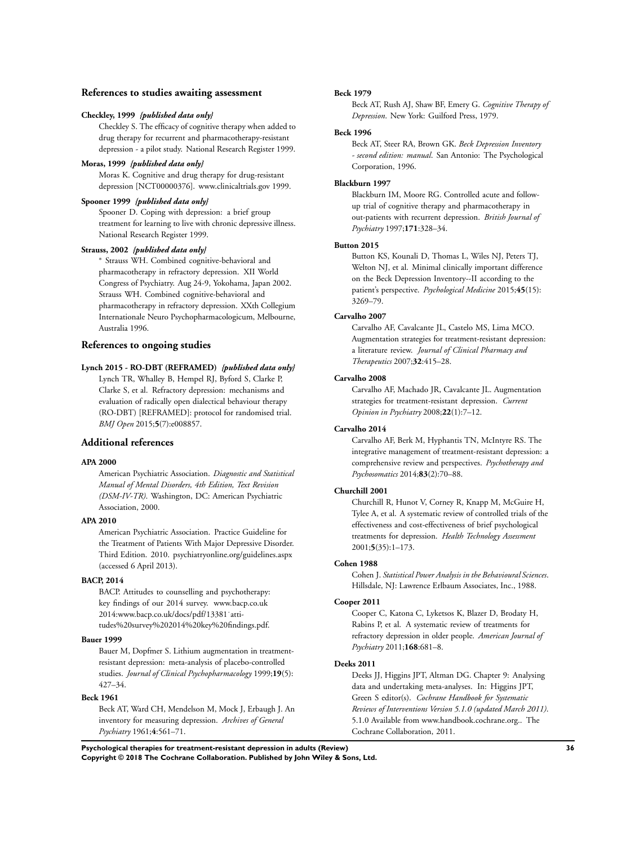### **References to studies awaiting assessment**

### **Checkley, 1999** *{published data only}*

Checkley S. The efficacy of cognitive therapy when added to drug therapy for recurrent and pharmacotherapy-resistant depression - a pilot study. National Research Register 1999.

### **Moras, 1999** *{published data only}*

Moras K. Cognitive and drug therapy for drug-resistant depression [NCT00000376]. www.clinicaltrials.gov 1999.

### **Spooner 1999** *{published data only}*

Spooner D. Coping with depression: a brief group treatment for learning to live with chronic depressive illness. National Research Register 1999.

#### **Strauss, 2002** *{published data only}*

<sup>∗</sup> Strauss WH. Combined cognitive-behavioral and pharmacotherapy in refractory depression. XII World Congress of Psychiatry. Aug 24-9, Yokohama, Japan 2002. Strauss WH. Combined cognitive-behavioral and pharmacotherapy in refractory depression. XXth Collegium Internationale Neuro Psychopharmacologicum, Melbourne, Australia 1996.

### **References to ongoing studies**

### **Lynch 2015 - RO-DBT (REFRAMED)** *{published data only}* Lynch TR, Whalley B, Hempel RJ, Byford S, Clarke P, Clarke S, et al. Refractory depression: mechanisms and evaluation of radically open dialectical behaviour therapy (RO-DBT) [REFRAMED]: protocol for randomised trial. *BMJ Open* 2015;**5**(7):e008857.

### **Additional references**

### **APA 2000**

American Psychiatric Association. *Diagnostic and Statistical Manual of Mental Disorders, 4th Edition, Text Revision (DSM-IV-TR)*. Washington, DC: American Psychiatric Association, 2000.

### **APA 2010**

American Psychiatric Association. Practice Guideline for the Treatment of Patients With Major Depressive Disorder. Third Edition. 2010. psychiatryonline.org/guidelines.aspx (accessed 6 April 2013).

### **BACP, 2014**

BACP. Attitudes to counselling and psychotherapy: key findings of our 2014 survey. www.bacp.co.uk 2014:www.bacp.co.uk/docs/pdf/13381˙attitudes%20survey%202014%20key%20findings.pdf.

#### **Bauer 1999**

Bauer M, Dopfmer S. Lithium augmentation in treatmentresistant depression: meta-analysis of placebo-controlled studies. *Journal of Clinical Psychopharmacology* 1999;**19**(5): 427–34.

### **Beck 1961**

Beck AT, Ward CH, Mendelson M, Mock J, Erbaugh J. An inventory for measuring depression. *Archives of General Psychiatry* 1961;**4**:561–71.

#### **Beck 1979**

Beck AT, Rush AJ, Shaw BF, Emery G. *Cognitive Therapy of Depression*. New York: Guilford Press, 1979.

### **Beck 1996**

Beck AT, Steer RA, Brown GK. *Beck Depression Inventory - second edition: manual*. San Antonio: The Psychological Corporation, 1996.

#### **Blackburn 1997**

Blackburn IM, Moore RG. Controlled acute and followup trial of cognitive therapy and pharmacotherapy in out-patients with recurrent depression. *British Journal of Psychiatry* 1997;**171**:328–34.

### **Button 2015**

Button KS, Kounali D, Thomas L, Wiles NJ, Peters TJ, Welton NJ, et al. Minimal clinically important difference on the Beck Depression Inventory--II according to the patient's perspective. *Psychological Medicine* 2015;**45**(15): 3269–79.

### **Carvalho 2007**

Carvalho AF, Cavalcante JL, Castelo MS, Lima MCO. Augmentation strategies for treatment-resistant depression: a literature review. *Journal of Clinical Pharmacy and Therapeutics* 2007;**32**:415–28.

#### **Carvalho 2008**

Carvalho AF, Machado JR, Cavalcante JL. Augmentation strategies for treatment-resistant depression. *Current Opinion in Psychiatry* 2008;**22**(1):7–12.

### **Carvalho 2014**

Carvalho AF, Berk M, Hyphantis TN, McIntyre RS. The integrative management of treatment-resistant depression: a comprehensive review and perspectives. *Psychotherapy and Psychosomatics* 2014;**83**(2):70–88.

### **Churchill 2001**

Churchill R, Hunot V, Corney R, Knapp M, McGuire H, Tylee A, et al. A systematic review of controlled trials of the effectiveness and cost-effectiveness of brief psychological treatments for depression. *Health Technology Assessment* 2001;**5**(35):1–173.

### **Cohen 1988**

Cohen J. *Statistical Power Analysis in the Behavioural Sciences*. Hillsdale, NJ: Lawrence Erlbaum Associates, Inc., 1988.

#### **Cooper 2011**

Cooper C, Katona C, Lyketsos K, Blazer D, Brodaty H, Rabins P, et al. A systematic review of treatments for refractory depression in older people. *American Journal of Psychiatry* 2011;**168**:681–8.

### **Deeks 2011**

Deeks JJ, Higgins JPT, Altman DG. Chapter 9: Analysing data and undertaking meta-analyses. In: Higgins JPT, Green S editor(s). *Cochrane Handbook for Systematic Reviews of Interventions Version 5.1.0 (updated March 2011)*. 5.1.0 Available from www.handbook.cochrane.org.. The Cochrane Collaboration, 2011.

**Psychological therapies for treatment-resistant depression in adults (Review) 36 Copyright © 2018 The Cochrane Collaboration. Published by John Wiley & Sons, Ltd.**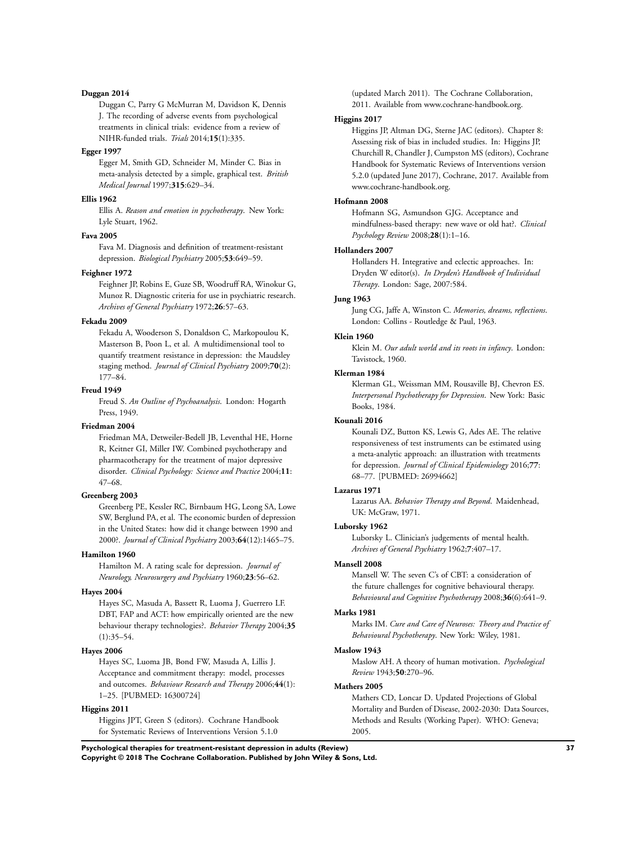### **Duggan 2014**

Duggan C, Parry G McMurran M, Davidson K, Dennis J. The recording of adverse events from psychological treatments in clinical trials: evidence from a review of NIHR-funded trials. *Trials* 2014;**15**(1):335.

#### **Egger 1997**

Egger M, Smith GD, Schneider M, Minder C. Bias in meta-analysis detected by a simple, graphical test. *British Medical Journal* 1997;**315**:629–34.

### **Ellis 1962**

Ellis A. *Reason and emotion in psychotherapy*. New York: Lyle Stuart, 1962.

### **Fava 2005**

Fava M. Diagnosis and definition of treatment-resistant depression. *Biological Psychiatry* 2005;**53**:649–59.

#### **Feighner 1972**

Feighner JP, Robins E, Guze SB, Woodruff RA, Winokur G, Munoz R. Diagnostic criteria for use in psychiatric research. *Archives of General Psychiatry* 1972;**26**:57–63.

### **Fekadu 2009**

Fekadu A, Wooderson S, Donaldson C, Markopoulou K, Masterson B, Poon L, et al. A multidimensional tool to quantify treatment resistance in depression: the Maudsley staging method. *Journal of Clinical Psychiatry* 2009;**70**(2): 177–84.

#### **Freud 1949**

Freud S. *An Outline of Psychoanalysis*. London: Hogarth Press, 1949.

### **Friedman 2004**

Friedman MA, Detweiler-Bedell JB, Leventhal HE, Horne R, Keitner GI, Miller IW. Combined psychotherapy and pharmacotherapy for the treatment of major depressive disorder. *Clinical Psychology: Science and Practice* 2004;**11**: 47–68.

#### **Greenberg 2003**

Greenberg PE, Kessler RC, Birnbaum HG, Leong SA, Lowe SW, Berglund PA, et al. The economic burden of depression in the United States: how did it change between 1990 and 2000?. *Journal of Clinical Psychiatry* 2003;**64**(12):1465–75.

### **Hamilton 1960**

Hamilton M. A rating scale for depression. *Journal of Neurology, Neurosurgery and Psychiatry* 1960;**23**:56–62.

### **Hayes 2004**

Hayes SC, Masuda A, Bassett R, Luoma J, Guerrero LF. DBT, FAP and ACT: how empirically oriented are the new behaviour therapy technologies?. *Behavior Therapy* 2004;**35**  $(1):35-54.$ 

### **Hayes 2006**

Hayes SC, Luoma JB, Bond FW, Masuda A, Lillis J. Acceptance and commitment therapy: model, processes and outcomes. *Behaviour Research and Therapy* 2006;**44**(1): 1–25. [PUBMED: 16300724]

### **Higgins 2011**

Higgins JPT, Green S (editors). Cochrane Handbook for Systematic Reviews of Interventions Version 5.1.0 (updated March 2011). The Cochrane Collaboration, 2011. Available from www.cochrane-handbook.org.

#### **Higgins 2017**

Higgins JP, Altman DG, Sterne JAC (editors). Chapter 8: Assessing risk of bias in included studies. In: Higgins JP, Churchill R, Chandler J, Cumpston MS (editors), Cochrane Handbook for Systematic Reviews of Interventions version 5.2.0 (updated June 2017), Cochrane, 2017. Available from www.cochrane-handbook.org.

#### **Hofmann 2008**

Hofmann SG, Asmundson GJG. Acceptance and mindfulness-based therapy: new wave or old hat?. *Clinical Psychology Review* 2008;**28**(1):1–16.

### **Hollanders 2007**

Hollanders H. Integrative and eclectic approaches. In: Dryden W editor(s). *In Dryden's Handbook of Individual Therapy*. London: Sage, 2007:584.

### **Jung 1963**

Jung CG, Jaffe A, Winston C. *Memories, dreams, reflections*. London: Collins - Routledge & Paul, 1963.

#### **Klein 1960**

Klein M. *Our adult world and its roots in infancy*. London: Tavistock, 1960.

#### **Klerman 1984**

Klerman GL, Weissman MM, Rousaville BJ, Chevron ES. *Interpersonal Psychotherapy for Depression*. New York: Basic Books, 1984.

### **Kounali 2016**

Kounali DZ, Button KS, Lewis G, Ades AE. The relative responsiveness of test instruments can be estimated using a meta-analytic approach: an illustration with treatments for depression. *Journal of Clinical Epidemiology* 2016;**77**: 68–77. [PUBMED: 26994662]

#### **Lazarus 1971**

Lazarus AA. *Behavior Therapy and Beyond*. Maidenhead, UK: McGraw, 1971.

### **Luborsky 1962**

Luborsky L. Clinician's judgements of mental health. *Archives of General Psychiatry* 1962;**7**:407–17.

### **Mansell 2008**

Mansell W. The seven C's of CBT: a consideration of the future challenges for cognitive behavioural therapy. *Behavioural and Cognitive Psychotherapy* 2008;**36**(6):641–9.

#### **Marks 1981**

Marks IM. *Cure and Care of Neuroses: Theory and Practice of Behavioural Psychotherapy*. New York: Wiley, 1981.

#### **Maslow 1943**

Maslow AH. A theory of human motivation. *Psychological Review* 1943;**50**:270–96.

### **Mathers 2005**

Mathers CD, Loncar D. Updated Projections of Global Mortality and Burden of Disease, 2002-2030: Data Sources, Methods and Results (Working Paper). WHO: Geneva; 2005.

**Psychological therapies for treatment-resistant depression in adults (Review) 37**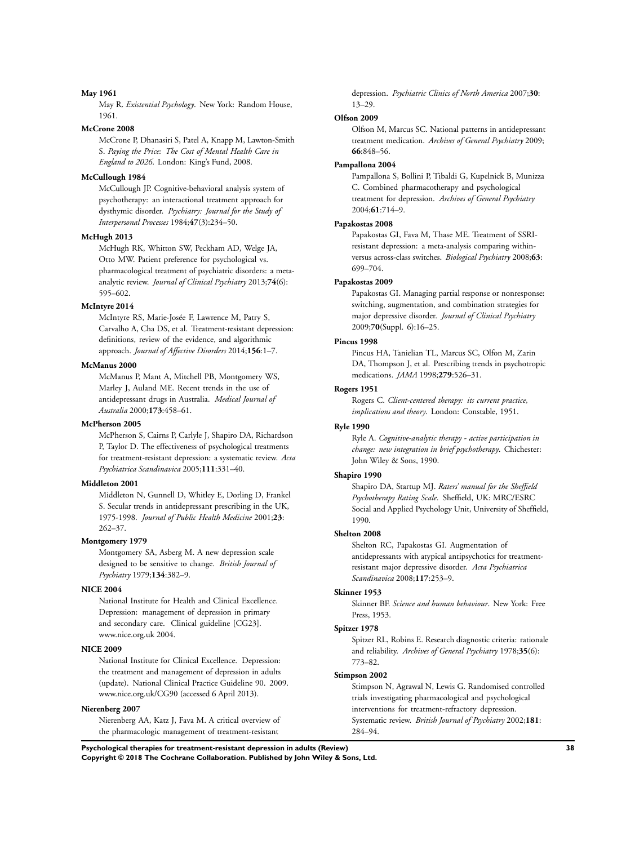### **May 1961**

May R. *Existential Psychology*. New York: Random House, 1961.

### **McCrone 2008**

McCrone P, Dhanasiri S, Patel A, Knapp M, Lawton-Smith S. *Paying the Price: The Cost of Mental Health Care in England to 2026*. London: King's Fund, 2008.

### **McCullough 1984**

McCullough JP. Cognitive-behavioral analysis system of psychotherapy: an interactional treatment approach for dysthymic disorder. *Psychiatry: Journal for the Study of Interpersonal Processes* 1984;**47**(3):234–50.

### **McHugh 2013**

McHugh RK, Whitton SW, Peckham AD, Welge JA, Otto MW. Patient preference for psychological vs. pharmacological treatment of psychiatric disorders: a metaanalytic review. *Journal of Clinical Psychiatry* 2013;**74**(6): 595–602.

### **McIntyre 2014**

McIntyre RS, Marie-Josée F, Lawrence M, Patry S, Carvalho A, Cha DS, et al. Treatment-resistant depression: definitions, review of the evidence, and algorithmic approach. *Journal of Affective Disorders* 2014;**156**:1–7.

### **McManus 2000**

McManus P, Mant A, Mitchell PB, Montgomery WS, Marley J, Auland ME. Recent trends in the use of antidepressant drugs in Australia. *Medical Journal of Australia* 2000;**173**:458–61.

#### **McPherson 2005**

McPherson S, Cairns P, Carlyle J, Shapiro DA, Richardson P, Taylor D. The effectiveness of psychological treatments for treatment-resistant depression: a systematic review. *Acta Psychiatrica Scandinavica* 2005;**111**:331–40.

### **Middleton 2001**

Middleton N, Gunnell D, Whitley E, Dorling D, Frankel S. Secular trends in antidepressant prescribing in the UK, 1975-1998. *Journal of Public Health Medicine* 2001;**23**: 262–37.

### **Montgomery 1979**

Montgomery SA, Asberg M. A new depression scale designed to be sensitive to change. *British Journal of Psychiatry* 1979;**134**:382–9.

### **NICE 2004**

National Institute for Health and Clinical Excellence. Depression: management of depression in primary and secondary care. Clinical guideline [CG23]. www.nice.org.uk 2004.

#### **NICE 2009**

National Institute for Clinical Excellence. Depression: the treatment and management of depression in adults (update). National Clinical Practice Guideline 90. 2009. www.nice.org.uk/CG90 (accessed 6 April 2013).

### **Nierenberg 2007**

Nierenberg AA, Katz J, Fava M. A critical overview of the pharmacologic management of treatment-resistant

depression. *Psychiatric Clinics of North America* 2007;**30**: 13–29.

#### **Olfson 2009**

Olfson M, Marcus SC. National patterns in antidepressant treatment medication. *Archives of General Psychiatry* 2009; **66**:848–56.

### **Pampallona 2004**

Pampallona S, Bollini P, Tibaldi G, Kupelnick B, Munizza C. Combined pharmacotherapy and psychological treatment for depression. *Archives of General Psychiatry* 2004;**61**:714–9.

### **Papakostas 2008**

Papakostas GI, Fava M, Thase ME. Treatment of SSRIresistant depression: a meta-analysis comparing withinversus across-class switches. *Biological Psychiatry* 2008;**63**: 699–704.

### **Papakostas 2009**

Papakostas GI. Managing partial response or nonresponse: switching, augmentation, and combination strategies for major depressive disorder. *Journal of Clinical Psychiatry* 2009;**70**(Suppl. 6):16–25.

### **Pincus 1998**

Pincus HA, Tanielian TL, Marcus SC, Olfon M, Zarin DA, Thompson J, et al. Prescribing trends in psychotropic medications. *JAMA* 1998;**279**:526–31.

## **Rogers 1951**

Rogers C. *Client-centered therapy: its current practice, implications and theory*. London: Constable, 1951.

### **Ryle 1990**

Ryle A. *Cognitive-analytic therapy - active participation in change: new integration in brief psychotherapy*. Chichester: John Wiley & Sons, 1990.

### **Shapiro 1990**

Shapiro DA, Startup MJ. *Raters' manual for the Sheffield Psychotherapy Rating Scale*. Sheffield, UK: MRC/ESRC Social and Applied Psychology Unit, University of Sheffield, 1990.

### **Shelton 2008**

Shelton RC, Papakostas GI. Augmentation of antidepressants with atypical antipsychotics for treatmentresistant major depressive disorder. *Acta Psychiatrica Scandinavica* 2008;**117**:253–9.

### **Skinner 1953**

Skinner BF. *Science and human behaviour*. New York: Free Press, 1953.

### **Spitzer 1978**

Spitzer RL, Robins E. Research diagnostic criteria: rationale and reliability. *Archives of General Psychiatry* 1978;**35**(6): 773–82.

#### **Stimpson 2002**

Stimpson N, Agrawal N, Lewis G. Randomised controlled trials investigating pharmacological and psychological interventions for treatment-refractory depression. Systematic review. *British Journal of Psychiatry* 2002;**181**: 284–94.

**Psychological therapies for treatment-resistant depression in adults (Review) 38**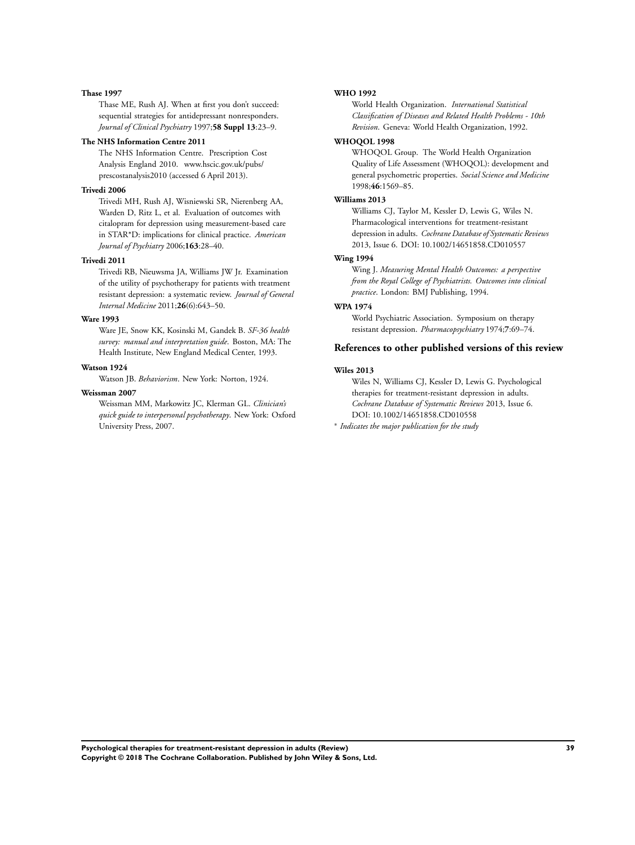### **Thase 1997**

Thase ME, Rush AJ. When at first you don't succeed: sequential strategies for antidepressant nonresponders. *Journal of Clinical Psychiatry* 1997;**58 Suppl 13**:23–9.

#### **The NHS Information Centre 2011**

The NHS Information Centre. Prescription Cost Analysis England 2010. www.hscic.gov.uk/pubs/ prescostanalysis2010 (accessed 6 April 2013).

### **Trivedi 2006**

Trivedi MH, Rush AJ, Wisniewski SR, Nierenberg AA, Warden D, Ritz L, et al. Evaluation of outcomes with citalopram for depression using measurement-based care in STAR\*D: implications for clinical practice. *American Journal of Psychiatry* 2006;**163**:28–40.

### **Trivedi 2011**

Trivedi RB, Nieuwsma JA, Williams JW Jr. Examination of the utility of psychotherapy for patients with treatment resistant depression: a systematic review. *Journal of General Internal Medicine* 2011;**26**(6):643–50.

#### **Ware 1993**

Ware JE, Snow KK, Kosinski M, Gandek B. *SF-36 health survey: manual and interpretation guide*. Boston, MA: The Health Institute, New England Medical Center, 1993.

### **Watson 1924**

Watson JB. *Behaviorism*. New York: Norton, 1924.

### **Weissman 2007**

Weissman MM, Markowitz JC, Klerman GL. *Clinician's quick guide to interpersonal psychotherapy*. New York: Oxford University Press, 2007.

### **WHO 1992**

World Health Organization. *International Statistical Classification of Diseases and Related Health Problems - 10th Revision*. Geneva: World Health Organization, 1992.

### **WHOQOL 1998**

WHOQOL Group. The World Health Organization Quality of Life Assessment (WHOQOL): development and general psychometric properties. *Social Science and Medicine* 1998;**46**:1569–85.

### **Williams 2013**

Williams CJ, Taylor M, Kessler D, Lewis G, Wiles N. Pharmacological interventions for treatment-resistant depression in adults. *Cochrane Database of Systematic Reviews* 2013, Issue 6. DOI: 10.1002/14651858.CD010557

### **Wing 1994**

Wing J. *Measuring Mental Health Outcomes: a perspective from the Royal College of Psychiatrists. Outcomes into clinical practice*. London: BMJ Publishing, 1994.

#### **WPA 1974**

World Psychiatric Association. Symposium on therapy resistant depression. *Pharmacopsychiatry* 1974;**7**:69–74.

#### **References to other published versions of this review**

### **Wiles 2013**

Wiles N, Williams CJ, Kessler D, Lewis G. Psychological therapies for treatment-resistant depression in adults. *Cochrane Database of Systematic Reviews* 2013, Issue 6. DOI: 10.1002/14651858.CD010558

∗ *Indicates the major publication for the study*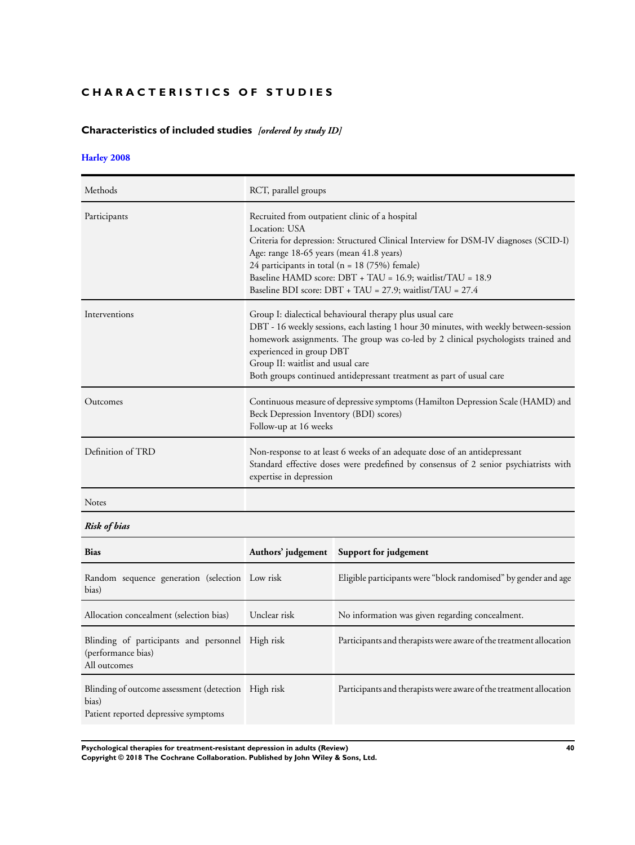# **CHARACTERISTICS OF STUDIES**

# **Characteristics of included studies** *[ordered by study ID]*

# **[Harley 2008](#page-32-0)**

| Methods           | RCT, parallel groups                                                                                                                                                                                                                                                                                                                                                                   |
|-------------------|----------------------------------------------------------------------------------------------------------------------------------------------------------------------------------------------------------------------------------------------------------------------------------------------------------------------------------------------------------------------------------------|
| Participants      | Recruited from outpatient clinic of a hospital<br>Location: USA<br>Criteria for depression: Structured Clinical Interview for DSM-IV diagnoses (SCID-I)<br>Age: range 18-65 years (mean 41.8 years)<br>24 participants in total ( $n = 18$ (75%) female)<br>Baseline HAMD score: $DBT + TAU = 16.9$ ; waitlist/TAU = 18.9<br>Baseline BDI score: DBT + TAU = 27.9; waitlist/TAU = 27.4 |
| Interventions     | Group I: dialectical behavioural therapy plus usual care<br>DBT - 16 weekly sessions, each lasting 1 hour 30 minutes, with weekly between-session<br>homework assignments. The group was co-led by 2 clinical psychologists trained and<br>experienced in group DBT<br>Group II: waitlist and usual care<br>Both groups continued antidepressant treatment as part of usual care       |
| Outcomes          | Continuous measure of depressive symptoms (Hamilton Depression Scale (HAMD) and<br>Beck Depression Inventory (BDI) scores)<br>Follow-up at 16 weeks                                                                                                                                                                                                                                    |
| Definition of TRD | Non-response to at least 6 weeks of an adequate dose of an antidepressant<br>Standard effective doses were predefined by consensus of 2 senior psychiatrists with<br>expertise in depression                                                                                                                                                                                           |
| <b>Notes</b>      |                                                                                                                                                                                                                                                                                                                                                                                        |

*Risk of bias*

| <b>Bias</b>                                                                                          |              | Authors' judgement Support for judgement                           |
|------------------------------------------------------------------------------------------------------|--------------|--------------------------------------------------------------------|
| Random sequence generation (selection Low risk)<br>bias)                                             |              | Eligible participants were "block randomised" by gender and age    |
| Allocation concealment (selection bias)                                                              | Unclear risk | No information was given regarding concealment.                    |
| Blinding of participants and personnel High risk<br>(performance bias)<br>All outcomes               |              | Participants and therapists were aware of the treatment allocation |
| Blinding of outcome assessment (detection High risk<br>bias)<br>Patient reported depressive symptoms |              | Participants and therapists were aware of the treatment allocation |

**Psychological therapies for treatment-resistant depression in adults (Review) 40**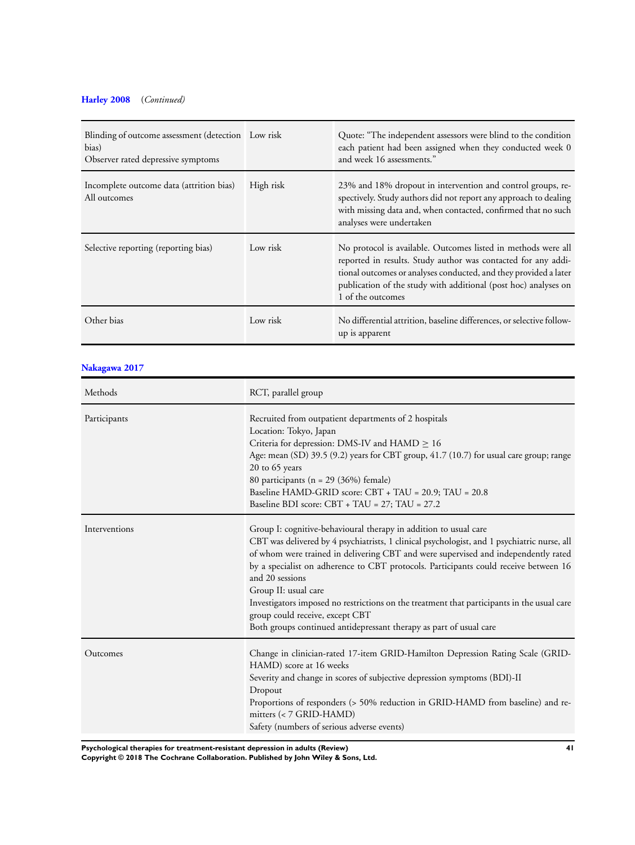# **[Harley 2008](#page-32-0)** (*Continued)*

| Blinding of outcome assessment (detection Low risk<br>bias)<br>Observer rated depressive symptoms |           | Quote: "The independent assessors were blind to the condition<br>each patient had been assigned when they conducted week 0<br>and week 16 assessments."                                                                                                                                    |
|---------------------------------------------------------------------------------------------------|-----------|--------------------------------------------------------------------------------------------------------------------------------------------------------------------------------------------------------------------------------------------------------------------------------------------|
| Incomplete outcome data (attrition bias)<br>All outcomes                                          | High risk | 23% and 18% dropout in intervention and control groups, re-<br>spectively. Study authors did not report any approach to dealing<br>with missing data and, when contacted, confirmed that no such<br>analyses were undertaken                                                               |
| Selective reporting (reporting bias)                                                              | Low risk  | No protocol is available. Outcomes listed in methods were all<br>reported in results. Study author was contacted for any addi-<br>tional outcomes or analyses conducted, and they provided a later<br>publication of the study with additional (post hoc) analyses on<br>1 of the outcomes |
| Other bias                                                                                        | Low risk  | No differential attrition, baseline differences, or selective follow-<br>up is apparent                                                                                                                                                                                                    |

# **[Nakagawa 2017](#page-32-0)**

| Methods       | RCT, parallel group                                                                                                                                                                                                                                                                                                                                                                                                                                                                                                                                                                             |
|---------------|-------------------------------------------------------------------------------------------------------------------------------------------------------------------------------------------------------------------------------------------------------------------------------------------------------------------------------------------------------------------------------------------------------------------------------------------------------------------------------------------------------------------------------------------------------------------------------------------------|
| Participants  | Recruited from outpatient departments of 2 hospitals<br>Location: Tokyo, Japan<br>Criteria for depression: DMS-IV and $HAMD \geq 16$<br>Age: mean (SD) 39.5 (9.2) years for CBT group, 41.7 (10.7) for usual care group; range<br>$20$ to 65 years<br>80 participants ( $n = 29$ (36%) female)<br>Baseline HAMD-GRID score: CBT + TAU = 20.9; TAU = 20.8<br>Baseline BDI score: $CBT + TAU = 27$ ; $TAU = 27.2$                                                                                                                                                                                 |
| Interventions | Group I: cognitive-behavioural therapy in addition to usual care<br>CBT was delivered by 4 psychiatrists, 1 clinical psychologist, and 1 psychiatric nurse, all<br>of whom were trained in delivering CBT and were supervised and independently rated<br>by a specialist on adherence to CBT protocols. Participants could receive between 16<br>and 20 sessions<br>Group II: usual care<br>Investigators imposed no restrictions on the treatment that participants in the usual care<br>group could receive, except CBT<br>Both groups continued antidepressant therapy as part of usual care |
| Outcomes      | Change in clinician-rated 17-item GRID-Hamilton Depression Rating Scale (GRID-<br>HAMD) score at 16 weeks<br>Severity and change in scores of subjective depression symptoms (BDI)-II<br>Dropout<br>Proportions of responders (> 50% reduction in GRID-HAMD from baseline) and re-<br>mitters (< 7 GRID-HAMD)<br>Safety (numbers of serious adverse events)                                                                                                                                                                                                                                     |

**Psychological therapies for treatment-resistant depression in adults (Review) 41**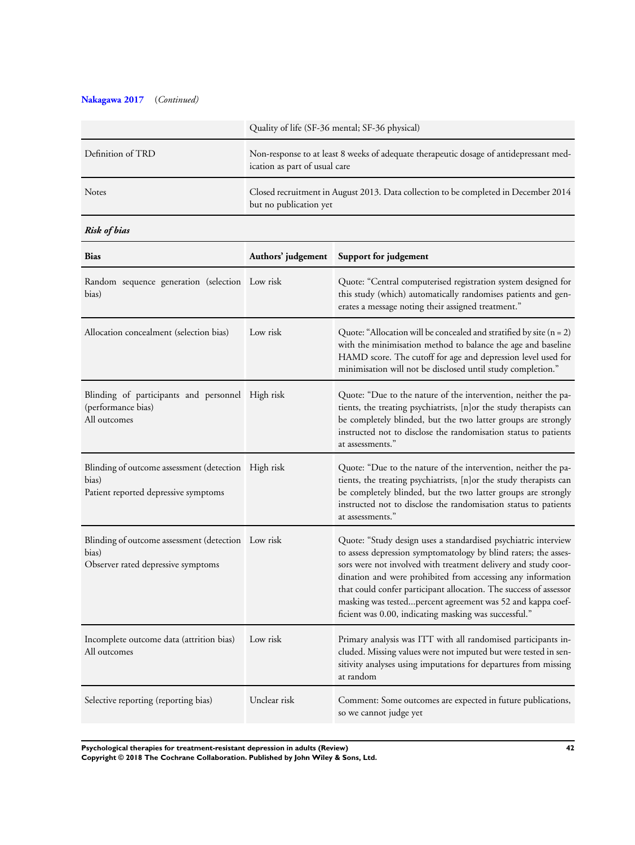# **[Nakagawa 2017](#page-32-0)** (*Continued)*

|                   | Quality of life (SF-36 mental; SF-36 physical)                                                                          |
|-------------------|-------------------------------------------------------------------------------------------------------------------------|
| Definition of TRD | Non-response to at least 8 weeks of adequate therapeutic dosage of antidepressant med-<br>ication as part of usual care |
| <b>Notes</b>      | Closed recruitment in August 2013. Data collection to be completed in December 2014<br>but no publication yet           |

*Risk of bias*

| <b>Bias</b>                                                                                          |              | Authors' judgement Support for judgement                                                                                                                                                                                                                                                                                                                                                                                                                       |
|------------------------------------------------------------------------------------------------------|--------------|----------------------------------------------------------------------------------------------------------------------------------------------------------------------------------------------------------------------------------------------------------------------------------------------------------------------------------------------------------------------------------------------------------------------------------------------------------------|
| Random sequence generation (selection Low risk<br>bias)                                              |              | Quote: "Central computerised registration system designed for<br>this study (which) automatically randomises patients and gen-<br>erates a message noting their assigned treatment."                                                                                                                                                                                                                                                                           |
| Allocation concealment (selection bias)                                                              | Low risk     | Quote: "Allocation will be concealed and stratified by site $(n = 2)$<br>with the minimisation method to balance the age and baseline<br>HAMD score. The cutoff for age and depression level used for<br>minimisation will not be disclosed until study completion."                                                                                                                                                                                           |
| Blinding of participants and personnel High risk<br>(performance bias)<br>All outcomes               |              | Quote: "Due to the nature of the intervention, neither the pa-<br>tients, the treating psychiatrists, [n]or the study therapists can<br>be completely blinded, but the two latter groups are strongly<br>instructed not to disclose the randomisation status to patients<br>at assessments."                                                                                                                                                                   |
| Blinding of outcome assessment (detection High risk<br>bias)<br>Patient reported depressive symptoms |              | Quote: "Due to the nature of the intervention, neither the pa-<br>tients, the treating psychiatrists, [n]or the study therapists can<br>be completely blinded, but the two latter groups are strongly<br>instructed not to disclose the randomisation status to patients<br>at assessments."                                                                                                                                                                   |
| Blinding of outcome assessment (detection Low risk<br>bias)<br>Observer rated depressive symptoms    |              | Quote: "Study design uses a standardised psychiatric interview<br>to assess depression symptomatology by blind raters; the asses-<br>sors were not involved with treatment delivery and study coor-<br>dination and were prohibited from accessing any information<br>that could confer participant allocation. The success of assessor<br>masking was testedpercent agreement was 52 and kappa coef-<br>ficient was 0.00, indicating masking was successful." |
| Incomplete outcome data (attrition bias)<br>All outcomes                                             | Low risk     | Primary analysis was ITT with all randomised participants in-<br>cluded. Missing values were not imputed but were tested in sen-<br>sitivity analyses using imputations for departures from missing<br>at random                                                                                                                                                                                                                                               |
| Selective reporting (reporting bias)                                                                 | Unclear risk | Comment: Some outcomes are expected in future publications,<br>so we cannot judge yet                                                                                                                                                                                                                                                                                                                                                                          |

**Psychological therapies for treatment-resistant depression in adults (Review) 42**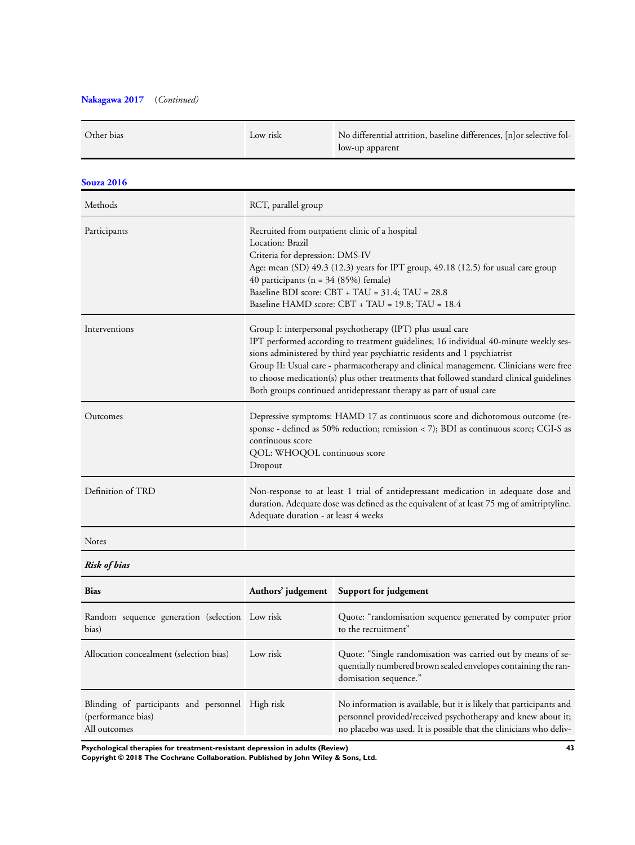# **[Nakagawa 2017](#page-32-0)** (*Continued)*

| Other bias          | Low risk                                                                                                                                                                                                                                                                                                                                                                                                                                                                                  | No differential attrition, baseline differences, [n]or selective fol-<br>low-up apparent |  |
|---------------------|-------------------------------------------------------------------------------------------------------------------------------------------------------------------------------------------------------------------------------------------------------------------------------------------------------------------------------------------------------------------------------------------------------------------------------------------------------------------------------------------|------------------------------------------------------------------------------------------|--|
| Souza 2016          |                                                                                                                                                                                                                                                                                                                                                                                                                                                                                           |                                                                                          |  |
| Methods             | RCT, parallel group                                                                                                                                                                                                                                                                                                                                                                                                                                                                       |                                                                                          |  |
| Participants        | Recruited from outpatient clinic of a hospital<br>Location: Brazil<br>Criteria for depression: DMS-IV<br>Age: mean (SD) 49.3 (12.3) years for IPT group, 49.18 (12.5) for usual care group<br>40 participants ( $n = 34$ (85%) female)<br>Baseline BDI score: CBT + TAU = 31.4; TAU = 28.8<br>Baseline HAMD score: CBT + TAU = 19.8; TAU = 18.4                                                                                                                                           |                                                                                          |  |
| Interventions       | Group I: interpersonal psychotherapy (IPT) plus usual care<br>IPT performed according to treatment guidelines; 16 individual 40-minute weekly ses-<br>sions administered by third year psychiatric residents and 1 psychiatrist<br>Group II: Usual care - pharmacotherapy and clinical management. Clinicians were free<br>to choose medication(s) plus other treatments that followed standard clinical guidelines<br>Both groups continued antidepressant therapy as part of usual care |                                                                                          |  |
| Outcomes            | Depressive symptoms: HAMD 17 as continuous score and dichotomous outcome (re-<br>sponse - defined as 50% reduction; remission < 7); BDI as continuous score; CGI-S as<br>continuous score<br>QOL: WHOQOL continuous score<br>Dropout                                                                                                                                                                                                                                                      |                                                                                          |  |
| Definition of TRD   | Non-response to at least 1 trial of antidepressant medication in adequate dose and<br>duration. Adequate dose was defined as the equivalent of at least 75 mg of amitriptyline.<br>Adequate duration - at least 4 weeks                                                                                                                                                                                                                                                                   |                                                                                          |  |
| <b>Notes</b>        |                                                                                                                                                                                                                                                                                                                                                                                                                                                                                           |                                                                                          |  |
| <b>Risk of bias</b> |                                                                                                                                                                                                                                                                                                                                                                                                                                                                                           |                                                                                          |  |
| <b>Bias</b>         | Authors' judgement                                                                                                                                                                                                                                                                                                                                                                                                                                                                        | Support for judgement                                                                    |  |
|                     |                                                                                                                                                                                                                                                                                                                                                                                                                                                                                           |                                                                                          |  |

| Random sequence generation (selection Low risk<br>bias)                                |          | Quote: "randomisation sequence generated by computer prior<br>to the recruitment"                                                                                                                         |
|----------------------------------------------------------------------------------------|----------|-----------------------------------------------------------------------------------------------------------------------------------------------------------------------------------------------------------|
| Allocation concealment (selection bias)                                                | Low risk | Quote: "Single randomisation was carried out by means of se-<br>quentially numbered brown sealed envelopes containing the ran-<br>domisation sequence."                                                   |
| Blinding of participants and personnel High risk<br>(performance bias)<br>All outcomes |          | No information is available, but it is likely that participants and<br>personnel provided/received psychotherapy and knew about it;<br>no placebo was used. It is possible that the clinicians who deliv- |

**Psychological therapies for treatment-resistant depression in adults (Review) 43**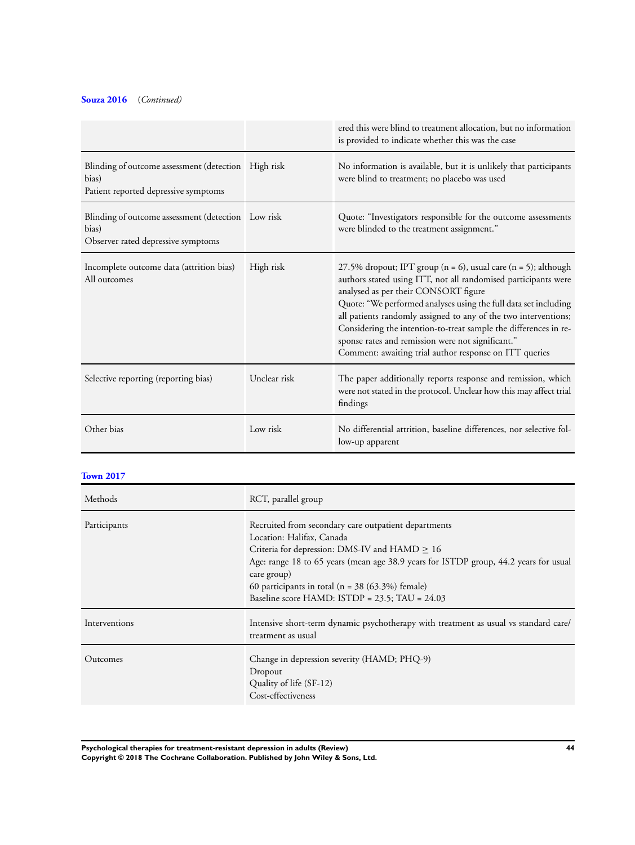## **[Souza 2016](#page-32-0)** (*Continued)*

|                                                                                                      |              | ered this were blind to treatment allocation, but no information<br>is provided to indicate whether this was the case                                                                                                                                                                                                                                                                                                                                                                                     |
|------------------------------------------------------------------------------------------------------|--------------|-----------------------------------------------------------------------------------------------------------------------------------------------------------------------------------------------------------------------------------------------------------------------------------------------------------------------------------------------------------------------------------------------------------------------------------------------------------------------------------------------------------|
| Blinding of outcome assessment (detection High risk<br>bias)<br>Patient reported depressive symptoms |              | No information is available, but it is unlikely that participants<br>were blind to treatment; no placebo was used                                                                                                                                                                                                                                                                                                                                                                                         |
| Blinding of outcome assessment (detection Low risk<br>bias)<br>Observer rated depressive symptoms    |              | Quote: "Investigators responsible for the outcome assessments<br>were blinded to the treatment assignment."                                                                                                                                                                                                                                                                                                                                                                                               |
| Incomplete outcome data (attrition bias)<br>All outcomes                                             | High risk    | 27.5% dropout; IPT group ( $n = 6$ ), usual care ( $n = 5$ ); although<br>authors stated using ITT, not all randomised participants were<br>analysed as per their CONSORT figure<br>Quote: "We performed analyses using the full data set including<br>all patients randomly assigned to any of the two interventions;<br>Considering the intention-to-treat sample the differences in re-<br>sponse rates and remission were not significant."<br>Comment: awaiting trial author response on ITT queries |
| Selective reporting (reporting bias)                                                                 | Unclear risk | The paper additionally reports response and remission, which<br>were not stated in the protocol. Unclear how this may affect trial<br>findings                                                                                                                                                                                                                                                                                                                                                            |
| Other bias                                                                                           | Low risk     | No differential attrition, baseline differences, nor selective fol-<br>low-up apparent                                                                                                                                                                                                                                                                                                                                                                                                                    |

# **[Town 2017](#page-32-0)**

| Methods       | RCT, parallel group                                                                                                                                                                                                                                                                                                                                          |
|---------------|--------------------------------------------------------------------------------------------------------------------------------------------------------------------------------------------------------------------------------------------------------------------------------------------------------------------------------------------------------------|
| Participants  | Recruited from secondary care outpatient departments<br>Location: Halifax, Canada<br>Criteria for depression: DMS-IV and $HAMD \geq 16$<br>Age: range 18 to 65 years (mean age 38.9 years for ISTDP group, 44.2 years for usual<br>care group)<br>60 participants in total ( $n = 38$ (63.3%) female)<br>Baseline score HAMD: ISTDP = $23.5$ ; TAU = $24.03$ |
| Interventions | Intensive short-term dynamic psychotherapy with treatment as usual vs standard care/<br>treatment as usual                                                                                                                                                                                                                                                   |
| Outcomes      | Change in depression severity (HAMD; PHQ-9)<br>Dropout<br>Quality of life (SF-12)<br>Cost-effectiveness                                                                                                                                                                                                                                                      |

**Psychological therapies for treatment-resistant depression in adults (Review) 44 Copyright © 2018 The Cochrane Collaboration. Published by John Wiley & Sons, Ltd.**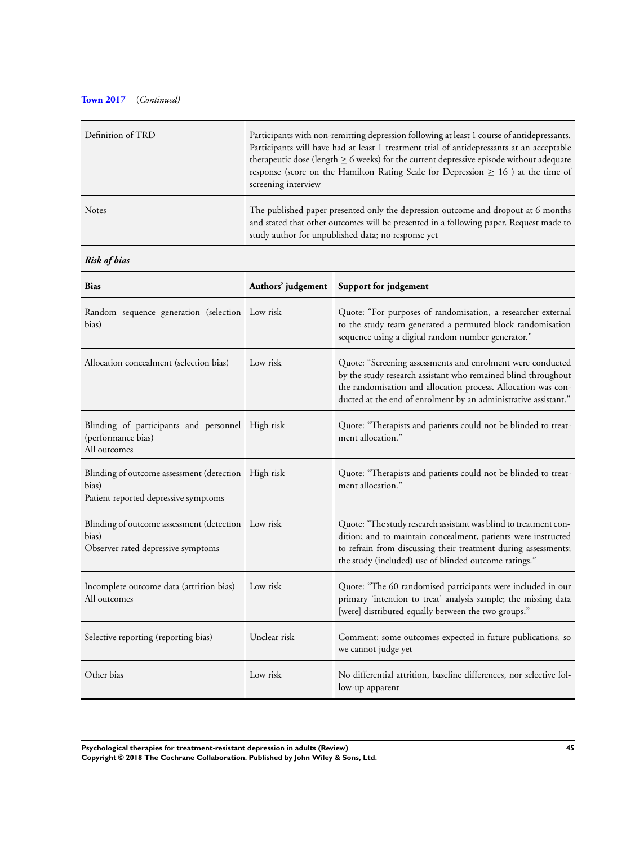# **[Town 2017](#page-32-0)** (*Continued)*

| Definition of TRD | Participants with non-remitting depression following at least 1 course of antidepressants.<br>Participants will have had at least 1 treatment trial of antidepressants at an acceptable<br>therapeutic dose (length $\geq$ 6 weeks) for the current depressive episode without adequate<br>response (score on the Hamilton Rating Scale for Depression $\geq 16$ ) at the time of<br>screening interview |
|-------------------|----------------------------------------------------------------------------------------------------------------------------------------------------------------------------------------------------------------------------------------------------------------------------------------------------------------------------------------------------------------------------------------------------------|
| <b>Notes</b>      | The published paper presented only the depression outcome and dropout at 6 months<br>and stated that other outcomes will be presented in a following paper. Request made to<br>study author for unpublished data; no response yet                                                                                                                                                                        |

# *Risk of bias*

| <b>Bias</b>                                                                                          | Authors' judgement | Support for judgement                                                                                                                                                                                                                                           |
|------------------------------------------------------------------------------------------------------|--------------------|-----------------------------------------------------------------------------------------------------------------------------------------------------------------------------------------------------------------------------------------------------------------|
| Random sequence generation (selection Low risk<br>bias)                                              |                    | Quote: "For purposes of randomisation, a researcher external<br>to the study team generated a permuted block randomisation<br>sequence using a digital random number generator."                                                                                |
| Allocation concealment (selection bias)                                                              | Low risk           | Quote: "Screening assessments and enrolment were conducted<br>by the study research assistant who remained blind throughout<br>the randomisation and allocation process. Allocation was con-<br>ducted at the end of enrolment by an administrative assistant." |
| Blinding of participants and personnel High risk<br>(performance bias)<br>All outcomes               |                    | Quote: "Therapists and patients could not be blinded to treat-<br>ment allocation."                                                                                                                                                                             |
| Blinding of outcome assessment (detection High risk<br>bias)<br>Patient reported depressive symptoms |                    | Quote: "Therapists and patients could not be blinded to treat-<br>ment allocation."                                                                                                                                                                             |
| Blinding of outcome assessment (detection Low risk<br>bias)<br>Observer rated depressive symptoms    |                    | Quote: "The study research assistant was blind to treatment con-<br>dition; and to maintain concealment, patients were instructed<br>to refrain from discussing their treatment during assessments;<br>the study (included) use of blinded outcome ratings."    |
| Incomplete outcome data (attrition bias)<br>All outcomes                                             | Low risk           | Quote: "The 60 randomised participants were included in our<br>primary 'intention to treat' analysis sample; the missing data<br>[were] distributed equally between the two groups."                                                                            |
| Selective reporting (reporting bias)                                                                 | Unclear risk       | Comment: some outcomes expected in future publications, so<br>we cannot judge yet                                                                                                                                                                               |
| Other bias                                                                                           | Low risk           | No differential attrition, baseline differences, nor selective fol-<br>low-up apparent                                                                                                                                                                          |

**Psychological therapies for treatment-resistant depression in adults (Review) 45 Copyright © 2018 The Cochrane Collaboration. Published by John Wiley & Sons, Ltd.**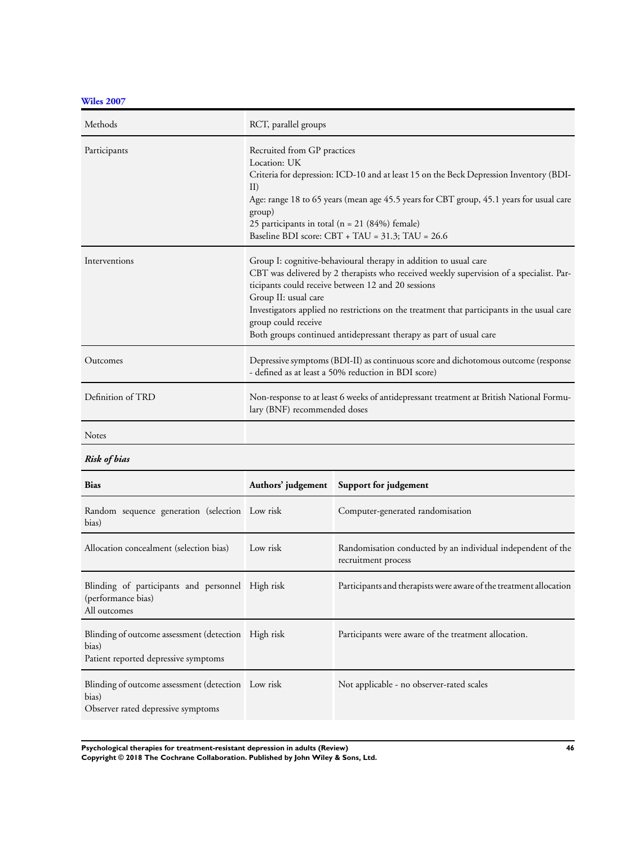**[Wiles 2007](#page-32-0)**

| Methods                                                                                              | RCT, parallel groups                                                                                                                                                                                                                                                                                                                                                                                                                 |                                                                                    |
|------------------------------------------------------------------------------------------------------|--------------------------------------------------------------------------------------------------------------------------------------------------------------------------------------------------------------------------------------------------------------------------------------------------------------------------------------------------------------------------------------------------------------------------------------|------------------------------------------------------------------------------------|
| Participants                                                                                         | Recruited from GP practices<br>Location: UK<br>Criteria for depression: ICD-10 and at least 15 on the Beck Depression Inventory (BDI-<br>$\prod$<br>Age: range 18 to 65 years (mean age 45.5 years for CBT group, 45.1 years for usual care<br>group)<br>25 participants in total ( $n = 21$ (84%) female)<br>Baseline BDI score: CBT + TAU = 31.3; TAU = 26.6                                                                       |                                                                                    |
| Interventions                                                                                        | Group I: cognitive-behavioural therapy in addition to usual care<br>CBT was delivered by 2 therapists who received weekly supervision of a specialist. Par-<br>ticipants could receive between 12 and 20 sessions<br>Group II: usual care<br>Investigators applied no restrictions on the treatment that participants in the usual care<br>group could receive<br>Both groups continued antidepressant therapy as part of usual care |                                                                                    |
| Outcomes                                                                                             | Depressive symptoms (BDI-II) as continuous score and dichotomous outcome (response<br>- defined as at least a 50% reduction in BDI score)                                                                                                                                                                                                                                                                                            |                                                                                    |
| Definition of TRD                                                                                    | Non-response to at least 6 weeks of antidepressant treatment at British National Formu-<br>lary (BNF) recommended doses                                                                                                                                                                                                                                                                                                              |                                                                                    |
| Notes                                                                                                |                                                                                                                                                                                                                                                                                                                                                                                                                                      |                                                                                    |
| <b>Risk of bias</b>                                                                                  |                                                                                                                                                                                                                                                                                                                                                                                                                                      |                                                                                    |
| <b>Bias</b>                                                                                          | Authors' judgement                                                                                                                                                                                                                                                                                                                                                                                                                   | Support for judgement                                                              |
| Random sequence generation (selection Low risk<br>bias)                                              |                                                                                                                                                                                                                                                                                                                                                                                                                                      | Computer-generated randomisation                                                   |
| Allocation concealment (selection bias)                                                              | Low risk                                                                                                                                                                                                                                                                                                                                                                                                                             | Randomisation conducted by an individual independent of the<br>recruitment process |
| Blinding of participants and personnel High risk<br>(performance bias)<br>All outcomes               |                                                                                                                                                                                                                                                                                                                                                                                                                                      | Participants and therapists were aware of the treatment allocation                 |
| Blinding of outcome assessment (detection High risk<br>bias)<br>Patient reported depressive symptoms |                                                                                                                                                                                                                                                                                                                                                                                                                                      | Participants were aware of the treatment allocation.                               |
| Blinding of outcome assessment (detection Low risk<br>bias)<br>Observer rated depressive symptoms    |                                                                                                                                                                                                                                                                                                                                                                                                                                      | Not applicable - no observer-rated scales                                          |

**Psychological therapies for treatment-resistant depression in adults (Review) 46**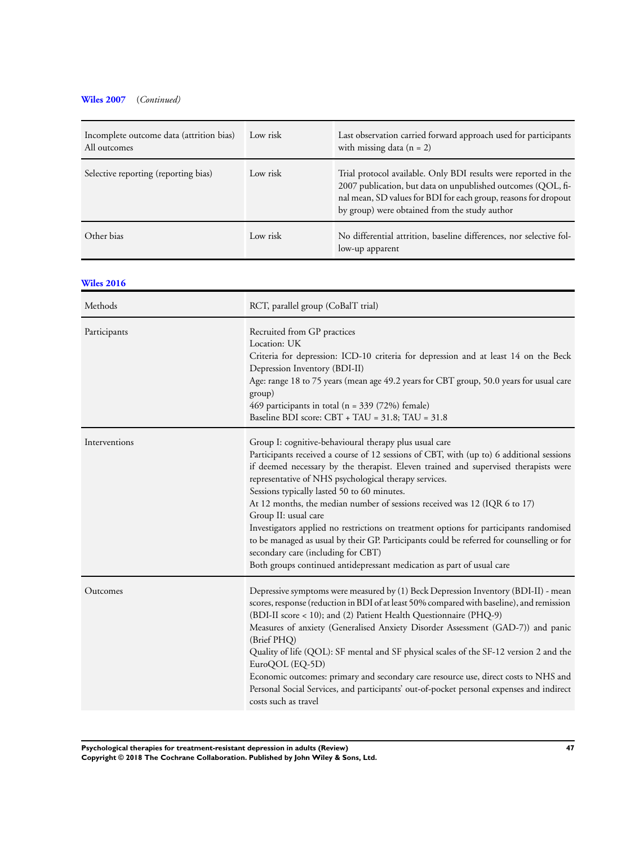# **[Wiles 2007](#page-32-0)** (*Continued)*

| Incomplete outcome data (attrition bias)<br>All outcomes | Low risk | Last observation carried forward approach used for participants<br>with missing data $(n = 2)$                                                                                                                                                      |
|----------------------------------------------------------|----------|-----------------------------------------------------------------------------------------------------------------------------------------------------------------------------------------------------------------------------------------------------|
| Selective reporting (reporting bias)                     | Low risk | Trial protocol available. Only BDI results were reported in the<br>2007 publication, but data on unpublished outcomes (QOL, fi-<br>nal mean, SD values for BDI for each group, reasons for dropout<br>by group) were obtained from the study author |
| Other bias                                               | Low risk | No differential attrition, baseline differences, nor selective fol-<br>low-up apparent                                                                                                                                                              |

# **[Wiles 2016](#page-32-0)**

| Methods       | RCT, parallel group (CoBalT trial)                                                                                                                                                                                                                                                                                                                                                                                                                                                                                                                                                                                                                                                                                                                           |
|---------------|--------------------------------------------------------------------------------------------------------------------------------------------------------------------------------------------------------------------------------------------------------------------------------------------------------------------------------------------------------------------------------------------------------------------------------------------------------------------------------------------------------------------------------------------------------------------------------------------------------------------------------------------------------------------------------------------------------------------------------------------------------------|
| Participants  | Recruited from GP practices<br>Location: UK<br>Criteria for depression: ICD-10 criteria for depression and at least 14 on the Beck<br>Depression Inventory (BDI-II)<br>Age: range 18 to 75 years (mean age 49.2 years for CBT group, 50.0 years for usual care<br>group)<br>469 participants in total ( $n = 339$ (72%) female)<br>Baseline BDI score: CBT + TAU = 31.8; TAU = 31.8                                                                                                                                                                                                                                                                                                                                                                          |
| Interventions | Group I: cognitive-behavioural therapy plus usual care<br>Participants received a course of 12 sessions of CBT, with (up to) 6 additional sessions<br>if deemed necessary by the therapist. Eleven trained and supervised therapists were<br>representative of NHS psychological therapy services.<br>Sessions typically lasted 50 to 60 minutes.<br>At 12 months, the median number of sessions received was 12 (IQR 6 to 17)<br>Group II: usual care<br>Investigators applied no restrictions on treatment options for participants randomised<br>to be managed as usual by their GP. Participants could be referred for counselling or for<br>secondary care (including for CBT)<br>Both groups continued antidepressant medication as part of usual care |
| Outcomes      | Depressive symptoms were measured by (1) Beck Depression Inventory (BDI-II) - mean<br>scores, response (reduction in BDI of at least 50% compared with baseline), and remission<br>(BDI-II score < 10); and (2) Patient Health Questionnaire (PHQ-9)<br>Measures of anxiety (Generalised Anxiety Disorder Assessment (GAD-7)) and panic<br>(Brief PHQ)<br>Quality of life (QOL): SF mental and SF physical scales of the SF-12 version 2 and the<br>EuroQOL (EQ-5D)<br>Economic outcomes: primary and secondary care resource use, direct costs to NHS and<br>Personal Social Services, and participants' out-of-pocket personal expenses and indirect<br>costs such as travel                                                                               |

**Psychological therapies for treatment-resistant depression in adults (Review) 47**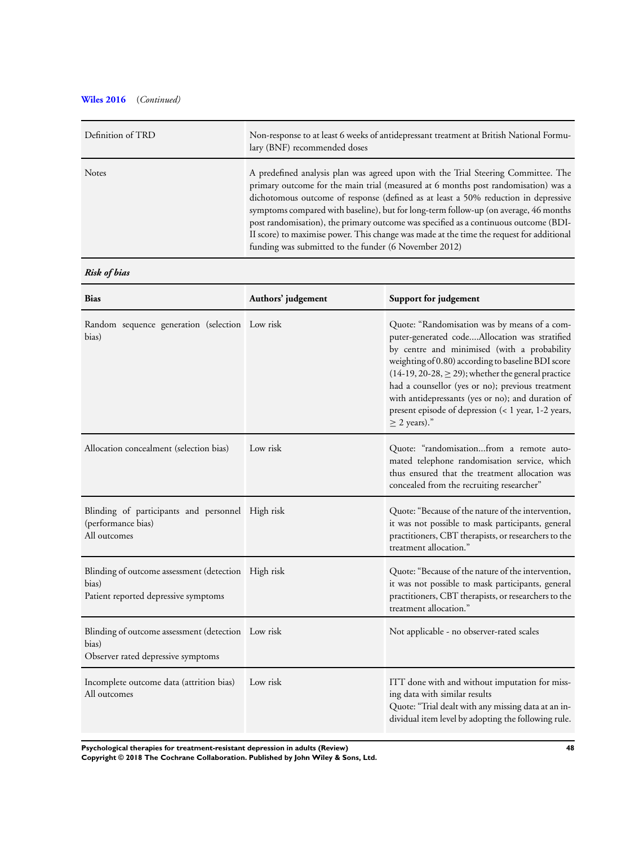# **[Wiles 2016](#page-32-0)** (*Continued)*

| Definition of TRD | Non-response to at least 6 weeks of antidepressant treatment at British National Formu-<br>lary (BNF) recommended doses                                                                                                                                                                                                                                                                                                                                                                                                                                                                            |
|-------------------|----------------------------------------------------------------------------------------------------------------------------------------------------------------------------------------------------------------------------------------------------------------------------------------------------------------------------------------------------------------------------------------------------------------------------------------------------------------------------------------------------------------------------------------------------------------------------------------------------|
| <b>Notes</b>      | A predefined analysis plan was agreed upon with the Trial Steering Committee. The<br>primary outcome for the main trial (measured at 6 months post randomisation) was a<br>dichotomous outcome of response (defined as at least a 50% reduction in depressive<br>symptoms compared with baseline), but for long-term follow-up (on average, 46 months<br>post randomisation), the primary outcome was specified as a continuous outcome (BDI-<br>II score) to maximise power. This change was made at the time the request for additional<br>funding was submitted to the funder (6 November 2012) |

# *Risk of bias*

| <b>Bias</b>                                                                                          | Authors' judgement | Support for judgement                                                                                                                                                                                                                                                                                                                                                                                                                               |
|------------------------------------------------------------------------------------------------------|--------------------|-----------------------------------------------------------------------------------------------------------------------------------------------------------------------------------------------------------------------------------------------------------------------------------------------------------------------------------------------------------------------------------------------------------------------------------------------------|
| Random sequence generation (selection Low risk<br>bias)                                              |                    | Quote: "Randomisation was by means of a com-<br>puter-generated codeAllocation was stratified<br>by centre and minimised (with a probability<br>weighting of 0.80) according to baseline BDI score<br>$(14-19, 20-28, \geq 29)$ ; whether the general practice<br>had a counsellor (yes or no); previous treatment<br>with antidepressants (yes or no); and duration of<br>present episode of depression (< 1 year, 1-2 years,<br>$\geq$ 2 years)." |
| Allocation concealment (selection bias)                                                              | Low risk           | Quote: "randomisationfrom a remote auto-<br>mated telephone randomisation service, which<br>thus ensured that the treatment allocation was<br>concealed from the recruiting researcher"                                                                                                                                                                                                                                                             |
| Blinding of participants and personnel High risk<br>(performance bias)<br>All outcomes               |                    | Quote: "Because of the nature of the intervention,<br>it was not possible to mask participants, general<br>practitioners, CBT therapists, or researchers to the<br>treatment allocation."                                                                                                                                                                                                                                                           |
| Blinding of outcome assessment (detection High risk<br>bias)<br>Patient reported depressive symptoms |                    | Quote: "Because of the nature of the intervention,<br>it was not possible to mask participants, general<br>practitioners, CBT therapists, or researchers to the<br>treatment allocation."                                                                                                                                                                                                                                                           |
| Blinding of outcome assessment (detection Low risk<br>bias)<br>Observer rated depressive symptoms    |                    | Not applicable - no observer-rated scales                                                                                                                                                                                                                                                                                                                                                                                                           |
| Incomplete outcome data (attrition bias)<br>All outcomes                                             | Low risk           | ITT done with and without imputation for miss-<br>ing data with similar results<br>Quote: "Trial dealt with any missing data at an in-<br>dividual item level by adopting the following rule.                                                                                                                                                                                                                                                       |

**Psychological therapies for treatment-resistant depression in adults (Review) 48**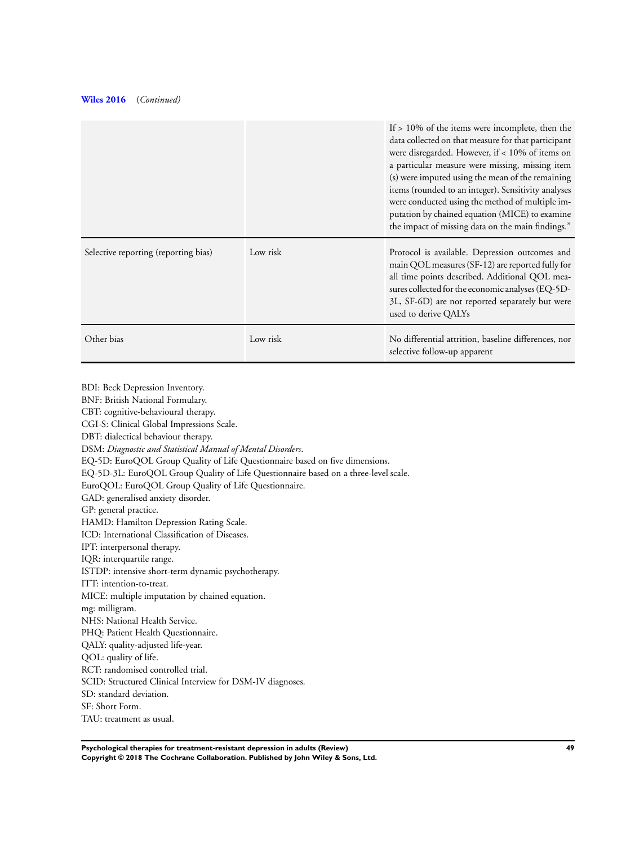### **[Wiles 2016](#page-32-0)** (*Continued)*

|                                      |          | If $> 10\%$ of the items were incomplete, then the<br>data collected on that measure for that participant<br>were disregarded. However, if $< 10\%$ of items on<br>a particular measure were missing, missing item<br>(s) were imputed using the mean of the remaining<br>items (rounded to an integer). Sensitivity analyses<br>were conducted using the method of multiple im-<br>putation by chained equation (MICE) to examine<br>the impact of missing data on the main findings." |
|--------------------------------------|----------|-----------------------------------------------------------------------------------------------------------------------------------------------------------------------------------------------------------------------------------------------------------------------------------------------------------------------------------------------------------------------------------------------------------------------------------------------------------------------------------------|
| Selective reporting (reporting bias) | Low risk | Protocol is available. Depression outcomes and<br>main QOL measures (SF-12) are reported fully for<br>all time points described. Additional QOL mea-<br>sures collected for the economic analyses (EQ-5D-<br>3L, SF-6D) are not reported separately but were<br>used to derive QALYs                                                                                                                                                                                                    |
| Other bias                           | Low risk | No differential attrition, baseline differences, nor<br>selective follow-up apparent                                                                                                                                                                                                                                                                                                                                                                                                    |

BDI: Beck Depression Inventory. BNF: British National Formulary. CBT: cognitive-behavioural therapy. CGI-S: Clinical Global Impressions Scale. DBT: dialectical behaviour therapy. DSM: *Diagnostic and Statistical Manual of Mental Disorders*. EQ-5D: EuroQOL Group Quality of Life Questionnaire based on five dimensions. EQ-5D-3L: EuroQOL Group Quality of Life Questionnaire based on a three-level scale. EuroQOL: EuroQOL Group Quality of Life Questionnaire. GAD: generalised anxiety disorder. GP: general practice. HAMD: Hamilton Depression Rating Scale. ICD: International Classification of Diseases. IPT: interpersonal therapy. IQR: interquartile range. ISTDP: intensive short-term dynamic psychotherapy. ITT: intention-to-treat. MICE: multiple imputation by chained equation. mg: milligram. NHS: National Health Service. PHQ: Patient Health Questionnaire. QALY: quality-adjusted life-year. QOL: quality of life. RCT: randomised controlled trial. SCID: Structured Clinical Interview for DSM-IV diagnoses. SD: standard deviation. SF: Short Form. TAU: treatment as usual.

**Psychological therapies for treatment-resistant depression in adults (Review) 49 Copyright © 2018 The Cochrane Collaboration. Published by John Wiley & Sons, Ltd.**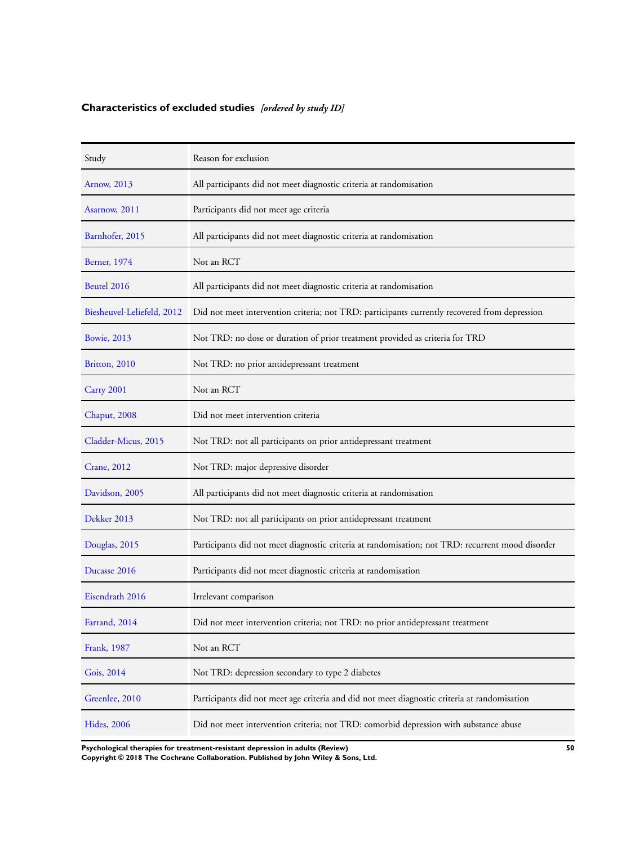# **Characteristics of excluded studies** *[ordered by study ID]*

| Study                      | Reason for exclusion                                                                             |
|----------------------------|--------------------------------------------------------------------------------------------------|
| <b>Arnow</b> , 2013        | All participants did not meet diagnostic criteria at randomisation                               |
| Asarnow, 2011              | Participants did not meet age criteria                                                           |
| Barnhofer, 2015            | All participants did not meet diagnostic criteria at randomisation                               |
| <b>Berner</b> , 1974       | Not an RCT                                                                                       |
| Beutel 2016                | All participants did not meet diagnostic criteria at randomisation                               |
| Biesheuvel-Leliefeld, 2012 | Did not meet intervention criteria; not TRD: participants currently recovered from depression    |
| <b>Bowie</b> , 2013        | Not TRD: no dose or duration of prior treatment provided as criteria for TRD                     |
| Britton, 2010              | Not TRD: no prior antidepressant treatment                                                       |
| Carty 2001                 | Not an RCT                                                                                       |
| Chaput, 2008               | Did not meet intervention criteria                                                               |
| Cladder-Micus, 2015        | Not TRD: not all participants on prior antidepressant treatment                                  |
| Crane, 2012                | Not TRD: major depressive disorder                                                               |
| Davidson, 2005             | All participants did not meet diagnostic criteria at randomisation                               |
| Dekker 2013                | Not TRD: not all participants on prior antidepressant treatment                                  |
| Douglas, 2015              | Participants did not meet diagnostic criteria at randomisation; not TRD: recurrent mood disorder |
| Ducasse 2016               | Participants did not meet diagnostic criteria at randomisation                                   |
| Eisendrath 2016            | Irrelevant comparison                                                                            |
| Farrand, 2014              | Did not meet intervention criteria; not TRD: no prior antidepressant treatment                   |
| Frank, 1987                | Not an RCT                                                                                       |
| Gois, 2014                 | Not TRD: depression secondary to type 2 diabetes                                                 |
| Greenlee, 2010             | Participants did not meet age criteria and did not meet diagnostic criteria at randomisation     |
| <b>Hides</b> , 2006        | Did not meet intervention criteria; not TRD: comorbid depression with substance abuse            |

**Psychological therapies for treatment-resistant depression in adults (Review) 50 Copyright © 2018 The Cochrane Collaboration. Published by John Wiley & Sons, Ltd.**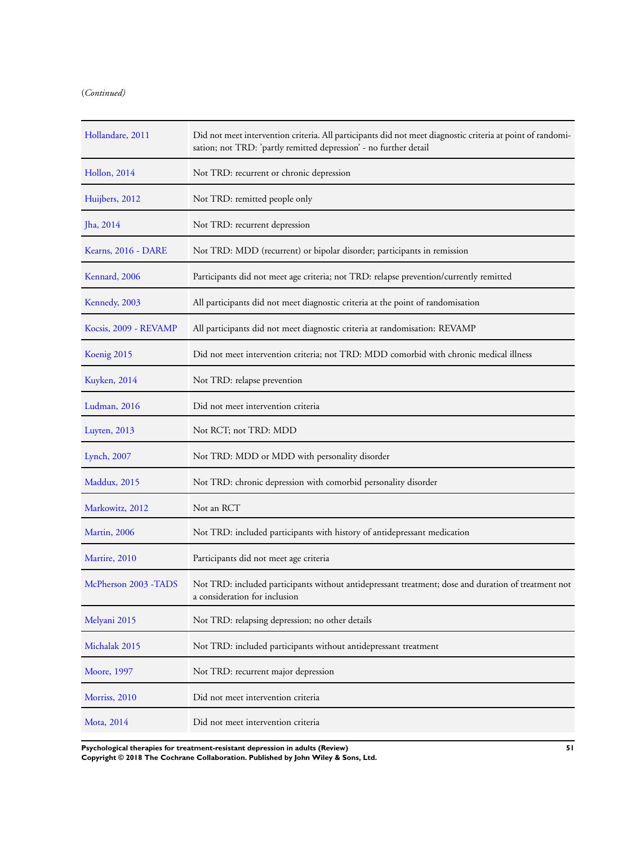## (*Continued)*

| Hollandare, 2011      | Did not meet intervention criteria. All participants did not meet diagnostic criteria at point of randomi-<br>sation; not TRD: 'partly remitted depression' - no further detail |  |
|-----------------------|---------------------------------------------------------------------------------------------------------------------------------------------------------------------------------|--|
| <b>Hollon</b> , 2014  | Not TRD: recurrent or chronic depression                                                                                                                                        |  |
| Huijbers, 2012        | Not TRD: remitted people only                                                                                                                                                   |  |
| Jha, 2014             | Not TRD: recurrent depression                                                                                                                                                   |  |
| Kearns, 2016 - DARE   | Not TRD: MDD (recurrent) or bipolar disorder; participants in remission                                                                                                         |  |
| Kennard, 2006         | Participants did not meet age criteria; not TRD: relapse prevention/currently remitted                                                                                          |  |
| Kennedy, 2003         | All participants did not meet diagnostic criteria at the point of randomisation                                                                                                 |  |
| Kocsis, 2009 - REVAMP | All participants did not meet diagnostic criteria at randomisation: REVAMP                                                                                                      |  |
| Koenig 2015           | Did not meet intervention criteria; not TRD: MDD comorbid with chronic medical illness                                                                                          |  |
| Kuyken, 2014          | Not TRD: relapse prevention                                                                                                                                                     |  |
| Ludman, 2016          | Did not meet intervention criteria                                                                                                                                              |  |
| Luyten, 2013          | Not RCT; not TRD: MDD                                                                                                                                                           |  |
| Lynch, 2007           | Not TRD: MDD or MDD with personality disorder                                                                                                                                   |  |
| Maddux, 2015          | Not TRD: chronic depression with comorbid personality disorder                                                                                                                  |  |
| Markowitz, 2012       | Not an RCT                                                                                                                                                                      |  |
| <b>Martin</b> , 2006  | Not TRD: included participants with history of antidepressant medication                                                                                                        |  |
| Martire, 2010         | Participants did not meet age criteria                                                                                                                                          |  |
| McPherson 2003 - TADS | Not TRD: included participants without antidepressant treatment; dose and duration of treatment not<br>a consideration for inclusion                                            |  |
| Melyani 2015          | Not TRD: relapsing depression; no other details                                                                                                                                 |  |
| Michalak 2015         | Not TRD: included participants without antidepressant treatment                                                                                                                 |  |
| Moore, 1997           | Not TRD: recurrent major depression                                                                                                                                             |  |
| Morriss, 2010         | Did not meet intervention criteria                                                                                                                                              |  |
| Mota, 2014            | Did not meet intervention criteria                                                                                                                                              |  |

**Psychological therapies for treatment-resistant depression in adults (Review) 51**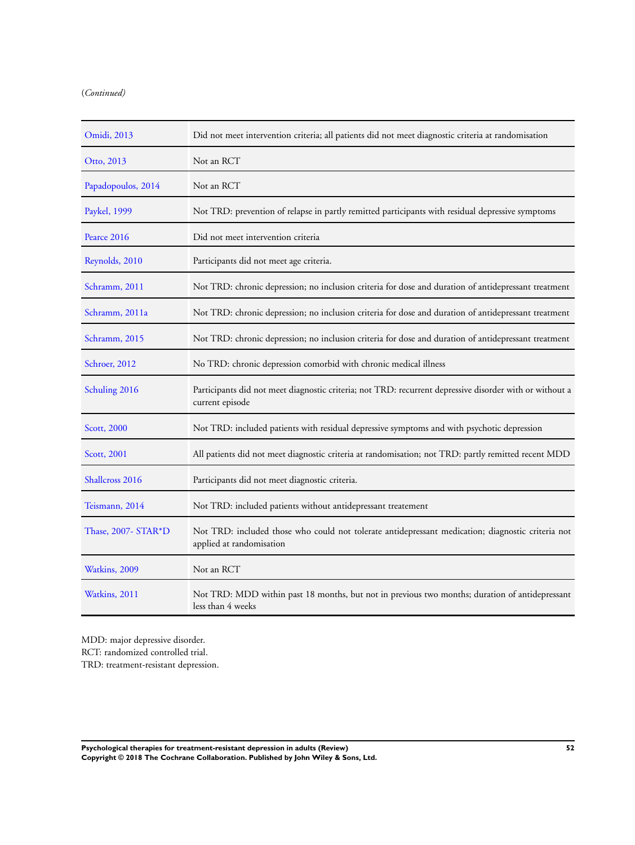### (*Continued)*

| Omidi, 2013         | Did not meet intervention criteria; all patients did not meet diagnostic criteria at randomisation                            |
|---------------------|-------------------------------------------------------------------------------------------------------------------------------|
| Otto, 2013          | Not an RCT                                                                                                                    |
| Papadopoulos, 2014  | Not an RCT                                                                                                                    |
| Paykel, 1999        | Not TRD: prevention of relapse in partly remitted participants with residual depressive symptoms                              |
| Pearce 2016         | Did not meet intervention criteria                                                                                            |
| Reynolds, 2010      | Participants did not meet age criteria.                                                                                       |
| Schramm, 2011       | Not TRD: chronic depression; no inclusion criteria for dose and duration of antidepressant treatment                          |
| Schramm, 2011a      | Not TRD: chronic depression; no inclusion criteria for dose and duration of antidepressant treatment                          |
| Schramm, 2015       | Not TRD: chronic depression; no inclusion criteria for dose and duration of antidepressant treatment                          |
| Schroer, 2012       | No TRD: chronic depression comorbid with chronic medical illness                                                              |
| Schuling 2016       | Participants did not meet diagnostic criteria; not TRD: recurrent depressive disorder with or without a<br>current episode    |
| Scott, 2000         | Not TRD: included patients with residual depressive symptoms and with psychotic depression                                    |
| Scott, 2001         | All patients did not meet diagnostic criteria at randomisation; not TRD: partly remitted recent MDD                           |
| Shallcross 2016     | Participants did not meet diagnostic criteria.                                                                                |
| Teismann, 2014      | Not TRD: included patients without antidepressant treatement                                                                  |
| Thase, 2007- STAR*D | Not TRD: included those who could not tolerate antidepressant medication; diagnostic criteria not<br>applied at randomisation |
| Watkins, 2009       | Not an RCT                                                                                                                    |
| Watkins, 2011       | Not TRD: MDD within past 18 months, but not in previous two months; duration of antidepressant<br>less than 4 weeks           |

MDD: major depressive disorder.

RCT: randomized controlled trial.

TRD: treatment-resistant depression.

**Psychological therapies for treatment-resistant depression in adults (Review) 52 Copyright © 2018 The Cochrane Collaboration. Published by John Wiley & Sons, Ltd.**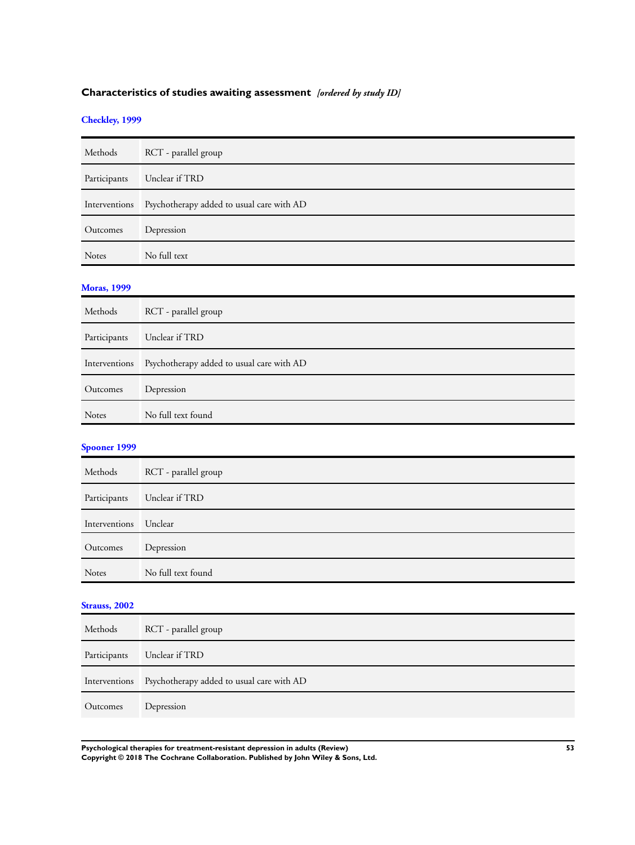# **Characteristics of studies awaiting assessment** *[ordered by study ID]*

# **[Checkley, 1999](#page-32-0)**

| Methods               | RCT - parallel group                      |
|-----------------------|-------------------------------------------|
| Participants          | Unclear if TRD                            |
| Interventions         | Psychotherapy added to usual care with AD |
| Outcomes              | Depression                                |
| Notes                 | No full text                              |
| <b>Moras, 1999</b>    |                                           |
| Methods               | RCT - parallel group                      |
| Participants          | Unclear if TRD                            |
| Interventions         | Psychotherapy added to usual care with AD |
| Outcomes              | Depression                                |
| Notes                 | No full text found                        |
| <b>Spooner 1999</b>   |                                           |
| Methods               | RCT - parallel group                      |
| Participants          | Unclear if TRD                            |
| Interventions         | Unclear                                   |
| Outcomes              | Depression                                |
| Notes                 | No full text found                        |
| <b>Strauss</b> , 2002 |                                           |
| Methods               | RCT - parallel group                      |
| Participants          | Unclear if TRD                            |
| Interventions         | Psychotherapy added to usual care with AD |
| Outcomes              | Depression                                |
|                       |                                           |

**Psychological therapies for treatment-resistant depression in adults (Review) 53 Copyright © 2018 The Cochrane Collaboration. Published by John Wiley & Sons, Ltd.**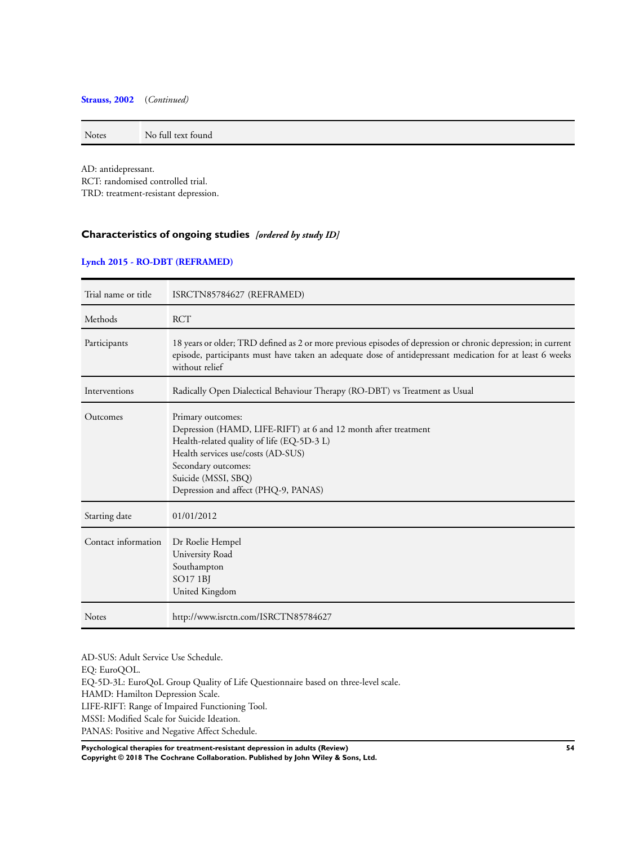# **[Strauss, 2002](#page-32-0)** (*Continued)*

|  | <b>Notes</b> | No full text found |
|--|--------------|--------------------|
|--|--------------|--------------------|

AD: antidepressant. RCT: randomised controlled trial. TRD: treatment-resistant depression.

### **Characteristics of ongoing studies** *[ordered by study ID]*

### **[Lynch 2015 - RO-DBT \(REFRAMED\)](#page-32-0)**

| Trial name or title | ISRCTN85784627 (REFRAMED)                                                                                                                                                                                                                                     |
|---------------------|---------------------------------------------------------------------------------------------------------------------------------------------------------------------------------------------------------------------------------------------------------------|
| Methods             | <b>RCT</b>                                                                                                                                                                                                                                                    |
| Participants        | 18 years or older; TRD defined as 2 or more previous episodes of depression or chronic depression; in current<br>episode, participants must have taken an adequate dose of antidepressant medication for at least 6 weeks<br>without relief                   |
| Interventions       | Radically Open Dialectical Behaviour Therapy (RO-DBT) vs Treatment as Usual                                                                                                                                                                                   |
| Outcomes            | Primary outcomes:<br>Depression (HAMD, LIFE-RIFT) at 6 and 12 month after treatment<br>Health-related quality of life (EQ-5D-3 L)<br>Health services use/costs (AD-SUS)<br>Secondary outcomes:<br>Suicide (MSSI, SBQ)<br>Depression and affect (PHQ-9, PANAS) |
| Starting date       | 01/01/2012                                                                                                                                                                                                                                                    |
| Contact information | Dr Roelie Hempel<br>University Road<br>Southampton<br>SO17 1BJ<br>United Kingdom                                                                                                                                                                              |
| <b>Notes</b>        | http://www.isrctn.com/ISRCTN85784627                                                                                                                                                                                                                          |

AD-SUS: Adult Service Use Schedule. EQ: EuroQOL. EQ-5D-3L: EuroQoL Group Quality of Life Questionnaire based on three-level scale. HAMD: Hamilton Depression Scale. LIFE-RIFT: Range of Impaired Functioning Tool. MSSI: Modified Scale for Suicide Ideation. PANAS: Positive and Negative Affect Schedule.

**Psychological therapies for treatment-resistant depression in adults (Review) 54 Copyright © 2018 The Cochrane Collaboration. Published by John Wiley & Sons, Ltd.**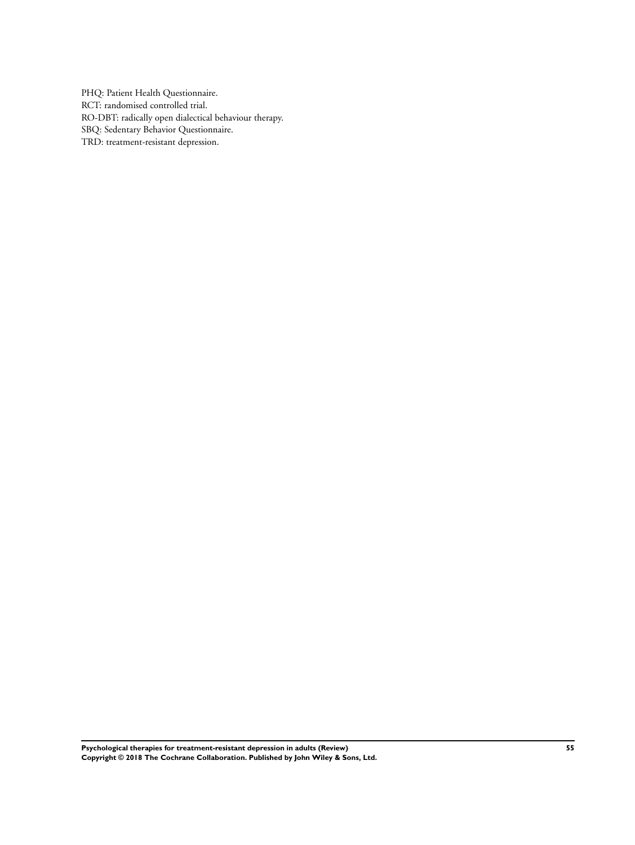PHQ: Patient Health Questionnaire. RCT: randomised controlled trial. RO-DBT: radically open dialectical behaviour therapy. SBQ: Sedentary Behavior Questionnaire. TRD: treatment-resistant depression.

**Psychological therapies for treatment-resistant depression in adults (Review) 55 Copyright © 2018 The Cochrane Collaboration. Published by John Wiley & Sons, Ltd.**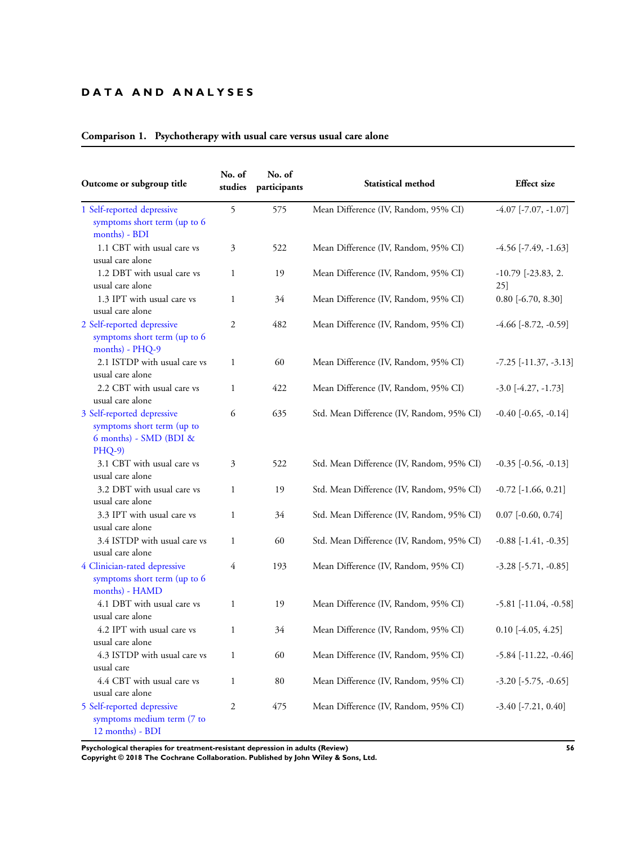# **D A T A A N D A N A L Y S E S**

| Outcome or subgroup title                                                                    | No. of<br>studies | No. of<br>participants | Statistical method                        | <b>Effect</b> size             |
|----------------------------------------------------------------------------------------------|-------------------|------------------------|-------------------------------------------|--------------------------------|
| 1 Self-reported depressive<br>symptoms short term (up to 6<br>months) - BDI                  | 5                 | 575                    | Mean Difference (IV, Random, 95% CI)      | $-4.07$ [ $-7.07$ , $-1.07$ ]  |
| 1.1 CBT with usual care vs<br>usual care alone                                               | 3                 | 522                    | Mean Difference (IV, Random, 95% CI)      | $-4.56$ [ $-7.49$ , $-1.63$ ]  |
| 1.2 DBT with usual care vs<br>usual care alone                                               | $\mathbf{1}$      | 19                     | Mean Difference (IV, Random, 95% CI)      | $-10.79$ $[-23.83, 2.$<br>25]  |
| 1.3 IPT with usual care vs<br>usual care alone                                               | $\mathbf{1}$      | 34                     | Mean Difference (IV, Random, 95% CI)      | $0.80$ [-6.70, 8.30]           |
| 2 Self-reported depressive<br>symptoms short term (up to 6<br>months) - PHQ-9                | $\overline{2}$    | 482                    | Mean Difference (IV, Random, 95% CI)      | $-4.66$ [ $-8.72, -0.59$ ]     |
| 2.1 ISTDP with usual care vs<br>usual care alone                                             | $\mathbf{1}$      | 60                     | Mean Difference (IV, Random, 95% CI)      | $-7.25$ [ $-11.37, -3.13$ ]    |
| 2.2 CBT with usual care vs<br>usual care alone                                               | $\mathbf{1}$      | 422                    | Mean Difference (IV, Random, 95% CI)      | $-3.0$ $[-4.27, -1.73]$        |
| 3 Self-reported depressive<br>symptoms short term (up to<br>6 months) - SMD (BDI &<br>PHQ-9) | 6                 | 635                    | Std. Mean Difference (IV, Random, 95% CI) | $-0.40$ [ $-0.65$ , $-0.14$ ]  |
| 3.1 CBT with usual care vs<br>usual care alone                                               | 3                 | 522                    | Std. Mean Difference (IV, Random, 95% CI) | $-0.35$ $[-0.56, -0.13]$       |
| 3.2 DBT with usual care vs<br>usual care alone                                               | $\mathbf{1}$      | 19                     | Std. Mean Difference (IV, Random, 95% CI) | $-0.72$ [ $-1.66$ , $0.21$ ]   |
| 3.3 IPT with usual care vs<br>usual care alone                                               | $\mathbf{1}$      | 34                     | Std. Mean Difference (IV, Random, 95% CI) | $0.07$ [-0.60, 0.74]           |
| 3.4 ISTDP with usual care vs<br>usual care alone                                             | $\mathbf{1}$      | 60                     | Std. Mean Difference (IV, Random, 95% CI) | $-0.88$ [ $-1.41, -0.35$ ]     |
| 4 Clinician-rated depressive<br>symptoms short term (up to 6<br>months) - HAMD               | 4                 | 193                    | Mean Difference (IV, Random, 95% CI)      | $-3.28$ [ $-5.71, -0.85$ ]     |
| 4.1 DBT with usual care vs<br>usual care alone                                               | $\mathbf{1}$      | 19                     | Mean Difference (IV, Random, 95% CI)      | $-5.81$ [ $-11.04$ , $-0.58$ ] |
| 4.2 IPT with usual care vs<br>usual care alone                                               | $\mathbf{1}$      | 34                     | Mean Difference (IV, Random, 95% CI)      | $0.10$ [-4.05, 4.25]           |
| 4.3 ISTDP with usual care vs<br>usual care                                                   | 1                 | 60                     | Mean Difference (IV, Random, 95% CI)      | $-5.84$ [ $-11.22$ , $-0.46$ ] |
| 4.4 CBT with usual care vs<br>usual care alone                                               | 1                 | 80                     | Mean Difference (IV, Random, 95% CI)      | $-3.20$ [ $-5.75$ , $-0.65$ ]  |
| 5 Self-reported depressive<br>symptoms medium term (7 to<br>12 months) - BDI                 | 2                 | 475                    | Mean Difference (IV, Random, 95% CI)      | $-3.40$ [ $-7.21$ , $0.40$ ]   |

# **Comparison 1. Psychotherapy with usual care versus usual care alone**

**Psychological therapies for treatment-resistant depression in adults (Review) 56**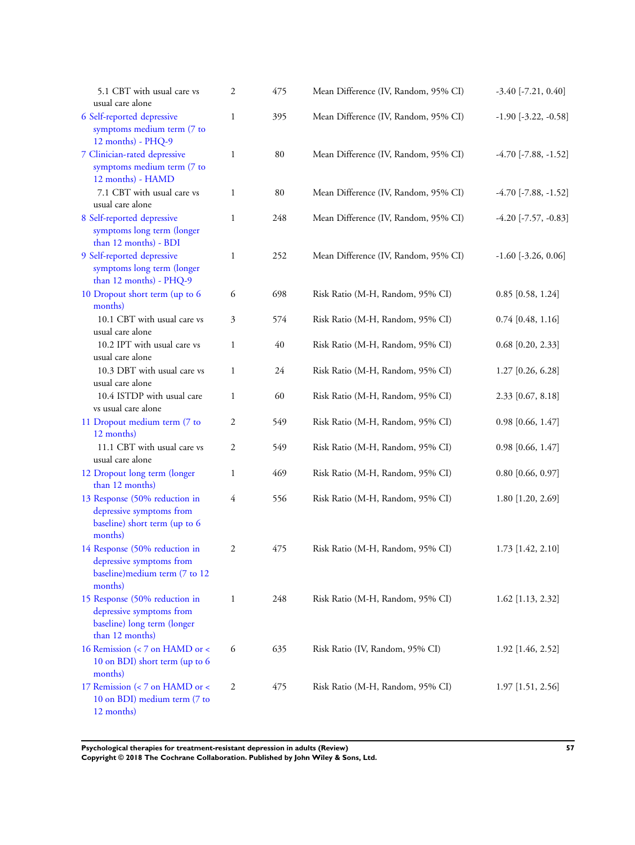| 5.1 CBT with usual care vs<br>usual care alone                                                              | 2              | 475 | Mean Difference (IV, Random, 95% CI) | $-3.40$ [ $-7.21, 0.40$ ]     |
|-------------------------------------------------------------------------------------------------------------|----------------|-----|--------------------------------------|-------------------------------|
| 6 Self-reported depressive<br>symptoms medium term (7 to<br>12 months) - PHQ-9                              | $\mathbf{1}$   | 395 | Mean Difference (IV, Random, 95% CI) | $-1.90$ $[-3.22, -0.58]$      |
| 7 Clinician-rated depressive<br>symptoms medium term (7 to<br>12 months) - HAMD                             | 1              | 80  | Mean Difference (IV, Random, 95% CI) | $-4.70$ [ $-7.88$ , $-1.52$ ] |
| 7.1 CBT with usual care vs<br>usual care alone                                                              | $\mathbf{1}$   | 80  | Mean Difference (IV, Random, 95% CI) | $-4.70$ [ $-7.88$ , $-1.52$ ] |
| 8 Self-reported depressive<br>symptoms long term (longer<br>than 12 months) - BDI                           | $\mathbf{1}$   | 248 | Mean Difference (IV, Random, 95% CI) | $-4.20$ [ $-7.57$ , $-0.83$ ] |
| 9 Self-reported depressive<br>symptoms long term (longer<br>than 12 months) - PHQ-9                         | 1              | 252 | Mean Difference (IV, Random, 95% CI) | $-1.60$ [ $-3.26$ , 0.06]     |
| 10 Dropout short term (up to 6<br>months)                                                                   | 6              | 698 | Risk Ratio (M-H, Random, 95% CI)     | $0.85$ [0.58, 1.24]           |
| 10.1 CBT with usual care vs<br>usual care alone                                                             | 3              | 574 | Risk Ratio (M-H, Random, 95% CI)     | $0.74$ [0.48, 1.16]           |
| 10.2 IPT with usual care vs<br>usual care alone                                                             | $\mathbf{1}$   | 40  | Risk Ratio (M-H, Random, 95% CI)     | $0.68$ [0.20, 2.33]           |
| 10.3 DBT with usual care vs<br>usual care alone                                                             | $\mathbf{1}$   | 24  | Risk Ratio (M-H, Random, 95% CI)     | 1.27 [0.26, 6.28]             |
| 10.4 ISTDP with usual care<br>vs usual care alone                                                           | $\mathbf{1}$   | 60  | Risk Ratio (M-H, Random, 95% CI)     | 2.33 [0.67, 8.18]             |
| 11 Dropout medium term (7 to<br>12 months)                                                                  | $\mathfrak{2}$ | 549 | Risk Ratio (M-H, Random, 95% CI)     | $0.98$ [0.66, 1.47]           |
| 11.1 CBT with usual care vs<br>usual care alone                                                             | $\mathfrak{2}$ | 549 | Risk Ratio (M-H, Random, 95% CI)     | $0.98$ [0.66, 1.47]           |
| 12 Dropout long term (longer<br>than 12 months)                                                             | $\mathbf{1}$   | 469 | Risk Ratio (M-H, Random, 95% CI)     | $0.80$ [0.66, 0.97]           |
| 13 Response (50% reduction in<br>depressive symptoms from<br>baseline) short term (up to 6<br>months)       | 4              | 556 | Risk Ratio (M-H, Random, 95% CI)     | 1.80 [1.20, 2.69]             |
| 14 Response (50% reduction in<br>depressive symptoms from<br>baseline) medium term (7 to 12<br>months)      | 2              | 475 | Risk Ratio (M-H, Random, 95% CI)     | 1.73 [1.42, 2.10]             |
| 15 Response (50% reduction in<br>depressive symptoms from<br>baseline) long term (longer<br>than 12 months) | 1              | 248 | Risk Ratio (M-H, Random, 95% CI)     | 1.62 [1.13, 2.32]             |
| 16 Remission (< 7 on HAMD or <<br>10 on BDI) short term (up to 6<br>months)                                 | 6              | 635 | Risk Ratio (IV, Random, 95% CI)      | 1.92 [1.46, 2.52]             |
| 17 Remission (< 7 on HAMD or <<br>10 on BDI) medium term (7 to<br>12 months)                                | 2              | 475 | Risk Ratio (M-H, Random, 95% CI)     | 1.97 [1.51, 2.56]             |

**Psychological therapies for treatment-resistant depression in adults (Review) 57**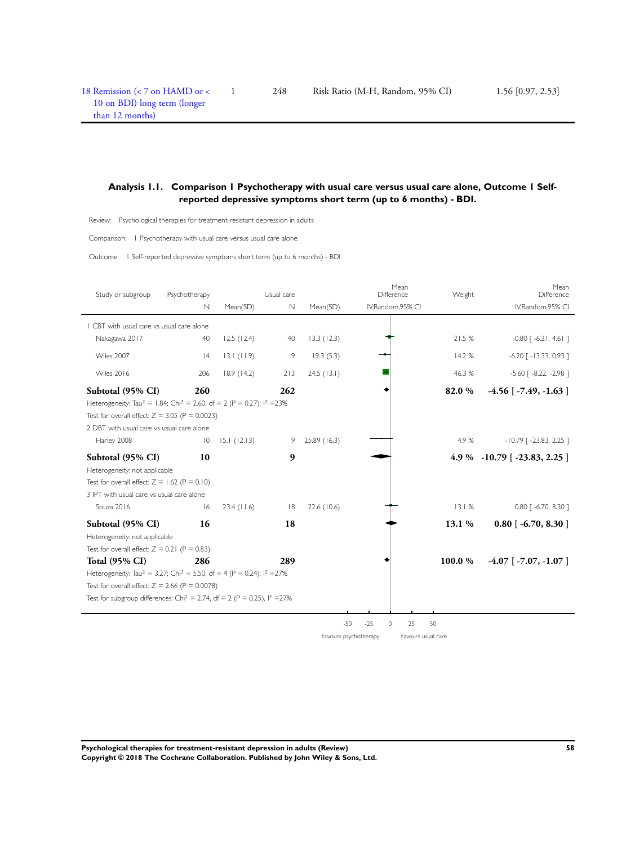i.

### <span id="page-60-0"></span>**Analysis 1.1. Comparison 1 Psychotherapy with usual care versus usual care alone, Outcome 1 Selfreported depressive symptoms short term (up to 6 months) - BDI.**

Review: Psychological therapies for treatment-resistant depression in adults

Comparison: 1 Psychotherapy with usual care versus usual care alone

Outcome: 1 Self-reported depressive symptoms short term (up to 6 months) - BDI

| Study or subgroup                                                                                        | Psychotherapy |               | Usual care  |              | Mean<br>Difference         | Weight             | Mean<br>Difference                 |
|----------------------------------------------------------------------------------------------------------|---------------|---------------|-------------|--------------|----------------------------|--------------------|------------------------------------|
|                                                                                                          | N             | Mean(SD)      | $\mathbb N$ | Mean(SD)     | IV, Random, 95% CI         |                    | IV,Random,95% CI                   |
| CBT with usual care vs usual care alone                                                                  |               |               |             |              |                            |                    |                                    |
| Nakagawa 2017                                                                                            | 40            | 12.5(12.4)    | 40          | 13.3(12.3)   |                            | 21.5%              | $-0.80$ [ $-6.21$ , 4.61 ]         |
| Wiles 2007                                                                                               | 4             | 13.1(11.9)    | 9           | 19.3(5.3)    |                            | 14.2 %             | $-6.20$ [ $-13.33$ , 0.93]         |
| Wiles 2016                                                                                               | 206           | 18.9(14.2)    | 213         | 24.5(13.1)   |                            | 46.3%              | $-5.60$ [ $-8.22$ , $-2.98$ ]      |
| Subtotal (95% CI)                                                                                        | 260           |               | 262         |              |                            | 82.0 %             | $-4.56$ [ $-7.49$ , $-1.63$ ]      |
| Heterogeneity: Tau <sup>2</sup> = 1.84; Chi <sup>2</sup> = 2.60, df = 2 (P = 0.27); l <sup>2</sup> = 23% |               |               |             |              |                            |                    |                                    |
| Test for overall effect: $Z = 3.05$ (P = 0.0023)                                                         |               |               |             |              |                            |                    |                                    |
| 2 DBT with usual care vs usual care alone                                                                |               |               |             |              |                            |                    |                                    |
| Harley 2008                                                                                              | $ 0\rangle$   | 15.1(12.13)   | 9           | 25.89 (16.3) |                            | 4.9%               | $-10.79$ [ $-23.83$ , 2.25 ]       |
| Subtotal (95% CI)                                                                                        | 10            |               | 9           |              |                            |                    | 4.9 % $-10.79$ [ $-23.83$ , 2.25 ] |
| Heterogeneity: not applicable                                                                            |               |               |             |              |                            |                    |                                    |
| Test for overall effect: $Z = 1.62$ (P = 0.10)                                                           |               |               |             |              |                            |                    |                                    |
| 3 IPT with usual care vs usual care alone                                                                |               |               |             |              |                            |                    |                                    |
| Souza 2016                                                                                               | 16            | $23.4$ (11.6) | 8           | 22.6(10.6)   |                            | 13.1%              | $0.80$ $\lceil -6.70, 8.30 \rceil$ |
| Subtotal (95% CI)                                                                                        | 16            |               | 18          |              |                            | 13.1 %             | $0.80$ [ -6.70, 8.30 ]             |
| Heterogeneity: not applicable                                                                            |               |               |             |              |                            |                    |                                    |
| Test for overall effect: $Z = 0.21$ (P = 0.83)                                                           |               |               |             |              |                            |                    |                                    |
| <b>Total (95% CI)</b>                                                                                    | 286           |               | 289         |              |                            | 100.0%             | $-4.07$ [ $-7.07$ , $-1.07$ ]      |
| Heterogeneity: Tau <sup>2</sup> = 3.27; Chi <sup>2</sup> = 5.50, df = 4 (P = 0.24); l <sup>2</sup> = 27% |               |               |             |              |                            |                    |                                    |
| Test for overall effect: $Z = 2.66$ (P = 0.0078)                                                         |               |               |             |              |                            |                    |                                    |
| Test for subgroup differences: Chi <sup>2</sup> = 2.74, df = 2 (P = 0.25), $1^2$ = 27%                   |               |               |             |              |                            |                    |                                    |
|                                                                                                          |               |               |             |              | $-50$<br>$-25$<br>$\Omega$ | 25<br>50           |                                    |
|                                                                                                          |               |               |             |              | Favours psychotherapy      | Favours usual care |                                    |
|                                                                                                          |               |               |             |              |                            |                    |                                    |

**Psychological therapies for treatment-resistant depression in adults (Review) 58 Copyright © 2018 The Cochrane Collaboration. Published by John Wiley & Sons, Ltd.**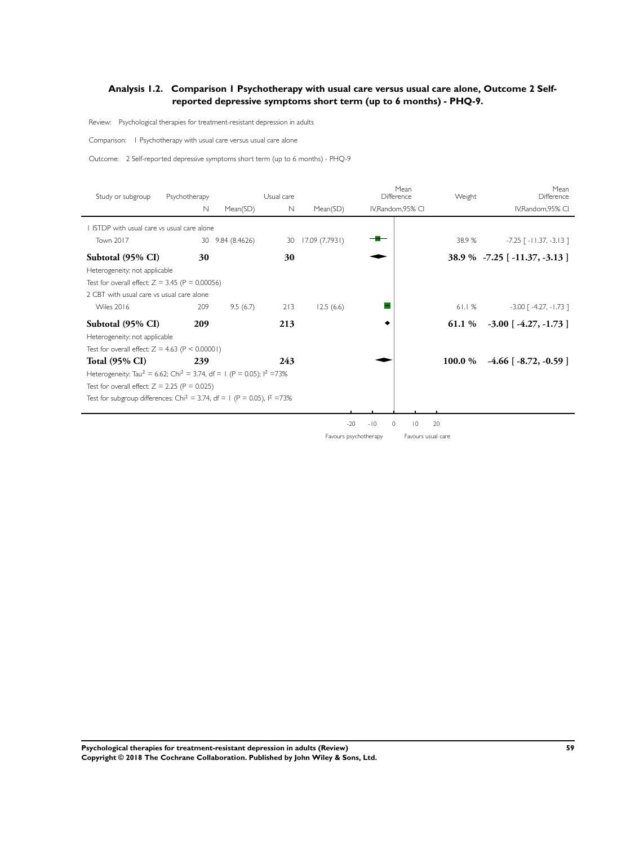### <span id="page-61-0"></span>**Analysis 1.2. Comparison 1 Psychotherapy with usual care versus usual care alone, Outcome 2 Selfreported depressive symptoms short term (up to 6 months) - PHQ-9.**

Review: Psychological therapies for treatment-resistant depression in adults

Comparison: 1 Psychotherapy with usual care versus usual care alone

Outcome: 2 Self-reported depressive symptoms short term (up to 6 months) - PHQ-9

| Study or subgroup                                                                              | Psychotherapy |                  | Usual care |                | Mean<br>Difference                  | Weight  | Mean<br>Difference             |
|------------------------------------------------------------------------------------------------|---------------|------------------|------------|----------------|-------------------------------------|---------|--------------------------------|
|                                                                                                | N             | Mean(SD)         | N          | Mean(SD)       | IV, Random, 95% CI                  |         | IV, Random, 95% CI             |
| ISTDP with usual care vs usual care alone                                                      |               |                  |            |                |                                     |         |                                |
| Town 2017                                                                                      |               | 30 9.84 (8.4626) | 30         | 17.09 (7.7931) |                                     | 38.9%   | $-7.25$ [ $-11.37, -3.13$ ]    |
| Subtotal (95% CI)                                                                              | 30            |                  | 30         |                |                                     |         | $38.9\%$ -7.25 [-11.37, -3.13] |
| Heterogeneity: not applicable                                                                  |               |                  |            |                |                                     |         |                                |
| Test for overall effect: $Z = 3.45$ (P = 0.00056)                                              |               |                  |            |                |                                     |         |                                |
| 2 CBT with usual care vs usual care alone                                                      |               |                  |            |                |                                     |         |                                |
| <b>Wiles 2016</b>                                                                              | 209           | 9.5(6.7)         | 213        | 12.5(6.6)      |                                     | 61.1%   | $-3.00$ [ $-4.27$ , $-1.73$ ]  |
| Subtotal (95% CI)                                                                              | 209           |                  | 213        |                |                                     | 61.1 %  | $-3.00$ [ $-4.27$ , $-1.73$ ]  |
| Heterogeneity: not applicable                                                                  |               |                  |            |                |                                     |         |                                |
| Test for overall effect: $Z = 4.63$ (P < 0.00001)                                              |               |                  |            |                |                                     |         |                                |
| <b>Total (95% CI)</b>                                                                          | 239           |                  | 243        |                |                                     | 100.0 % | $-4.66$ [ $-8.72$ , $-0.59$ ]  |
| Heterogeneity: Tau <sup>2</sup> = 6.62; Chi <sup>2</sup> = 3.74, df = 1 (P = 0.05); $l^2$ =73% |               |                  |            |                |                                     |         |                                |
| Test for overall effect: $Z = 2.25$ (P = 0.025)                                                |               |                  |            |                |                                     |         |                                |
| Test for subgroup differences: Chi <sup>2</sup> = 3.74, df = 1 (P = 0.05), $1^2$ =73%          |               |                  |            |                |                                     |         |                                |
|                                                                                                |               |                  |            |                |                                     |         |                                |
|                                                                                                |               |                  |            | $-20$          | $-10$<br>$\Omega$<br>$\overline{0}$ | 20      |                                |

Favours psychotherapy Favours usual care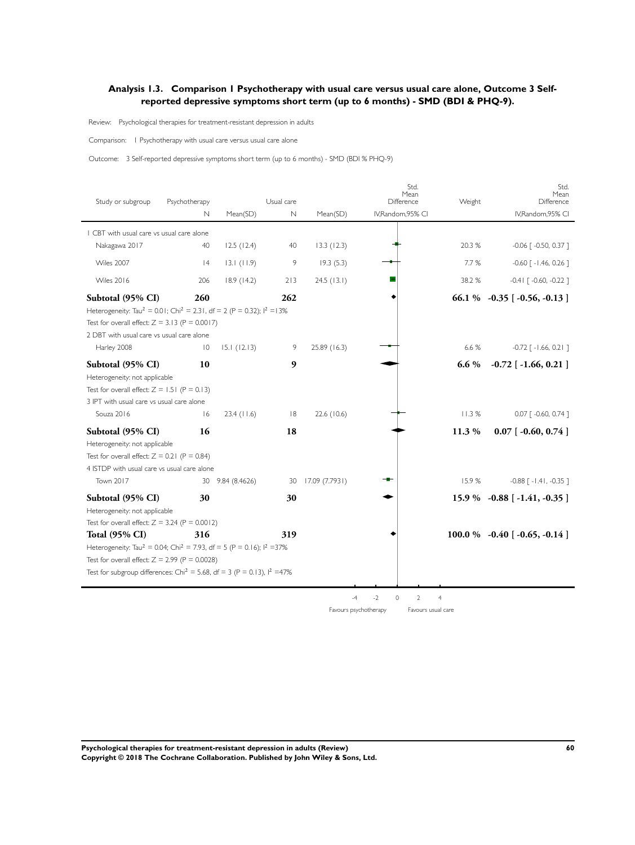### <span id="page-62-0"></span>**Analysis 1.3. Comparison 1 Psychotherapy with usual care versus usual care alone, Outcome 3 Selfreported depressive symptoms short term (up to 6 months) - SMD (BDI & PHQ-9).**

Review: Psychological therapies for treatment-resistant depression in adults

Comparison: 1 Psychotherapy with usual care versus usual care alone

Outcome: 3 Self-reported depressive symptoms short term (up to 6 months) - SMD (BDI % PHQ-9)

|                                                                                                                                                    |                    |                  |                            |                | Std.<br>Mean                              |                | Std.<br>Mean                          |
|----------------------------------------------------------------------------------------------------------------------------------------------------|--------------------|------------------|----------------------------|----------------|-------------------------------------------|----------------|---------------------------------------|
| Study or subgroup                                                                                                                                  | Psychotherapy<br>N | Mean(SD)         | Usual care<br>$\mathsf{N}$ | Mean(SD)       | Difference<br>IV,Random,95% CI            | Weight         | Difference<br>IV,Random,95% CI        |
|                                                                                                                                                    |                    |                  |                            |                |                                           |                |                                       |
| I CBT with usual care vs usual care alone<br>Nakagawa 2017                                                                                         | 40                 | 12.5(12.4)       | 40                         | 13.3(12.3)     |                                           | 20.3 %         | $-0.06$ $\lceil -0.50, 0.37 \rceil$   |
|                                                                                                                                                    |                    |                  |                            |                |                                           |                |                                       |
| Wiles 2007                                                                                                                                         | 4                  | 13.1(11.9)       | 9                          | 19.3(5.3)      |                                           | 7.7%           | $-0.60$ $\lceil -1.46, 0.26 \rceil$   |
| <b>Wiles 2016</b>                                                                                                                                  | 206                | 18.9(14.2)       | 213                        | $24.5$ (13.1)  |                                           | 38.2 %         | $-0.4$   $\lceil -0.60, -0.22 \rceil$ |
| Subtotal (95% CI)                                                                                                                                  | 260                |                  | 262                        |                |                                           |                | $66.1\% -0.35$ [ -0.56, -0.13 ]       |
| Heterogeneity: Tau <sup>2</sup> = 0.01; Chi <sup>2</sup> = 2.31, df = 2 (P = 0.32); $1^2$ = 13%                                                    |                    |                  |                            |                |                                           |                |                                       |
| Test for overall effect: $Z = 3.13$ (P = 0.0017)                                                                                                   |                    |                  |                            |                |                                           |                |                                       |
| 2 DBT with usual care vs usual care alone<br>Harley 2008                                                                                           | $\overline{10}$    | 15.1(12.13)      | 9                          | 25.89 (16.3)   |                                           | 6.6 %          | $-0.72$ [ $-1.66$ , 0.21]             |
|                                                                                                                                                    |                    |                  |                            |                |                                           |                |                                       |
| Subtotal (95% CI)                                                                                                                                  | 10                 |                  | 9                          |                |                                           | 6.6 %          | $-0.72$ [ $-1.66$ , 0.21 ]            |
| Heterogeneity: not applicable<br>Test for overall effect: $Z = 1.51$ (P = 0.13)                                                                    |                    |                  |                            |                |                                           |                |                                       |
| 3 IPT with usual care vs usual care alone                                                                                                          |                    |                  |                            |                |                                           |                |                                       |
| Souza 2016                                                                                                                                         | 16                 | $23.4$ (11.6)    | 8                          | 22.6(10.6)     |                                           | 11.3%          | $0.07$ $\lceil -0.60, 0.74 \rceil$    |
| Subtotal (95% CI)                                                                                                                                  | 16                 |                  | 18                         |                |                                           | 11.3 %         | $0.07$ [ -0.60, 0.74 ]                |
| Heterogeneity: not applicable                                                                                                                      |                    |                  |                            |                |                                           |                |                                       |
| Test for overall effect: $Z = 0.21$ (P = 0.84)                                                                                                     |                    |                  |                            |                |                                           |                |                                       |
| 4 ISTDP with usual care vs usual care alone                                                                                                        |                    |                  |                            |                |                                           |                |                                       |
| Town 2017                                                                                                                                          |                    | 30 9.84 (8.4626) | 30                         | 17.09 (7.7931) |                                           | 15.9%          | $-0.88$ [ $-1.41$ , $-0.35$ ]         |
| Subtotal (95% CI)                                                                                                                                  | 30                 |                  | 30                         |                |                                           |                | $15.9\% -0.88$ [ -1.41, -0.35 ]       |
| Heterogeneity: not applicable                                                                                                                      |                    |                  |                            |                |                                           |                |                                       |
| Test for overall effect: $Z = 3.24$ (P = 0.0012)                                                                                                   |                    |                  |                            |                |                                           |                |                                       |
| <b>Total (95% CI)</b>                                                                                                                              | 316                |                  | 319                        |                |                                           |                | $100.0\%$ -0.40 [ -0.65, -0.14 ]      |
| Heterogeneity: Tau <sup>2</sup> = 0.04; Chi <sup>2</sup> = 7.93, df = 5 (P = 0.16); $1^2$ =37%<br>Test for overall effect: $Z = 2.99$ (P = 0.0028) |                    |                  |                            |                |                                           |                |                                       |
| Test for subgroup differences: Chi <sup>2</sup> = 5.68, df = 3 (P = 0.13), $1^2$ =47%                                                              |                    |                  |                            |                |                                           |                |                                       |
|                                                                                                                                                    |                    |                  |                            |                |                                           |                |                                       |
|                                                                                                                                                    |                    |                  |                            |                | $\overline{2}$<br>$-2$<br>$\circ$<br>$-4$ | $\overline{4}$ |                                       |

Favours psychotherapy Favours usual care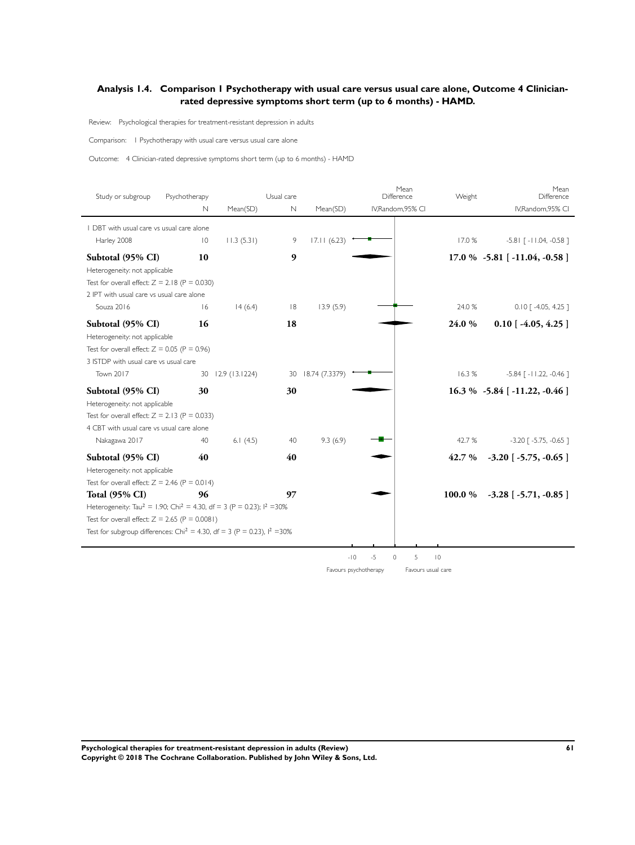### <span id="page-63-0"></span>**Analysis 1.4. Comparison 1 Psychotherapy with usual care versus usual care alone, Outcome 4 Clinicianrated depressive symptoms short term (up to 6 months) - HAMD.**

Review: Psychological therapies for treatment-resistant depression in adults

Comparison: 1 Psychotherapy with usual care versus usual care alone

Outcome: 4 Clinician-rated depressive symptoms short term (up to 6 months) - HAMD

| Study or subgroup                                                                               | Psychotherapy  |                   | Usual care   |                | Mean<br>Difference        | Weight               | Mean<br>Difference                     |
|-------------------------------------------------------------------------------------------------|----------------|-------------------|--------------|----------------|---------------------------|----------------------|----------------------------------------|
|                                                                                                 | N              | Mean(SD)          | $\mathsf{N}$ | Mean(SD)       | IV.Random.95% CI          |                      | IV.Random.95% CI                       |
| DBT with usual care vs usual care alone                                                         |                |                   |              |                |                           |                      |                                        |
| Harley 2008                                                                                     | $\overline{0}$ | 11.3(5.31)        | 9            | 17.11(6.23)    |                           | 17.0 %               | $-5.8$   $\lceil -11.04, -0.58 \rceil$ |
| Subtotal (95% CI)                                                                               | 10             |                   | 9            |                |                           |                      | $17.0\%$ -5.81 [-11.04, -0.58]         |
| Heterogeneity: not applicable                                                                   |                |                   |              |                |                           |                      |                                        |
| Test for overall effect: $Z = 2.18$ (P = 0.030)                                                 |                |                   |              |                |                           |                      |                                        |
| 2 IPT with usual care vs usual care alone                                                       |                |                   |              |                |                           |                      |                                        |
| Souza 2016                                                                                      | 16             | 14(6.4)           | 8            | 13.9(5.9)      |                           | 24.0 %               | $0.10$ $\lceil -4.05, 4.25 \rceil$     |
| Subtotal (95% CI)                                                                               | 16             |                   | 18           |                |                           | 24.0%                | $0.10$ [ -4.05, 4.25 ]                 |
| Heterogeneity: not applicable                                                                   |                |                   |              |                |                           |                      |                                        |
| Test for overall effect: $Z = 0.05$ (P = 0.96)                                                  |                |                   |              |                |                           |                      |                                        |
| 3 ISTDP with usual care vs usual care                                                           |                |                   |              |                |                           |                      |                                        |
| <b>Town 2017</b>                                                                                |                | 30 12.9 (13.1224) | 30           | 18.74 (7.3379) |                           | 16.3%                | $-5.84$ [ $-11.22$ , $-0.46$ ]         |
| Subtotal (95% CI)                                                                               | 30             |                   | 30           |                |                           |                      | $16.3 \%$ -5.84 [-11.22, -0.46]        |
| Heterogeneity: not applicable                                                                   |                |                   |              |                |                           |                      |                                        |
| Test for overall effect: $Z = 2.13$ (P = 0.033)                                                 |                |                   |              |                |                           |                      |                                        |
| 4 CBT with usual care vs usual care alone                                                       |                |                   |              |                |                           |                      |                                        |
| Nakagawa 2017                                                                                   | 40             | 6.1(4.5)          | 40           | 9.3(6.9)       |                           | 42.7%                | $-3.20$ [ $-5.75$ , $-0.65$ ]          |
| Subtotal (95% CI)                                                                               | 40             |                   | 40           |                |                           | 42.7%                | $-3.20$ [ $-5.75$ , $-0.65$ ]          |
| Heterogeneity: not applicable                                                                   |                |                   |              |                |                           |                      |                                        |
| Test for overall effect: $Z = 2.46$ (P = 0.014)                                                 |                |                   |              |                |                           |                      |                                        |
| <b>Total (95% CI)</b>                                                                           | 96             |                   | 97           |                |                           | 100.0 %              | $-3.28$ [ $-5.71, -0.85$ ]             |
| Heterogeneity: Tau <sup>2</sup> = 1.90; Chi <sup>2</sup> = 4.30, df = 3 (P = 0.23); $1^2$ = 30% |                |                   |              |                |                           |                      |                                        |
| Test for overall effect: $Z = 2.65$ (P = 0.0081)                                                |                |                   |              |                |                           |                      |                                        |
| Test for subgroup differences: Chi <sup>2</sup> = 4.30, df = 3 (P = 0.23), $1^2$ = 30%          |                |                   |              |                |                           |                      |                                        |
|                                                                                                 |                |                   |              |                |                           |                      |                                        |
|                                                                                                 |                |                   |              |                | $-5$<br>$-10$<br>$\Omega$ | $\overline{10}$<br>5 |                                        |
|                                                                                                 |                |                   |              |                | Favours psychotherapy     | Favours usual care   |                                        |

**Psychological therapies for treatment-resistant depression in adults (Review) 61 Copyright © 2018 The Cochrane Collaboration. Published by John Wiley & Sons, Ltd.**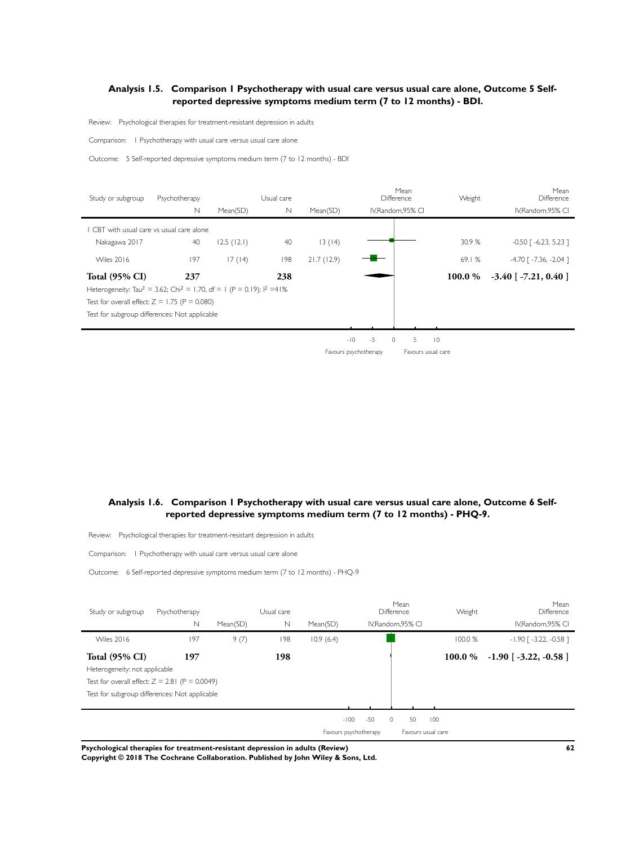### <span id="page-64-0"></span>**Analysis 1.5. Comparison 1 Psychotherapy with usual care versus usual care alone, Outcome 5 Selfreported depressive symptoms medium term (7 to 12 months) - BDI.**

Review: Psychological therapies for treatment-resistant depression in adults

Comparison: 1 Psychotherapy with usual care versus usual care alone

Outcome: 5 Self-reported depressive symptoms medium term (7 to 12 months) - BDI

| Study or subgroup                                                                              | Psychotherapy |               | Usual care  |            | Mean<br>Difference       |                     | Weight  | Mean<br>Difference                  |
|------------------------------------------------------------------------------------------------|---------------|---------------|-------------|------------|--------------------------|---------------------|---------|-------------------------------------|
|                                                                                                | $\mathbb N$   | Mean(SD)      | $\mathbb N$ | Mean(SD)   | IV, Random, 95% CI       |                     |         | IV, Random, 95% CI                  |
| CBT with usual care vs usual care alone                                                        |               |               |             |            |                          |                     |         |                                     |
| Nakagawa 2017                                                                                  | 40            | $12.5$ (12.1) | 40          | 13(14)     |                          |                     | 30.9 %  | $-0.50$ $\lceil -6.23, 5.23 \rceil$ |
| <b>Wiles 2016</b>                                                                              | 197           | 17(14)        | 198         | 21.7(12.9) |                          |                     | 69.1%   | $-4.70$ [ $-7.36$ , $-2.04$ ]       |
| <b>Total (95% CI)</b>                                                                          | 237           |               | 238         |            |                          |                     | 100.0 % | $-3.40$ [ $-7.21$ , 0.40 ]          |
| Heterogeneity: Tau <sup>2</sup> = 3.62; Chi <sup>2</sup> = 1.70, df = 1 (P = 0.19); $1^2$ =41% |               |               |             |            |                          |                     |         |                                     |
| Test for overall effect: $Z = 1.75$ (P = 0.080)                                                |               |               |             |            |                          |                     |         |                                     |
| Test for subgroup differences: Not applicable                                                  |               |               |             |            |                          |                     |         |                                     |
|                                                                                                |               |               |             |            |                          |                     |         |                                     |
|                                                                                                |               |               |             |            | $-5$<br>$-10$<br>$\circ$ | 5<br>$\overline{0}$ |         |                                     |
|                                                                                                |               |               |             |            | Favours psychotherapy    | Favours usual care  |         |                                     |

### **Analysis 1.6. Comparison 1 Psychotherapy with usual care versus usual care alone, Outcome 6 Selfreported depressive symptoms medium term (7 to 12 months) - PHQ-9.**

Review: Psychological therapies for treatment-resistant depression in adults

Comparison: 1 Psychotherapy with usual care versus usual care alone

Outcome: 6 Self-reported depressive symptoms medium term (7 to 12 months) - PHQ-9

| Study or subgroup                                | Psychotherapy |          | Usual care |           | Mean<br>Difference                | Weight             | Mean<br>Difference            |
|--------------------------------------------------|---------------|----------|------------|-----------|-----------------------------------|--------------------|-------------------------------|
|                                                  | $\mathbb N$   | Mean(SD) | N          | Mean(SD)  | IV.Random.95% CI                  |                    | IV.Random.95% CI              |
| <b>Wiles 2016</b>                                | 197           | 9(7)     | 198        | 10.9(6.4) |                                   | 100.0%             | $-1.90$ [ $-3.22$ , $-0.58$ ] |
| <b>Total (95% CI)</b>                            | 197           |          | 198        |           |                                   | 100.0 %            | $-1.90$ [ $-3.22$ , $-0.58$ ] |
| Heterogeneity: not applicable                    |               |          |            |           |                                   |                    |                               |
| Test for overall effect: $Z = 2.81$ (P = 0.0049) |               |          |            |           |                                   |                    |                               |
| Test for subgroup differences: Not applicable    |               |          |            |           |                                   |                    |                               |
|                                                  |               |          |            |           |                                   |                    |                               |
|                                                  |               |          |            |           | 50<br>$-100$<br>$-50$<br>$\Omega$ | 100                |                               |
|                                                  |               |          |            |           | Favours psychotherapy             | Favours usual care |                               |

**Psychological therapies for treatment-resistant depression in adults (Review) 62**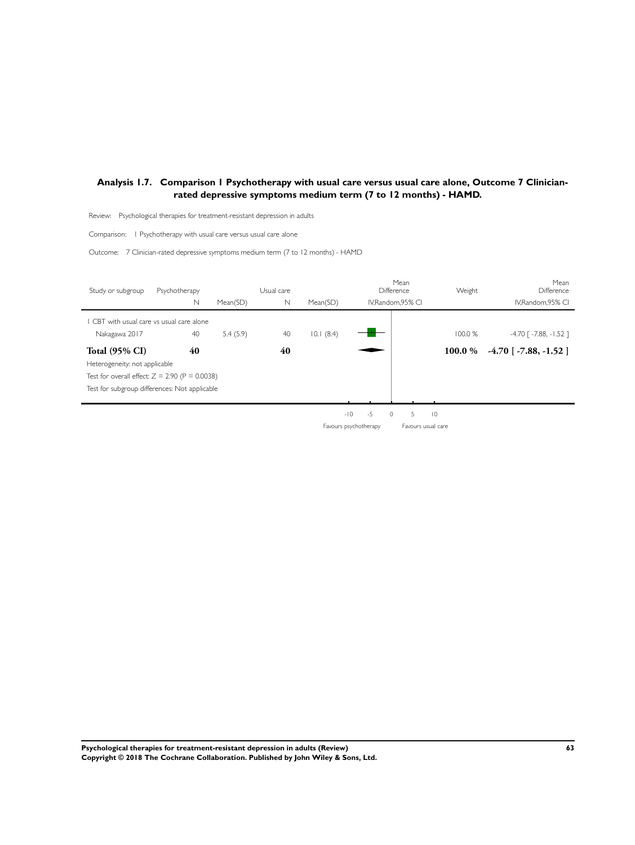### <span id="page-65-0"></span>**Analysis 1.7. Comparison 1 Psychotherapy with usual care versus usual care alone, Outcome 7 Clinicianrated depressive symptoms medium term (7 to 12 months) - HAMD.**

Review: Psychological therapies for treatment-resistant depression in adults

Comparison: 1 Psychotherapy with usual care versus usual care alone

Outcome: 7 Clinician-rated depressive symptoms medium term (7 to 12 months) - HAMD

| Study or subgroup                                | Psychotherapy |          | Usual care  |               |                           | Mean<br>Difference | Weight         | Mean<br><b>Difference</b>     |
|--------------------------------------------------|---------------|----------|-------------|---------------|---------------------------|--------------------|----------------|-------------------------------|
|                                                  | $\mathbb N$   | Mean(SD) | $\mathbb N$ | Mean(SD)      |                           | IV, Random, 95% CI |                | IV, Random, 95% CI            |
| CBT with usual care vs usual care alone          |               |          |             |               |                           |                    |                |                               |
| Nakagawa 2017                                    | 40            | 5.4(5.9) | 40          | (8.4)<br> 0.1 |                           |                    | 100.0 %        | $-4.70$ [ $-7.88$ , $-1.52$ ] |
| <b>Total (95% CI)</b>                            | 40            |          | 40          |               |                           |                    | 100.0 %        | $-4.70$ [ $-7.88$ , $-1.52$ ] |
| Heterogeneity: not applicable                    |               |          |             |               |                           |                    |                |                               |
| Test for overall effect: $Z = 2.90$ (P = 0.0038) |               |          |             |               |                           |                    |                |                               |
| Test for subgroup differences: Not applicable    |               |          |             |               |                           |                    |                |                               |
|                                                  |               |          |             |               |                           |                    |                |                               |
|                                                  |               |          |             |               | $-5$<br>$-10$<br>$\Omega$ | 5                  | $\overline{0}$ |                               |
|                                                  |               |          |             |               | Favours psychotherapy     | Favours usual care |                |                               |

**Psychological therapies for treatment-resistant depression in adults (Review) 63 Copyright © 2018 The Cochrane Collaboration. Published by John Wiley & Sons, Ltd.**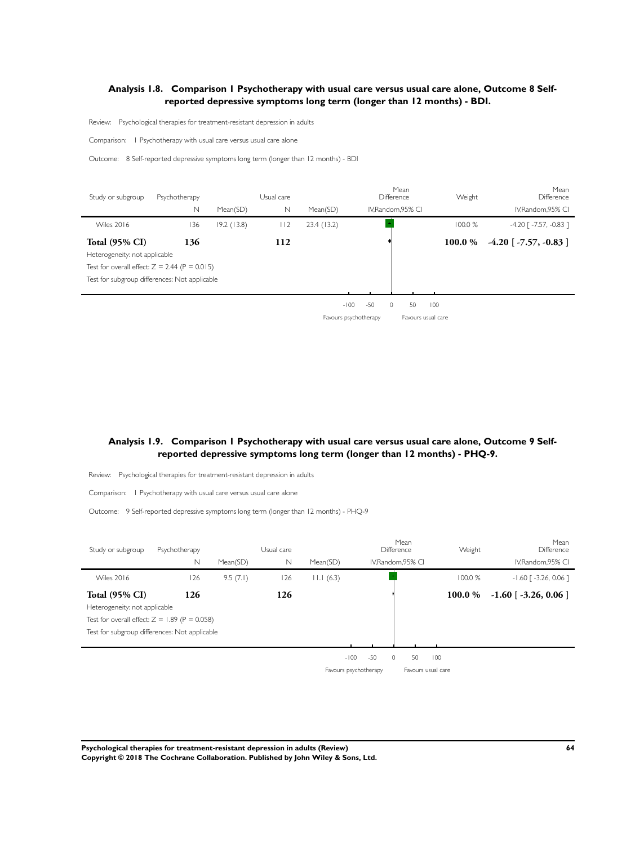### <span id="page-66-0"></span>**Analysis 1.8. Comparison 1 Psychotherapy with usual care versus usual care alone, Outcome 8 Selfreported depressive symptoms long term (longer than 12 months) - BDI.**

Review: Psychological therapies for treatment-resistant depression in adults

Comparison: 1 Psychotherapy with usual care versus usual care alone

J.

Outcome: 8 Self-reported depressive symptoms long term (longer than 12 months) - BDI

| Study or subgroup                               | Psychotherapy |            | Usual care |            |                       | Mean<br>Difference |                    | Weight  | Mean<br><b>Difference</b>     |
|-------------------------------------------------|---------------|------------|------------|------------|-----------------------|--------------------|--------------------|---------|-------------------------------|
|                                                 | N             | Mean(SD)   | N          | Mean(SD)   |                       | IV, Random, 95% CI |                    |         | IV, Random, 95% CI            |
| <b>Wiles 2016</b>                               | 136           | 19.2(13.8) | 12         | 23.4(13.2) |                       |                    |                    | 100.0%  | $-4.20$ [ $-7.57$ , $-0.83$ ] |
| <b>Total (95% CI)</b>                           | 136           |            | 112        |            |                       |                    |                    | 100.0 % | $-4.20$ [ $-7.57$ , $-0.83$ ] |
| Heterogeneity: not applicable                   |               |            |            |            |                       |                    |                    |         |                               |
| Test for overall effect: $Z = 2.44$ (P = 0.015) |               |            |            |            |                       |                    |                    |         |                               |
| Test for subgroup differences: Not applicable   |               |            |            |            |                       |                    |                    |         |                               |
|                                                 |               |            |            |            |                       |                    |                    |         |                               |
|                                                 |               |            |            |            | $-50$<br>$-100$       | $\Omega$           | 50                 | 100     |                               |
|                                                 |               |            |            |            | Favours psychotherapy |                    | Favours usual care |         |                               |

### **Analysis 1.9. Comparison 1 Psychotherapy with usual care versus usual care alone, Outcome 9 Selfreported depressive symptoms long term (longer than 12 months) - PHQ-9.**

Review: Psychological therapies for treatment-resistant depression in adults

Comparison: 1 Psychotherapy with usual care versus usual care alone

Outcome: 9 Self-reported depressive symptoms long term (longer than 12 months) - PHQ-9

| Study or subgroup                               | Psychotherapy |          | Usual care  |           |                       |       | Mean<br>Difference |                    | Weight  | Mean<br>Difference         |
|-------------------------------------------------|---------------|----------|-------------|-----------|-----------------------|-------|--------------------|--------------------|---------|----------------------------|
|                                                 | N             | Mean(SD) | $\mathbb N$ | Mean(SD)  |                       |       | IV, Random, 95% CI |                    |         | IV, Random, 95% CI         |
| <b>Wiles 2016</b>                               | 126           | 9.5(7.1) | 126         | 11.1(6.3) |                       |       |                    |                    | 100.0%  | $-1.60$ $[-3.26, 0.06]$    |
| <b>Total (95% CI)</b>                           | 126           |          | 126         |           |                       |       |                    |                    | 100.0 % | $-1.60$ [ $-3.26$ , 0.06 ] |
| Heterogeneity: not applicable                   |               |          |             |           |                       |       |                    |                    |         |                            |
| Test for overall effect: $Z = 1.89$ (P = 0.058) |               |          |             |           |                       |       |                    |                    |         |                            |
| Test for subgroup differences: Not applicable   |               |          |             |           |                       |       |                    |                    |         |                            |
|                                                 |               |          |             |           |                       |       |                    |                    |         |                            |
|                                                 |               |          |             |           | $-100$                | $-50$ | 50<br>$\circ$      | 100                |         |                            |
|                                                 |               |          |             |           | Favours psychotherapy |       |                    | Favours usual care |         |                            |

**Psychological therapies for treatment-resistant depression in adults (Review) 64 Copyright © 2018 The Cochrane Collaboration. Published by John Wiley & Sons, Ltd.**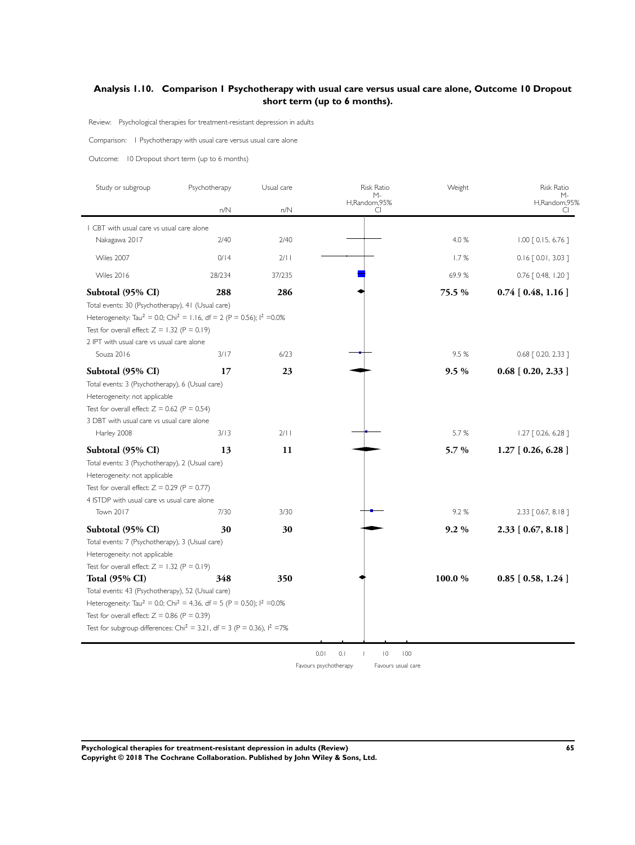### <span id="page-67-0"></span>**Analysis 1.10. Comparison 1 Psychotherapy with usual care versus usual care alone, Outcome 10 Dropout short term (up to 6 months).**

Review: Psychological therapies for treatment-resistant depression in adults

Comparison: 1 Psychotherapy with usual care versus usual care alone

Outcome: 10 Dropout short term (up to 6 months)

| Study or subgroup                                                                                        | Psychotherapy | Usual care | <b>Risk Ratio</b><br>$M -$                                       | Weight  | <b>Risk Ratio</b><br>$M -$ |
|----------------------------------------------------------------------------------------------------------|---------------|------------|------------------------------------------------------------------|---------|----------------------------|
|                                                                                                          | n/N           | n/N        | H,Random,95%<br>CI                                               |         | H,Random,95%<br>CI         |
| I CBT with usual care vs usual care alone                                                                |               |            |                                                                  |         |                            |
| Nakagawa 2017                                                                                            | 2/40          | 2/40       |                                                                  | 4.0 %   | $1.00$ $[0.15, 6.76]$      |
| Wiles 2007                                                                                               | 0/14          | 2/11       |                                                                  | 1.7%    | $0.16$ $[0.01, 3.03]$      |
| Wiles 2016                                                                                               | 28/234        | 37/235     |                                                                  | 69.9%   | $0.76$ $[0.48, 1.20]$      |
| Subtotal (95% CI)                                                                                        | 288           | 286        |                                                                  | 75.5 %  | $0.74$ [ $0.48$ , 1.16 ]   |
| Total events: 30 (Psychotherapy), 41 (Usual care)                                                        |               |            |                                                                  |         |                            |
| Heterogeneity: Tau <sup>2</sup> = 0.0; Chi <sup>2</sup> = 1.16, df = 2 (P = 0.56); l <sup>2</sup> = 0.0% |               |            |                                                                  |         |                            |
| Test for overall effect: $Z = 1.32$ (P = 0.19)                                                           |               |            |                                                                  |         |                            |
| 2 IPT with usual care vs usual care alone                                                                |               |            |                                                                  |         |                            |
| Souza 2016                                                                                               | 3/17          | 6/23       |                                                                  | 9.5%    | $0.68$ $[0.20, 2.33]$      |
| Subtotal (95% CI)                                                                                        | 17            | 23         |                                                                  | 9.5%    | $0.68$ [ 0.20, 2.33 ]      |
| Total events: 3 (Psychotherapy), 6 (Usual care)                                                          |               |            |                                                                  |         |                            |
| Heterogeneity: not applicable                                                                            |               |            |                                                                  |         |                            |
| Test for overall effect: $Z = 0.62$ (P = 0.54)                                                           |               |            |                                                                  |         |                            |
| 3 DBT with usual care vs usual care alone                                                                |               |            |                                                                  |         |                            |
| Harley 2008                                                                                              | 3/13          | 2/11       |                                                                  | 5.7 %   | $1.27$ $[0.26, 6.28]$      |
| Subtotal (95% CI)                                                                                        | 13            | 11         |                                                                  | 5.7 %   | $1.27$ [ 0.26, 6.28 ]      |
| Total events: 3 (Psychotherapy), 2 (Usual care)                                                          |               |            |                                                                  |         |                            |
| Heterogeneity: not applicable                                                                            |               |            |                                                                  |         |                            |
| Test for overall effect: $Z = 0.29$ (P = 0.77)                                                           |               |            |                                                                  |         |                            |
| 4 ISTDP with usual care vs usual care alone                                                              |               |            |                                                                  |         |                            |
| Town 2017                                                                                                | 7/30          | 3/30       |                                                                  | 9.2%    | $2.33$ $[0.67, 8.18]$      |
| Subtotal (95% CI)                                                                                        | 30            | 30         |                                                                  | $9.2\%$ | $2.33$ [ 0.67, 8.18 ]      |
| Total events: 7 (Psychotherapy), 3 (Usual care)                                                          |               |            |                                                                  |         |                            |
| Heterogeneity: not applicable                                                                            |               |            |                                                                  |         |                            |
| Test for overall effect: $Z = 1.32$ (P = 0.19)                                                           |               |            |                                                                  |         |                            |
| <b>Total (95% CI)</b>                                                                                    | 348           | 350        |                                                                  | 100.0%  | $0.85$ [ $0.58$ , $1.24$ ] |
| Total events: 43 (Psychotherapy), 52 (Usual care)                                                        |               |            |                                                                  |         |                            |
| Heterogeneity: Tau <sup>2</sup> = 0.0; Chi <sup>2</sup> = 4.36, df = 5 (P = 0.50); l <sup>2</sup> = 0.0% |               |            |                                                                  |         |                            |
| Test for overall effect: $Z = 0.86$ (P = 0.39)                                                           |               |            |                                                                  |         |                            |
| Test for subgroup differences: Chi <sup>2</sup> = 3.21, df = 3 (P = 0.36), $1^2$ =7%                     |               |            |                                                                  |         |                            |
|                                                                                                          |               |            |                                                                  |         |                            |
|                                                                                                          |               |            | 0.1<br>0.01<br>$\overline{0}$<br>100<br>$\overline{\phantom{a}}$ |         |                            |

Favours psychotherapy Favours usual care

**Psychological therapies for treatment-resistant depression in adults (Review) 65 Copyright © 2018 The Cochrane Collaboration. Published by John Wiley & Sons, Ltd.**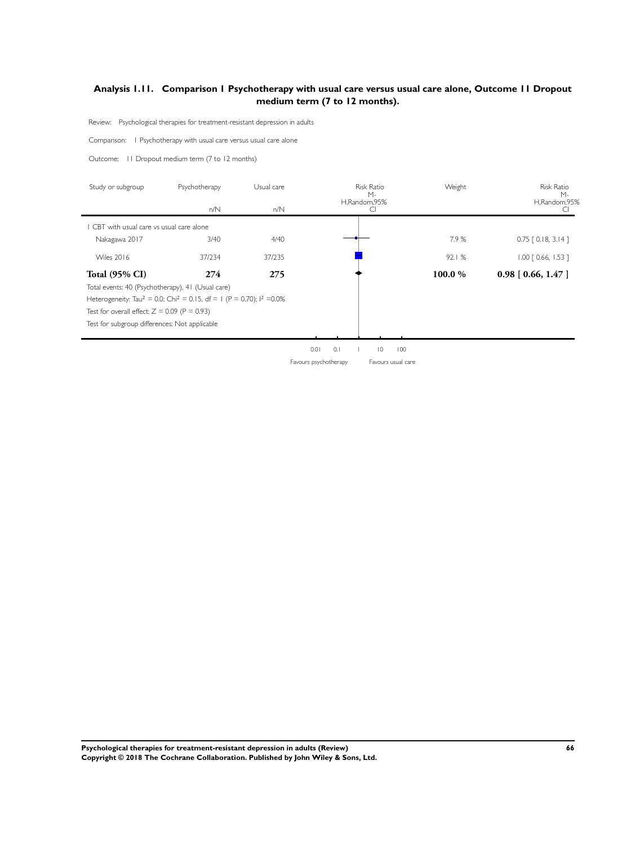### **Analysis 1.11. Comparison 1 Psychotherapy with usual care versus usual care alone, Outcome 11 Dropout medium term (7 to 12 months).**

Review: Psychological therapies for treatment-resistant depression in adults

Comparison: 1 Psychotherapy with usual care versus usual care alone

Outcome: 11 Dropout medium term (7 to 12 months)

| Study or subgroup                                 | Psychotherapy                                                                                            | Usual care | <b>Risk Ratio</b><br>$M -$                  | Weight | <b>Risk Ratio</b><br>$M -$ |
|---------------------------------------------------|----------------------------------------------------------------------------------------------------------|------------|---------------------------------------------|--------|----------------------------|
|                                                   | n/N                                                                                                      | n/N        | H,Random,95%<br>CI                          |        | H,Random,95%               |
| CBT with usual care vs usual care alone           |                                                                                                          |            |                                             |        |                            |
| Nakagawa 2017                                     | 3/40                                                                                                     | 4/40       |                                             | 7.9%   | $0.75$ $[0.18, 3.14]$      |
| <b>Wiles 2016</b>                                 | 37/234                                                                                                   | 37/235     |                                             | 92.1%  | $1.00$ $[0.66, 1.53]$      |
| <b>Total (95% CI)</b>                             | 274                                                                                                      | 275        |                                             | 100.0% | $0.98$ [ 0.66, 1.47 ]      |
| Total events: 40 (Psychotherapy), 41 (Usual care) |                                                                                                          |            |                                             |        |                            |
|                                                   | Heterogeneity: Tau <sup>2</sup> = 0.0; Chi <sup>2</sup> = 0.15, df = 1 (P = 0.70); l <sup>2</sup> = 0.0% |            |                                             |        |                            |
| Test for overall effect: $Z = 0.09$ (P = 0.93)    |                                                                                                          |            |                                             |        |                            |
| Test for subgroup differences: Not applicable     |                                                                                                          |            |                                             |        |                            |
|                                                   |                                                                                                          |            |                                             |        |                            |
|                                                   |                                                                                                          |            | 0.1<br>0.01<br>100<br>$\overline{10}$       |        |                            |
|                                                   |                                                                                                          |            | Favours psychotherapy<br>Favours usual care |        |                            |

**Psychological therapies for treatment-resistant depression in adults (Review) 66 Copyright © 2018 The Cochrane Collaboration. Published by John Wiley & Sons, Ltd.**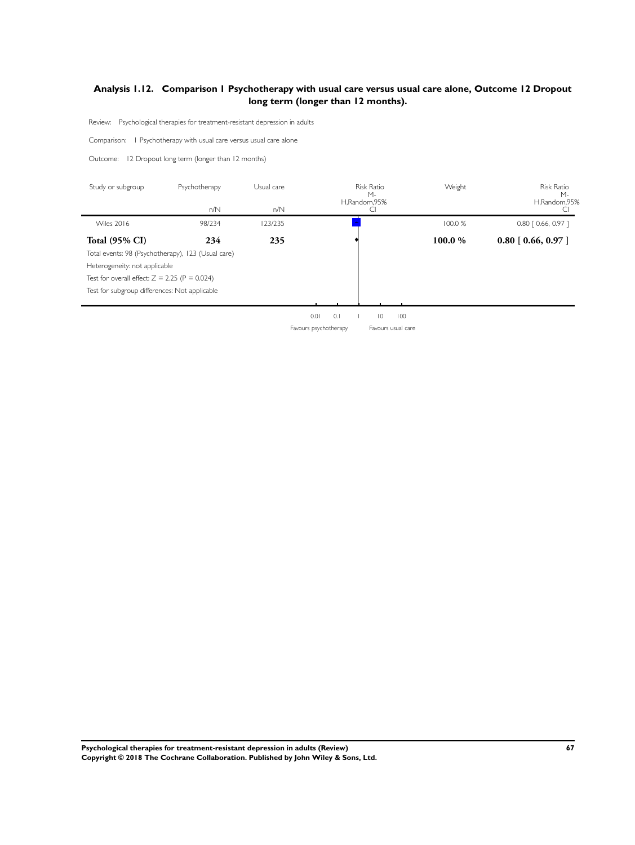### <span id="page-69-0"></span>**Analysis 1.12. Comparison 1 Psychotherapy with usual care versus usual care alone, Outcome 12 Dropout long term (longer than 12 months).**

Review: Psychological therapies for treatment-resistant depression in adults

Comparison: 1 Psychotherapy with usual care versus usual care alone

Outcome: 12 Dropout long term (longer than 12 months)

| Study or subgroup                               | Psychotherapy                                      | Usual care |                       | Risk Ratio<br>$M -$ | Weight  | Risk Ratio<br>$M -$   |
|-------------------------------------------------|----------------------------------------------------|------------|-----------------------|---------------------|---------|-----------------------|
|                                                 | n/N                                                | n/N        | H,Random,95%          | U                   |         | H,Random,95%          |
| <b>Wiles 2016</b>                               | 98/234                                             | 123/235    |                       |                     | 100.0 % | $0.80$ $[0.66, 0.97]$ |
| Total $(95\% \text{ CI})$                       | 234                                                | 235        |                       |                     | 100.0%  | $0.80$ [ 0.66, 0.97 ] |
|                                                 | Total events: 98 (Psychotherapy), 123 (Usual care) |            |                       |                     |         |                       |
| Heterogeneity: not applicable                   |                                                    |            |                       |                     |         |                       |
| Test for overall effect: $Z = 2.25$ (P = 0.024) |                                                    |            |                       |                     |         |                       |
| Test for subgroup differences: Not applicable   |                                                    |            |                       |                     |         |                       |
|                                                 |                                                    |            |                       |                     |         |                       |
|                                                 |                                                    |            | 0.1<br>0.01           | $ 0\rangle$<br>100  |         |                       |
|                                                 |                                                    |            | Favours psychotherapy | Favours usual care  |         |                       |

**Psychological therapies for treatment-resistant depression in adults (Review) 67 Copyright © 2018 The Cochrane Collaboration. Published by John Wiley & Sons, Ltd.**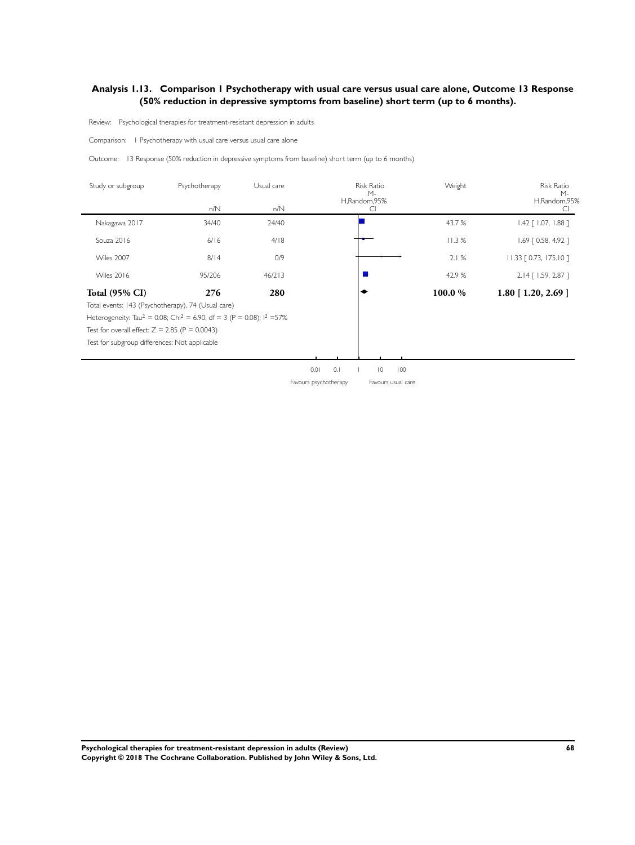### <span id="page-70-0"></span>**Analysis 1.13. Comparison 1 Psychotherapy with usual care versus usual care alone, Outcome 13 Response (50% reduction in depressive symptoms from baseline) short term (up to 6 months).**

Review: Psychological therapies for treatment-resistant depression in adults

Comparison: 1 Psychotherapy with usual care versus usual care alone

Outcome: 13 Response (50% reduction in depressive symptoms from baseline) short term (up to 6 months)

| Study or subgroup                                | Psychotherapy                                                                                            | Usual care | <b>Risk Ratio</b><br>$M -$<br>H,Random,95%<br>CI |                  | Weight | <b>Risk Ratio</b><br>$M -$<br>H,Random,95% |
|--------------------------------------------------|----------------------------------------------------------------------------------------------------------|------------|--------------------------------------------------|------------------|--------|--------------------------------------------|
|                                                  | n/N                                                                                                      | n/N        |                                                  |                  |        |                                            |
| Nakagawa 2017                                    | 34/40                                                                                                    | 24/40      |                                                  |                  | 43.7 % | $1.42$ [ $1.07$ , $1.88$ ]                 |
| Souza 2016                                       | 6/16                                                                                                     | 4/18       |                                                  |                  | 11.3%  | 1.69 [ 0.58, 4.92 ]                        |
| Wiles 2007                                       | 8/14                                                                                                     | O/9        |                                                  |                  | 2.1%   | 11.33 [0.73, 175.10]                       |
| <b>Wiles 2016</b>                                | 95/206                                                                                                   | 46/213     |                                                  | H                | 42.9%  | 2.14 [ 1.59, 2.87 ]                        |
| <b>Total (95% CI)</b>                            | 276                                                                                                      | 280        |                                                  |                  | 100.0% | $1.80$ [ $1.20$ , $2.69$ ]                 |
|                                                  | Total events: 143 (Psychotherapy), 74 (Usual care)                                                       |            |                                                  |                  |        |                                            |
|                                                  | Heterogeneity: Tau <sup>2</sup> = 0.08; Chi <sup>2</sup> = 6.90, df = 3 (P = 0.08); l <sup>2</sup> = 57% |            |                                                  |                  |        |                                            |
| Test for overall effect: $Z = 2.85$ (P = 0.0043) |                                                                                                          |            |                                                  |                  |        |                                            |
| Test for subgroup differences: Not applicable    |                                                                                                          |            |                                                  |                  |        |                                            |
|                                                  |                                                                                                          |            |                                                  |                  |        |                                            |
|                                                  |                                                                                                          |            | 0.01                                             | 0.1<br>10<br>100 |        |                                            |

Favours psychotherapy Favours usual care

**Psychological therapies for treatment-resistant depression in adults (Review) 68 Copyright © 2018 The Cochrane Collaboration. Published by John Wiley & Sons, Ltd.**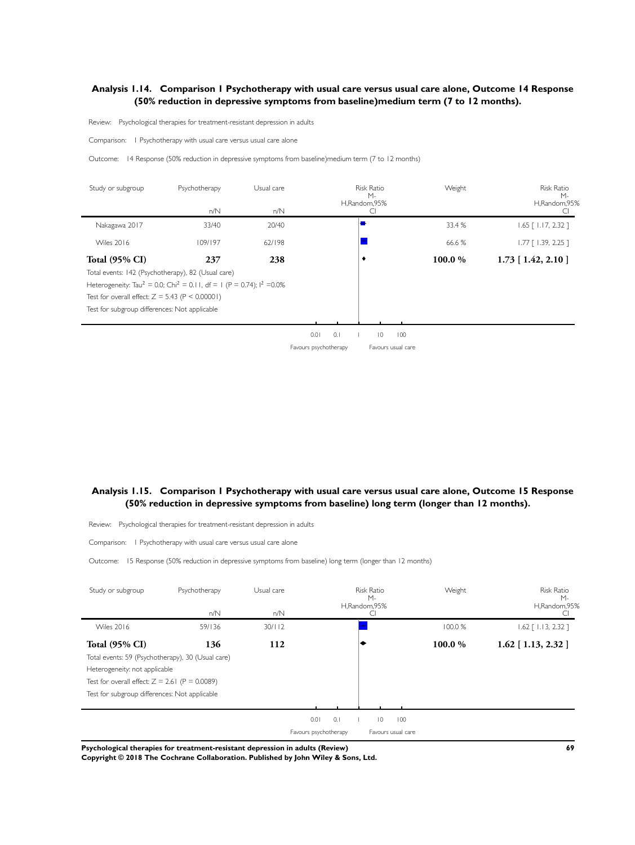### <span id="page-71-0"></span>**Analysis 1.14. Comparison 1 Psychotherapy with usual care versus usual care alone, Outcome 14 Response (50% reduction in depressive symptoms from baseline)medium term (7 to 12 months).**

Review: Psychological therapies for treatment-resistant depression in adults

Comparison: 1 Psychotherapy with usual care versus usual care alone

Outcome: 14 Response (50% reduction in depressive symptoms from baseline)medium term (7 to 12 months)

| Study or subgroup                                  | Psychotherapy                                                                                   | Usual care | <b>Risk Ratio</b><br>$M -$<br>H,Random,95% |                       | Weight | <b>Risk Ratio</b><br>$M -$ |
|----------------------------------------------------|-------------------------------------------------------------------------------------------------|------------|--------------------------------------------|-----------------------|--------|----------------------------|
|                                                    | n/N                                                                                             | n/N        |                                            | CI                    |        | H,Random,95%               |
| Nakagawa 2017                                      | 33/40                                                                                           | 20/40      |                                            | H                     | 33.4 % | $1.65$ [ $1.17$ , 2.32 ]   |
| <b>Wiles 2016</b>                                  | 109/197                                                                                         | 62/198     |                                            |                       | 66.6%  | $1.77$ [ $1.39$ , 2.25 ]   |
| <b>Total (95% CI)</b>                              | 237                                                                                             | 238        |                                            | ٠                     | 100.0% | $1.73$ [ $1.42$ , $2.10$ ] |
| Total events: 142 (Psychotherapy), 82 (Usual care) |                                                                                                 |            |                                            |                       |        |                            |
|                                                    | Heterogeneity: Tau <sup>2</sup> = 0.0; Chi <sup>2</sup> = 0.11, df = 1 (P = 0.74); $1^2$ = 0.0% |            |                                            |                       |        |                            |
| Test for overall effect: $Z = 5.43$ (P < 0.00001)  |                                                                                                 |            |                                            |                       |        |                            |
| Test for subgroup differences: Not applicable      |                                                                                                 |            |                                            |                       |        |                            |
|                                                    |                                                                                                 |            |                                            |                       |        |                            |
|                                                    |                                                                                                 |            | 0.1<br>0.01                                | 100<br>$\overline{0}$ |        |                            |
|                                                    |                                                                                                 |            | Favours psychotherapy                      | Favours usual care    |        |                            |

### **Analysis 1.15. Comparison 1 Psychotherapy with usual care versus usual care alone, Outcome 15 Response (50% reduction in depressive symptoms from baseline) long term (longer than 12 months).**

Review: Psychological therapies for treatment-resistant depression in adults

Comparison: 1 Psychotherapy with usual care versus usual care alone

Outcome: 15 Response (50% reduction in depressive symptoms from baseline) long term (longer than 12 months)

| Study or subgroup                                 | Psychotherapy | Usual care | <b>Risk Ratio</b><br>M- |                       | Weight  | <b>Risk Ratio</b><br>$M -$ |
|---------------------------------------------------|---------------|------------|-------------------------|-----------------------|---------|----------------------------|
|                                                   | n/N           | n/N        |                         | H,Random,95%          |         | H,Random,95%               |
| <b>Wiles 2016</b>                                 | 59/136        | 30/112     |                         |                       | 100.0 % | $1.62$ [ $1.13$ , 2.32 ]   |
| <b>Total (95% CI)</b>                             | 136           | 112        |                         |                       | 100.0%  | $1.62$ [ 1.13, 2.32 ]      |
| Total events: 59 (Psychotherapy), 30 (Usual care) |               |            |                         |                       |         |                            |
| Heterogeneity: not applicable                     |               |            |                         |                       |         |                            |
| Test for overall effect: $Z = 2.61$ (P = 0.0089)  |               |            |                         |                       |         |                            |
| Test for subgroup differences: Not applicable     |               |            |                         |                       |         |                            |
|                                                   |               |            |                         |                       |         |                            |
|                                                   |               |            | 0.01<br>0.1             | $\overline{0}$<br>100 |         |                            |
|                                                   |               |            | Favours psychotherapy   | Favours usual care    |         |                            |

**Psychological therapies for treatment-resistant depression in adults (Review) 69**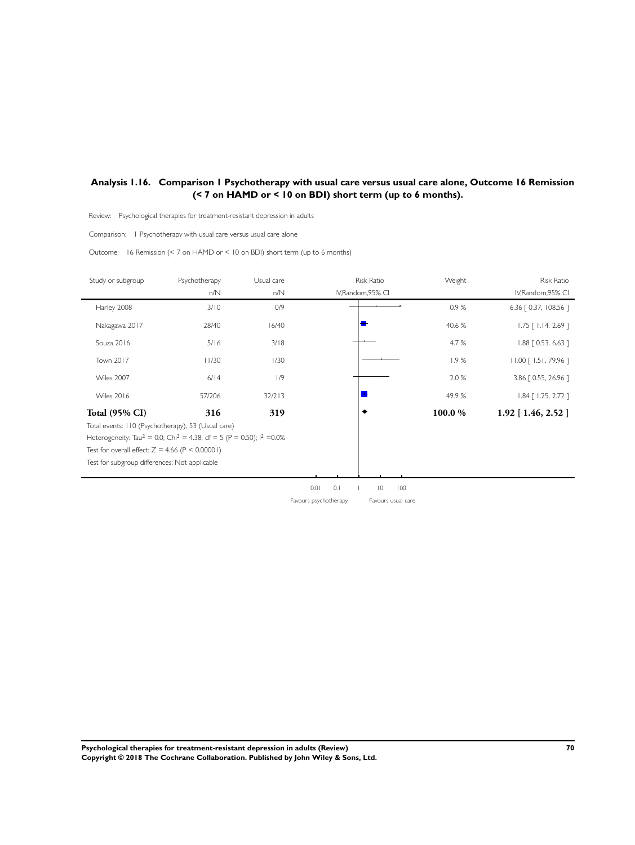## **Analysis 1.16. Comparison 1 Psychotherapy with usual care versus usual care alone, Outcome 16 Remission (< 7 on HAMD or < 10 on BDI) short term (up to 6 months).**

Review: Psychological therapies for treatment-resistant depression in adults

Comparison: 1 Psychotherapy with usual care versus usual care alone

j.

Outcome: 16 Remission (< 7 on HAMD or < 10 on BDI) short term (up to 6 months)

| Study or subgroup                                                                                        | Psychotherapy | Usual care |                       |                    | <b>Risk Ratio</b>     | Weight | <b>Risk Ratio</b>        |
|----------------------------------------------------------------------------------------------------------|---------------|------------|-----------------------|--------------------|-----------------------|--------|--------------------------|
|                                                                                                          | n/N           | n/N        |                       | IV, Random, 95% CI |                       |        | IV, Random, 95% CI       |
| Harley 2008                                                                                              | 3/10          | O/9        |                       |                    |                       | 0.9%   | 6.36 [ 0.37, 108.56 ]    |
| Nakagawa 2017                                                                                            | 28/40         | 16/40      |                       |                    |                       | 40.6 % | $1.75$ $[$ 1.14, 2.69 ]  |
| Souza 2016                                                                                               | 5/16          | 3/18       |                       |                    |                       | 4.7 %  | $1.88$ $[0.53, 6.63]$    |
| Town 2017                                                                                                | 11/30         | 1/30       |                       |                    |                       | 1.9%   | $11.00$ [ 1.51, 79.96 ]  |
| Wiles 2007                                                                                               | 6/14          | 1/9        |                       |                    |                       | 2.0 %  | 3.86   0.55, 26.96 ]     |
| <b>Wiles 2016</b>                                                                                        | 57/206        | 32/213     |                       |                    |                       | 49.9%  | $1.84$ [ $1.25$ , 2.72 ] |
| <b>Total (95% CI)</b>                                                                                    | 316           | 319        |                       |                    |                       | 100.0% | $1.92$ [ 1.46, 2.52 ]    |
| Total events: 110 (Psychotherapy), 53 (Usual care)                                                       |               |            |                       |                    |                       |        |                          |
| Heterogeneity: Tau <sup>2</sup> = 0.0; Chi <sup>2</sup> = 4.38, df = 5 (P = 0.50); l <sup>2</sup> = 0.0% |               |            |                       |                    |                       |        |                          |
| Test for overall effect: $Z = 4.66$ (P < 0.00001)                                                        |               |            |                       |                    |                       |        |                          |
| Test for subgroup differences: Not applicable                                                            |               |            |                       |                    |                       |        |                          |
|                                                                                                          |               |            |                       |                    |                       |        |                          |
|                                                                                                          |               |            | 0.01                  | 0.1                | $\overline{0}$<br>100 |        |                          |
|                                                                                                          |               |            | Favours psychotherapy |                    | Favours usual care    |        |                          |

**Psychological therapies for treatment-resistant depression in adults (Review) 70 Copyright © 2018 The Cochrane Collaboration. Published by John Wiley & Sons, Ltd.**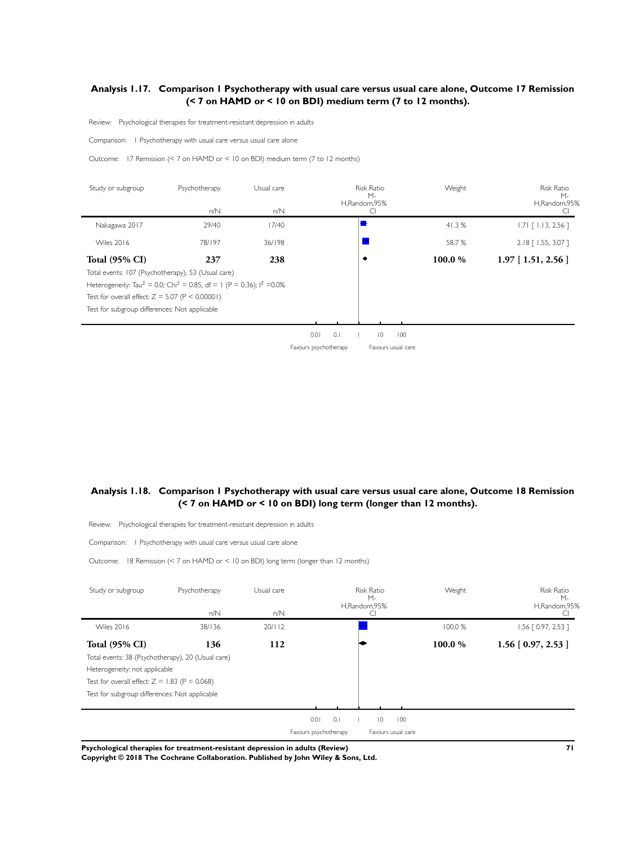## **Analysis 1.17. Comparison 1 Psychotherapy with usual care versus usual care alone, Outcome 17 Remission (< 7 on HAMD or < 10 on BDI) medium term (7 to 12 months).**

Review: Psychological therapies for treatment-resistant depression in adults

Comparison: 1 Psychotherapy with usual care versus usual care alone

Outcome: 17 Remission (< 7 on HAMD or < 10 on BDI) medium term (7 to 12 months)

| Study or subgroup                                  | Psychotherapy                                                                                            | Usual care |                       | <b>Risk Ratio</b><br>$M -$ | Weight | <b>Risk Ratio</b><br>$M -$ |
|----------------------------------------------------|----------------------------------------------------------------------------------------------------------|------------|-----------------------|----------------------------|--------|----------------------------|
|                                                    | n/N                                                                                                      | n/N        |                       | H,Random,95%<br>CI         |        | H,Random,95%               |
| Nakagawa 2017                                      | 29/40                                                                                                    | 17/40      |                       | H                          | 41.3%  | $1.71$ $[$ 1.13, 2.56 ]    |
| <b>Wiles 2016</b>                                  | 78/197                                                                                                   | 36/198     |                       | $\overline{\phantom{a}}$   | 58.7%  | 2.18 [ 1.55, 3.07 ]        |
| <b>Total (95% CI)</b>                              | 237                                                                                                      | 238        |                       | ٠                          | 100.0% | $1.97$ [ 1.51, 2.56 ]      |
| Total events: 107 (Psychotherapy), 53 (Usual care) |                                                                                                          |            |                       |                            |        |                            |
|                                                    | Heterogeneity: Tau <sup>2</sup> = 0.0; Chi <sup>2</sup> = 0.85, df = 1 (P = 0.36); l <sup>2</sup> = 0.0% |            |                       |                            |        |                            |
| Test for overall effect: $Z = 5.07$ (P < 0.00001)  |                                                                                                          |            |                       |                            |        |                            |
| Test for subgroup differences: Not applicable      |                                                                                                          |            |                       |                            |        |                            |
|                                                    |                                                                                                          |            |                       |                            |        |                            |
|                                                    |                                                                                                          |            | 0.1<br>0.01           | $\overline{0}$<br>100      |        |                            |
|                                                    |                                                                                                          |            | Favours psychotherapy | Favours usual care         |        |                            |

#### **Analysis 1.18. Comparison 1 Psychotherapy with usual care versus usual care alone, Outcome 18 Remission (< 7 on HAMD or < 10 on BDI) long term (longer than 12 months).**

Review: Psychological therapies for treatment-resistant depression in adults

Comparison: 1 Psychotherapy with usual care versus usual care alone

Outcome: 18 Remission (< 7 on HAMD or < 10 on BDI) long term (longer than 12 months)

| Study or subgroup                                 | Psychotherapy | Usual care | Risk Ratio<br>$M -$                         | Weight  | Risk Ratio<br>$M -$   |
|---------------------------------------------------|---------------|------------|---------------------------------------------|---------|-----------------------|
|                                                   | n/N           | n/N        | H,Random,95%<br>G                           |         | H,Random,95%          |
| <b>Wiles 2016</b>                                 | 38/136        | 20/112     |                                             | 100.0 % | $1.56$ $[0.97, 2.53]$ |
| <b>Total (95% CI)</b>                             | 136           | 112        |                                             | 100.0%  | $1.56$ [ 0.97, 2.53 ] |
| Total events: 38 (Psychotherapy), 20 (Usual care) |               |            |                                             |         |                       |
| Heterogeneity: not applicable                     |               |            |                                             |         |                       |
| Test for overall effect: $Z = 1.83$ (P = 0.068)   |               |            |                                             |         |                       |
| Test for subgroup differences: Not applicable     |               |            |                                             |         |                       |
|                                                   |               |            |                                             |         |                       |
|                                                   |               |            | 0.01<br>0.1<br>$\overline{0}$<br>100        |         |                       |
|                                                   |               |            | Favours psychotherapy<br>Favours usual care |         |                       |

**Psychological therapies for treatment-resistant depression in adults (Review) 71**

**Copyright © 2018 The Cochrane Collaboration. Published by John Wiley & Sons, Ltd.**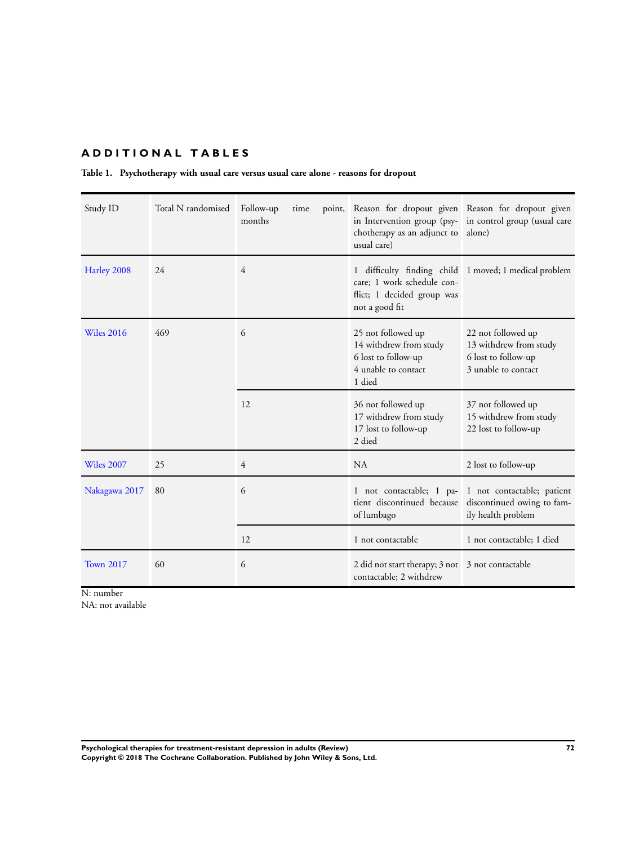# **A D D I T I O N A L T A B L E S**

| Study ID         | Total N randomised | Follow-up<br>time<br>months | point, Reason for dropout given Reason for dropout given<br>in Intervention group (psy- in control group (usual care<br>chotherapy as an adjunct to alone)<br>usual care) |                                                                                            |
|------------------|--------------------|-----------------------------|---------------------------------------------------------------------------------------------------------------------------------------------------------------------------|--------------------------------------------------------------------------------------------|
| Harley 2008      | 24                 | 4                           | care; 1 work schedule con-<br>flict; 1 decided group was<br>not a good fit                                                                                                | 1 difficulty finding child 1 moved; 1 medical problem                                      |
| Wiles 2016       | 469                | 6                           | 25 not followed up<br>14 withdrew from study<br>6 lost to follow-up<br>4 unable to contact<br>1 died                                                                      | 22 not followed up<br>13 withdrew from study<br>6 lost to follow-up<br>3 unable to contact |
|                  |                    | 12                          | 36 not followed up<br>17 withdrew from study<br>17 lost to follow-up<br>2 died                                                                                            | 37 not followed up<br>15 withdrew from study<br>22 lost to follow-up                       |
| Wiles 2007       | 25                 | 4                           | <b>NA</b>                                                                                                                                                                 | 2 lost to follow-up                                                                        |
| Nakagawa 2017    | 80                 | 6                           | 1 not contactable; 1 pa- 1 not contactable; patient<br>tient discontinued because<br>of lumbago                                                                           | discontinued owing to fam-<br>ily health problem                                           |
|                  |                    | 12                          | 1 not contactable                                                                                                                                                         | 1 not contactable; 1 died                                                                  |
| <b>Town 2017</b> | 60                 | 6                           | 2 did not start therapy; 3 not 3 not contactable<br>contactable; 2 withdrew                                                                                               |                                                                                            |

## **Table 1. Psychotherapy with usual care versus usual care alone - reasons for dropout**

N: number

NA: not available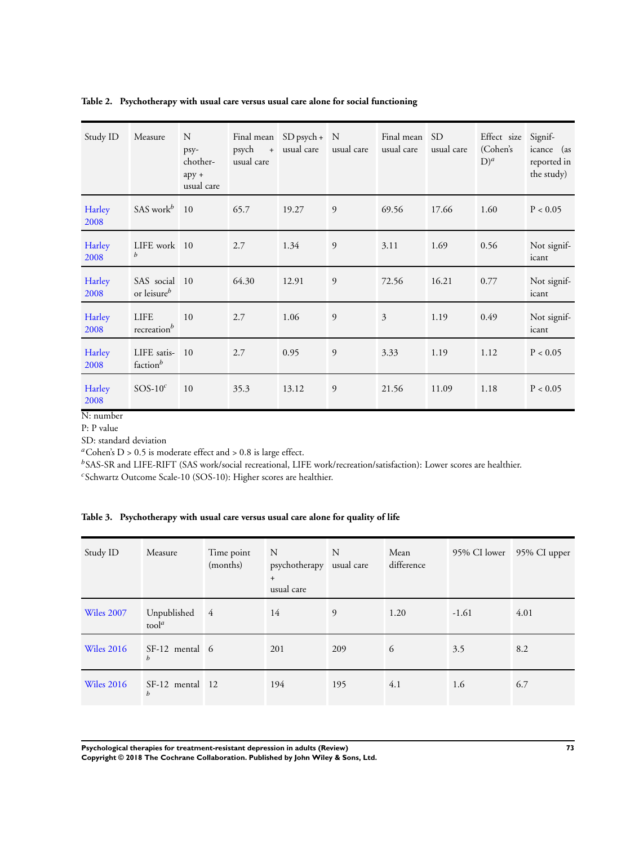|  | Table 2. Psychotherapy with usual care versus usual care alone for social functioning |  |  |  |  |  |  |
|--|---------------------------------------------------------------------------------------|--|--|--|--|--|--|
|--|---------------------------------------------------------------------------------------|--|--|--|--|--|--|

| Study ID       | Measure                                  | N<br>psy-<br>chother-<br>$app +$<br>usual care | psych<br>$+$<br>usual care | Final mean SD psych +<br>usual care | N<br>usual care | Final mean<br>usual care | <b>SD</b><br>usual care | Effect size<br>(Cohen's<br>$D)^a$ | Signif-<br>icance (as<br>reported in<br>the study) |
|----------------|------------------------------------------|------------------------------------------------|----------------------------|-------------------------------------|-----------------|--------------------------|-------------------------|-----------------------------------|----------------------------------------------------|
| Harley<br>2008 | SAS work $^b$                            | 10                                             | 65.7                       | 19.27                               | $\mathfrak{g}$  | 69.56                    | 17.66                   | 1.60                              | P < 0.05                                           |
| Harley<br>2008 | LIFE work 10<br>$\boldsymbol{b}$         |                                                | 2.7                        | 1.34                                | 9               | 3.11                     | 1.69                    | 0.56                              | Not signif-<br>icant                               |
| Harley<br>2008 | SAS social 10<br>or leisure <sup>b</sup> |                                                | 64.30                      | 12.91                               | 9               | 72.56                    | 16.21                   | 0.77                              | Not signif-<br>icant                               |
| Harley<br>2008 | <b>LIFE</b><br>recreation $^b$           | 10                                             | 2.7                        | 1.06                                | 9               | 3                        | 1.19                    | 0.49                              | Not signif-<br>icant                               |
| Harley<br>2008 | LIFE satis-<br>faction <sup>b</sup>      | 10                                             | 2.7                        | 0.95                                | 9               | 3.33                     | 1.19                    | 1.12                              | P < 0.05                                           |
| Harley<br>2008 | SOS- $10c$                               | 10                                             | 35.3                       | 13.12                               | 9               | 21.56                    | 11.09                   | 1.18                              | P < 0.05                                           |

N: number

P: P value

SD: standard deviation

<sup>*a*</sup> Cohen's  $D > 0.5$  is moderate effect and  $> 0.8$  is large effect.

 $b$ SAS-SR and LIFE-RIFT (SAS work/social recreational, LIFE work/recreation/satisfaction): Lower scores are healthier.

<sup>c</sup>Schwartz Outcome Scale-10 (SOS-10): Higher scores are healthier.

## **Table 3. Psychotherapy with usual care versus usual care alone for quality of life**

| Study ID   | Measure                              | Time point<br>(months) | N<br>psychotherapy<br>$+$<br>usual care | N<br>usual care | Mean<br>difference | 95% CI lower | 95% CI upper |
|------------|--------------------------------------|------------------------|-----------------------------------------|-----------------|--------------------|--------------|--------------|
| Wiles 2007 | Unpublished<br>$\text{tool}^a$       | $4\overline{4}$        | 14                                      | 9               | 1.20               | $-1.61$      | 4.01         |
| Wiles 2016 | $SF-12$ mental 6<br>$\boldsymbol{b}$ |                        | 201                                     | 209             | 6                  | 3.5          | 8.2          |
| Wiles 2016 | SF-12 mental 12<br>$\boldsymbol{b}$  |                        | 194                                     | 195             | 4.1                | 1.6          | 6.7          |

**Psychological therapies for treatment-resistant depression in adults (Review) 73 Copyright © 2018 The Cochrane Collaboration. Published by John Wiley & Sons, Ltd.**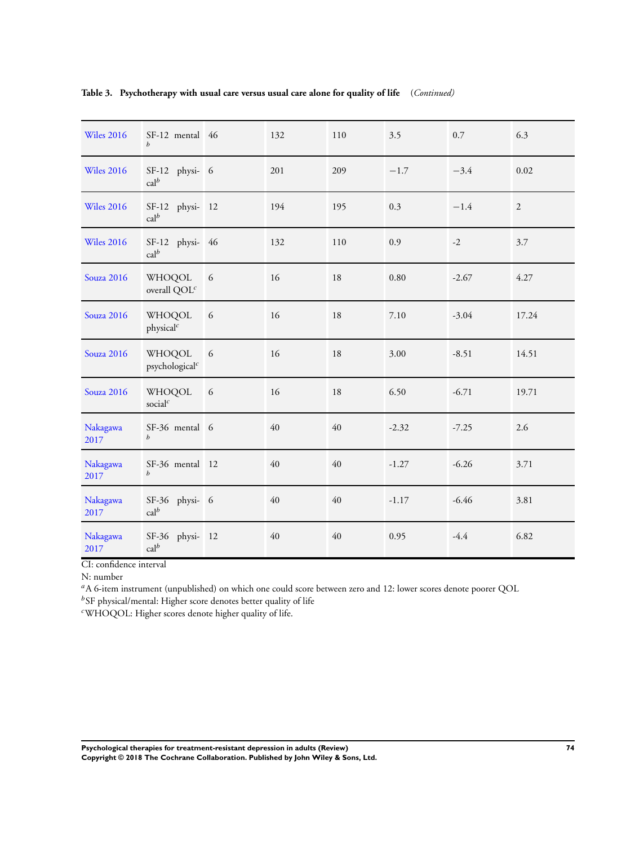| Wiles 2016        | SF-12 mental 46<br>b                 |                | 132 | 110 | 3.5     | 0.7     | 6.3            |
|-------------------|--------------------------------------|----------------|-----|-----|---------|---------|----------------|
| Wiles 2016        | $SF-12$ physi- 6<br>$cal{c}$         |                | 201 | 209 | $-1.7$  | $-3.4$  | 0.02           |
| Wiles 2016        | $SF-12$ physi- 12<br>$cal{c}$        |                | 194 | 195 | 0.3     | $-1.4$  | $\overline{2}$ |
| Wiles 2016        | $SF-12$ physi- 46<br>$cal{C}$        |                | 132 | 110 | 0.9     | $-2$    | 3.7            |
| Souza 2016        | WHOQOL<br>overall QOL <sup>c</sup>   | $\overline{6}$ | 16  | 18  | 0.80    | $-2.67$ | 4.27           |
| <b>Souza 2016</b> | WHOQOL<br>physical <sup>c</sup>      | 6              | 16  | 18  | 7.10    | $-3.04$ | 17.24          |
| <b>Souza 2016</b> | WHOQOL<br>psychological <sup>c</sup> | $\overline{6}$ | 16  | 18  | 3.00    | $-8.51$ | 14.51          |
| Souza 2016        | WHOQOL<br>social <sup>c</sup>        | 6              | 16  | 18  | 6.50    | $-6.71$ | 19.71          |
| Nakagawa<br>2017  | SF-36 mental 6<br>b                  |                | 40  | 40  | $-2.32$ | $-7.25$ | 2.6            |
| Nakagawa<br>2017  | SF-36 mental 12<br>$\boldsymbol{b}$  |                | 40  | 40  | $-1.27$ | $-6.26$ | 3.71           |
| Nakagawa<br>2017  | SF-36 physi- 6<br>$cal{C}$           |                | 40  | 40  | $-1.17$ | $-6.46$ | 3.81           |
| Nakagawa<br>2017  | SF-36 physi- 12<br>$cal{C}$          |                | 40  | 40  | 0.95    | $-4.4$  | 6.82           |

**Table 3. Psychotherapy with usual care versus usual care alone for quality of life** (*Continued)*

CI: confidence interval

N: number

<sup>a</sup>A 6-item instrument (unpublished) on which one could score between zero and 12: lower scores denote poorer QOL

 $b$ SF physical/mental: Higher score denotes better quality of life

<sup>c</sup>WHOQOL: Higher scores denote higher quality of life.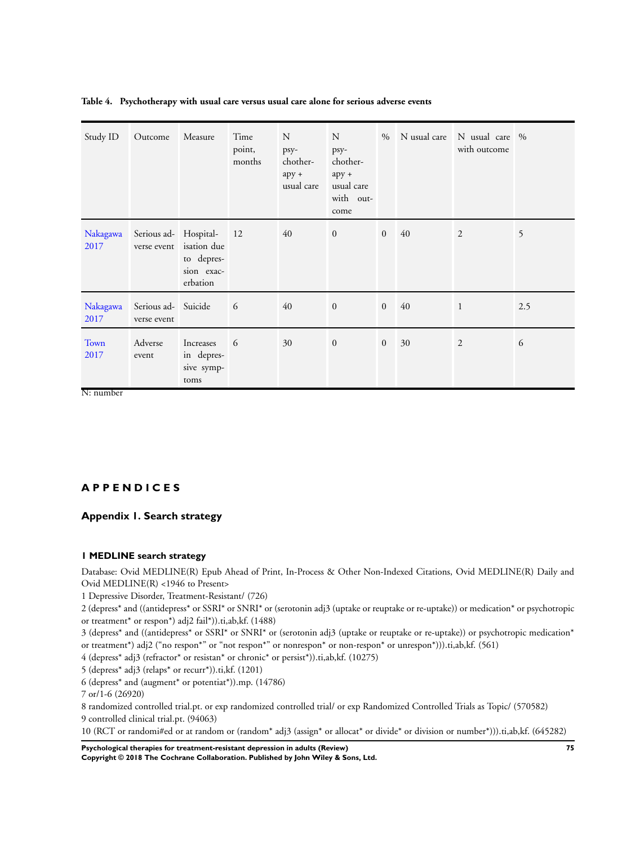| Study ID         | Outcome                            | Measure                                                          | Time<br>point,<br>months | N<br>psy-<br>chother-<br>apy +<br>usual care | N<br>psy-<br>chother-<br>$app +$<br>usual care<br>with out-<br>come | $\%$         | N usual care | N usual care %<br>with outcome |     |
|------------------|------------------------------------|------------------------------------------------------------------|--------------------------|----------------------------------------------|---------------------------------------------------------------------|--------------|--------------|--------------------------------|-----|
| Nakagawa<br>2017 | Serious ad-<br>verse event         | Hospital-<br>isation due<br>to depres-<br>sion exac-<br>erbation | 12                       | 40                                           | $\mathbf{0}$                                                        | $\mathbf{0}$ | 40           | $\overline{2}$                 | 5   |
| Nakagawa<br>2017 | Serious ad- Suicide<br>verse event |                                                                  | 6                        | 40                                           | $\mathbf{0}$                                                        | $\mathbf{0}$ | 40           | $\mathbf{1}$                   | 2.5 |
| Town<br>2017     | Adverse<br>event                   | Increases<br>in depres-<br>sive symp-<br>toms                    | 6                        | 30                                           | $\mathbf{0}$                                                        | $\mathbf{0}$ | 30           | 2                              | 6   |

#### **Table 4. Psychotherapy with usual care versus usual care alone for serious adverse events**

N: number

## **A P P E N D I C E S**

## **Appendix 1. Search strategy**

#### **1 MEDLINE search strategy**

Database: Ovid MEDLINE(R) Epub Ahead of Print, In-Process & Other Non-Indexed Citations, Ovid MEDLINE(R) Daily and Ovid MEDLINE(R) <1946 to Present>

1 Depressive Disorder, Treatment-Resistant/ (726)

2 (depress\* and ((antidepress\* or SSRI\* or SNRI\* or (serotonin adj3 (uptake or reuptake or re-uptake)) or medication\* or psychotropic or treatment\* or respon\*) adj2 fail\*)).ti,ab,kf. (1488)

3 (depress\* and ((antidepress\* or SSRI\* or SNRI\* or (serotonin adj3 (uptake or reuptake or re-uptake)) or psychotropic medication\* or treatment\*) adj2 ("no respon\*" or "not respon\*" or nonrespon\* or non-respon\* or unrespon\*))).ti,ab,kf. (561)

4 (depress\* adj3 (refractor\* or resistan\* or chronic\* or persist\*)).ti,ab,kf. (10275)

5 (depress\* adj3 (relaps\* or recurr\*)).ti,kf. (1201)

6 (depress\* and (augment\* or potentiat\*)).mp. (14786)

7 or/1-6 (26920)

8 randomized controlled trial.pt. or exp randomized controlled trial/ or exp Randomized Controlled Trials as Topic/ (570582) 9 controlled clinical trial.pt. (94063)

10 (RCT or randomi#ed or at random or (random\* adj3 (assign\* or allocat\* or divide\* or division or number\*))).ti,ab,kf. (645282)

**Psychological therapies for treatment-resistant depression in adults (Review) 75 Copyright © 2018 The Cochrane Collaboration. Published by John Wiley & Sons, Ltd.**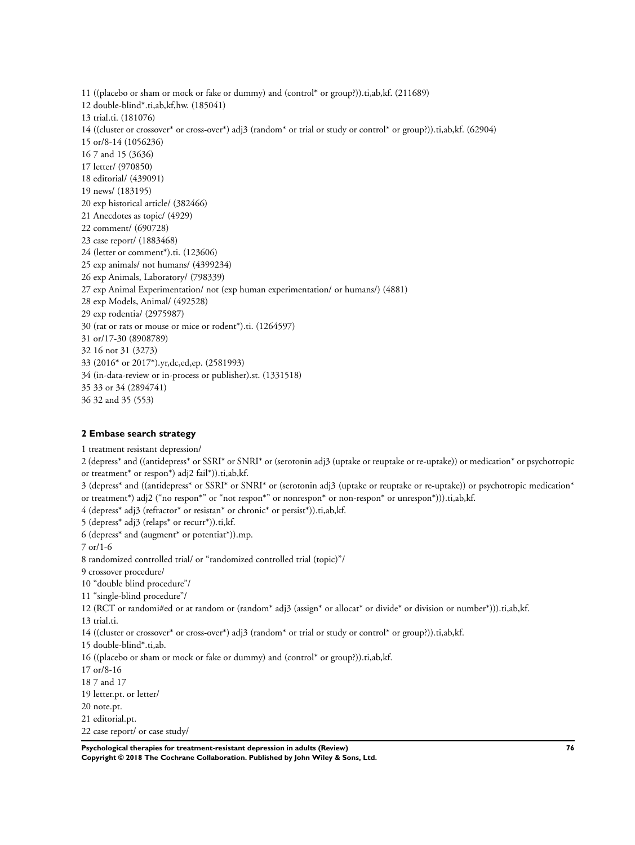11 ((placebo or sham or mock or fake or dummy) and (control\* or group?)).ti,ab,kf. (211689) 12 double-blind\*.ti,ab,kf,hw. (185041) 13 trial.ti. (181076) 14 ((cluster or crossover\* or cross-over\*) adj3 (random\* or trial or study or control\* or group?)).ti,ab,kf. (62904) 15 or/8-14 (1056236) 16 7 and 15 (3636) 17 letter/ (970850) 18 editorial/ (439091) 19 news/ (183195) 20 exp historical article/ (382466) 21 Anecdotes as topic/ (4929) 22 comment/ (690728) 23 case report/ (1883468) 24 (letter or comment\*).ti. (123606) 25 exp animals/ not humans/ (4399234) 26 exp Animals, Laboratory/ (798339) 27 exp Animal Experimentation/ not (exp human experimentation/ or humans/) (4881) 28 exp Models, Animal/ (492528) 29 exp rodentia/ (2975987) 30 (rat or rats or mouse or mice or rodent\*).ti. (1264597) 31 or/17-30 (8908789) 32 16 not 31 (3273) 33 (2016\* or 2017\*).yr,dc,ed,ep. (2581993) 34 (in-data-review or in-process or publisher).st. (1331518) 35 33 or 34 (2894741) 36 32 and 35 (553)

#### **2 Embase search strategy**

1 treatment resistant depression/

2 (depress\* and ((antidepress\* or SSRI\* or SNRI\* or (serotonin adj3 (uptake or reuptake or re-uptake)) or medication\* or psychotropic or treatment\* or respon\*) adj2 fail\*)).ti,ab,kf.

3 (depress\* and ((antidepress\* or SSRI\* or SNRI\* or (serotonin adj3 (uptake or reuptake or re-uptake)) or psychotropic medication\* or treatment\*) adj2 ("no respon\*" or "not respon\*" or nonrespon\* or non-respon\* or unrespon\*))).ti,ab,kf.

4 (depress\* adj3 (refractor\* or resistan\* or chronic\* or persist\*)).ti,ab,kf.

5 (depress\* adj3 (relaps\* or recurr\*)).ti,kf.

6 (depress\* and (augment\* or potentiat\*)).mp.

7 or/1-6

8 randomized controlled trial/ or "randomized controlled trial (topic)"/

9 crossover procedure/

10 "double blind procedure"/

11 "single-blind procedure"/

12 (RCT or randomi#ed or at random or (random\* adj3 (assign\* or allocat\* or divide\* or division or number\*))).ti,ab,kf. 13 trial.ti.

14 ((cluster or crossover\* or cross-over\*) adj3 (random\* or trial or study or control\* or group?)).ti,ab,kf.

15 double-blind\*.ti,ab.

16 ((placebo or sham or mock or fake or dummy) and (control\* or group?)).ti,ab,kf.

17 or/8-16

18 7 and 17

19 letter.pt. or letter/

20 note.pt.

21 editorial.pt.

22 case report/ or case study/

**Psychological therapies for treatment-resistant depression in adults (Review) 76 Copyright © 2018 The Cochrane Collaboration. Published by John Wiley & Sons, Ltd.**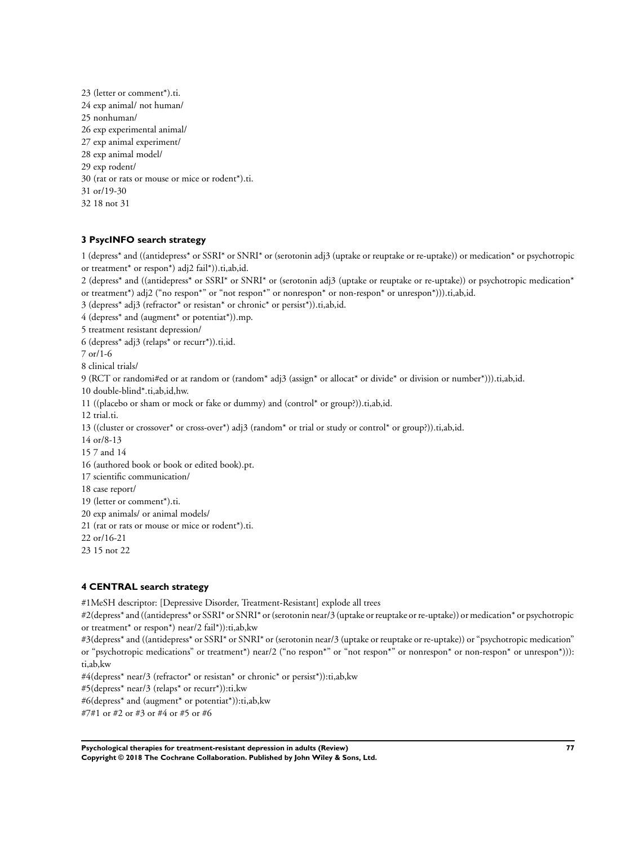23 (letter or comment\*).ti. 24 exp animal/ not human/ 25 nonhuman/ 26 exp experimental animal/ 27 exp animal experiment/ 28 exp animal model/ 29 exp rodent/ 30 (rat or rats or mouse or mice or rodent\*).ti. 31 or/19-30 32 18 not 31

## **3 PsycINFO search strategy**

1 (depress\* and ((antidepress\* or SSRI\* or SNRI\* or (serotonin adj3 (uptake or reuptake or re-uptake)) or medication\* or psychotropic or treatment\* or respon\*) adj2 fail\*)).ti,ab,id.

2 (depress\* and ((antidepress\* or SSRI\* or SNRI\* or (serotonin adj3 (uptake or reuptake or re-uptake)) or psychotropic medication\* or treatment\*) adj2 ("no respon\*" or "not respon\*" or nonrespon\* or non-respon\* or unrespon\*))).ti,ab,id.

3 (depress\* adj3 (refractor\* or resistan\* or chronic\* or persist\*)).ti,ab,id.

4 (depress\* and (augment\* or potentiat\*)).mp.

5 treatment resistant depression/

6 (depress\* adj3 (relaps\* or recurr\*)).ti,id.

7 or/1-6

8 clinical trials/

9 (RCT or randomi#ed or at random or (random\* adj3 (assign\* or allocat\* or divide\* or division or number\*))).ti,ab,id.

10 double-blind\*.ti,ab,id,hw.

11 ((placebo or sham or mock or fake or dummy) and (control\* or group?)).ti,ab,id.

12 trial.ti.

13 ((cluster or crossover\* or cross-over\*) adj3 (random\* or trial or study or control\* or group?)).ti,ab,id.

14 or/8-13

15 7 and 14

16 (authored book or book or edited book).pt.

17 scientific communication/

18 case report/

19 (letter or comment\*).ti.

20 exp animals/ or animal models/

21 (rat or rats or mouse or mice or rodent\*).ti.

22 or/16-21

23 15 not 22

#### **4 CENTRAL search strategy**

#1MeSH descriptor: [Depressive Disorder, Treatment-Resistant] explode all trees

#2(depress\* and ((antidepress\* or SSRI\* or SNRI\* or (serotonin near/3 (uptake or reuptake or re-uptake)) or medication\* or psychotropic or treatment\* or respon\*) near/2 fail\*)):ti,ab,kw

#3(depress\* and ((antidepress\* or SSRI\* or SNRI\* or (serotonin near/3 (uptake or reuptake or re-uptake)) or "psychotropic medication" or "psychotropic medications" or treatment\*) near/2 ("no respon\*" or "not respon\*" or nonrespon\* or non-respon\* or unrespon\*))): ti,ab,kw

#4(depress\* near/3 (refractor\* or resistan\* or chronic\* or persist\*)):ti,ab,kw

#5(depress\* near/3 (relaps\* or recurr\*)):ti,kw

#6(depress\* and (augment\* or potentiat\*)):ti,ab,kw

#7#1 or #2 or #3 or #4 or #5 or #6

**Psychological therapies for treatment-resistant depression in adults (Review) 77 Copyright © 2018 The Cochrane Collaboration. Published by John Wiley & Sons, Ltd.**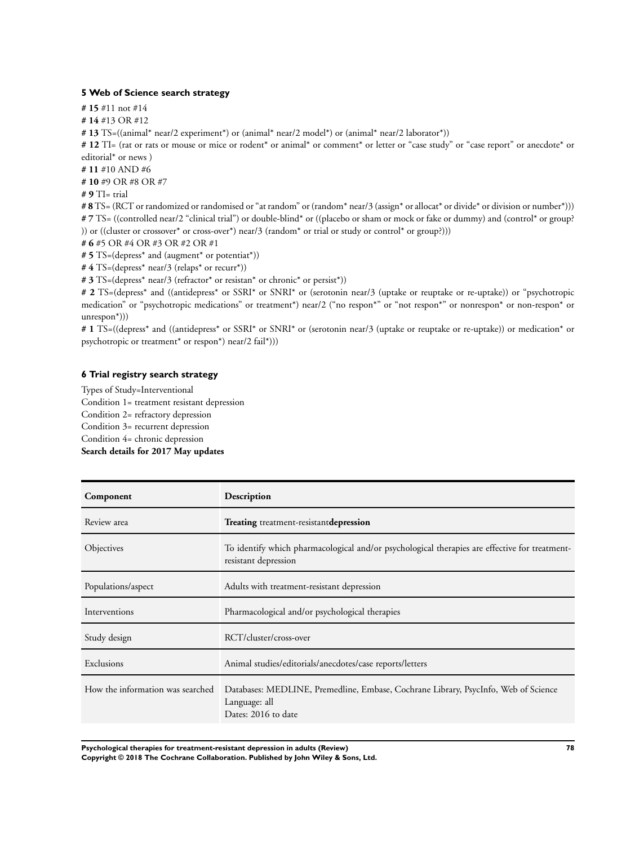#### **5 Web of Science search strategy**

**# 15** #11 not #14

**# 14** #13 OR #12

**# 13** TS=((animal\* near/2 experiment\*) or (animal\* near/2 model\*) or (animal\* near/2 laborator\*))

**# 12** TI= (rat or rats or mouse or mice or rodent\* or animal\* or comment\* or letter or "case study" or "case report" or anecdote\* or editorial\* or news )

**# 11** #10 AND #6

**# 10** #9 OR #8 OR #7

**# 9** TI= trial

**# 8** TS= (RCT or randomized or randomised or "at random" or (random\* near/3 (assign\* or allocat\* or divide\* or division or number\*))) **# 7** TS= ((controlled near/2 "clinical trial") or double-blind\* or ((placebo or sham or mock or fake or dummy) and (control\* or group? )) or ((cluster or crossover\* or cross-over\*) near/3 (random\* or trial or study or control\* or group?)))

**# 6** #5 OR #4 OR #3 OR #2 OR #1

**# 5** TS=(depress\* and (augment\* or potentiat\*))

**# 4** TS=(depress\* near/3 (relaps\* or recurr\*))

**# 3** TS=(depress\* near/3 (refractor\* or resistan\* or chronic\* or persist\*))

**# 2** TS=(depress\* and ((antidepress\* or SSRI\* or SNRI\* or (serotonin near/3 (uptake or reuptake or re-uptake)) or "psychotropic medication" or "psychotropic medications" or treatment\*) near/2 ("no respon\*" or "not respon\*" or nonrespon\* or non-respon\* or unrespon\*)))

**# 1** TS=((depress\* and ((antidepress\* or SSRI\* or SNRI\* or (serotonin near/3 (uptake or reuptake or re-uptake)) or medication\* or psychotropic or treatment\* or respon\*) near/2 fail\*)))

#### **6 Trial registry search strategy**

Types of Study=Interventional Condition 1= treatment resistant depression Condition 2= refractory depression Condition 3= recurrent depression Condition 4= chronic depression

**Search details for 2017 May updates**

| Component                        | Description                                                                                                                |
|----------------------------------|----------------------------------------------------------------------------------------------------------------------------|
| Review area                      | Treating treatment-resistantdepression                                                                                     |
| Objectives                       | To identify which pharmacological and/or psychological therapies are effective for treatment-<br>resistant depression      |
| Populations/aspect               | Adults with treatment-resistant depression                                                                                 |
| Interventions                    | Pharmacological and/or psychological therapies                                                                             |
| Study design                     | RCT/cluster/cross-over                                                                                                     |
| Exclusions                       | Animal studies/editorials/anecdotes/case reports/letters                                                                   |
| How the information was searched | Databases: MEDLINE, Premedline, Embase, Cochrane Library, PsycInfo, Web of Science<br>Language: all<br>Dates: 2016 to date |

**Psychological therapies for treatment-resistant depression in adults (Review) 78**

**Copyright © 2018 The Cochrane Collaboration. Published by John Wiley & Sons, Ltd.**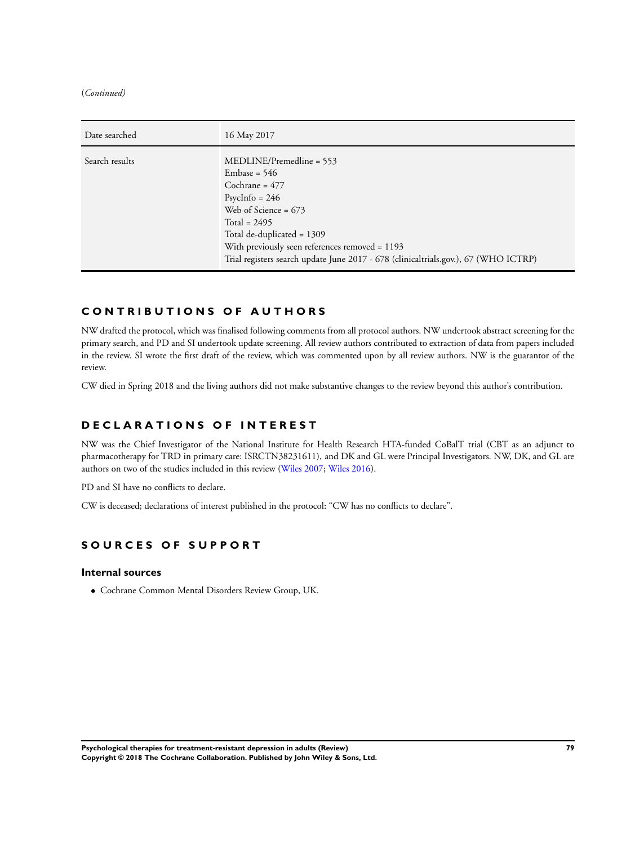(*Continued)*

| Date searched  | 16 May 2017                                                                                                                                                                                                                                                                                              |
|----------------|----------------------------------------------------------------------------------------------------------------------------------------------------------------------------------------------------------------------------------------------------------------------------------------------------------|
| Search results | $MEDLINE/Premediate = 553$<br>$Embase = 546$<br>Cochrane = $477$<br>$Ps$ ycInfo = 246<br>Web of Science = $673$<br>Total = $2495$<br>Total de-duplicated = 1309<br>With previously seen references removed = 1193<br>Trial registers search update June 2017 - 678 (clinicaltrials.gov.), 67 (WHO ICTRP) |

## **C O N T R I B U T I O N S O F A U T H O R S**

NW drafted the protocol, which was finalised following comments from all protocol authors. NW undertook abstract screening for the primary search, and PD and SI undertook update screening. All review authors contributed to extraction of data from papers included in the review. SI wrote the first draft of the review, which was commented upon by all review authors. NW is the guarantor of the review.

CW died in Spring 2018 and the living authors did not make substantive changes to the review beyond this author's contribution.

## **D E C L A R A T I O N S O F I N T E R E S T**

NW was the Chief Investigator of the National Institute for Health Research HTA-funded CoBalT trial (CBT as an adjunct to pharmacotherapy for TRD in primary care: ISRCTN38231611), and DK and GL were Principal Investigators. NW, DK, and GL are authors on two of the studies included in this review [\(Wiles 2007](#page-32-0); [Wiles 2016](#page-32-0)).

PD and SI have no conflicts to declare.

CW is deceased; declarations of interest published in the protocol: "CW has no conflicts to declare".

# **S O U R C E S O F S U P P O R T**

#### **Internal sources**

• Cochrane Common Mental Disorders Review Group, UK.